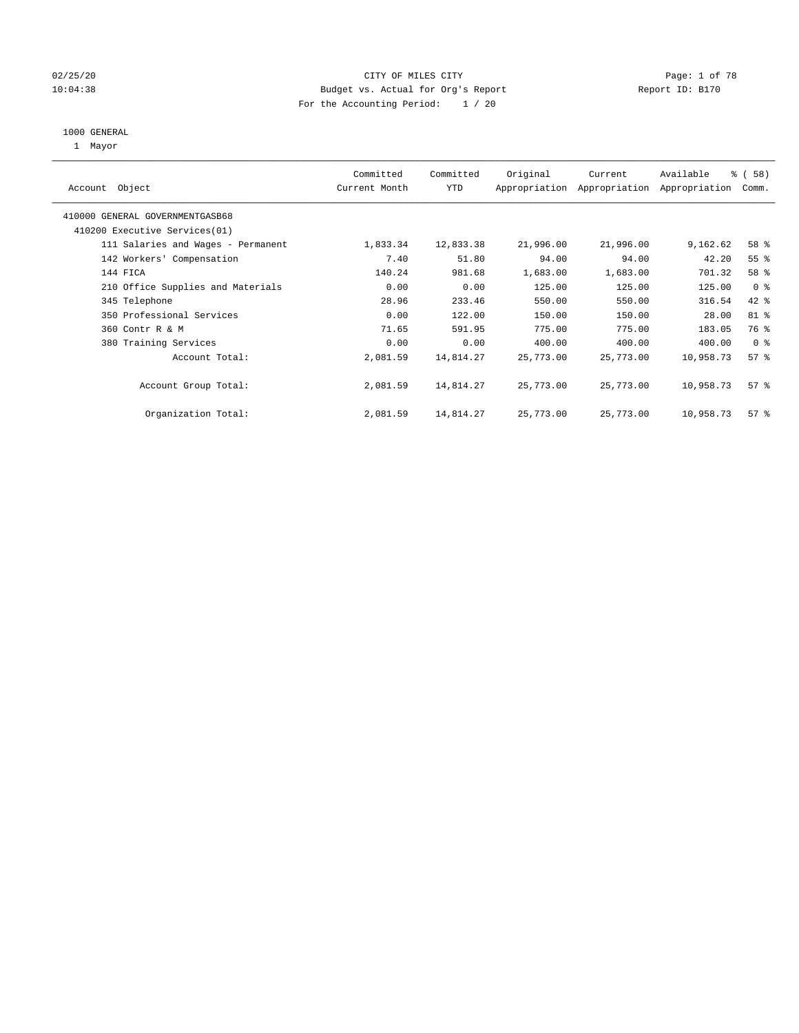#### 02/25/20 **CITY OF MILES CITY CONSERVATION Page: 1 of 78** 10:04:38 Budget vs. Actual for Org's Report Changer Report ID: B170 For the Accounting Period: 1 / 20

#### 1000 GENERAL

1 Mayor

| Object<br>Account                  | Committed<br>Current Month | Committed<br><b>YTD</b> | Original  | Current<br>Appropriation Appropriation | Available<br>Appropriation | % (58)<br>Comm. |
|------------------------------------|----------------------------|-------------------------|-----------|----------------------------------------|----------------------------|-----------------|
| 410000 GENERAL GOVERNMENTGASB68    |                            |                         |           |                                        |                            |                 |
| 410200 Executive Services (01)     |                            |                         |           |                                        |                            |                 |
| 111 Salaries and Wages - Permanent | 1,833.34                   | 12,833.38               | 21,996.00 | 21,996.00                              | 9,162.62                   | 58 %            |
| 142 Workers' Compensation          | 7.40                       | 51.80                   | 94.00     | 94.00                                  | 42.20                      | 55 <sup>8</sup> |
| 144 FICA                           | 140.24                     | 981.68                  | 1,683.00  | 1,683.00                               | 701.32                     | 58 %            |
| 210 Office Supplies and Materials  | 0.00                       | 0.00                    | 125.00    | 125.00                                 | 125.00                     | 0 <sup>8</sup>  |
| 345 Telephone                      | 28.96                      | 233.46                  | 550.00    | 550.00                                 | 316.54                     | 42 %            |
| 350 Professional Services          | 0.00                       | 122.00                  | 150.00    | 150.00                                 | 28.00                      | 81 %            |
| 360 Contr R & M                    | 71.65                      | 591.95                  | 775.00    | 775.00                                 | 183.05                     | 76 %            |
| 380 Training Services              | 0.00                       | 0.00                    | 400.00    | 400.00                                 | 400.00                     | 0 <sup>8</sup>  |
| Account Total:                     | 2,081.59                   | 14,814.27               | 25,773.00 | 25,773.00                              | 10,958.73                  | 57%             |
| Account Group Total:               | 2,081.59                   | 14,814.27               | 25,773.00 | 25,773.00                              | 10,958.73                  | 57%             |
| Organization Total:                | 2,081.59                   | 14,814.27               | 25,773.00 | 25,773.00                              | 10,958.73                  | 57 <sup>°</sup> |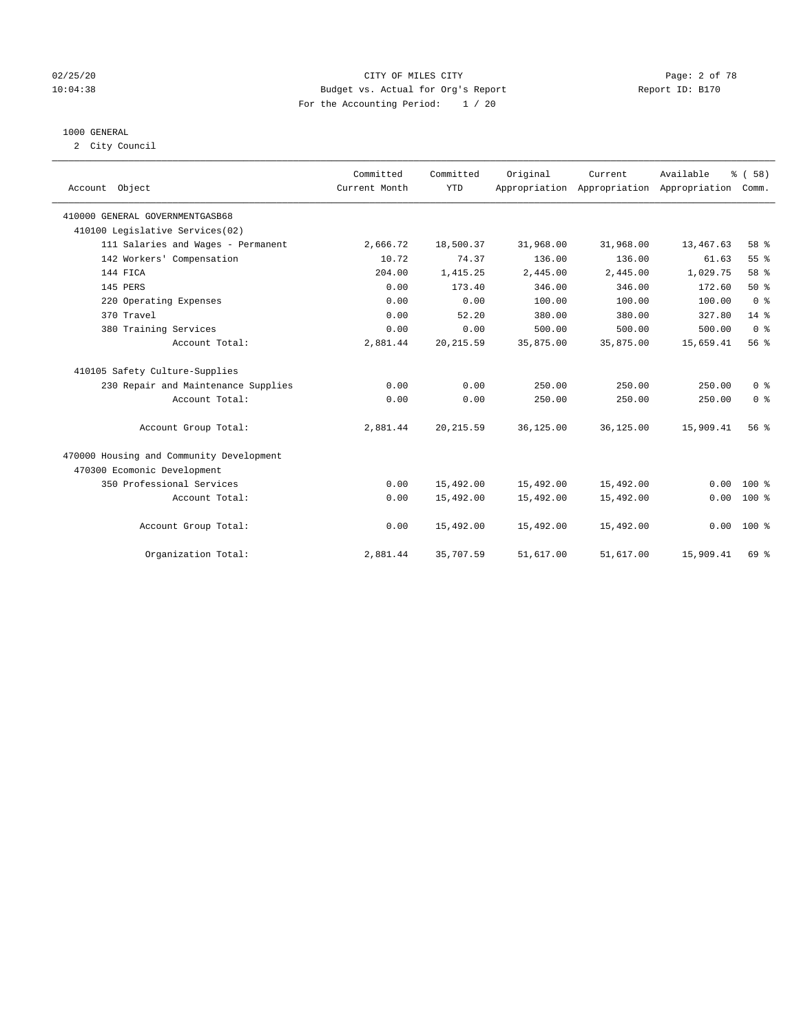#### 02/25/20 CITY OF MILES CITY Page: 2 of 78 10:04:38 Budget vs. Actual for Org's Report Report ID: B170 For the Accounting Period: 1 / 20

#### 1000 GENERAL

2 City Council

| Account Object                           | Committed<br>Current Month | Committed<br><b>YTD</b> | Original  | Current<br>Appropriation Appropriation Appropriation | Available | 8 ( 58)<br>Comm. |
|------------------------------------------|----------------------------|-------------------------|-----------|------------------------------------------------------|-----------|------------------|
| 410000 GENERAL GOVERNMENTGASB68          |                            |                         |           |                                                      |           |                  |
| 410100 Legislative Services(02)          |                            |                         |           |                                                      |           |                  |
| 111 Salaries and Wages - Permanent       | 2,666.72                   | 18,500.37               | 31,968.00 | 31,968.00                                            | 13,467.63 | 58 %             |
| 142 Workers' Compensation                | 10.72                      | 74.37                   | 136.00    | 136.00                                               | 61.63     | 55 %             |
| 144 FICA                                 | 204.00                     | 1,415.25                | 2,445.00  | 2,445.00                                             | 1,029.75  | 58 %             |
| 145 PERS                                 | 0.00                       | 173.40                  | 346.00    | 346.00                                               | 172.60    | 50%              |
| 220 Operating Expenses                   | 0.00                       | 0.00                    | 100.00    | 100.00                                               | 100.00    | 0 <sup>8</sup>   |
| 370 Travel                               | 0.00                       | 52.20                   | 380.00    | 380.00                                               | 327.80    | $14*$            |
| 380 Training Services                    | 0.00                       | 0.00                    | 500.00    | 500.00                                               | 500.00    | 0 <sup>8</sup>   |
| Account Total:                           | 2,881.44                   | 20, 215.59              | 35,875.00 | 35,875.00                                            | 15,659.41 | 56 %             |
| 410105 Safety Culture-Supplies           |                            |                         |           |                                                      |           |                  |
| 230 Repair and Maintenance Supplies      | 0.00                       | 0.00                    | 250.00    | 250.00                                               | 250.00    | 0 <sup>8</sup>   |
| Account Total:                           | 0.00                       | 0.00                    | 250.00    | 250.00                                               | 250.00    | 0 <sup>8</sup>   |
| Account Group Total:                     | 2,881.44                   | 20, 215.59              | 36,125.00 | 36,125.00                                            | 15,909.41 | 56%              |
| 470000 Housing and Community Development |                            |                         |           |                                                      |           |                  |
| 470300 Ecomonic Development              |                            |                         |           |                                                      |           |                  |
| 350 Professional Services                | 0.00                       | 15,492.00               | 15,492.00 | 15,492.00                                            | 0.00      | $100*$           |
| Account Total:                           | 0.00                       | 15,492.00               | 15,492.00 | 15,492.00                                            | 0.00      | $100*$           |
| Account Group Total:                     | 0.00                       | 15,492.00               | 15,492.00 | 15,492.00                                            |           | $0.00 100$ %     |
| Organization Total:                      | 2,881.44                   | 35,707.59               | 51,617.00 | 51,617.00                                            | 15,909.41 | 69 %             |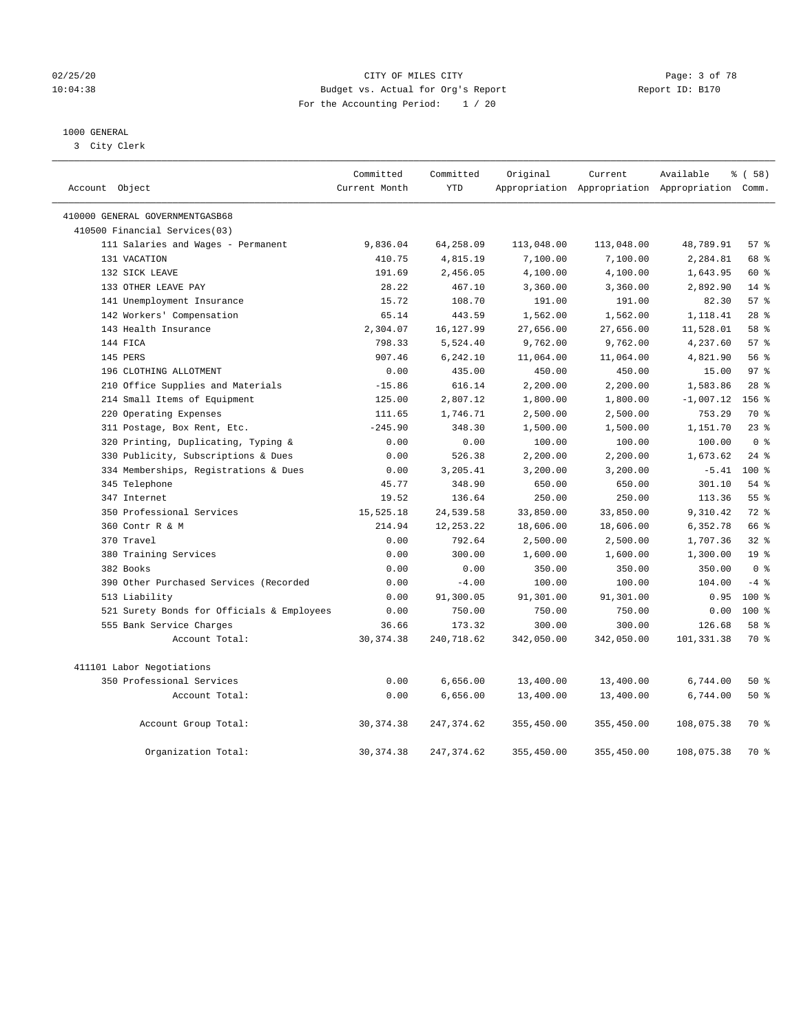#### 02/25/20 CITY OF MILES CITY Page: 3 of 78 10:04:38 Budget vs. Actual for Org's Report Report ID: B170 For the Accounting Period: 1 / 20

#### 1000 GENERAL

3 City Clerk

| Account Object                             | Committed<br>Current Month | Committed<br><b>YTD</b> | Original   | Current    | Available<br>Appropriation Appropriation Appropriation Comm. | % (58)           |
|--------------------------------------------|----------------------------|-------------------------|------------|------------|--------------------------------------------------------------|------------------|
| 410000 GENERAL GOVERNMENTGASB68            |                            |                         |            |            |                                                              |                  |
| 410500 Financial Services(03)              |                            |                         |            |            |                                                              |                  |
| 111 Salaries and Wages - Permanent         | 9,836.04                   | 64,258.09               | 113,048.00 | 113,048.00 | 48,789.91                                                    | 57%              |
| 131 VACATION                               | 410.75                     | 4,815.19                | 7,100.00   | 7,100.00   | 2,284.81                                                     | 68 %             |
| 132 SICK LEAVE                             | 191.69                     | 2,456.05                | 4,100.00   | 4,100.00   | 1,643.95                                                     | 60 %             |
| 133 OTHER LEAVE PAY                        | 28.22                      | 467.10                  | 3,360.00   | 3,360.00   | 2,892.90                                                     | $14*$            |
| 141 Unemployment Insurance                 | 15.72                      | 108.70                  | 191.00     | 191.00     | 82.30                                                        | 57%              |
| 142 Workers' Compensation                  | 65.14                      | 443.59                  | 1,562.00   | 1,562.00   | 1,118.41                                                     | $28*$            |
| 143 Health Insurance                       | 2,304.07                   | 16, 127.99              | 27,656.00  | 27,656.00  | 11,528.01                                                    | 58 %             |
| 144 FICA                                   | 798.33                     | 5,524.40                | 9,762.00   | 9,762.00   | 4,237.60                                                     | 57%              |
| 145 PERS                                   | 907.46                     | 6,242.10                | 11,064.00  | 11,064.00  | 4,821.90                                                     | 56 %             |
| 196 CLOTHING ALLOTMENT                     | 0.00                       | 435.00                  | 450.00     | 450.00     | 15.00                                                        | 97 <sub>8</sub>  |
| 210 Office Supplies and Materials          | $-15.86$                   | 616.14                  | 2,200.00   | 2,200.00   | 1,583.86                                                     | 28 <sup>8</sup>  |
| 214 Small Items of Equipment               | 125.00                     | 2,807.12                | 1,800.00   | 1,800.00   | $-1,007.12$                                                  | 156 %            |
| 220 Operating Expenses                     | 111.65                     | 1,746.71                | 2,500.00   | 2,500.00   | 753.29                                                       | 70 %             |
| 311 Postage, Box Rent, Etc.                | $-245.90$                  | 348.30                  | 1,500.00   | 1,500.00   | 1,151.70                                                     | $23$ $%$         |
| 320 Printing, Duplicating, Typing &        | 0.00                       | 0.00                    | 100.00     | 100.00     | 100.00                                                       | 0 <sup>8</sup>   |
| 330 Publicity, Subscriptions & Dues        | 0.00                       | 526.38                  | 2,200.00   | 2,200.00   | 1,673.62                                                     | $24$ %           |
| 334 Memberships, Registrations & Dues      | 0.00                       | 3,205.41                | 3,200.00   | 3,200.00   | $-5.41$                                                      | 100 <sub>8</sub> |
| 345 Telephone                              | 45.77                      | 348.90                  | 650.00     | 650.00     | 301.10                                                       | $54$ $%$         |
| 347 Internet                               | 19.52                      | 136.64                  | 250.00     | 250.00     | 113.36                                                       | $55$ $%$         |
| 350 Professional Services                  | 15,525.18                  | 24,539.58               | 33,850.00  | 33,850.00  | 9,310.42                                                     | $72$ $%$         |
| 360 Contr R & M                            | 214.94                     | 12, 253. 22             | 18,606.00  | 18,606.00  | 6,352.78                                                     | 66 %             |
| 370 Travel                                 | 0.00                       | 792.64                  | 2,500.00   | 2,500.00   | 1,707.36                                                     | 32%              |
| 380 Training Services                      | 0.00                       | 300.00                  | 1,600.00   | 1,600.00   | 1,300.00                                                     | 19 <sup>°</sup>  |
| 382 Books                                  | 0.00                       | 0.00                    | 350.00     | 350.00     | 350.00                                                       | 0 <sup>8</sup>   |
| 390 Other Purchased Services (Recorded     | 0.00                       | $-4.00$                 | 100.00     | 100.00     | 104.00                                                       | $-4$ %           |
| 513 Liability                              | 0.00                       | 91,300.05               | 91,301.00  | 91,301.00  | 0.95                                                         | $100*$           |
| 521 Surety Bonds for Officials & Employees | 0.00                       | 750.00                  | 750.00     | 750.00     | 0.00                                                         | $100*$           |
| 555 Bank Service Charges                   | 36.66                      | 173.32                  | 300.00     | 300.00     | 126.68                                                       | 58 %             |
| Account Total:                             | 30, 374.38                 | 240,718.62              | 342,050.00 | 342,050.00 | 101,331.38                                                   | 70 %             |
| 411101 Labor Negotiations                  |                            |                         |            |            |                                                              |                  |
| 350 Professional Services                  | 0.00                       | 6,656.00                | 13,400.00  | 13,400.00  | 6,744.00                                                     | 50 %             |
| Account Total:                             | 0.00                       | 6,656.00                | 13,400.00  | 13,400.00  | 6,744.00                                                     | 50%              |
| Account Group Total:                       | 30, 374.38                 | 247, 374.62             | 355,450.00 | 355,450.00 | 108,075.38                                                   | 70 %             |
| Organization Total:                        | 30, 374, 38                | 247, 374.62             | 355,450.00 | 355,450.00 | 108,075.38                                                   | 70 %             |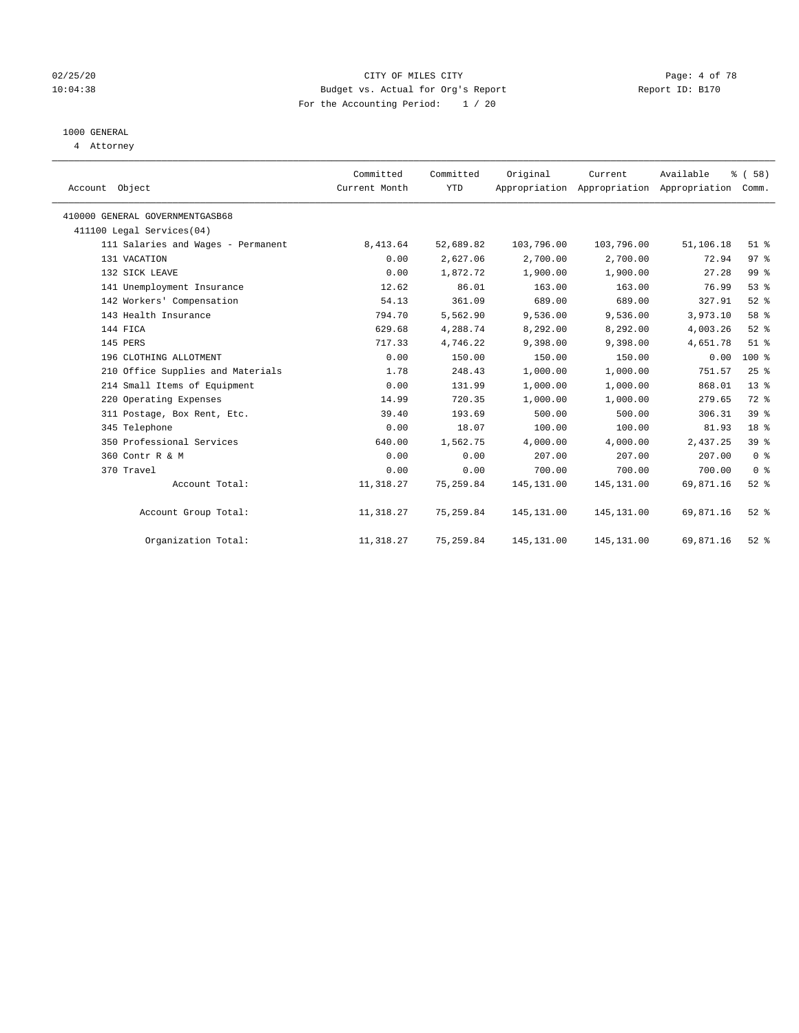#### 02/25/20 CITY OF MILES CITY Page: 4 of 78 10:04:38 Budget vs. Actual for Org's Report Report ID: B170 For the Accounting Period: 1 / 20

### 1000 GENERAL

4 Attorney

| Account Object                     | Committed<br>Current Month | Committed<br>YTD | Original    | Current<br>Appropriation Appropriation Appropriation | Available | % (58)<br>Comm. |  |
|------------------------------------|----------------------------|------------------|-------------|------------------------------------------------------|-----------|-----------------|--|
| 410000 GENERAL GOVERNMENTGASB68    |                            |                  |             |                                                      |           |                 |  |
| 411100 Legal Services(04)          |                            |                  |             |                                                      |           |                 |  |
| 111 Salaries and Wages - Permanent | 8,413.64                   | 52,689.82        | 103,796.00  | 103,796.00                                           | 51,106.18 | $51$ %          |  |
| 131 VACATION                       | 0.00                       | 2,627.06         | 2,700.00    | 2,700.00                                             | 72.94     | 97%             |  |
| 132 SICK LEAVE                     | 0.00                       | 1,872.72         | 1,900.00    | 1,900.00                                             | 27.28     | 99 %            |  |
| 141 Unemployment Insurance         | 12.62                      | 86.01            | 163.00      | 163.00                                               | 76.99     | $53$ $%$        |  |
| 142 Workers' Compensation          | 54.13                      | 361.09           | 689.00      | 689.00                                               | 327.91    | $52$ $%$        |  |
| 143 Health Insurance               | 794.70                     | 5,562.90         | 9,536.00    | 9,536.00                                             | 3,973.10  | 58 %            |  |
| 144 FICA                           | 629.68                     | 4,288.74         | 8,292.00    | 8,292.00                                             | 4,003.26  | $52$ $%$        |  |
| 145 PERS                           | 717.33                     | 4,746.22         | 9,398.00    | 9,398.00                                             | 4,651.78  | $51$ %          |  |
| 196 CLOTHING ALLOTMENT             | 0.00                       | 150.00           | 150.00      | 150.00                                               | 0.00      | 100 %           |  |
| 210 Office Supplies and Materials  | 1.78                       | 248.43           | 1,000.00    | 1,000.00                                             | 751.57    | 25%             |  |
| 214 Small Items of Equipment       | 0.00                       | 131.99           | 1,000.00    | 1,000.00                                             | 868.01    | $13*$           |  |
| 220 Operating Expenses             | 14.99                      | 720.35           | 1,000.00    | 1,000.00                                             | 279.65    | 72 %            |  |
| 311 Postage, Box Rent, Etc.        | 39.40                      | 193.69           | 500.00      | 500.00                                               | 306.31    | 39%             |  |
| 345 Telephone                      | 0.00                       | 18.07            | 100.00      | 100.00                                               | 81.93     | 18 %            |  |
| 350 Professional Services          | 640.00                     | 1,562.75         | 4,000.00    | 4,000.00                                             | 2,437.25  | 39 %            |  |
| 360 Contr R & M                    | 0.00                       | 0.00             | 207.00      | 207.00                                               | 207.00    | 0 <sup>8</sup>  |  |
| 370 Travel                         | 0.00                       | 0.00             | 700.00      | 700.00                                               | 700.00    | 0 <sup>8</sup>  |  |
| Account Total:                     | 11,318.27                  | 75,259.84        | 145, 131.00 | 145, 131.00                                          | 69,871.16 | $52$ $%$        |  |
| Account Group Total:               | 11,318.27                  | 75,259.84        | 145, 131.00 | 145, 131.00                                          | 69,871.16 | $52$ $%$        |  |
| Organization Total:                | 11,318.27                  | 75,259.84        | 145,131.00  | 145,131.00                                           | 69,871.16 | $52$ $%$        |  |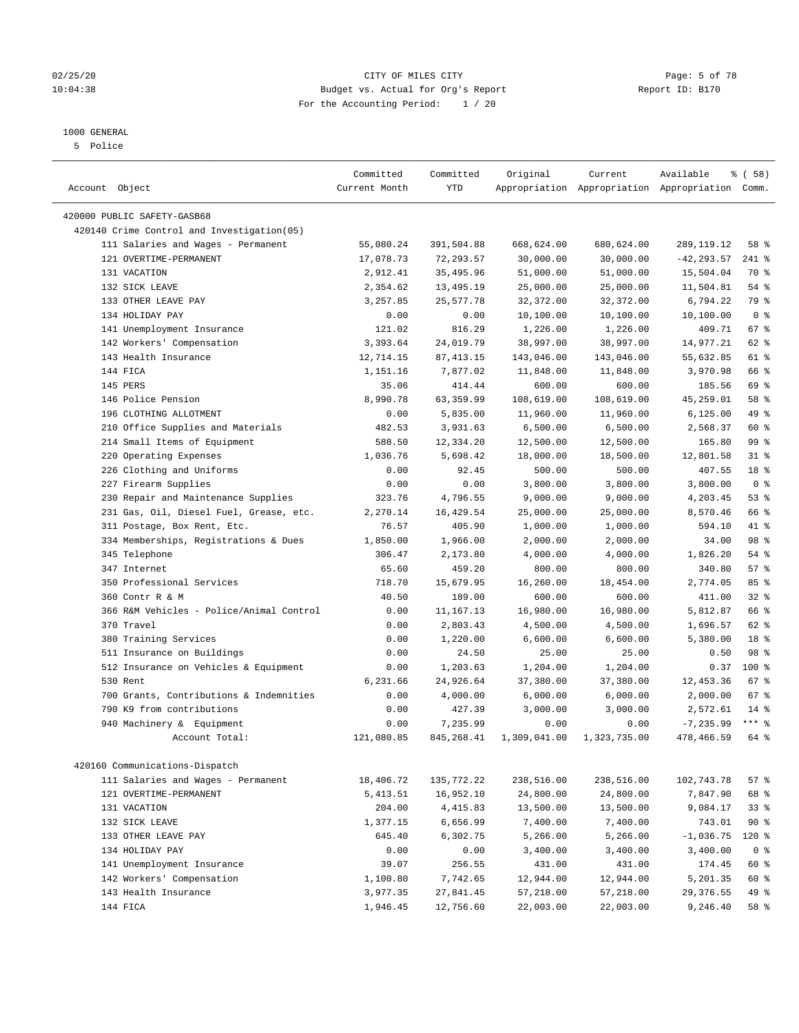#### 02/25/20 CITY OF MILES CITY Page: 5 of 78 10:04:38 Budget vs. Actual for Org's Report Report ID: B170 For the Accounting Period: 1 / 20

————————————————————————————————————————————————————————————————————————————————————————————————————————————————————————————————————

#### 1000 GENERAL

5 Police

|                                            | Committed     | Committed   | Original     | Current      | Available                                       | % ( 58 )       |
|--------------------------------------------|---------------|-------------|--------------|--------------|-------------------------------------------------|----------------|
| Account Object                             | Current Month | YTD         |              |              | Appropriation Appropriation Appropriation Comm. |                |
| 420000 PUBLIC SAFETY-GASB68                |               |             |              |              |                                                 |                |
| 420140 Crime Control and Investigation(05) |               |             |              |              |                                                 |                |
| 111 Salaries and Wages - Permanent         | 55,080.24     | 391,504.88  | 668,624.00   | 680,624.00   | 289, 119. 12                                    | 58 %           |
| 121 OVERTIME-PERMANENT                     | 17,078.73     | 72,293.57   | 30,000.00    | 30,000.00    | $-42, 293.57$                                   | 241 %          |
| 131 VACATION                               | 2,912.41      | 35,495.96   | 51,000.00    | 51,000.00    | 15,504.04                                       | 70 %           |
| 132 SICK LEAVE                             | 2,354.62      | 13,495.19   | 25,000.00    | 25,000.00    | 11,504.81                                       | $54$ %         |
| 133 OTHER LEAVE PAY                        | 3,257.85      | 25,577.78   | 32,372.00    | 32,372.00    | 6,794.22                                        | 79 %           |
| 134 HOLIDAY PAY                            | 0.00          | 0.00        | 10,100.00    | 10,100.00    | 10,100.00                                       | 0 <sup>8</sup> |
| 141 Unemployment Insurance                 | 121.02        | 816.29      | 1,226.00     | 1,226.00     | 409.71                                          | $67$ %         |
| 142 Workers' Compensation                  | 3,393.64      | 24,019.79   | 38,997.00    | 38,997.00    | 14,977.21                                       | 62 %           |
| 143 Health Insurance                       | 12,714.15     | 87, 413.15  | 143,046.00   | 143,046.00   | 55,632.85                                       | 61 %           |
| 144 FICA                                   | 1,151.16      | 7,877.02    | 11,848.00    | 11,848.00    | 3,970.98                                        | 66 %           |
| 145 PERS                                   | 35.06         | 414.44      | 600.00       | 600.00       | 185.56                                          | 69 %           |
| 146 Police Pension                         | 8,990.78      | 63,359.99   | 108,619.00   | 108,619.00   | 45,259.01                                       | 58 %           |
| 196 CLOTHING ALLOTMENT                     | 0.00          | 5,835.00    | 11,960.00    | 11,960.00    | 6, 125.00                                       | 49 %           |
| 210 Office Supplies and Materials          | 482.53        | 3,931.63    | 6,500.00     | 6,500.00     | 2,568.37                                        | 60 %           |
| 214 Small Items of Equipment               | 588.50        | 12,334.20   | 12,500.00    | 12,500.00    | 165.80                                          | 99 %           |
| 220 Operating Expenses                     | 1,036.76      | 5,698.42    | 18,000.00    | 18,500.00    | 12,801.58                                       | $31$ %         |
| 226 Clothing and Uniforms                  | 0.00          | 92.45       | 500.00       | 500.00       | 407.55                                          | 18 %           |
| 227 Firearm Supplies                       | 0.00          | 0.00        | 3,800.00     | 3,800.00     | 3,800.00                                        | 0 <sup>8</sup> |
| 230 Repair and Maintenance Supplies        | 323.76        | 4,796.55    | 9,000.00     | 9,000.00     | 4,203.45                                        | 53%            |
| 231 Gas, Oil, Diesel Fuel, Grease, etc.    | 2,270.14      | 16,429.54   | 25,000.00    | 25,000.00    | 8,570.46                                        | 66 %           |
| 311 Postage, Box Rent, Etc.                | 76.57         | 405.90      | 1,000.00     | 1,000.00     | 594.10                                          | 41 %           |
| 334 Memberships, Registrations & Dues      | 1,850.00      | 1,966.00    | 2,000.00     | 2,000.00     | 34.00                                           | 98 %           |
| 345 Telephone                              | 306.47        | 2,173.80    | 4,000.00     | 4,000.00     | 1,826.20                                        | $54$ %         |
| 347 Internet                               | 65.60         | 459.20      | 800.00       | 800.00       | 340.80                                          | 57%            |
| 350 Professional Services                  | 718.70        | 15,679.95   | 16,260.00    | 18,454.00    | 2,774.05                                        | 85%            |
| 360 Contr R & M                            | 40.50         | 189.00      | 600.00       | 600.00       | 411.00                                          | 32%            |
| 366 R&M Vehicles - Police/Animal Control   | 0.00          | 11,167.13   | 16,980.00    | 16,980.00    | 5,812.87                                        | 66 %           |
| 370 Travel                                 | 0.00          | 2,803.43    | 4,500.00     | 4,500.00     | 1,696.57                                        | 62 %           |
| 380 Training Services                      | 0.00          | 1,220.00    | 6,600.00     | 6,600.00     | 5,380.00                                        | 18 %           |
| 511 Insurance on Buildings                 | 0.00          | 24.50       | 25.00        | 25.00        | 0.50                                            | 98 %           |
| 512 Insurance on Vehicles & Equipment      | 0.00          | 1,203.63    | 1,204.00     | 1,204.00     | 0.37                                            | $100*$         |
| 530 Rent                                   | 6,231.66      | 24,926.64   | 37,380.00    | 37,380.00    | 12,453.36                                       | $67$ %         |
| 700 Grants, Contributions & Indemnities    | 0.00          | 4,000.00    | 6,000.00     | 6,000.00     | 2,000.00                                        | 67%            |
| 790 K9 from contributions                  | 0.00          | 427.39      | 3,000.00     | 3,000.00     | 2,572.61                                        | $14*$          |
| 940 Machinery & Equipment                  | 0.00          | 7,235.99    | 0.00         | 0.00         | $-7, 235.99$                                    | $***$ $_{8}$   |
| Account Total:                             | 121,080.85    | 845, 268.41 | 1,309,041.00 | 1,323,735.00 | 478,466.59                                      | 64 %           |
| 420160 Communications-Dispatch             |               |             |              |              |                                                 |                |
| 111 Salaries and Wages - Permanent         | 18,406.72     | 135,772.22  | 238,516.00   | 238,516.00   | 102,743.78                                      | 57%            |
| 121 OVERTIME-PERMANENT                     | 5,413.51      | 16,952.10   | 24,800.00    | 24,800.00    | 7,847.90                                        | 68 %           |
| 131 VACATION                               | 204.00        | 4,415.83    | 13,500.00    | 13,500.00    | 9,084.17                                        | 33%            |
| 132 SICK LEAVE                             | 1,377.15      | 6,656.99    | 7,400.00     | 7,400.00     | 743.01                                          | 90%            |
| 133 OTHER LEAVE PAY                        | 645.40        | 6,302.75    | 5,266.00     | 5,266.00     | $-1,036.75$                                     | $120$ %        |
| 134 HOLIDAY PAY                            | 0.00          | 0.00        | 3,400.00     | 3,400.00     | 3,400.00                                        | 0 <sup>8</sup> |
| 141 Unemployment Insurance                 | 39.07         | 256.55      | 431.00       | 431.00       | 174.45                                          | 60 %           |
| 142 Workers' Compensation                  | 1,100.80      | 7,742.65    | 12,944.00    | 12,944.00    | 5,201.35                                        | 60 %           |
| 143 Health Insurance                       | 3,977.35      | 27,841.45   | 57,218.00    | 57,218.00    | 29,376.55                                       | 49 %           |
| 144 FICA                                   | 1,946.45      | 12,756.60   | 22,003.00    | 22,003.00    | 9,246.40                                        | 58 %           |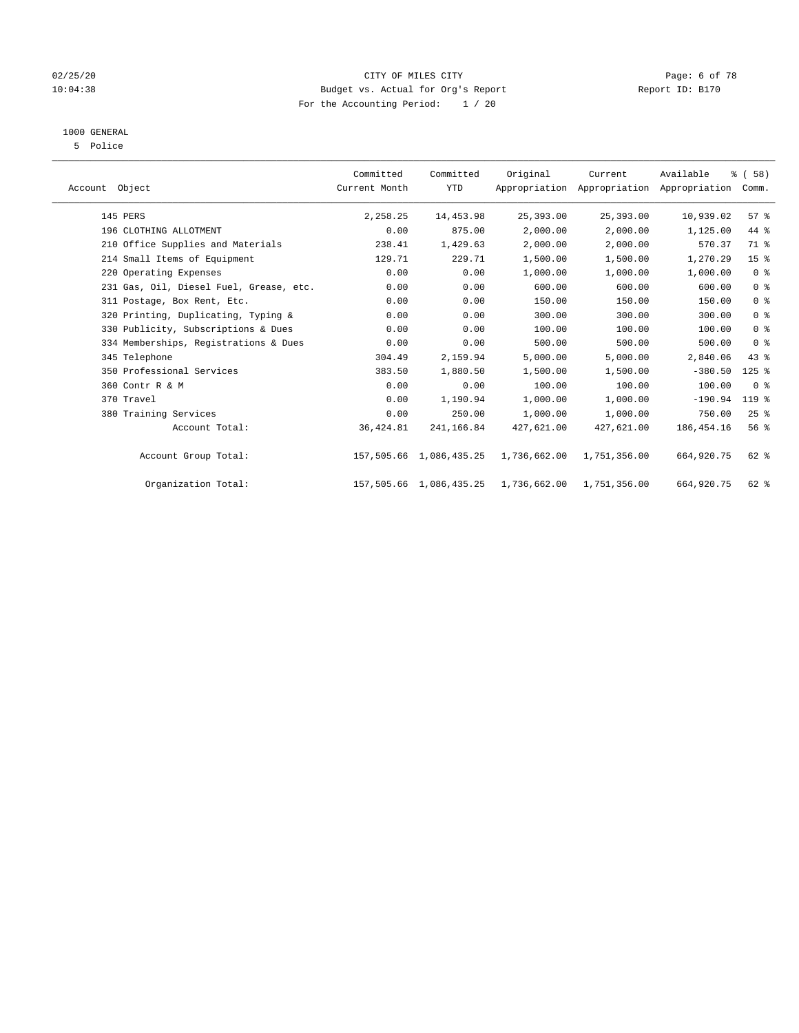#### 02/25/20 CITY OF MILES CITY Page: 6 of 78 10:04:38 Budget vs. Actual for Org's Report Report ID: B170 For the Accounting Period: 1 / 20

### 1000 GENERAL

5 Police

| Account Object                          | Committed<br>Current Month | Committed<br><b>YTD</b> | Original     | Current      | Available<br>Appropriation Appropriation Appropriation | % (58)<br>Comm. |  |
|-----------------------------------------|----------------------------|-------------------------|--------------|--------------|--------------------------------------------------------|-----------------|--|
| 145 PERS                                | 2,258.25                   | 14,453.98               | 25,393.00    | 25,393.00    | 10,939.02                                              | 57%             |  |
| 196 CLOTHING ALLOTMENT                  | 0.00                       | 875.00                  | 2,000.00     | 2,000.00     | 1,125.00                                               | 44 %            |  |
| 210 Office Supplies and Materials       | 238.41                     | 1,429.63                | 2,000.00     | 2,000.00     | 570.37                                                 | 71.8            |  |
| 214 Small Items of Equipment            | 129.71                     | 229.71                  | 1,500.00     | 1,500.00     | 1,270.29                                               | 15 <sup>8</sup> |  |
| 220 Operating Expenses                  | 0.00                       | 0.00                    | 1,000.00     | 1,000.00     | 1,000.00                                               | 0 <sup>8</sup>  |  |
| 231 Gas, Oil, Diesel Fuel, Grease, etc. | 0.00                       | 0.00                    | 600.00       | 600.00       | 600.00                                                 | 0 <sup>8</sup>  |  |
| 311 Postage, Box Rent, Etc.             | 0.00                       | 0.00                    | 150.00       | 150.00       | 150.00                                                 | 0 <sup>8</sup>  |  |
| 320 Printing, Duplicating, Typing &     | 0.00                       | 0.00                    | 300.00       | 300.00       | 300.00                                                 | 0 <sup>8</sup>  |  |
| 330 Publicity, Subscriptions & Dues     | 0.00                       | 0.00                    | 100.00       | 100.00       | 100.00                                                 | 0 <sup>8</sup>  |  |
| 334 Memberships, Registrations & Dues   | 0.00                       | 0.00                    | 500.00       | 500.00       | 500.00                                                 | 0 <sup>8</sup>  |  |
| 345 Telephone                           | 304.49                     | 2,159.94                | 5,000.00     | 5,000.00     | 2,840.06                                               | $43$ %          |  |
| 350 Professional Services               | 383.50                     | 1,880.50                | 1,500.00     | 1,500.00     | $-380.50$                                              | $125$ %         |  |
| 360 Contr R & M                         | 0.00                       | 0.00                    | 100.00       | 100.00       | 100.00                                                 | 0 <sup>8</sup>  |  |
| 370 Travel                              | 0.00                       | 1,190.94                | 1,000.00     | 1,000.00     | $-190.94$                                              | 119 %           |  |
| 380 Training Services                   | 0.00                       | 250.00                  | 1,000.00     | 1,000.00     | 750.00                                                 | 25%             |  |
| Account Total:                          | 36,424.81                  | 241,166.84              | 427,621.00   | 427,621.00   | 186, 454. 16                                           | 56 <sup>8</sup> |  |
| Account Group Total:                    |                            | 157,505.66 1,086,435.25 | 1,736,662.00 | 1,751,356.00 | 664,920.75                                             | 62 %            |  |
| Organization Total:                     |                            | 157,505.66 1,086,435.25 | 1,736,662.00 | 1,751,356.00 | 664,920.75                                             | 62 %            |  |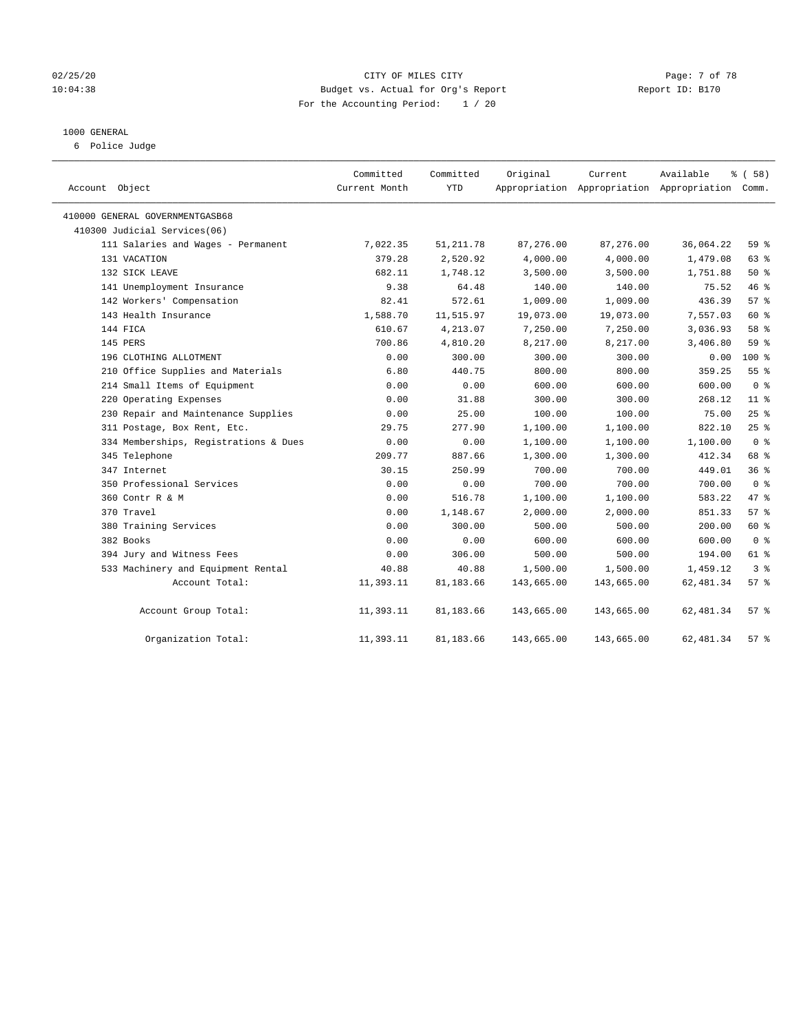#### 02/25/20 Page: 7 of 78 10:04:38 Budget vs. Actual for Org's Report Report ID: B170 For the Accounting Period: 1 / 20

#### 1000 GENERAL

6 Police Judge

| Object<br>Account                     | Committed<br>Current Month | Committed<br><b>YTD</b> | Original   | Current    | Available<br>Appropriation Appropriation Appropriation Comm. | % (58)             |
|---------------------------------------|----------------------------|-------------------------|------------|------------|--------------------------------------------------------------|--------------------|
| 410000 GENERAL GOVERNMENTGASB68       |                            |                         |            |            |                                                              |                    |
| 410300 Judicial Services(06)          |                            |                         |            |            |                                                              |                    |
| 111 Salaries and Wages - Permanent    | 7,022.35                   | 51, 211.78              | 87,276.00  | 87,276.00  | 36,064.22                                                    | 59 %               |
| 131 VACATION                          | 379.28                     | 2,520.92                | 4,000.00   | 4,000.00   | 1,479.08                                                     | 63%                |
| 132 SICK LEAVE                        | 682.11                     | 1,748.12                | 3,500.00   | 3,500.00   | 1,751.88                                                     | 50%                |
| 141 Unemployment Insurance            | 9.38                       | 64.48                   | 140.00     | 140.00     | 75.52                                                        | 46%                |
| 142 Workers' Compensation             | 82.41                      | 572.61                  | 1,009.00   | 1,009.00   | 436.39                                                       | 57%                |
| 143 Health Insurance                  | 1,588.70                   | 11,515.97               | 19,073.00  | 19,073.00  | 7,557.03                                                     | 60 %               |
| 144 FICA                              | 610.67                     | 4,213.07                | 7,250.00   | 7,250.00   | 3,036.93                                                     | 58 %               |
| 145 PERS                              | 700.86                     | 4,810.20                | 8,217.00   | 8,217.00   | 3,406.80                                                     | 59 %               |
| 196 CLOTHING ALLOTMENT                | 0.00                       | 300.00                  | 300.00     | 300.00     | 0.00                                                         | $100*$             |
| 210 Office Supplies and Materials     | 6.80                       | 440.75                  | 800.00     | 800.00     | 359.25                                                       | 55%                |
| 214 Small Items of Equipment          | 0.00                       | 0.00                    | 600.00     | 600.00     | 600.00                                                       | 0 <sup>8</sup>     |
| 220 Operating Expenses                | 0.00                       | 31.88                   | 300.00     | 300.00     | 268.12                                                       | $11$ %             |
| 230 Repair and Maintenance Supplies   | 0.00                       | 25.00                   | 100.00     | 100.00     | 75.00                                                        | 25%                |
| 311 Postage, Box Rent, Etc.           | 29.75                      | 277.90                  | 1,100.00   | 1,100.00   | 822.10                                                       | 25%                |
| 334 Memberships, Registrations & Dues | 0.00                       | 0.00                    | 1,100.00   | 1,100.00   | 1,100.00                                                     | 0 <sup>8</sup>     |
| 345 Telephone                         | 209.77                     | 887.66                  | 1,300.00   | 1,300.00   | 412.34                                                       | 68 %               |
| 347 Internet                          | 30.15                      | 250.99                  | 700.00     | 700.00     | 449.01                                                       | 36%                |
| 350 Professional Services             | 0.00                       | 0.00                    | 700.00     | 700.00     | 700.00                                                       | 0 <sup>8</sup>     |
| 360 Contr R & M                       | 0.00                       | 516.78                  | 1,100.00   | 1,100.00   | 583.22                                                       | 47.8               |
| 370 Travel                            | 0.00                       | 1,148.67                | 2,000.00   | 2,000.00   | 851.33                                                       | 57%                |
| 380 Training Services                 | 0.00                       | 300.00                  | 500.00     | 500.00     | 200.00                                                       | 60 %               |
| 382 Books                             | 0.00                       | 0.00                    | 600.00     | 600.00     | 600.00                                                       | 0 <sup>8</sup>     |
| 394 Jury and Witness Fees             | 0.00                       | 306.00                  | 500.00     | 500.00     | 194.00                                                       | 61 %               |
| 533 Machinery and Equipment Rental    | 40.88                      | 40.88                   | 1,500.00   | 1,500.00   | 1,459.12                                                     | 3 <sup>8</sup>     |
| Account Total:                        | 11,393.11                  | 81,183.66               | 143,665.00 | 143,665.00 | 62, 481.34                                                   | 57%                |
| Account Group Total:                  | 11,393.11                  | 81,183.66               | 143,665.00 | 143,665.00 | 62,481.34                                                    | 57%                |
| Organization Total:                   | 11,393.11                  | 81,183.66               | 143,665.00 | 143,665.00 | 62, 481.34                                                   | $57$ $\frac{6}{3}$ |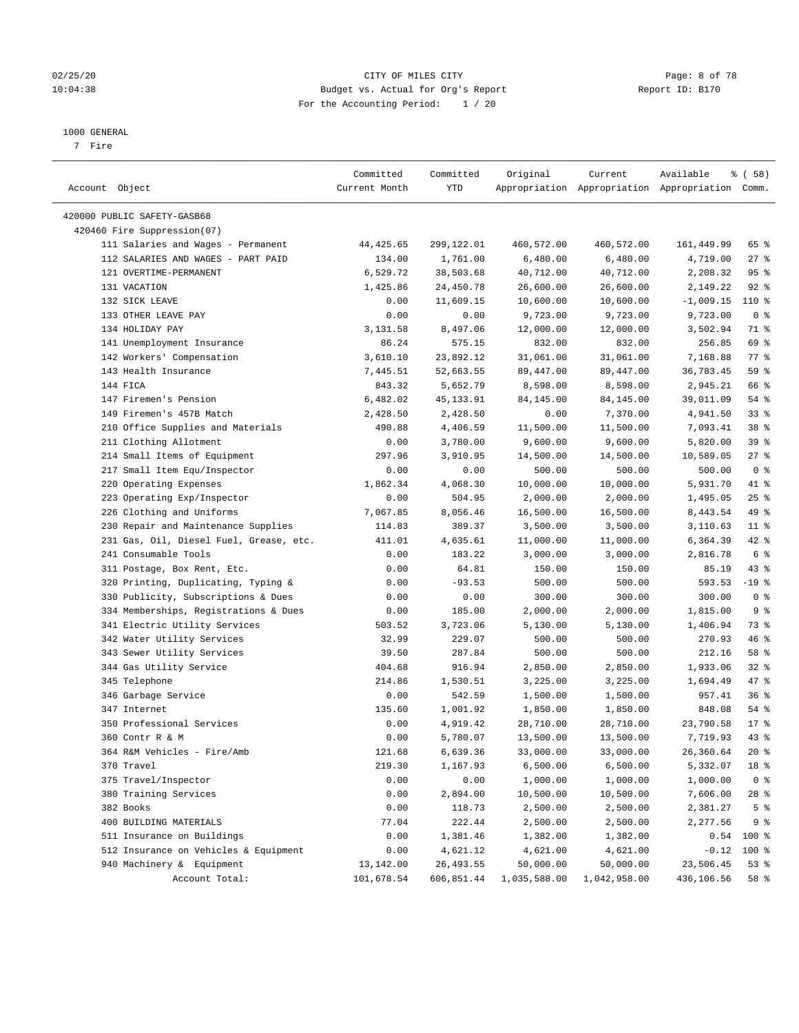#### 02/25/20 CITY OF MILES CITY Page: 8 of 78 10:04:38 Budget vs. Actual for Org's Report Report ID: B170 For the Accounting Period: 1 / 20

————————————————————————————————————————————————————————————————————————————————————————————————————————————————————————————————————

#### 1000 GENERAL

7 Fire

|                                         | Committed     | Committed  | Original                | Current      | Available                                       | 8 ( 58 )        |
|-----------------------------------------|---------------|------------|-------------------------|--------------|-------------------------------------------------|-----------------|
| Account Object                          | Current Month | YTD        |                         |              | Appropriation Appropriation Appropriation Comm. |                 |
|                                         |               |            |                         |              |                                                 |                 |
| 420000 PUBLIC SAFETY-GASB68             |               |            |                         |              |                                                 |                 |
| 420460 Fire Suppression(07)             |               |            |                         |              |                                                 |                 |
| 111 Salaries and Wages - Permanent      | 44,425.65     | 299,122.01 | 460,572.00              | 460,572.00   | 161,449.99                                      | 65 %            |
| 112 SALARIES AND WAGES - PART PAID      | 134.00        | 1,761.00   | 6,480.00                | 6,480.00     | 4,719.00                                        | $27$ %          |
| 121 OVERTIME-PERMANENT                  | 6,529.72      | 38,503.68  | 40,712.00               | 40,712.00    | 2,208.32                                        | 95%             |
| 131 VACATION                            | 1,425.86      | 24,450.78  | 26,600.00               | 26,600.00    | 2,149.22                                        | $92$ $%$        |
| 132 SICK LEAVE                          | 0.00          | 11,609.15  | 10,600.00               | 10,600.00    | $-1,009.15$                                     | 110 %           |
| 133 OTHER LEAVE PAY                     | 0.00          | 0.00       | 9,723.00                | 9,723.00     | 9,723.00                                        | 0 <sup>8</sup>  |
| 134 HOLIDAY PAY                         | 3,131.58      | 8,497.06   | 12,000.00               | 12,000.00    | 3,502.94                                        | 71 %            |
| 141 Unemployment Insurance              | 86.24         | 575.15     | 832.00                  | 832.00       | 256.85                                          | 69 %            |
| 142 Workers' Compensation               | 3,610.10      | 23,892.12  | 31,061.00               | 31,061.00    | 7,168.88                                        | 77.8            |
| 143 Health Insurance                    | 7,445.51      | 52,663.55  | 89,447.00               | 89,447.00    | 36,783.45                                       | 59 %            |
| 144 FICA                                | 843.32        | 5,652.79   | 8,598.00                | 8,598.00     | 2,945.21                                        | 66 %            |
| 147 Firemen's Pension                   | 6,482.02      | 45,133.91  | 84,145.00               | 84,145.00    | 39,011.09                                       | $54$ %          |
| 149 Firemen's 457B Match                | 2,428.50      | 2,428.50   | 0.00                    | 7,370.00     | 4,941.50                                        | 33%             |
| 210 Office Supplies and Materials       | 490.88        | 4,406.59   | 11,500.00               | 11,500.00    | 7,093.41                                        | 38 <sup>8</sup> |
| 211 Clothing Allotment                  | 0.00          | 3,780.00   | 9,600.00                | 9,600.00     | 5,820.00                                        | 39%             |
| 214 Small Items of Equipment            | 297.96        | 3,910.95   | 14,500.00               | 14,500.00    | 10,589.05                                       | $27$ %          |
| 217 Small Item Equ/Inspector            | 0.00          | 0.00       | 500.00                  | 500.00       | 500.00                                          | 0 <sup>8</sup>  |
| 220 Operating Expenses                  | 1,862.34      | 4,068.30   | 10,000.00               | 10,000.00    | 5,931.70                                        | 41 %            |
| 223 Operating Exp/Inspector             | 0.00          | 504.95     | 2,000.00                | 2,000.00     | 1,495.05                                        | 25%             |
| 226 Clothing and Uniforms               | 7,067.85      | 8,056.46   | 16,500.00               | 16,500.00    | 8,443.54                                        | 49 %            |
| 230 Repair and Maintenance Supplies     | 114.83        | 389.37     | 3,500.00                | 3,500.00     | 3,110.63                                        | $11$ %          |
| 231 Gas, Oil, Diesel Fuel, Grease, etc. | 411.01        | 4,635.61   | 11,000.00               | 11,000.00    | 6,364.39                                        | $42$ %          |
| 241 Consumable Tools                    | 0.00          | 183.22     | 3,000.00                | 3,000.00     | 2,816.78                                        | 6 %             |
| 311 Postage, Box Rent, Etc.             | 0.00          | 64.81      | 150.00                  | 150.00       | 85.19                                           | 43 %            |
| 320 Printing, Duplicating, Typing &     | 0.00          | $-93.53$   | 500.00                  | 500.00       | 593.53                                          | $-19$ %         |
| 330 Publicity, Subscriptions & Dues     | 0.00          | 0.00       | 300.00                  | 300.00       | 300.00                                          | 0 <sup>8</sup>  |
| 334 Memberships, Registrations & Dues   | 0.00          | 185.00     | 2,000.00                | 2,000.00     | 1,815.00                                        | 9%              |
| 341 Electric Utility Services           | 503.52        | 3,723.06   | 5,130.00                | 5,130.00     | 1,406.94                                        | 73 %            |
| 342 Water Utility Services              | 32.99         | 229.07     | 500.00                  | 500.00       | 270.93                                          | 46 %            |
| 343 Sewer Utility Services              | 39.50         | 287.84     | 500.00                  | 500.00       | 212.16                                          | 58 %            |
| 344 Gas Utility Service                 | 404.68        | 916.94     | 2,850.00                | 2,850.00     | 1,933.06                                        | $32$ $%$        |
| 345 Telephone                           | 214.86        | 1,530.51   | 3,225.00                | 3,225.00     | 1,694.49                                        | 47 %            |
| 346 Garbage Service                     | 0.00          | 542.59     | 1,500.00                | 1,500.00     | 957.41                                          | 36%             |
| 347 Internet                            | 135.60        | 1,001.92   | 1,850.00                | 1,850.00     | 848.08                                          | $54$ %          |
| 350 Professional Services               | 0.00          | 4,919.42   | 28,710.00               | 28,710.00    | 23,790.58                                       | $17*$           |
| 360 Contr R & M                         | 0.00          | 5,780.07   | 13,500.00               | 13,500.00    | 7,719.93                                        | 43 %            |
| 364 R&M Vehicles - Fire/Amb             | 121.68        | 6,639.36   | 33,000.00               | 33,000.00    | 26,360.64                                       | $20*$           |
| 370 Travel                              | 219.30        | 1,167.93   | 6,500.00                | 6,500.00     | 5,332.07                                        | 18 %            |
| 375 Travel/Inspector                    | 0.00          | 0.00       | 1,000.00                | 1,000.00     | 1,000.00                                        | 0 <sup>8</sup>  |
| 380 Training Services                   | 0.00          | 2,894.00   | 10,500.00               | 10,500.00    | 7,606.00                                        | 28 %            |
| 382 Books                               | 0.00          | 118.73     | 2,500.00                | 2,500.00     | 2,381.27                                        | 5 <sup>°</sup>  |
| 400 BUILDING MATERIALS                  | 77.04         | 222.44     | 2,500.00                | 2,500.00     | 2,277.56                                        | 9 <sup>°</sup>  |
| 511 Insurance on Buildings              | 0.00          | 1,381.46   | 1,382.00                | 1,382.00     |                                                 | $0.54$ 100 %    |
| 512 Insurance on Vehicles & Equipment   | 0.00          | 4,621.12   | 4,621.00                | 4,621.00     | $-0.12$                                         | 100 %           |
| 940 Machinery & Equipment               | 13,142.00     | 26, 493.55 | 50,000.00               | 50,000.00    | 23,506.45                                       | 53%             |
| Account Total:                          | 101,678.54    |            | 606,851.44 1,035,588.00 | 1,042,958.00 | 436,106.56                                      | 58 %            |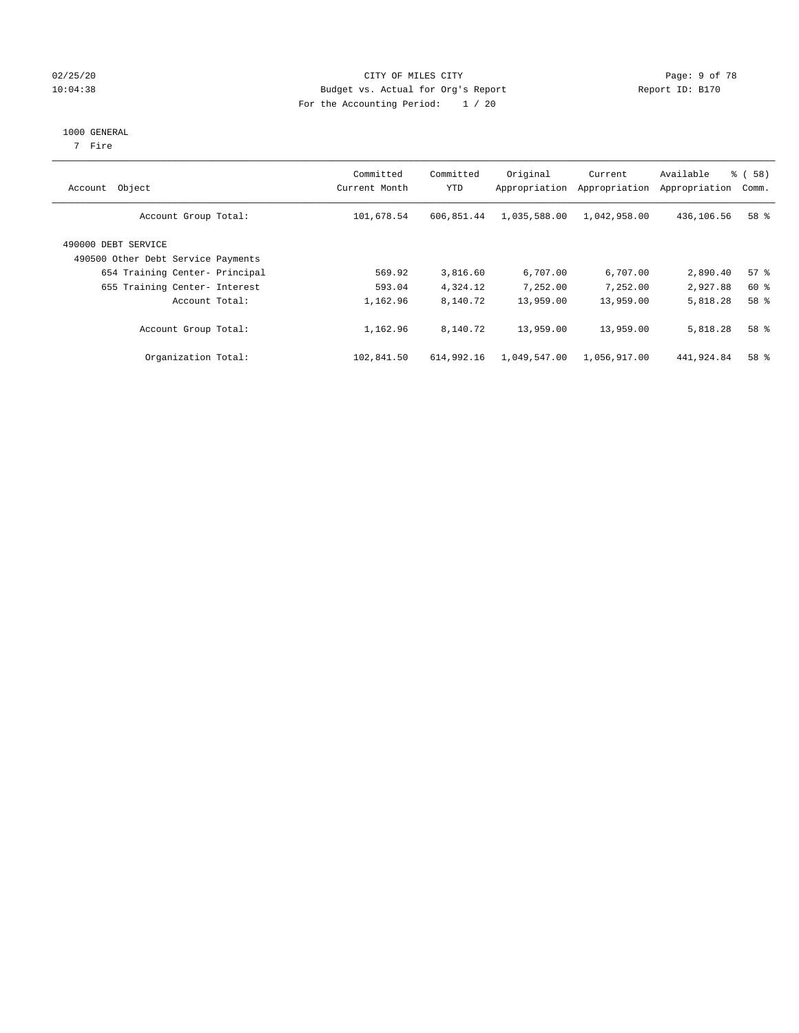#### 02/25/20 CITY OF MILES CITY Page: 9 of 78 10:04:38 Budget vs. Actual for Org's Report Changer Report ID: B170 For the Accounting Period: 1 / 20

#### 1000 GENERAL

7 Fire

| Object<br>Account                                         | Committed<br>Current Month | Committed<br><b>YTD</b> | Original<br>Appropriation | Current<br>Appropriation | Available<br>Appropriation | % (58)<br>Comm. |
|-----------------------------------------------------------|----------------------------|-------------------------|---------------------------|--------------------------|----------------------------|-----------------|
| Account Group Total:                                      | 101,678.54                 | 606,851.44              | 1,035,588.00              | 1,042,958.00             | 436,106.56                 | 58 %            |
| 490000 DEBT SERVICE<br>490500 Other Debt Service Payments |                            |                         |                           |                          |                            |                 |
| 654 Training Center- Principal                            | 569.92                     | 3,816.60                | 6,707.00                  | 6,707.00                 | 2,890.40                   | 57%             |
| 655 Training Center- Interest                             | 593.04                     | 4,324.12                | 7.252.00                  | 7.252.00                 | 2,927.88                   | 60 %            |
| Account Total:                                            | 1,162.96                   | 8,140.72                | 13,959.00                 | 13,959.00                | 5,818.28                   | 58 <sup>8</sup> |
| Account Group Total:                                      | 1,162.96                   | 8,140.72                | 13,959.00                 | 13,959.00                | 5,818.28                   | 58 <sup>8</sup> |
| Organization Total:                                       | 102,841.50                 | 614,992.16              | 1,049,547.00              | 1,056,917.00             | 441,924.84                 | 58 %            |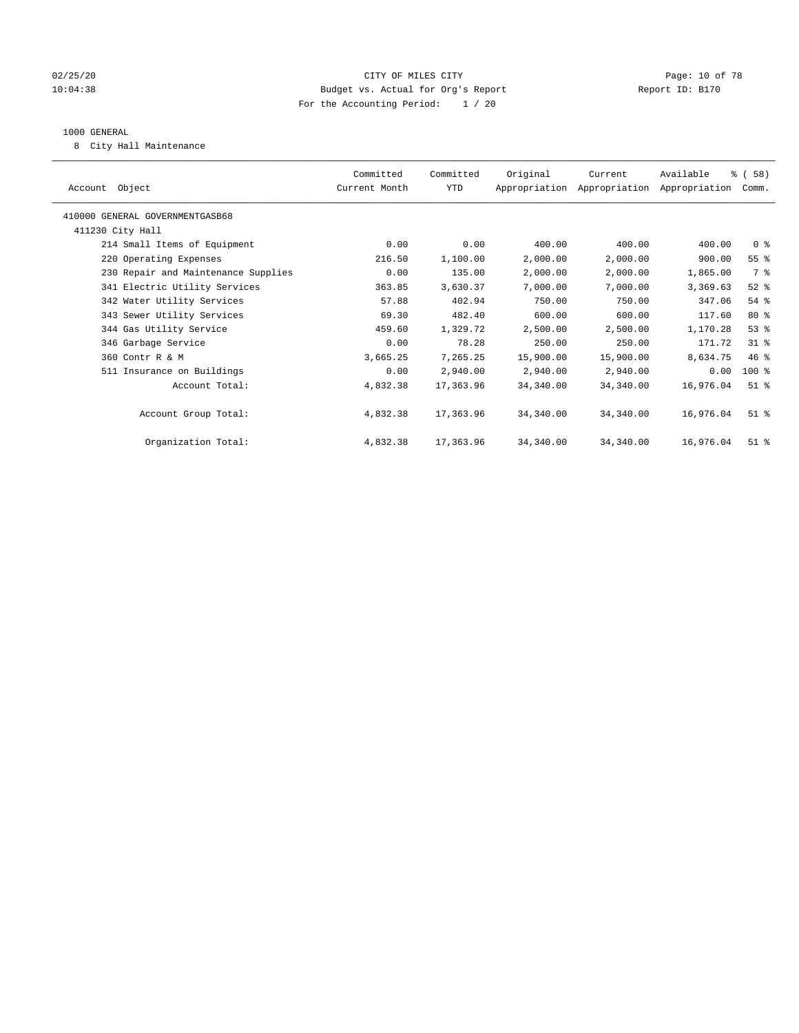#### 02/25/20 Page: 10 of 78 CITY OF MILES CITY CONTROL PAGE: 10 of 78 10:04:38 Budget vs. Actual for Org's Report Report ID: B170 For the Accounting Period: 1 / 20

#### 1000 GENERAL

8 City Hall Maintenance

| Account Object                      | Committed<br>Current Month | Committed<br>YTD | Original  | Current<br>Appropriation Appropriation Appropriation | Available | % ( 58 )<br>Comm. |
|-------------------------------------|----------------------------|------------------|-----------|------------------------------------------------------|-----------|-------------------|
| 410000 GENERAL GOVERNMENTGASB68     |                            |                  |           |                                                      |           |                   |
| 411230 City Hall                    |                            |                  |           |                                                      |           |                   |
| 214 Small Items of Equipment        | 0.00                       | 0.00             | 400.00    | 400.00                                               | 400.00    | 0 <sup>8</sup>    |
| 220 Operating Expenses              | 216.50                     | 1,100.00         | 2,000.00  | 2,000.00                                             | 900.00    | 55 <sup>°</sup>   |
| 230 Repair and Maintenance Supplies | 0.00                       | 135.00           | 2,000.00  | 2,000.00                                             | 1,865.00  | 7 %               |
| 341 Electric Utility Services       | 363.85                     | 3,630.37         | 7,000.00  | 7,000.00                                             | 3,369.63  | $52$ $%$          |
| 342 Water Utility Services          | 57.88                      | 402.94           | 750.00    | 750.00                                               | 347.06    | $54$ %            |
| 343 Sewer Utility Services          | 69.30                      | 482.40           | 600.00    | 600.00                                               | 117.60    | $80*$             |
| 344 Gas Utility Service             | 459.60                     | 1,329.72         | 2,500.00  | 2,500.00                                             | 1,170.28  | $53$ %            |
| 346 Garbage Service                 | 0.00                       | 78.28            | 250.00    | 250.00                                               | 171.72    | $31$ %            |
| 360 Contr R & M                     | 3,665.25                   | 7,265.25         | 15,900.00 | 15,900.00                                            | 8,634.75  | 46 %              |
| 511 Insurance on Buildings          | 0.00                       | 2,940.00         | 2,940.00  | 2,940.00                                             | 0.00      | $100$ %           |
| Account Total:                      | 4,832.38                   | 17,363.96        | 34,340.00 | 34,340.00                                            | 16,976.04 | $51$ $%$          |
|                                     |                            |                  |           |                                                      |           |                   |
| Account Group Total:                | 4,832.38                   | 17,363.96        | 34,340.00 | 34,340.00                                            | 16,976.04 | $51$ %            |
|                                     |                            |                  |           |                                                      |           |                   |
| Organization Total:                 | 4,832.38                   | 17,363.96        | 34,340.00 | 34,340.00                                            | 16,976.04 | $51$ $%$          |
|                                     |                            |                  |           |                                                      |           |                   |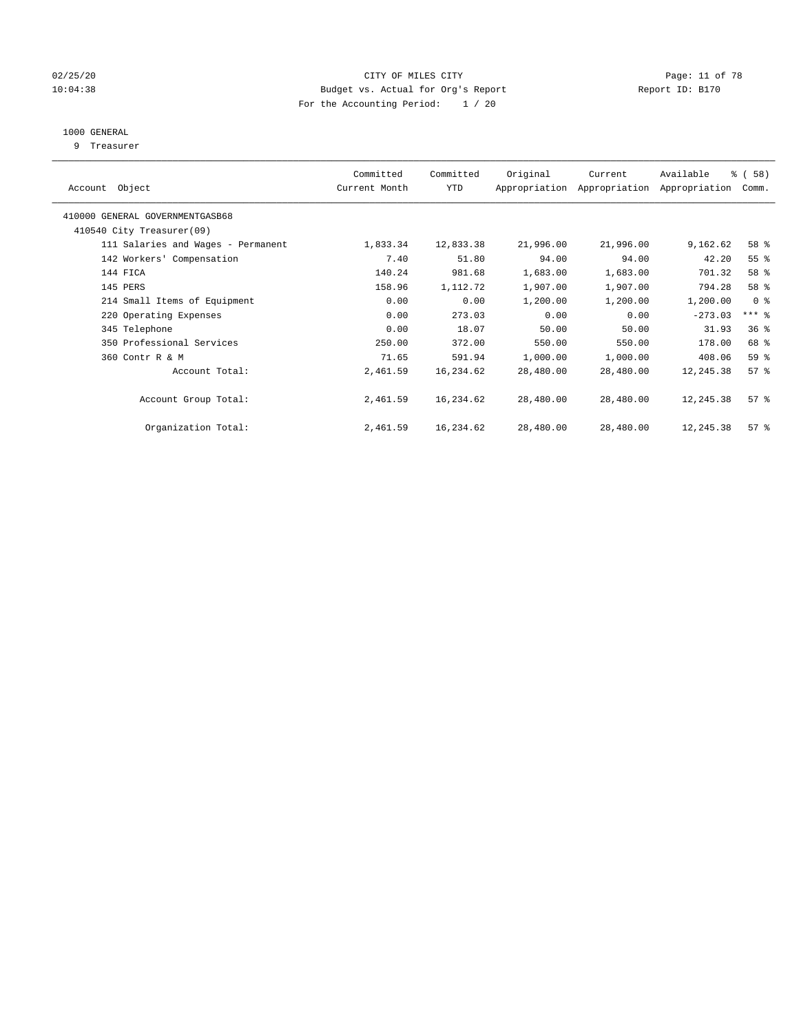#### 02/25/20 Page: 11 of 78 10:04:38 Budget vs. Actual for Org's Report Changer Report ID: B170 For the Accounting Period: 1 / 20

### 1000 GENERAL

9 Treasurer

| Object<br>Account                  | Committed<br>Current Month | Committed<br>YTD | Original  | Current<br>Appropriation Appropriation | Available<br>Appropriation | % (58)<br>Comm.    |  |
|------------------------------------|----------------------------|------------------|-----------|----------------------------------------|----------------------------|--------------------|--|
| 410000 GENERAL GOVERNMENTGASB68    |                            |                  |           |                                        |                            |                    |  |
| 410540 City Treasurer(09)          |                            |                  |           |                                        |                            |                    |  |
| 111 Salaries and Wages - Permanent | 1,833.34                   | 12,833.38        | 21,996.00 | 21,996.00                              | 9,162.62                   | 58 %               |  |
| 142 Workers' Compensation          | 7.40                       | 51.80            | 94.00     | 94.00                                  | 42.20                      | 55 <sup>8</sup>    |  |
| 144 FICA                           | 140.24                     | 981.68           | 1,683.00  | 1,683.00                               | 701.32                     | 58 %               |  |
| 145 PERS                           | 158.96                     | 1,112.72         | 1,907.00  | 1,907.00                               | 794.28                     | 58 %               |  |
| 214 Small Items of Equipment       | 0.00                       | 0.00             | 1,200.00  | 1,200.00                               | 1,200.00                   | 0 <sup>8</sup>     |  |
| 220 Operating Expenses             | 0.00                       | 273.03           | 0.00      | 0.00                                   | $-273.03$                  | $***$ $-$          |  |
| 345 Telephone                      | 0.00                       | 18.07            | 50.00     | 50.00                                  | 31.93                      | 36 <sup>8</sup>    |  |
| 350 Professional Services          | 250.00                     | 372.00           | 550.00    | 550.00                                 | 178.00                     | 68 %               |  |
| 360 Contr R & M                    | 71.65                      | 591.94           | 1,000.00  | 1,000.00                               | 408.06                     | 59 %               |  |
| Account Total:                     | 2,461.59                   | 16,234.62        | 28,480.00 | 28,480.00                              | 12,245.38                  | $57$ $\frac{6}{3}$ |  |
| Account Group Total:               | 2,461.59                   | 16,234.62        | 28,480.00 | 28,480.00                              | 12,245.38                  | 57 <sup>°</sup>    |  |
| Organization Total:                | 2,461.59                   | 16,234.62        | 28,480.00 | 28,480.00                              | 12,245.38                  | 57%                |  |
|                                    |                            |                  |           |                                        |                            |                    |  |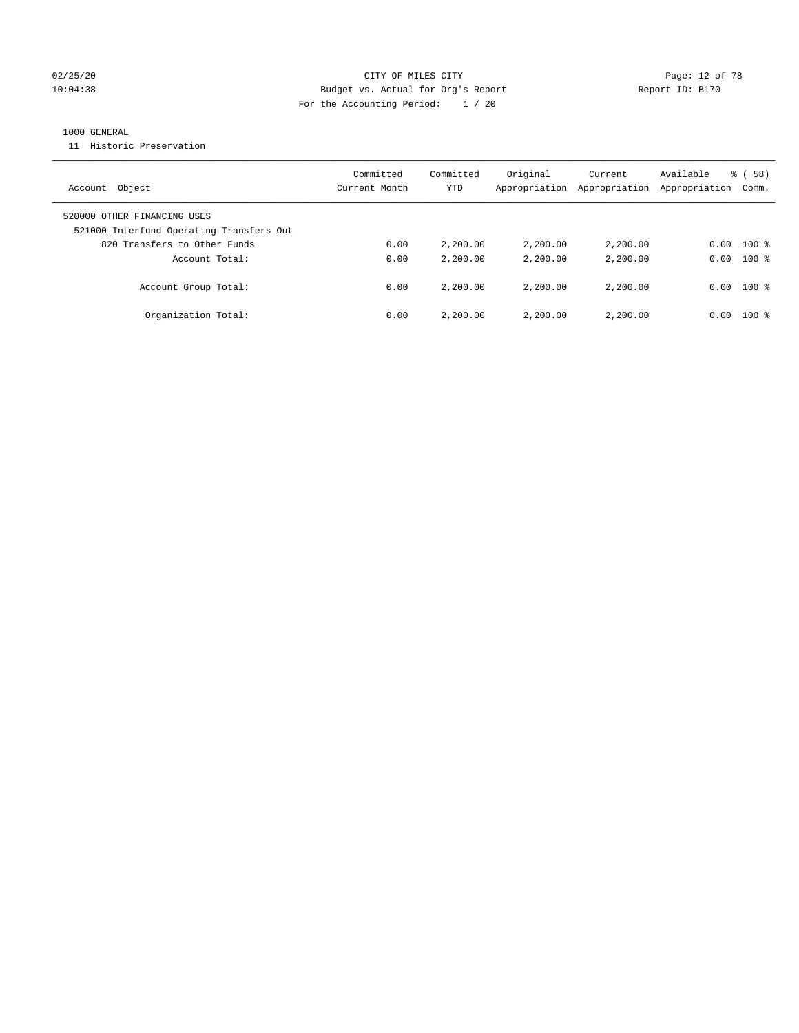#### 02/25/20 Page: 12 of 78 CITY OF MILES CITY 10:04:38 Budget vs. Actual for Org's Report Report ID: B170 For the Accounting Period: 1 / 20

#### 1000 GENERAL

11 Historic Preservation

| Account Object                                                          | Committed<br>Current Month | Committed<br>YTD | Original<br>Appropriation | Current<br>Appropriation | Available<br>Appropriation | 8 ( 58 )<br>Comm. |
|-------------------------------------------------------------------------|----------------------------|------------------|---------------------------|--------------------------|----------------------------|-------------------|
| 520000 OTHER FINANCING USES<br>521000 Interfund Operating Transfers Out |                            |                  |                           |                          |                            |                   |
| 820 Transfers to Other Funds                                            | 0.00                       | 2,200.00         | 2,200.00                  | 2,200.00                 | 0.00                       | $100$ %           |
| Account Total:                                                          | 0.00                       | 2,200.00         | 2,200.00                  | 2,200.00                 | 0.00                       | $100*$            |
| Account Group Total:                                                    | 0.00                       | 2,200.00         | 2,200.00                  | 2,200.00                 | 0.00                       | $100*$            |
| Organization Total:                                                     | 0.00                       | 2,200.00         | 2,200.00                  | 2,200.00                 | 0.00                       | $100*$            |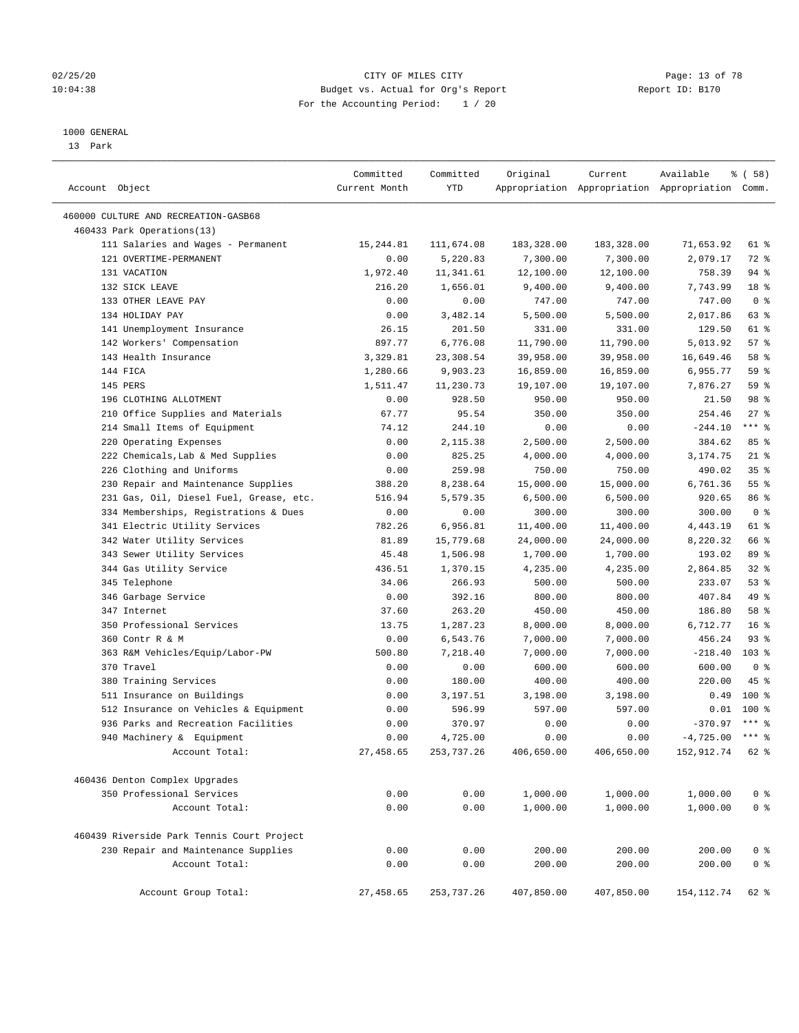#### 02/25/20 Page: 13 of 78 10:04:38 Budget vs. Actual for Org's Report Report ID: B170 For the Accounting Period: 1 / 20

————————————————————————————————————————————————————————————————————————————————————————————————————————————————————————————————————

#### 1000 GENERAL

13 Park

|                                            | Committed     | Committed          | Original            | Current    | Available                                       | 8 ( 58 )        |
|--------------------------------------------|---------------|--------------------|---------------------|------------|-------------------------------------------------|-----------------|
| Account Object                             | Current Month | YTD                |                     |            | Appropriation Appropriation Appropriation Comm. |                 |
| 460000 CULTURE AND RECREATION-GASB68       |               |                    |                     |            |                                                 |                 |
| 460433 Park Operations(13)                 |               |                    |                     |            |                                                 |                 |
| 111 Salaries and Wages - Permanent         | 15, 244.81    | 111,674.08         | 183,328.00          | 183,328.00 | 71,653.92                                       | 61 %            |
| 121 OVERTIME-PERMANENT                     | 0.00          | 5,220.83           | 7,300.00            | 7,300.00   | 2,079.17                                        | 72 %            |
| 131 VACATION                               | 1,972.40      | 11,341.61          | 12,100.00           | 12,100.00  | 758.39                                          | 94 %            |
| 132 SICK LEAVE                             | 216.20        | 1,656.01           | 9,400.00            | 9,400.00   | 7,743.99                                        | 18 %            |
| 133 OTHER LEAVE PAY                        | 0.00          | 0.00               | 747.00              | 747.00     | 747.00                                          | 0 <sup>8</sup>  |
| 134 HOLIDAY PAY                            | 0.00          | 3,482.14           | 5,500.00            | 5,500.00   | 2,017.86                                        | 63 %            |
| 141 Unemployment Insurance                 | 26.15         | 201.50             | 331.00              | 331.00     | 129.50                                          | 61 %            |
| 142 Workers' Compensation                  | 897.77        | 6,776.08           | 11,790.00           | 11,790.00  | 5,013.92                                        | 57%             |
| 143 Health Insurance                       | 3,329.81      | 23,308.54          | 39,958.00           | 39,958.00  | 16,649.46                                       | 58 %            |
| 144 FICA                                   | 1,280.66      | 9,903.23           | 16,859.00           | 16,859.00  | 6,955.77                                        | 59 %            |
| 145 PERS                                   | 1,511.47      | 11,230.73          | 19,107.00           | 19,107.00  | 7,876.27                                        | 59 %            |
| 196 CLOTHING ALLOTMENT                     | 0.00          | 928.50             | 950.00              | 950.00     | 21.50                                           | 98 %            |
| 210 Office Supplies and Materials          | 67.77         | 95.54              | 350.00              | 350.00     | 254.46                                          | $27$ %          |
| 214 Small Items of Equipment               | 74.12         | 244.10             | 0.00                | 0.00       | $-244.10$                                       | $***$ $-$       |
|                                            |               |                    |                     |            |                                                 | 85%             |
| 220 Operating Expenses                     | 0.00          | 2,115.38           | 2,500.00            | 2,500.00   | 384.62                                          | $21$ %          |
| 222 Chemicals, Lab & Med Supplies          | 0.00          | 825.25             | 4,000.00            | 4,000.00   | 3,174.75<br>490.02                              | 35%             |
| 226 Clothing and Uniforms                  | 0.00          | 259.98<br>8,238.64 | 750.00<br>15,000.00 | 750.00     |                                                 | $55$ $%$        |
| 230 Repair and Maintenance Supplies        | 388.20        |                    |                     | 15,000.00  | 6,761.36<br>920.65                              | 86 %            |
| 231 Gas, Oil, Diesel Fuel, Grease, etc.    | 516.94        | 5,579.35           | 6,500.00            | 6,500.00   |                                                 | 0 <sup>8</sup>  |
| 334 Memberships, Registrations & Dues      | 0.00          | 0.00               | 300.00              | 300.00     | 300.00                                          | 61 %            |
| 341 Electric Utility Services              | 782.26        | 6,956.81           | 11,400.00           | 11,400.00  | 4,443.19                                        |                 |
| 342 Water Utility Services                 | 81.89         | 15,779.68          | 24,000.00           | 24,000.00  | 8,220.32                                        | 66 %            |
| 343 Sewer Utility Services                 | 45.48         | 1,506.98           | 1,700.00            | 1,700.00   | 193.02                                          | 89 %            |
| 344 Gas Utility Service                    | 436.51        | 1,370.15           | 4,235.00            | 4,235.00   | 2,864.85                                        | $32$ $%$        |
| 345 Telephone                              | 34.06         | 266.93             | 500.00              | 500.00     | 233.07                                          | 53%             |
| 346 Garbage Service                        | 0.00          | 392.16             | 800.00              | 800.00     | 407.84                                          | 49 %            |
| 347 Internet                               | 37.60         | 263.20             | 450.00              | 450.00     | 186.80                                          | 58 %            |
| 350 Professional Services                  | 13.75         | 1,287.23           | 8,000.00            | 8,000.00   | 6,712.77                                        | 16 <sup>8</sup> |
| 360 Contr R & M                            | 0.00          | 6,543.76           | 7,000.00            | 7,000.00   | 456.24                                          | $93$ $%$        |
| 363 R&M Vehicles/Equip/Labor-PW            | 500.80        | 7,218.40           | 7,000.00            | 7,000.00   | $-218.40$                                       | $103$ %         |
| 370 Travel                                 | 0.00          | 0.00               | 600.00              | 600.00     | 600.00                                          | 0 <sup>8</sup>  |
| 380 Training Services                      | 0.00          | 180.00             | 400.00              | 400.00     | 220.00                                          | 45 %            |
| 511 Insurance on Buildings                 | 0.00          | 3,197.51           | 3,198.00            | 3,198.00   | 0.49                                            | $100$ %         |
| 512 Insurance on Vehicles & Equipment      | 0.00          | 596.99             | 597.00              | 597.00     | 0.01                                            | $100*$          |
| 936 Parks and Recreation Facilities        | 0.00          | 370.97             | 0.00                | 0.00       | $-370.97$                                       | $***$ 8         |
| 940 Machinery & Equipment                  | 0.00          | 4,725.00           | 0.00                | 0.00       | $-4,725.00$ *** \$                              |                 |
| Account Total:                             | 27,458.65     | 253,737.26         | 406,650.00          | 406,650.00 | 152,912.74 62 %                                 |                 |
| 460436 Denton Complex Upgrades             |               |                    |                     |            |                                                 |                 |
| 350 Professional Services                  | 0.00          | 0.00               | 1,000.00            | 1,000.00   | 1,000.00                                        | 0 <sup>8</sup>  |
| Account Total:                             | 0.00          | 0.00               | 1,000.00            | 1,000.00   | 1,000.00                                        | 0 <sup>°</sup>  |
| 460439 Riverside Park Tennis Court Project |               |                    |                     |            |                                                 |                 |
| 230 Repair and Maintenance Supplies        | 0.00          | 0.00               | 200.00              | 200.00     | 200.00                                          | 0 <sup>8</sup>  |
| Account Total:                             | 0.00          | 0.00               | 200.00              | 200.00     | 200.00                                          | 0 <sup>°</sup>  |
|                                            |               |                    |                     |            |                                                 |                 |
| Account Group Total:                       | 27,458.65     | 253, 737.26        | 407,850.00          | 407,850.00 | 154, 112.74                                     | 62 %            |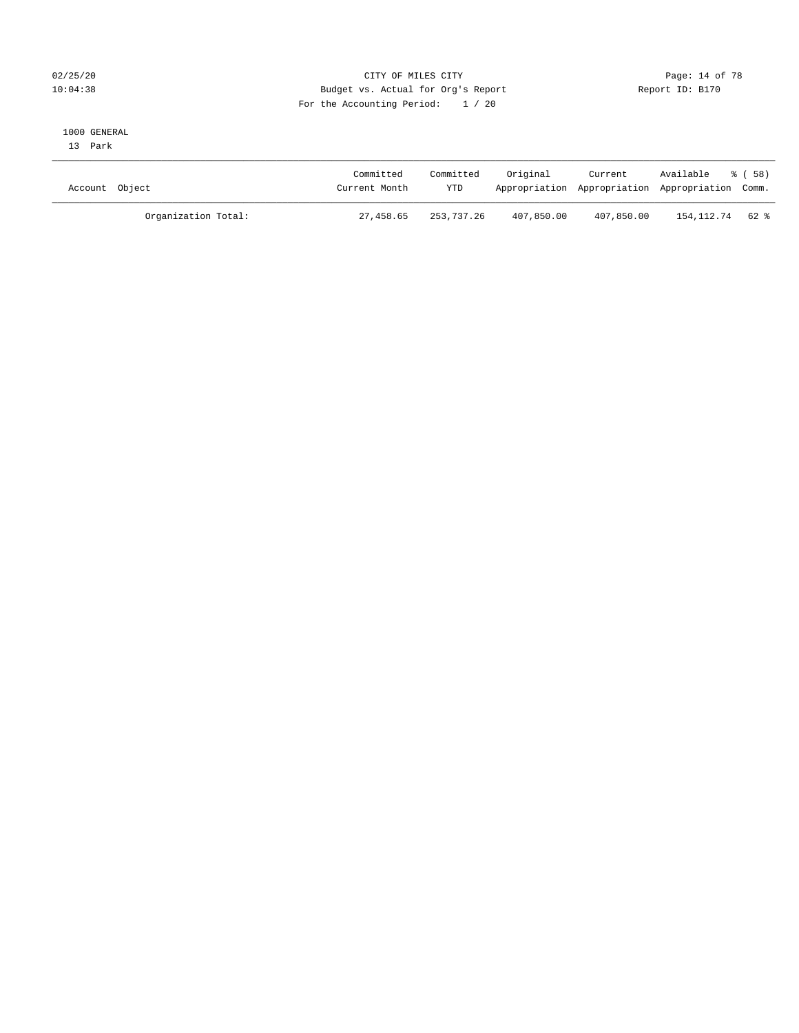#### 02/25/20 Page: 14 of 78 10:04:38 Budget vs. Actual for Org's Report Changer Report ID: B170 For the Accounting Period: 1 / 20

#### 1000 GENERAL

13 Park

| Account Object      | Committed<br>Current Month | Committed<br><b>YTD</b> | Original   | Current<br>Appropriation Appropriation Appropriation Comm. | Available         | - 8 ( 58 ) |
|---------------------|----------------------------|-------------------------|------------|------------------------------------------------------------|-------------------|------------|
| Organization Total: | 27,458.65                  | 253,737.26              | 407,850.00 | 407,850.00                                                 | 154, 112, 74 62 % |            |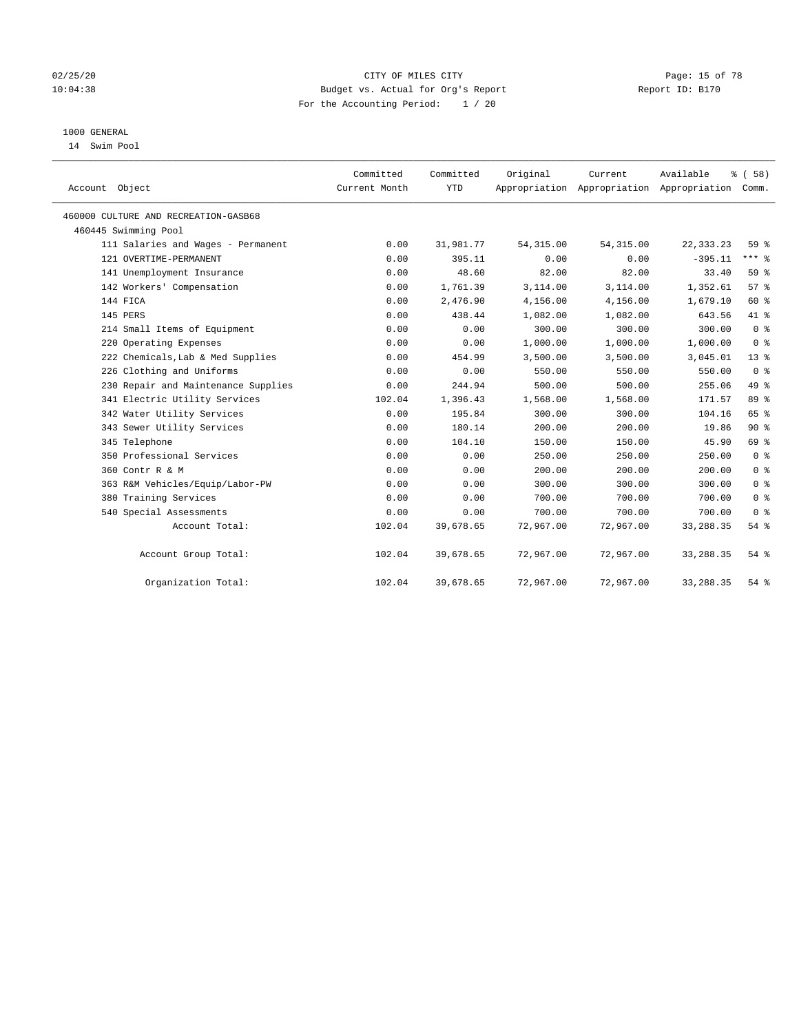#### 02/25/20 **CITY OF MILES CITY CONSUMING THE PAGE: 15 of 78** 10:04:38 Budget vs. Actual for Org's Report Changer Report ID: B170 For the Accounting Period: 1 / 20

### 1000 GENERAL

14 Swim Pool

| Account Object                       | Committed<br>Current Month | Committed<br><b>YTD</b> | Original   | Current<br>Appropriation Appropriation Appropriation | Available   | % (58)<br>Comm. |
|--------------------------------------|----------------------------|-------------------------|------------|------------------------------------------------------|-------------|-----------------|
| 460000 CULTURE AND RECREATION-GASB68 |                            |                         |            |                                                      |             |                 |
| 460445 Swimming Pool                 |                            |                         |            |                                                      |             |                 |
| 111 Salaries and Wages - Permanent   | 0.00                       | 31,981.77               | 54, 315.00 | 54, 315.00                                           | 22, 333. 23 | 59 <sub>8</sub> |
| 121 OVERTIME-PERMANENT               | 0.00                       | 395.11                  | 0.00       | 0.00                                                 | $-395.11$   | $***$ $-$       |
| 141 Unemployment Insurance           | 0.00                       | 48.60                   | 82.00      | 82.00                                                | 33.40       | 59 %            |
| 142 Workers' Compensation            | 0.00                       | 1,761.39                | 3,114.00   | 3,114.00                                             | 1,352.61    | 57%             |
| 144 FICA                             | 0.00                       | 2,476.90                | 4,156.00   | 4,156.00                                             | 1,679.10    | 60 %            |
| 145 PERS                             | 0.00                       | 438.44                  | 1,082.00   | 1,082.00                                             | 643.56      | 41 %            |
| 214 Small Items of Equipment         | 0.00                       | 0.00                    | 300.00     | 300.00                                               | 300.00      | 0 <sup>8</sup>  |
| 220 Operating Expenses               | 0.00                       | 0.00                    | 1,000.00   | 1,000.00                                             | 1,000.00    | 0 <sup>8</sup>  |
| 222 Chemicals, Lab & Med Supplies    | 0.00                       | 454.99                  | 3,500.00   | 3,500.00                                             | 3,045.01    | $13*$           |
| 226 Clothing and Uniforms            | 0.00                       | 0.00                    | 550.00     | 550.00                                               | 550.00      | 0 <sup>8</sup>  |
| 230 Repair and Maintenance Supplies  | 0.00                       | 244.94                  | 500.00     | 500.00                                               | 255.06      | 49 %            |
| 341 Electric Utility Services        | 102.04                     | 1,396.43                | 1,568.00   | 1,568.00                                             | 171.57      | 89 %            |
| 342 Water Utility Services           | 0.00                       | 195.84                  | 300.00     | 300.00                                               | 104.16      | 65 %            |
| 343 Sewer Utility Services           | 0.00                       | 180.14                  | 200.00     | 200.00                                               | 19.86       | $90*$           |
| 345 Telephone                        | 0.00                       | 104.10                  | 150.00     | 150.00                                               | 45.90       | 69 %            |
| 350 Professional Services            | 0.00                       | 0.00                    | 250.00     | 250.00                                               | 250.00      | 0 <sup>8</sup>  |
| 360 Contr R & M                      | 0.00                       | 0.00                    | 200.00     | 200.00                                               | 200.00      | 0 <sup>8</sup>  |
| 363 R&M Vehicles/Equip/Labor-PW      | 0.00                       | 0.00                    | 300.00     | 300.00                                               | 300.00      | 0 <sup>8</sup>  |
| 380 Training Services                | 0.00                       | 0.00                    | 700.00     | 700.00                                               | 700.00      | 0 <sup>8</sup>  |
| 540 Special Assessments              | 0.00                       | 0.00                    | 700.00     | 700.00                                               | 700.00      | 0 <sup>8</sup>  |
| Account Total:                       | 102.04                     | 39,678.65               | 72,967.00  | 72,967.00                                            | 33, 288.35  | 54%             |
| Account Group Total:                 | 102.04                     | 39,678.65               | 72,967.00  | 72,967.00                                            | 33, 288. 35 | $54$ %          |
| Organization Total:                  | 102.04                     | 39,678.65               | 72,967.00  | 72,967.00                                            | 33, 288.35  | 54 %            |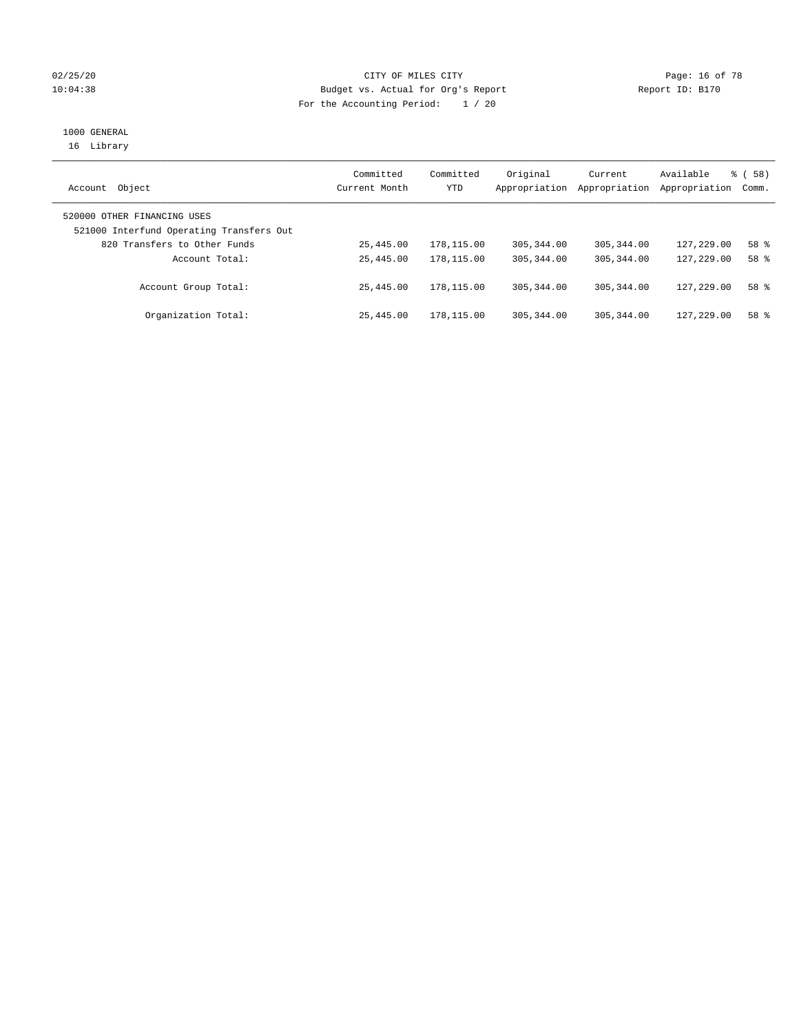#### 02/25/20 **CITY OF MILES CITY CONSUMING THE PAGE:** 16 of 78 10:04:38 Budget vs. Actual for Org's Report Changer Report ID: B170 For the Accounting Period: 1 / 20

## 1000 GENERAL

16 Library

| Object<br>Account                                                       | Committed<br>Current Month | Committed<br>YTD | Original<br>Appropriation | Current<br>Appropriation | Available<br>Appropriation | 8 ( 58 )<br>Comm. |
|-------------------------------------------------------------------------|----------------------------|------------------|---------------------------|--------------------------|----------------------------|-------------------|
| 520000 OTHER FINANCING USES<br>521000 Interfund Operating Transfers Out |                            |                  |                           |                          |                            |                   |
| 820 Transfers to Other Funds                                            | 25,445.00                  | 178,115.00       | 305, 344, 00              | 305, 344, 00             | 127,229.00                 | 58 %              |
| Account Total:                                                          | 25,445.00                  | 178,115.00       | 305, 344, 00              | 305, 344, 00             | 127,229.00                 | 58 %              |
| Account Group Total:                                                    | 25,445.00                  | 178,115.00       | 305, 344, 00              | 305, 344, 00             | 127,229.00                 | 58 %              |
| Organization Total:                                                     | 25,445.00                  | 178,115.00       | 305, 344, 00              | 305, 344, 00             | 127,229.00                 | 58 %              |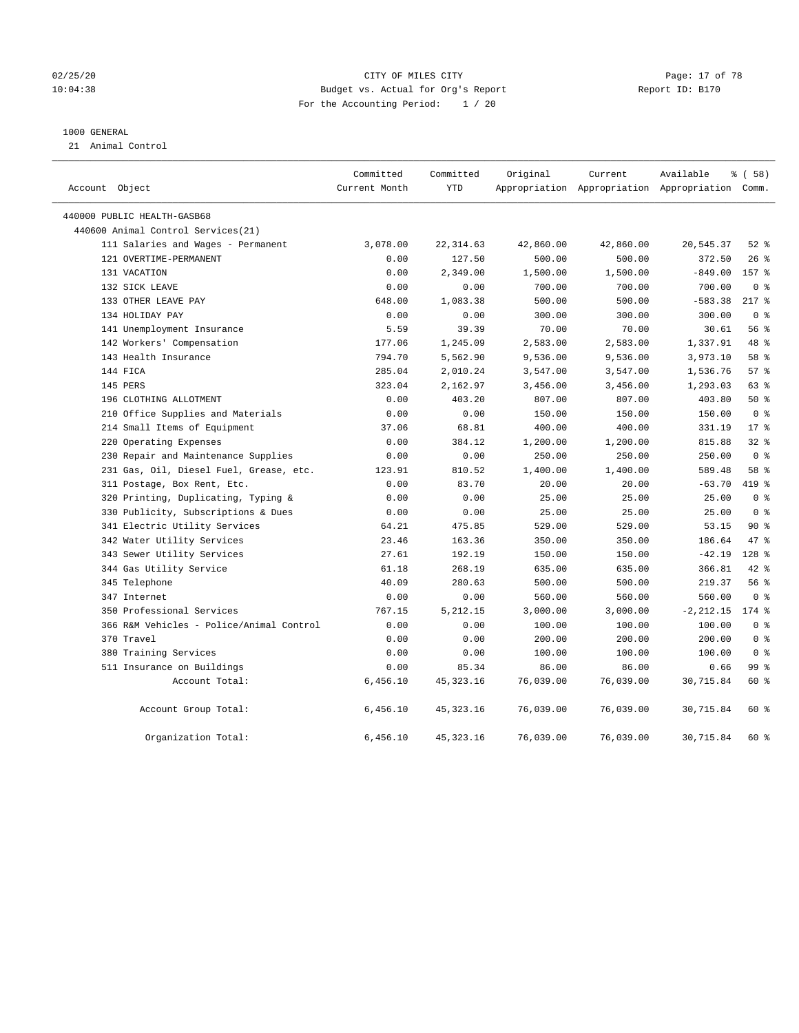#### 02/25/20 Page: 17 of 78 10:04:38 Budget vs. Actual for Org's Report Report ID: B170 For the Accounting Period: 1 / 20

#### 1000 GENERAL

21 Animal Control

| Account Object                           | Committed<br>Current Month | Committed<br>YTD | Original  | Current   | Available<br>Appropriation Appropriation Appropriation Comm. | 8 ( 58 )       |  |
|------------------------------------------|----------------------------|------------------|-----------|-----------|--------------------------------------------------------------|----------------|--|
| 440000 PUBLIC HEALTH-GASB68              |                            |                  |           |           |                                                              |                |  |
| 440600 Animal Control Services(21)       |                            |                  |           |           |                                                              |                |  |
| 111 Salaries and Wages - Permanent       | 3,078.00                   | 22, 314.63       | 42,860.00 | 42,860.00 | 20,545.37                                                    | $52$ $%$       |  |
| 121 OVERTIME-PERMANENT                   | 0.00                       | 127.50           | 500.00    | 500.00    | 372.50                                                       | $26$ %         |  |
| 131 VACATION                             | 0.00                       | 2,349.00         | 1,500.00  | 1,500.00  | $-849.00$                                                    | 157 %          |  |
| 132 SICK LEAVE                           | 0.00                       | 0.00             | 700.00    | 700.00    | 700.00                                                       | 0 <sup>8</sup> |  |
| 133 OTHER LEAVE PAY                      | 648.00                     | 1,083.38         | 500.00    | 500.00    | $-583.38$                                                    | $217$ %        |  |
| 134 HOLIDAY PAY                          | 0.00                       | 0.00             | 300.00    | 300.00    | 300.00                                                       | 0 <sup>8</sup> |  |
| 141 Unemployment Insurance               | 5.59                       | 39.39            | 70.00     | 70.00     | 30.61                                                        | 56 %           |  |
| 142 Workers' Compensation                | 177.06                     | 1,245.09         | 2,583.00  | 2,583.00  | 1,337.91                                                     | 48 %           |  |
| 143 Health Insurance                     | 794.70                     | 5,562.90         | 9,536.00  | 9,536.00  | 3,973.10                                                     | 58 %           |  |
| 144 FICA                                 | 285.04                     | 2,010.24         | 3,547.00  | 3,547.00  | 1,536.76                                                     | 57%            |  |
| 145 PERS                                 | 323.04                     | 2,162.97         | 3,456.00  | 3,456.00  | 1,293.03                                                     | $63$ $%$       |  |
| 196 CLOTHING ALLOTMENT                   | 0.00                       | 403.20           | 807.00    | 807.00    | 403.80                                                       | 50%            |  |
| 210 Office Supplies and Materials        | 0.00                       | 0.00             | 150.00    | 150.00    | 150.00                                                       | 0 <sup>8</sup> |  |
| 214 Small Items of Equipment             | 37.06                      | 68.81            | 400.00    | 400.00    | 331.19                                                       | $17*$          |  |
| 220 Operating Expenses                   | 0.00                       | 384.12           | 1,200.00  | 1,200.00  | 815.88                                                       | 32%            |  |
| 230 Repair and Maintenance Supplies      | 0.00                       | 0.00             | 250.00    | 250.00    | 250.00                                                       | 0 <sup>8</sup> |  |
| 231 Gas, Oil, Diesel Fuel, Grease, etc.  | 123.91                     | 810.52           | 1,400.00  | 1,400.00  | 589.48                                                       | 58 %           |  |
| 311 Postage, Box Rent, Etc.              | 0.00                       | 83.70            | 20.00     | 20.00     | $-63.70$                                                     | 419 %          |  |
| 320 Printing, Duplicating, Typing &      | 0.00                       | 0.00             | 25.00     | 25.00     | 25.00                                                        | 0 <sup>8</sup> |  |
| 330 Publicity, Subscriptions & Dues      | 0.00                       | 0.00             | 25.00     | 25.00     | 25.00                                                        | 0 <sup>8</sup> |  |
| 341 Electric Utility Services            | 64.21                      | 475.85           | 529.00    | 529.00    | 53.15                                                        | 90%            |  |
| 342 Water Utility Services               | 23.46                      | 163.36           | 350.00    | 350.00    | 186.64                                                       | 47 %           |  |
| 343 Sewer Utility Services               | 27.61                      | 192.19           | 150.00    | 150.00    | $-42.19$                                                     | 128 %          |  |
| 344 Gas Utility Service                  | 61.18                      | 268.19           | 635.00    | 635.00    | 366.81                                                       | $42$ %         |  |
| 345 Telephone                            | 40.09                      | 280.63           | 500.00    | 500.00    | 219.37                                                       | 56%            |  |
| 347 Internet                             | 0.00                       | 0.00             | 560.00    | 560.00    | 560.00                                                       | 0 <sup>8</sup> |  |
| 350 Professional Services                | 767.15                     | 5,212.15         | 3,000.00  | 3,000.00  | $-2, 212.15$                                                 | 174 %          |  |
| 366 R&M Vehicles - Police/Animal Control | 0.00                       | 0.00             | 100.00    | 100.00    | 100.00                                                       | 0 <sup>8</sup> |  |
| 370 Travel                               | 0.00                       | 0.00             | 200.00    | 200.00    | 200.00                                                       | 0 <sup>8</sup> |  |
| 380 Training Services                    | 0.00                       | 0.00             | 100.00    | 100.00    | 100.00                                                       | 0 <sup>8</sup> |  |
| 511 Insurance on Buildings               | 0.00                       | 85.34            | 86.00     | 86.00     | 0.66                                                         | 99 %           |  |
| Account Total:                           | 6,456.10                   | 45, 323. 16      | 76,039.00 | 76,039.00 | 30,715.84                                                    | 60 %           |  |
| Account Group Total:                     | 6,456.10                   | 45, 323. 16      | 76,039.00 | 76,039.00 | 30,715.84                                                    | 60 %           |  |
| Organization Total:                      | 6,456.10                   | 45, 323. 16      | 76,039.00 | 76,039.00 | 30,715.84                                                    | 60 %           |  |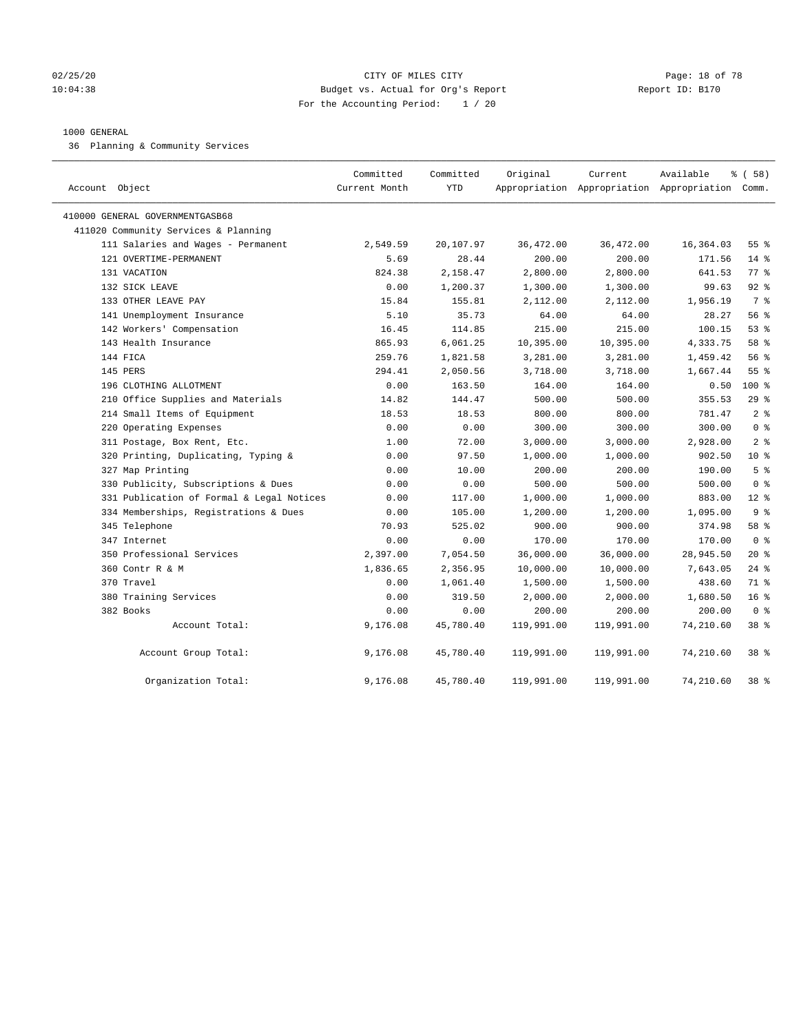#### 02/25/20 Page: 18 of 78 10:04:38 Budget vs. Actual for Org's Report Report ID: B170 For the Accounting Period: 1 / 20

#### 1000 GENERAL

36 Planning & Community Services

| Account Object                            | Committed<br>Current Month | Committed<br><b>YTD</b> | Original   | Current<br>Appropriation Appropriation Appropriation Comm. | Available | % (58)          |
|-------------------------------------------|----------------------------|-------------------------|------------|------------------------------------------------------------|-----------|-----------------|
| 410000 GENERAL GOVERNMENTGASB68           |                            |                         |            |                                                            |           |                 |
| 411020 Community Services & Planning      |                            |                         |            |                                                            |           |                 |
| 111 Salaries and Wages - Permanent        | 2,549.59                   | 20,107.97               | 36,472.00  | 36,472.00                                                  | 16,364.03 | $55$ $%$        |
| 121 OVERTIME-PERMANENT                    | 5.69                       | 28.44                   | 200.00     | 200.00                                                     | 171.56    | $14*$           |
| 131 VACATION                              | 824.38                     | 2,158.47                | 2,800.00   | 2,800.00                                                   | 641.53    | 77%             |
| 132 SICK LEAVE                            | 0.00                       | 1,200.37                | 1,300.00   | 1,300.00                                                   | 99.63     | $92$ %          |
| 133 OTHER LEAVE PAY                       | 15.84                      | 155.81                  | 2,112.00   | 2,112.00                                                   | 1,956.19  | 7 %             |
| 141 Unemployment Insurance                | 5.10                       | 35.73                   | 64.00      | 64.00                                                      | 28.27     | 56 %            |
| 142 Workers' Compensation                 | 16.45                      | 114.85                  | 215.00     | 215.00                                                     | 100.15    | 53%             |
| 143 Health Insurance                      | 865.93                     | 6,061.25                | 10,395.00  | 10,395.00                                                  | 4,333.75  | 58 %            |
| 144 FICA                                  | 259.76                     | 1,821.58                | 3,281.00   | 3,281.00                                                   | 1,459.42  | 56 %            |
| 145 PERS                                  | 294.41                     | 2,050.56                | 3,718.00   | 3,718.00                                                   | 1,667.44  | 55 <sup>8</sup> |
| 196 CLOTHING ALLOTMENT                    | 0.00                       | 163.50                  | 164.00     | 164.00                                                     | 0.50      | $100*$          |
| 210 Office Supplies and Materials         | 14.82                      | 144.47                  | 500.00     | 500.00                                                     | 355.53    | 29%             |
| 214 Small Items of Equipment              | 18.53                      | 18.53                   | 800.00     | 800.00                                                     | 781.47    | 2 <sup>8</sup>  |
| 220 Operating Expenses                    | 0.00                       | 0.00                    | 300.00     | 300.00                                                     | 300.00    | 0 <sup>8</sup>  |
| 311 Postage, Box Rent, Etc.               | 1.00                       | 72.00                   | 3,000.00   | 3,000.00                                                   | 2,928.00  | 2 <sup>8</sup>  |
| 320 Printing, Duplicating, Typing &       | 0.00                       | 97.50                   | 1,000.00   | 1,000.00                                                   | 902.50    | 10 <sup>8</sup> |
| 327 Map Printing                          | 0.00                       | 10.00                   | 200.00     | 200.00                                                     | 190.00    | 5 <sup>°</sup>  |
| 330 Publicity, Subscriptions & Dues       | 0.00                       | 0.00                    | 500.00     | 500.00                                                     | 500.00    | 0 <sup>8</sup>  |
| 331 Publication of Formal & Legal Notices | 0.00                       | 117.00                  | 1,000.00   | 1,000.00                                                   | 883.00    | $12*$           |
| 334 Memberships, Registrations & Dues     | 0.00                       | 105.00                  | 1,200.00   | 1,200.00                                                   | 1,095.00  | 9 <sup>°</sup>  |
| 345 Telephone                             | 70.93                      | 525.02                  | 900.00     | 900.00                                                     | 374.98    | 58 %            |
| 347 Internet                              | 0.00                       | 0.00                    | 170.00     | 170.00                                                     | 170.00    | 0 <sup>8</sup>  |
| 350 Professional Services                 | 2,397.00                   | 7,054.50                | 36,000.00  | 36,000.00                                                  | 28,945.50 | $20*$           |
| 360 Contr R & M                           | 1,836.65                   | 2,356.95                | 10,000.00  | 10,000.00                                                  | 7,643.05  | $24$ %          |
| 370 Travel                                | 0.00                       | 1,061.40                | 1,500.00   | 1,500.00                                                   | 438.60    | 71 %            |
| 380 Training Services                     | 0.00                       | 319.50                  | 2,000.00   | 2,000.00                                                   | 1,680.50  | 16 <sup>°</sup> |
| 382 Books                                 | 0.00                       | 0.00                    | 200.00     | 200.00                                                     | 200.00    | 0 <sup>8</sup>  |
| Account Total:                            | 9,176.08                   | 45,780.40               | 119,991.00 | 119,991.00                                                 | 74,210.60 | 38 <sup>8</sup> |
| Account Group Total:                      | 9,176.08                   | 45,780.40               | 119,991.00 | 119,991.00                                                 | 74,210.60 | 38 <sup>8</sup> |
| Organization Total:                       | 9,176.08                   | 45,780.40               | 119,991.00 | 119,991.00                                                 | 74,210.60 | 38 %            |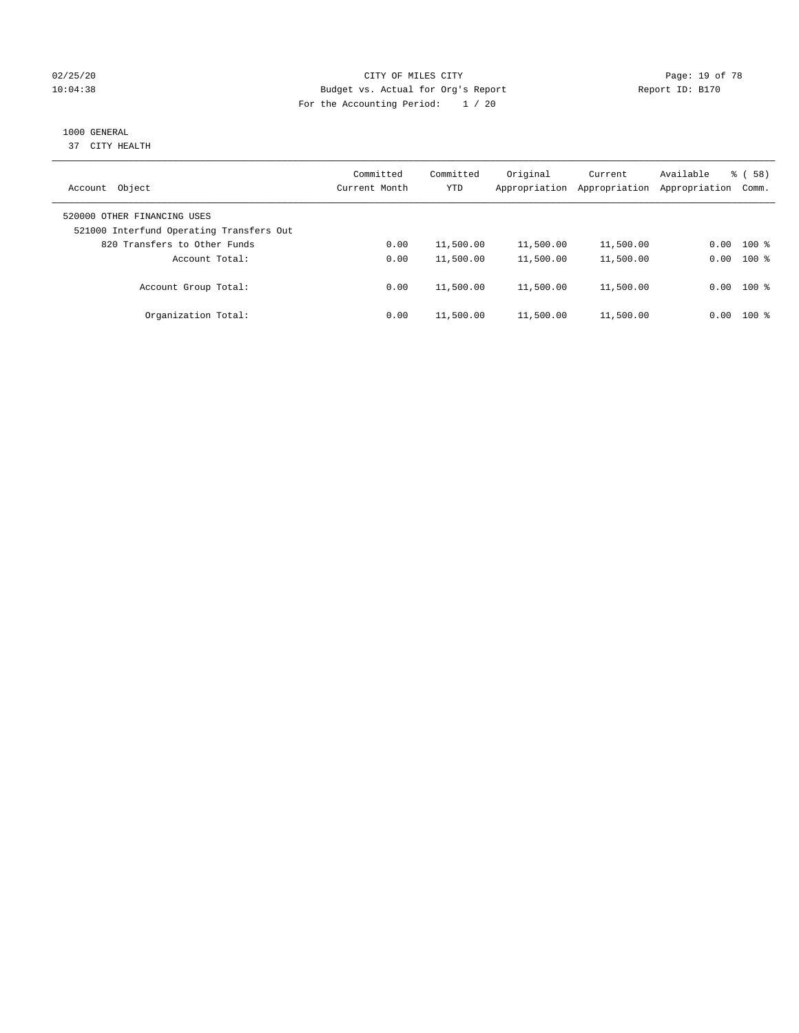#### 02/25/20 **CITY OF MILES CITY CONSUMING THE PAGE:** 19 of 78 10:04:38 Budget vs. Actual for Org's Report Changer Report ID: B170 For the Accounting Period: 1 / 20

### 1000 GENERAL

37 CITY HEALTH

| Object<br>Account                                                       | Committed<br>Current Month | Committed<br><b>YTD</b> | Original<br>Appropriation | Current<br>Appropriation | Available<br>Appropriation | $\frac{8}{6}$ (58)<br>Comm. |
|-------------------------------------------------------------------------|----------------------------|-------------------------|---------------------------|--------------------------|----------------------------|-----------------------------|
| 520000 OTHER FINANCING USES<br>521000 Interfund Operating Transfers Out |                            |                         |                           |                          |                            |                             |
| 820 Transfers to Other Funds                                            | 0.00                       | 11,500.00               | 11,500.00                 | 11,500.00                | 0.00                       | $100*$                      |
| Account Total:                                                          | 0.00                       | 11,500.00               | 11,500.00                 | 11,500.00                | 0.00                       | $100*$                      |
| Account Group Total:                                                    | 0.00                       | 11,500.00               | 11,500.00                 | 11,500.00                |                            | $0.00$ 100 %                |
| Organization Total:                                                     | 0.00                       | 11,500.00               | 11,500.00                 | 11,500.00                | 0.00                       | $100*$                      |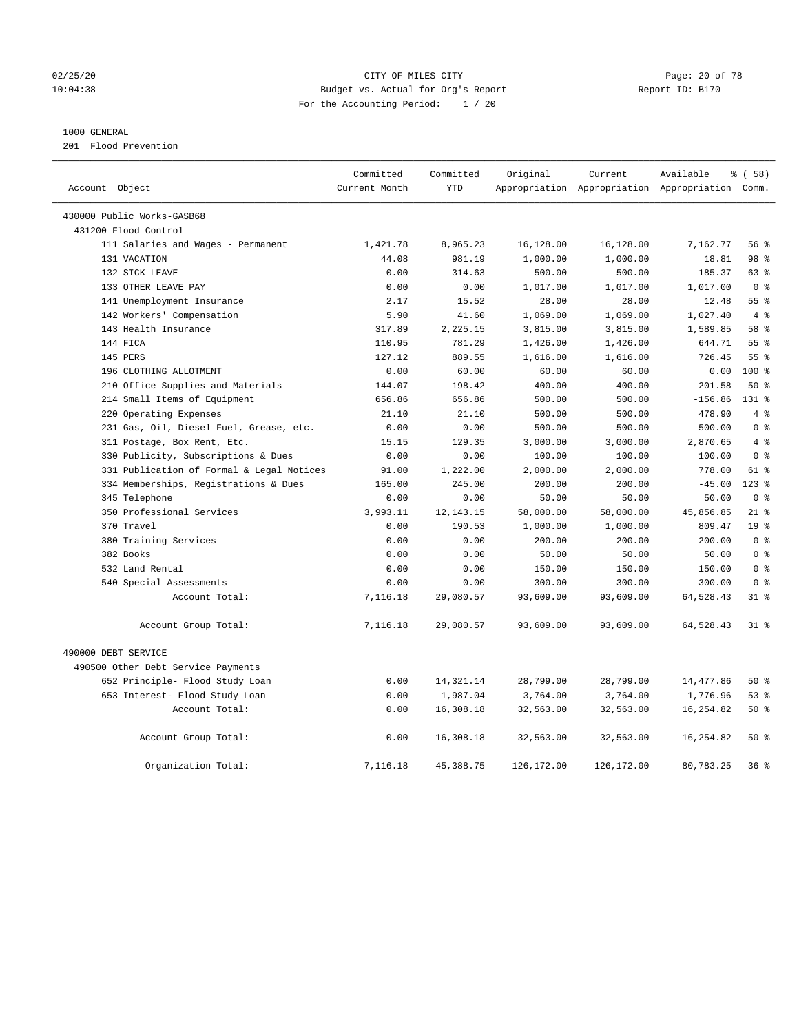#### 02/25/20 Page: 20 of 78 CITY OF MILES CITY CONTROL PAGE: 20 of 78 10:04:38 Budget vs. Actual for Org's Report Report ID: B170 For the Accounting Period: 1 / 20

#### 1000 GENERAL

201 Flood Prevention

| Account Object                            | Committed<br>Current Month | Committed<br><b>YTD</b> | Original    | Current    | Available<br>Appropriation Appropriation Appropriation Comm. | 8 ( 58 )        |
|-------------------------------------------|----------------------------|-------------------------|-------------|------------|--------------------------------------------------------------|-----------------|
|                                           |                            |                         |             |            |                                                              |                 |
| 430000 Public Works-GASB68                |                            |                         |             |            |                                                              |                 |
| 431200 Flood Control                      |                            |                         |             |            |                                                              |                 |
| 111 Salaries and Wages - Permanent        | 1,421.78                   | 8,965.23                | 16,128.00   | 16,128.00  | 7,162.77                                                     | 56%             |
| 131 VACATION                              | 44.08                      | 981.19                  | 1,000.00    | 1,000.00   | 18.81                                                        | 98 %            |
| 132 SICK LEAVE                            | 0.00                       | 314.63                  | 500.00      | 500.00     | 185.37                                                       | 63 %            |
| 133 OTHER LEAVE PAY                       | 0.00                       | 0.00                    | 1,017.00    | 1,017.00   | 1,017.00                                                     | 0 <sup>8</sup>  |
| 141 Unemployment Insurance                | 2.17                       | 15.52                   | 28.00       | 28.00      | 12.48                                                        | 55 <sup>8</sup> |
| 142 Workers' Compensation                 | 5.90                       | 41.60                   | 1,069.00    | 1,069.00   | 1,027.40                                                     | 4%              |
| 143 Health Insurance                      | 317.89                     | 2,225.15                | 3,815.00    | 3,815.00   | 1,589.85                                                     | 58 %            |
| 144 FICA                                  | 110.95                     | 781.29                  | 1,426.00    | 1,426.00   | 644.71                                                       | 55 <sup>8</sup> |
| 145 PERS                                  | 127.12                     | 889.55                  | 1,616.00    | 1,616.00   | 726.45                                                       | 55%             |
| 196 CLOTHING ALLOTMENT                    | 0.00                       | 60.00                   | 60.00       | 60.00      | 0.00                                                         | $100*$          |
| 210 Office Supplies and Materials         | 144.07                     | 198.42                  | 400.00      | 400.00     | 201.58                                                       | 50%             |
| 214 Small Items of Equipment              | 656.86                     | 656.86                  | 500.00      | 500.00     | $-156.86$                                                    | $131*$          |
| 220 Operating Expenses                    | 21.10                      | 21.10                   | 500.00      | 500.00     | 478.90                                                       | 4%              |
| 231 Gas, Oil, Diesel Fuel, Grease, etc.   | 0.00                       | 0.00                    | 500.00      | 500.00     | 500.00                                                       | 0 <sup>8</sup>  |
| 311 Postage, Box Rent, Etc.               | 15.15                      | 129.35                  | 3,000.00    | 3,000.00   | 2,870.65                                                     | 4%              |
| 330 Publicity, Subscriptions & Dues       | 0.00                       | 0.00                    | 100.00      | 100.00     | 100.00                                                       | 0 <sup>8</sup>  |
| 331 Publication of Formal & Legal Notices | 91.00                      | 1,222.00                | 2,000.00    | 2,000.00   | 778.00                                                       | 61 %            |
| 334 Memberships, Registrations & Dues     | 165.00                     | 245.00                  | 200.00      | 200.00     | $-45.00$                                                     | $123$ %         |
| 345 Telephone                             | 0.00                       | 0.00                    | 50.00       | 50.00      | 50.00                                                        | 0 <sup>8</sup>  |
| 350 Professional Services                 | 3,993.11                   | 12, 143. 15             | 58,000.00   | 58,000.00  | 45,856.85                                                    | $21$ %          |
| 370 Travel                                | 0.00                       | 190.53                  | 1,000.00    | 1,000.00   | 809.47                                                       | 19 <sup>°</sup> |
| 380 Training Services                     | 0.00                       | 0.00                    | 200.00      | 200.00     | 200.00                                                       | 0 <sup>8</sup>  |
| 382 Books                                 | 0.00                       | 0.00                    | 50.00       | 50.00      | 50.00                                                        | 0 <sup>8</sup>  |
| 532 Land Rental                           | 0.00                       | 0.00                    | 150.00      | 150.00     | 150.00                                                       | 0 <sup>8</sup>  |
| 540 Special Assessments                   | 0.00                       | 0.00                    | 300.00      | 300.00     | 300.00                                                       | 0 <sup>8</sup>  |
| Account Total:                            | 7,116.18                   | 29,080.57               | 93,609.00   | 93,609.00  | 64,528.43                                                    | 31.8            |
| Account Group Total:                      | 7,116.18                   | 29,080.57               | 93,609.00   | 93,609.00  | 64,528.43                                                    | 318             |
| 490000 DEBT SERVICE                       |                            |                         |             |            |                                                              |                 |
| 490500 Other Debt Service Payments        |                            |                         |             |            |                                                              |                 |
| 652 Principle- Flood Study Loan           | 0.00                       | 14, 321. 14             | 28,799.00   | 28,799.00  | 14,477.86                                                    | 50%             |
| 653 Interest- Flood Study Loan            | 0.00                       | 1,987.04                | 3,764.00    | 3,764.00   | 1,776.96                                                     | 53%             |
| Account Total:                            | 0.00                       | 16,308.18               | 32,563.00   | 32,563.00  | 16,254.82                                                    | 50%             |
| Account Group Total:                      | 0.00                       | 16,308.18               | 32,563.00   | 32,563.00  | 16, 254.82                                                   | 50%             |
| Organization Total:                       | 7,116.18                   | 45, 388.75              | 126, 172.00 | 126,172.00 | 80,783.25                                                    | 36%             |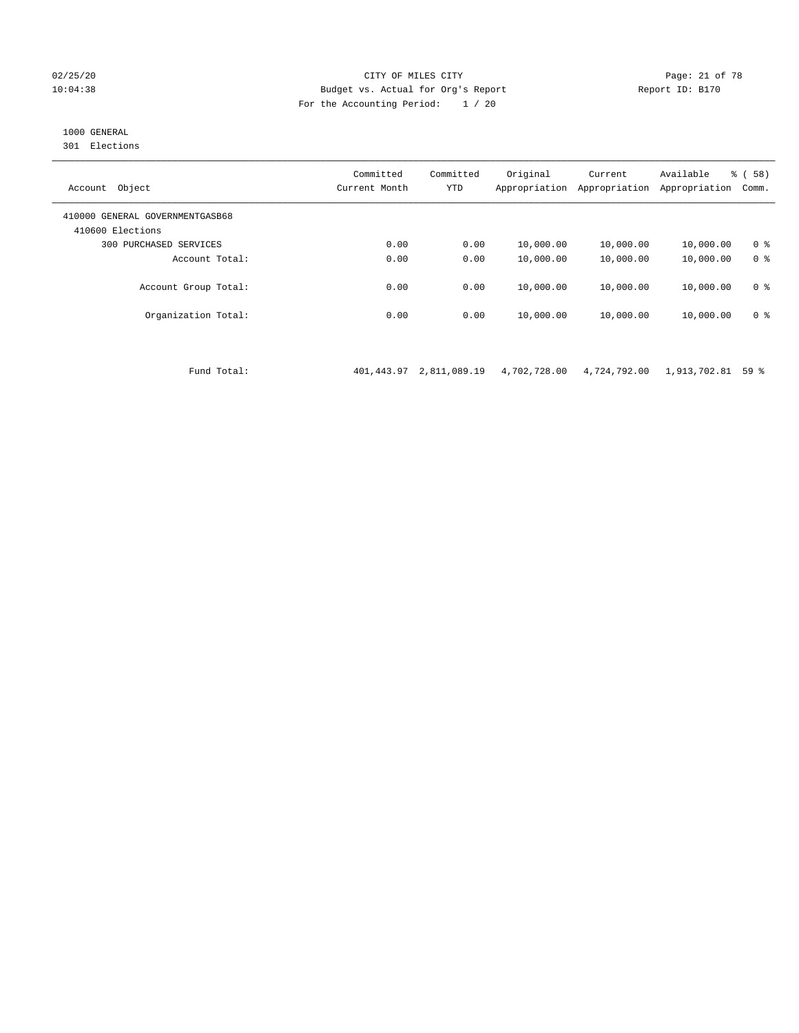#### 02/25/20 Page: 21 of 78 CITY OF MILES CITY CONTROL PAGE: 21 of 78 10:04:38 Budget vs. Actual for Org's Report Report ID: B170 For the Accounting Period: 1 / 20

### 1000 GENERAL

301 Elections

| Object<br>Account                                   | Committed<br>Current Month | Committed<br><b>YTD</b> | Original<br>Appropriation | Current<br>Appropriation | Available<br>Appropriation | % ( 58 )<br>Comm. |
|-----------------------------------------------------|----------------------------|-------------------------|---------------------------|--------------------------|----------------------------|-------------------|
| 410000 GENERAL GOVERNMENTGASB68<br>410600 Elections |                            |                         |                           |                          |                            |                   |
| PURCHASED SERVICES<br>300                           | 0.00                       | 0.00                    | 10,000.00                 | 10,000.00                | 10,000.00                  | 0 <sup>8</sup>    |
| Account Total:                                      | 0.00                       | 0.00                    | 10,000.00                 | 10,000.00                | 10,000.00                  | 0 <sup>8</sup>    |
| Account Group Total:                                | 0.00                       | 0.00                    | 10,000.00                 | 10,000.00                | 10,000.00                  | 0 <sup>8</sup>    |
| Organization Total:                                 | 0.00                       | 0.00                    | 10,000.00                 | 10,000.00                | 10,000.00                  | 0 <sup>8</sup>    |
|                                                     |                            |                         |                           |                          |                            |                   |

Fund Total: 401,443.97 2,811,089.19 4,702,728.00 4,724,792.00 1,913,702.81 59 %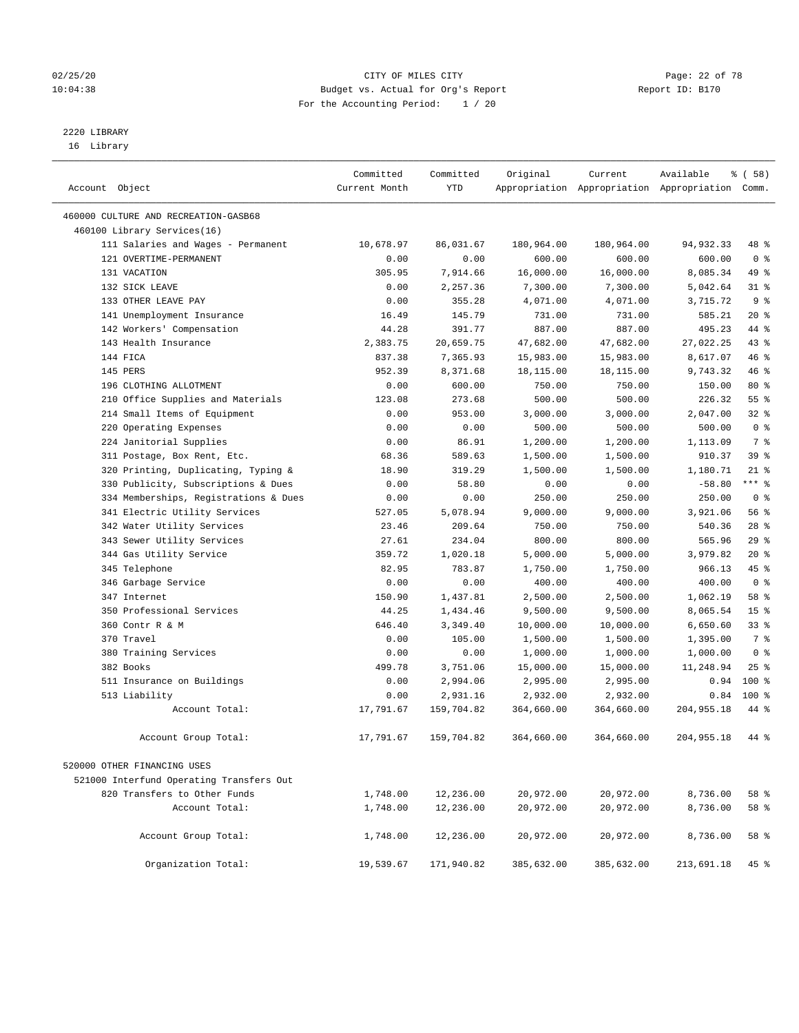#### 02/25/20 Page: 22 of 78 10:04:38 Budget vs. Actual for Org's Report Report ID: B170 For the Accounting Period: 1 / 20

————————————————————————————————————————————————————————————————————————————————————————————————————————————————————————————————————

## 2220 LIBRARY

16 Library

|                                          | Committed     | Committed        | Original   | Current    | Available                                       | % ( 58 )        |
|------------------------------------------|---------------|------------------|------------|------------|-------------------------------------------------|-----------------|
| Account Object                           | Current Month | YTD              |            |            | Appropriation Appropriation Appropriation Comm. |                 |
|                                          |               |                  |            |            |                                                 |                 |
| 460000 CULTURE AND RECREATION-GASB68     |               |                  |            |            |                                                 |                 |
| 460100 Library Services(16)              |               |                  |            |            |                                                 |                 |
| 111 Salaries and Wages - Permanent       | 10,678.97     | 86,031.67        | 180,964.00 | 180,964.00 | 94,932.33                                       | 48 %            |
| 121 OVERTIME-PERMANENT                   | 0.00          | 0.00             | 600.00     | 600.00     | 600.00                                          | 0 <sup>8</sup>  |
| 131 VACATION                             | 305.95        | 7,914.66         | 16,000.00  | 16,000.00  | 8,085.34                                        | 49 %            |
| 132 SICK LEAVE                           | 0.00          | 2,257.36         | 7,300.00   | 7,300.00   | 5,042.64                                        | $31$ %          |
| 133 OTHER LEAVE PAY                      | 0.00          | 355.28           | 4,071.00   | 4,071.00   | 3,715.72                                        | 9 <sup>°</sup>  |
| 141 Unemployment Insurance               | 16.49         | 145.79<br>391.77 | 731.00     | 731.00     | 585.21                                          | $20*$           |
| 142 Workers' Compensation                | 44.28         |                  | 887.00     | 887.00     | 495.23                                          | 44 %            |
| 143 Health Insurance                     | 2,383.75      | 20,659.75        | 47,682.00  | 47,682.00  | 27,022.25                                       | 43 %            |
| 144 FICA                                 | 837.38        | 7,365.93         | 15,983.00  | 15,983.00  | 8,617.07                                        | 46 %            |
| 145 PERS                                 | 952.39        | 8,371.68         | 18,115.00  | 18,115.00  | 9,743.32                                        | 46 %            |
| 196 CLOTHING ALLOTMENT                   | 0.00          | 600.00           | 750.00     | 750.00     | 150.00                                          | 80 %<br>55%     |
| 210 Office Supplies and Materials        | 123.08        | 273.68           | 500.00     | 500.00     | 226.32                                          |                 |
| 214 Small Items of Equipment             | 0.00          | 953.00           | 3,000.00   | 3,000.00   | 2,047.00                                        | $32$ $%$        |
| 220 Operating Expenses                   | 0.00          | 0.00             | 500.00     | 500.00     | 500.00                                          | 0 <sup>8</sup>  |
| 224 Janitorial Supplies                  | 0.00          | 86.91            | 1,200.00   | 1,200.00   | 1,113.09                                        | 7 %             |
| 311 Postage, Box Rent, Etc.              | 68.36         | 589.63           | 1,500.00   | 1,500.00   | 910.37                                          | 39 %            |
| 320 Printing, Duplicating, Typing &      | 18.90         | 319.29           | 1,500.00   | 1,500.00   | 1,180.71                                        | $21$ %          |
| 330 Publicity, Subscriptions & Dues      | 0.00          | 58.80            | 0.00       | 0.00       | $-58.80$                                        | *** 응           |
| 334 Memberships, Registrations & Dues    | 0.00          | 0.00             | 250.00     | 250.00     | 250.00                                          | 0 <sup>8</sup>  |
| 341 Electric Utility Services            | 527.05        | 5,078.94         | 9,000.00   | 9,000.00   | 3,921.06                                        | 56%             |
| 342 Water Utility Services               | 23.46         | 209.64           | 750.00     | 750.00     | 540.36                                          | $28$ %          |
| 343 Sewer Utility Services               | 27.61         | 234.04           | 800.00     | 800.00     | 565.96                                          | 29%             |
| 344 Gas Utility Service                  | 359.72        | 1,020.18         | 5,000.00   | 5,000.00   | 3,979.82                                        | $20*$           |
| 345 Telephone                            | 82.95         | 783.87           | 1,750.00   | 1,750.00   | 966.13                                          | 45 %            |
| 346 Garbage Service                      | 0.00          | 0.00             | 400.00     | 400.00     | 400.00                                          | 0 <sup>8</sup>  |
| 347 Internet                             | 150.90        | 1,437.81         | 2,500.00   | 2,500.00   | 1,062.19                                        | 58 %            |
| 350 Professional Services                | 44.25         | 1,434.46         | 9,500.00   | 9,500.00   | 8,065.54                                        | 15 <sup>°</sup> |
| 360 Contr R & M                          | 646.40        | 3,349.40         | 10,000.00  | 10,000.00  | 6,650.60                                        | $33$ $%$        |
| 370 Travel                               | 0.00          | 105.00           | 1,500.00   | 1,500.00   | 1,395.00                                        | 7 %             |
| 380 Training Services                    | 0.00          | 0.00             | 1,000.00   | 1,000.00   | 1,000.00                                        | 0 <sup>8</sup>  |
| 382 Books                                | 499.78        | 3,751.06         | 15,000.00  | 15,000.00  | 11,248.94                                       | $25$ %          |
| 511 Insurance on Buildings               | 0.00          | 2,994.06         | 2,995.00   | 2,995.00   | 0.94                                            | $100*$          |
| 513 Liability                            | 0.00          | 2,931.16         | 2,932.00   | 2,932.00   | 0.84                                            | $100*$          |
| Account Total:                           | 17,791.67     | 159,704.82       | 364,660.00 | 364,660.00 | 204,955.18                                      | 44 %            |
| Account Group Total:                     | 17,791.67     | 159,704.82       | 364,660.00 | 364,660.00 | 204,955.18                                      | 44 %            |
| 520000 OTHER FINANCING USES              |               |                  |            |            |                                                 |                 |
| 521000 Interfund Operating Transfers Out |               |                  |            |            |                                                 |                 |
| 820 Transfers to Other Funds             | 1,748.00      | 12,236.00        | 20,972.00  | 20,972.00  | 8,736.00                                        | 58 %            |
| Account Total:                           | 1,748.00      | 12,236.00        | 20,972.00  | 20,972.00  | 8,736.00                                        | 58 %            |
|                                          |               |                  |            |            |                                                 |                 |
| Account Group Total:                     | 1,748.00      | 12,236.00        | 20,972.00  | 20,972.00  | 8,736.00                                        | 58 %            |
| Organization Total:                      | 19,539.67     | 171,940.82       | 385,632.00 | 385,632.00 | 213,691.18                                      | 45 %            |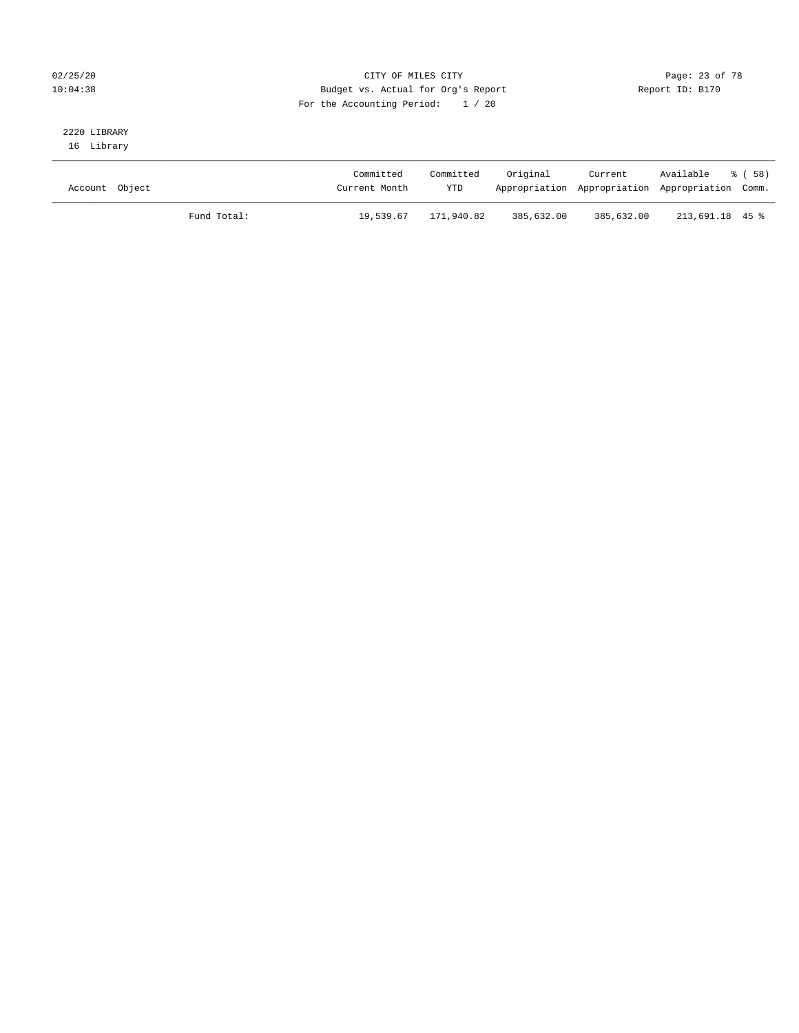#### 02/25/20 Page: 23 of 78 10:04:38 Budget vs. Actual for Org's Report Report ID: B170 For the Accounting Period: 1 / 20

## 2220 LIBRARY

16 Library

| Account Object |             | Committed<br>Current Month | Committed<br><b>YTD</b> | Original   | Current<br>Appropriation Appropriation Appropriation Comm. | Available % (58) |  |
|----------------|-------------|----------------------------|-------------------------|------------|------------------------------------------------------------|------------------|--|
|                | Fund Total: | 19,539.67                  | 171,940.82              | 385,632.00 | 385,632.00                                                 | 213,691.18 45 %  |  |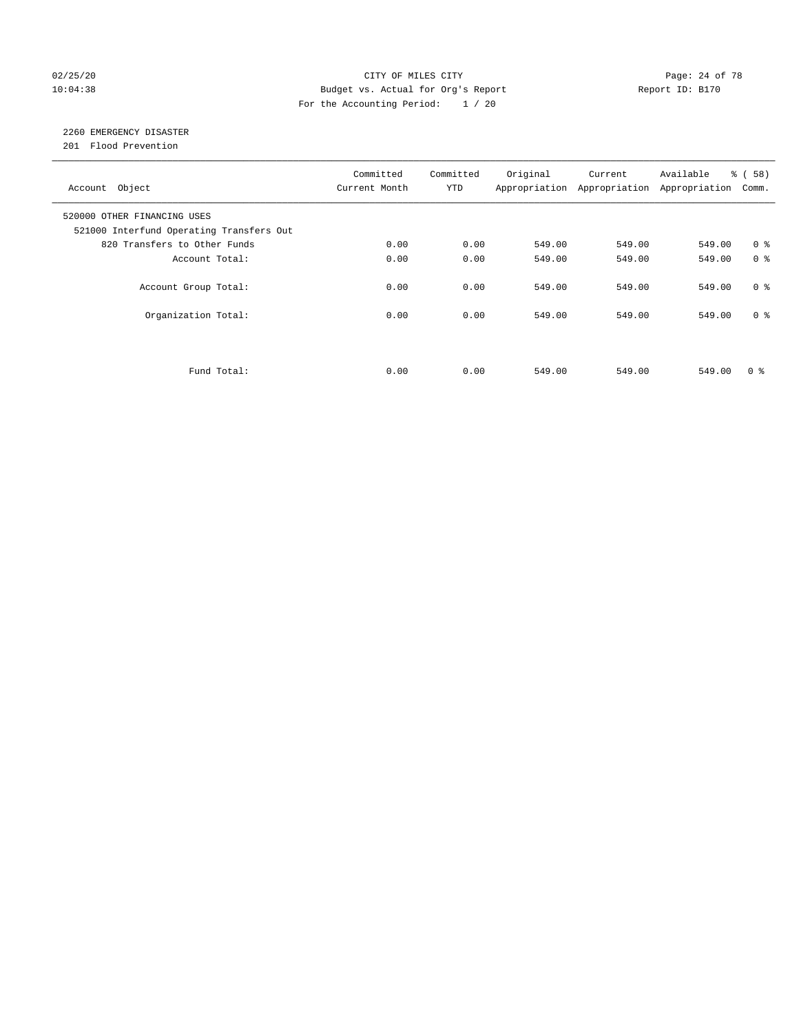#### 02/25/20 Page: 24 of 78 10:04:38 Budget vs. Actual for Org's Report Report ID: B170 For the Accounting Period: 1 / 20

### 2260 EMERGENCY DISASTER

201 Flood Prevention

| Account Object                                                          | Committed<br>Current Month | Committed<br><b>YTD</b> | Original | Current<br>Appropriation Appropriation | Available<br>Appropriation | % ( 58 )<br>Comm. |
|-------------------------------------------------------------------------|----------------------------|-------------------------|----------|----------------------------------------|----------------------------|-------------------|
| 520000 OTHER FINANCING USES<br>521000 Interfund Operating Transfers Out |                            |                         |          |                                        |                            |                   |
| 820 Transfers to Other Funds                                            | 0.00                       | 0.00                    | 549.00   | 549.00                                 | 549.00                     | 0 <sup>8</sup>    |
| Account Total:                                                          | 0.00                       | 0.00                    | 549.00   | 549.00                                 | 549.00                     | 0 <sup>8</sup>    |
| Account Group Total:                                                    | 0.00                       | 0.00                    | 549.00   | 549.00                                 | 549.00                     | 0 <sup>8</sup>    |
| Organization Total:                                                     | 0.00                       | 0.00                    | 549.00   | 549.00                                 | 549.00                     | 0 <sup>8</sup>    |
|                                                                         |                            |                         |          |                                        |                            |                   |
| Fund Total:                                                             | 0.00                       | 0.00                    | 549.00   | 549.00                                 | 549.00                     | 0 %               |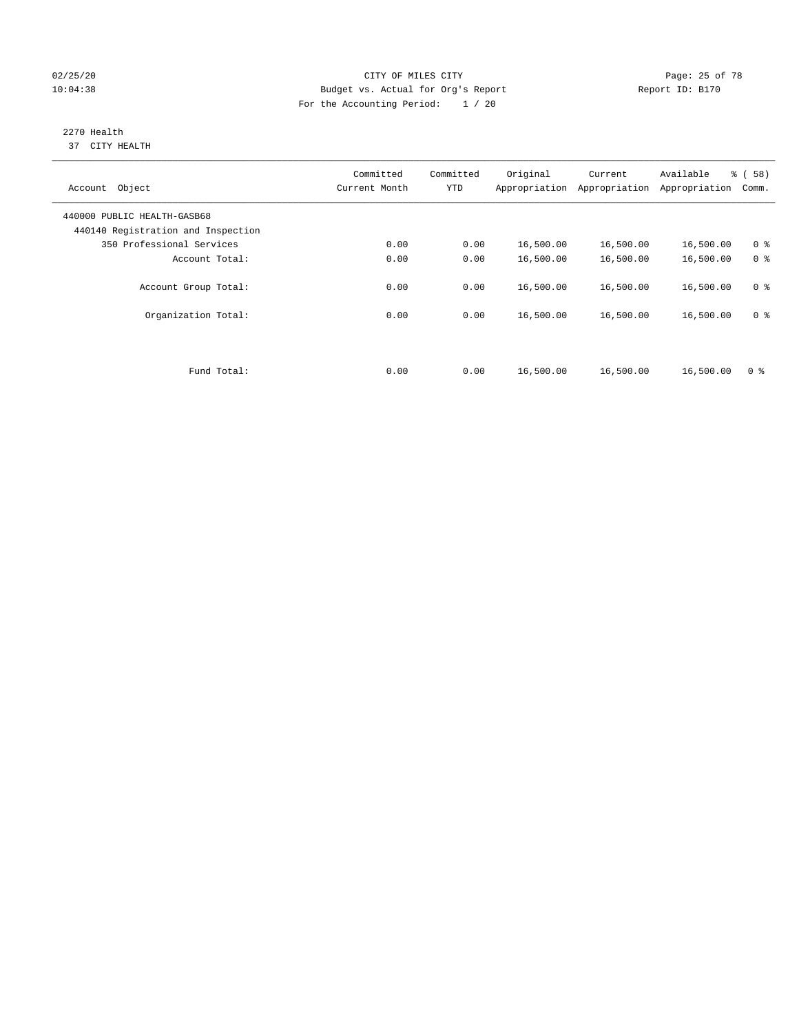#### 02/25/20 Page: 25 of 78 10:04:38 Budget vs. Actual for Org's Report Report ID: B170 For the Accounting Period: 1 / 20

#### 2270 Health 37 CITY HEALTH

| Committed<br>Current Month | Committed<br><b>YTD</b> | Original  | Current<br>Appropriation | Available<br>Appropriation | % (58)<br>Comm. |
|----------------------------|-------------------------|-----------|--------------------------|----------------------------|-----------------|
|                            |                         |           |                          |                            |                 |
| 0.00                       | 0.00                    | 16,500.00 | 16,500.00                | 16,500.00                  | 0 <sup>8</sup>  |
| 0.00                       | 0.00                    | 16,500.00 | 16,500.00                | 16,500.00                  | 0 <sup>8</sup>  |
| 0.00                       | 0.00                    | 16,500.00 | 16,500.00                | 16,500.00                  | 0 <sup>8</sup>  |
| 0.00                       | 0.00                    | 16,500.00 | 16,500.00                | 16,500.00                  | 0 <sup>8</sup>  |
| 0.00                       | 0.00                    | 16,500.00 | 16,500.00                | 16,500.00                  | 0 <sup>8</sup>  |
|                            |                         |           |                          | Appropriation              |                 |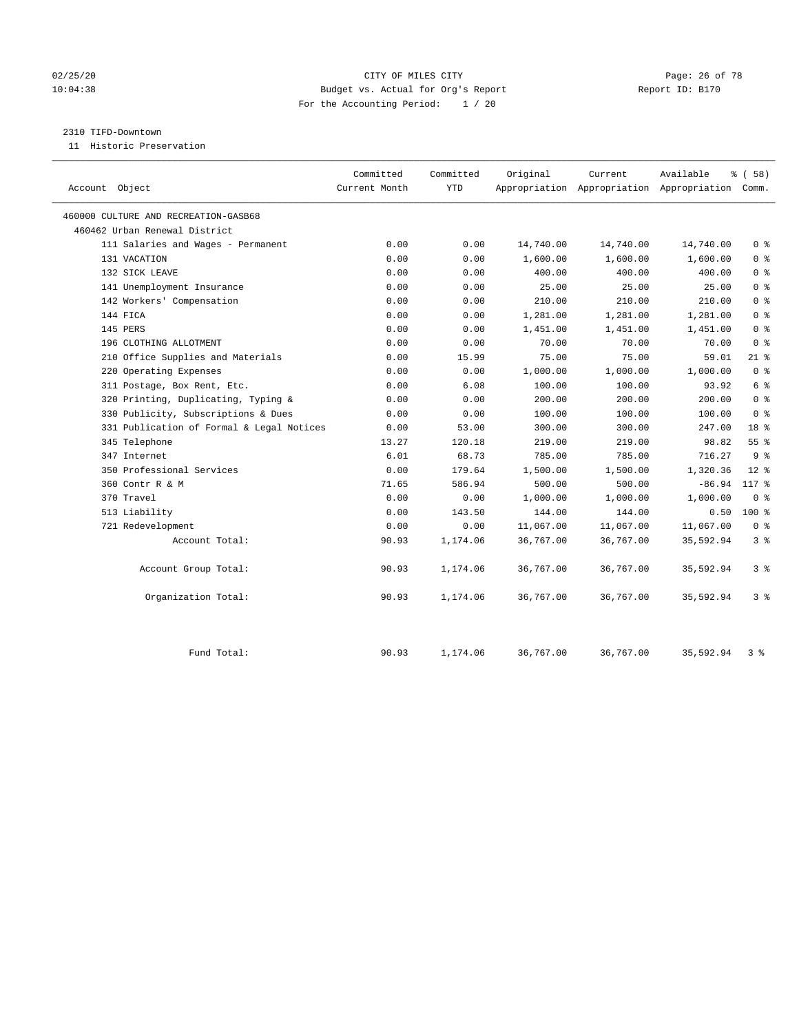#### 02/25/20 Page: 26 of 78 10:04:38 Budget vs. Actual for Org's Report Report ID: B170 For the Accounting Period: 1 / 20

#### 2310 TIFD-Downtown

11 Historic Preservation

| Account Object                            | Committed<br>Current Month | Committed<br><b>YTD</b> | Original  | Current   | Available<br>Appropriation Appropriation Appropriation Comm. | % (58)         |
|-------------------------------------------|----------------------------|-------------------------|-----------|-----------|--------------------------------------------------------------|----------------|
|                                           |                            |                         |           |           |                                                              |                |
| 460000 CULTURE AND RECREATION-GASB68      |                            |                         |           |           |                                                              |                |
| 460462 Urban Renewal District             |                            |                         |           |           |                                                              |                |
| 111 Salaries and Wages - Permanent        | 0.00                       | 0.00                    | 14,740.00 | 14,740.00 | 14,740.00                                                    | 0 <sup>8</sup> |
| 131 VACATION                              | 0.00                       | 0.00                    | 1,600.00  | 1,600.00  | 1,600.00                                                     | 0 <sup>8</sup> |
| 132 SICK LEAVE                            | 0.00                       | 0.00                    | 400.00    | 400.00    | 400.00                                                       | 0 <sup>8</sup> |
| 141 Unemployment Insurance                | 0.00                       | 0.00                    | 25.00     | 25.00     | 25.00                                                        | 0 <sup>8</sup> |
| 142 Workers' Compensation                 | 0.00                       | 0.00                    | 210.00    | 210.00    | 210.00                                                       | 0 <sup>8</sup> |
| 144 FICA                                  | 0.00                       | 0.00                    | 1,281.00  | 1,281.00  | 1,281.00                                                     | 0 <sup>8</sup> |
| 145 PERS                                  | 0.00                       | 0.00                    | 1,451.00  | 1,451.00  | 1,451.00                                                     | 0 <sup>8</sup> |
| 196 CLOTHING ALLOTMENT                    | 0.00                       | 0.00                    | 70.00     | 70.00     | 70.00                                                        | 0 <sup>8</sup> |
| 210 Office Supplies and Materials         | 0.00                       | 15.99                   | 75.00     | 75.00     | 59.01                                                        | $21$ %         |
| 220 Operating Expenses                    | 0.00                       | 0.00                    | 1,000.00  | 1,000.00  | 1,000.00                                                     | 0 <sup>8</sup> |
| 311 Postage, Box Rent, Etc.               | 0.00                       | 6.08                    | 100.00    | 100.00    | 93.92                                                        | 6 %            |
| 320 Printing, Duplicating, Typing &       | 0.00                       | 0.00                    | 200.00    | 200.00    | 200.00                                                       | 0 <sup>8</sup> |
| 330 Publicity, Subscriptions & Dues       | 0.00                       | 0.00                    | 100.00    | 100.00    | 100.00                                                       | 0 <sup>8</sup> |
| 331 Publication of Formal & Legal Notices | 0.00                       | 53.00                   | 300.00    | 300.00    | 247.00                                                       | 18 %           |
| 345 Telephone                             | 13.27                      | 120.18                  | 219.00    | 219.00    | 98.82                                                        | 55%            |
| 347 Internet                              | 6.01                       | 68.73                   | 785.00    | 785.00    | 716.27                                                       | 9 <sup>8</sup> |
| 350 Professional Services                 | 0.00                       | 179.64                  | 1,500.00  | 1,500.00  | 1,320.36                                                     | $12*$          |
| 360 Contr R & M                           | 71.65                      | 586.94                  | 500.00    | 500.00    | $-86.94$                                                     | 117 %          |
| 370 Travel                                | 0.00                       | 0.00                    | 1,000.00  | 1,000.00  | 1,000.00                                                     | 0 <sup>8</sup> |
| 513 Liability                             | 0.00                       | 143.50                  | 144.00    | 144.00    | 0.50                                                         | 100 %          |
| 721 Redevelopment                         | 0.00                       | 0.00                    | 11,067.00 | 11,067.00 | 11,067.00                                                    | 0 <sup>8</sup> |
| Account Total:                            | 90.93                      | 1,174.06                | 36,767.00 | 36,767.00 | 35,592.94                                                    | 3 <sup>°</sup> |
| Account Group Total:                      | 90.93                      | 1,174.06                | 36,767.00 | 36,767.00 | 35,592.94                                                    | 3 %            |
| Organization Total:                       | 90.93                      | 1,174.06                | 36,767.00 | 36,767.00 | 35,592.94                                                    | 3%             |
| Fund Total:                               | 90.93                      | 1,174.06                | 36,767.00 | 36,767.00 | 35,592.94                                                    | 3%             |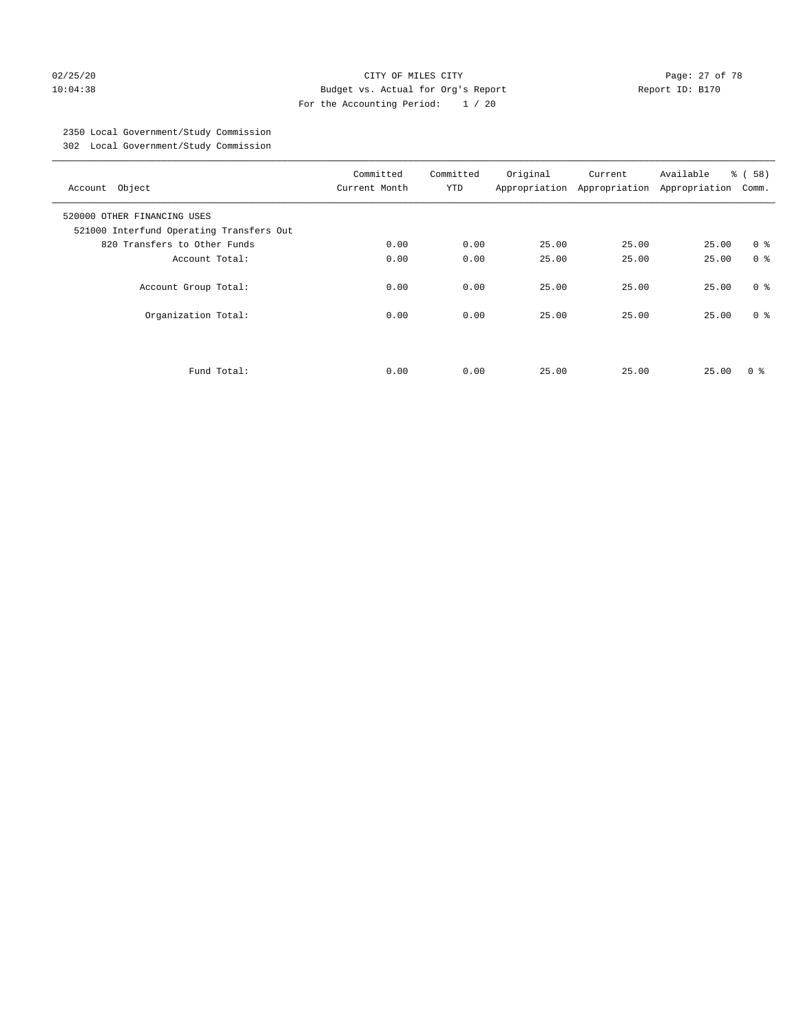#### 02/25/20 Page: 27 of 78 10:04:38 Budget vs. Actual for Org's Report Report ID: B170 For the Accounting Period: 1 / 20

### 2350 Local Government/Study Commission

302 Local Government/Study Commission

| Account Object                                                          | Committed<br>Current Month | Committed<br><b>YTD</b> | Original | Current<br>Appropriation Appropriation | Available<br>Appropriation | % (58)<br>Comm. |
|-------------------------------------------------------------------------|----------------------------|-------------------------|----------|----------------------------------------|----------------------------|-----------------|
| 520000 OTHER FINANCING USES<br>521000 Interfund Operating Transfers Out |                            |                         |          |                                        |                            |                 |
| 820 Transfers to Other Funds                                            | 0.00                       | 0.00                    | 25.00    | 25.00                                  | 25.00                      | 0 <sup>8</sup>  |
| Account Total:                                                          | 0.00                       | 0.00                    | 25.00    | 25.00                                  | 25.00                      | 0 <sup>8</sup>  |
| Account Group Total:                                                    | 0.00                       | 0.00                    | 25.00    | 25.00                                  | 25.00                      | 0 <sup>8</sup>  |
| Organization Total:                                                     | 0.00                       | 0.00                    | 25.00    | 25.00                                  | 25.00                      | 0 <sup>8</sup>  |
|                                                                         |                            |                         |          |                                        |                            |                 |
| Fund Total:                                                             | 0.00                       | 0.00                    | 25.00    | 25.00                                  | 25.00                      | 0 ៖             |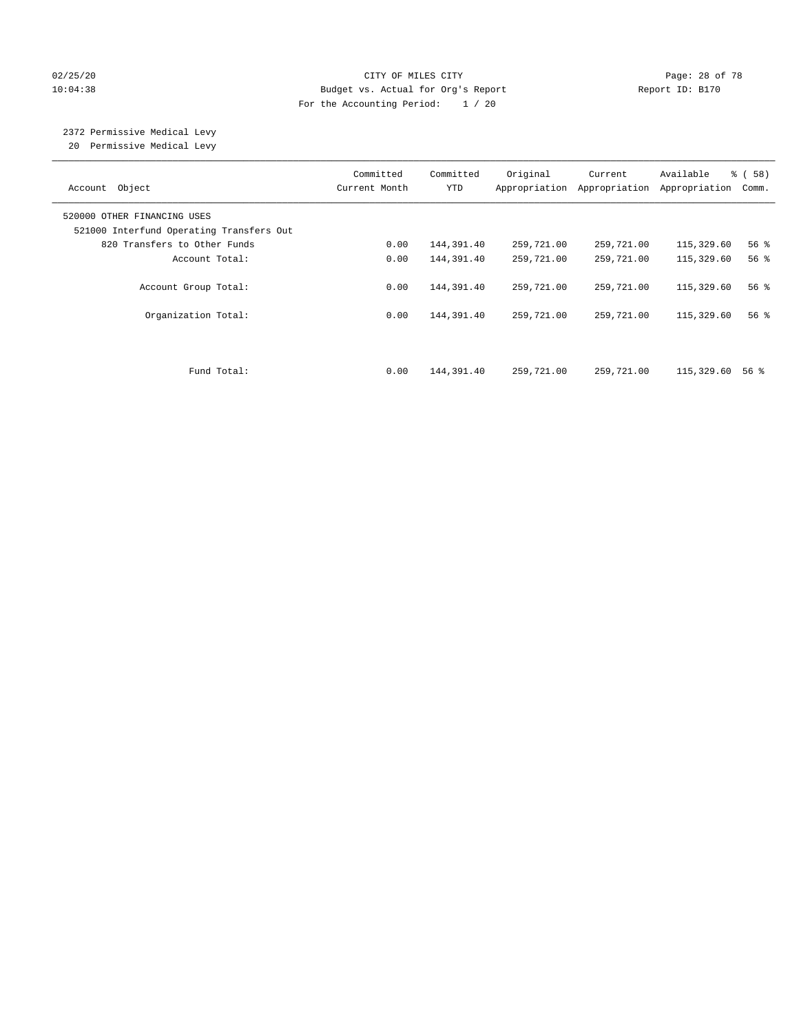#### 02/25/20 Page: 28 of 78 10:04:38 Budget vs. Actual for Org's Report Report ID: B170 For the Accounting Period: 1 / 20

# 2372 Permissive Medical Levy

20 Permissive Medical Levy

| Account Object                                                          | Committed<br>Current Month | Committed<br><b>YTD</b> | Original<br>Appropriation | Current<br>Appropriation | Available<br>Appropriation | % ( 58 )<br>Comm.  |
|-------------------------------------------------------------------------|----------------------------|-------------------------|---------------------------|--------------------------|----------------------------|--------------------|
| 520000 OTHER FINANCING USES<br>521000 Interfund Operating Transfers Out |                            |                         |                           |                          |                            |                    |
| 820 Transfers to Other Funds                                            | 0.00                       | 144,391.40              | 259,721.00                | 259,721.00               | 115,329.60                 | 56%                |
| Account Total:                                                          | 0.00                       | 144,391.40              | 259,721.00                | 259,721.00               | 115,329.60                 | $56$ $\frac{6}{3}$ |
| Account Group Total:                                                    | 0.00                       | 144,391.40              | 259,721.00                | 259,721.00               | 115,329.60                 | 56%                |
| Organization Total:                                                     | 0.00                       | 144,391.40              | 259,721.00                | 259,721.00               | 115,329.60                 | 56 %               |
| Fund Total:                                                             | 0.00                       | 144,391.40              | 259,721.00                | 259,721.00               | 115,329.60                 | 56 %               |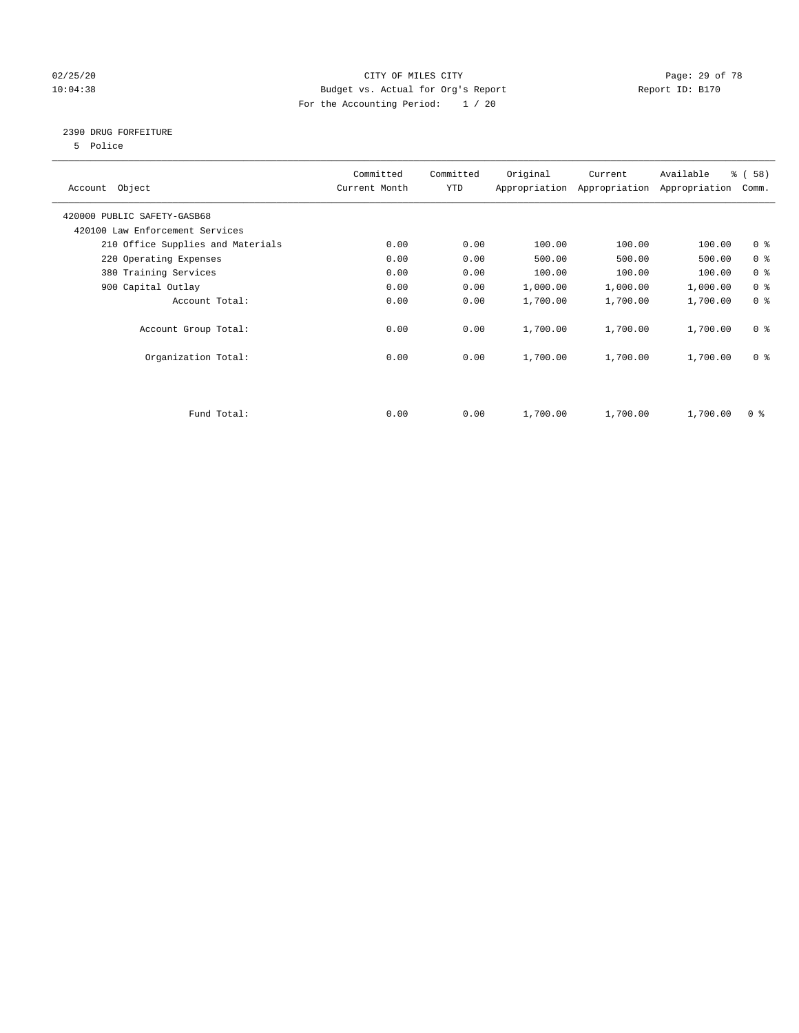#### 02/25/20 Page: 29 of 78 10:04:38 Budget vs. Actual for Org's Report Changer Report ID: B170 For the Accounting Period: 1 / 20

#### 2390 DRUG FORFEITURE

5 Police

| Account Object                    | Committed<br>Current Month | Committed<br><b>YTD</b> | Original | Current<br>Appropriation Appropriation | Available<br>Appropriation | % ( 58 )<br>Comm. |
|-----------------------------------|----------------------------|-------------------------|----------|----------------------------------------|----------------------------|-------------------|
| 420000 PUBLIC SAFETY-GASB68       |                            |                         |          |                                        |                            |                   |
| 420100 Law Enforcement Services   |                            |                         |          |                                        |                            |                   |
| 210 Office Supplies and Materials | 0.00                       | 0.00                    | 100.00   | 100.00                                 | 100.00                     | 0 <sup>8</sup>    |
| 220 Operating Expenses            | 0.00                       | 0.00                    | 500.00   | 500.00                                 | 500.00                     | 0 <sup>8</sup>    |
| 380 Training Services             | 0.00                       | 0.00                    | 100.00   | 100.00                                 | 100.00                     | 0 <sup>8</sup>    |
| 900 Capital Outlay                | 0.00                       | 0.00                    | 1,000.00 | 1,000.00                               | 1,000.00                   | 0 <sup>8</sup>    |
| Account Total:                    | 0.00                       | 0.00                    | 1,700.00 | 1,700.00                               | 1,700.00                   | 0 <sup>8</sup>    |
| Account Group Total:              | 0.00                       | 0.00                    | 1,700.00 | 1,700.00                               | 1,700.00                   | 0 <sup>8</sup>    |
| Organization Total:               | 0.00                       | 0.00                    | 1,700.00 | 1,700.00                               | 1,700.00                   | 0 <sup>8</sup>    |
|                                   |                            |                         |          |                                        |                            |                   |
| Fund Total:                       | 0.00                       | 0.00                    | 1,700.00 | 1,700.00                               | 1,700.00                   | 0 %               |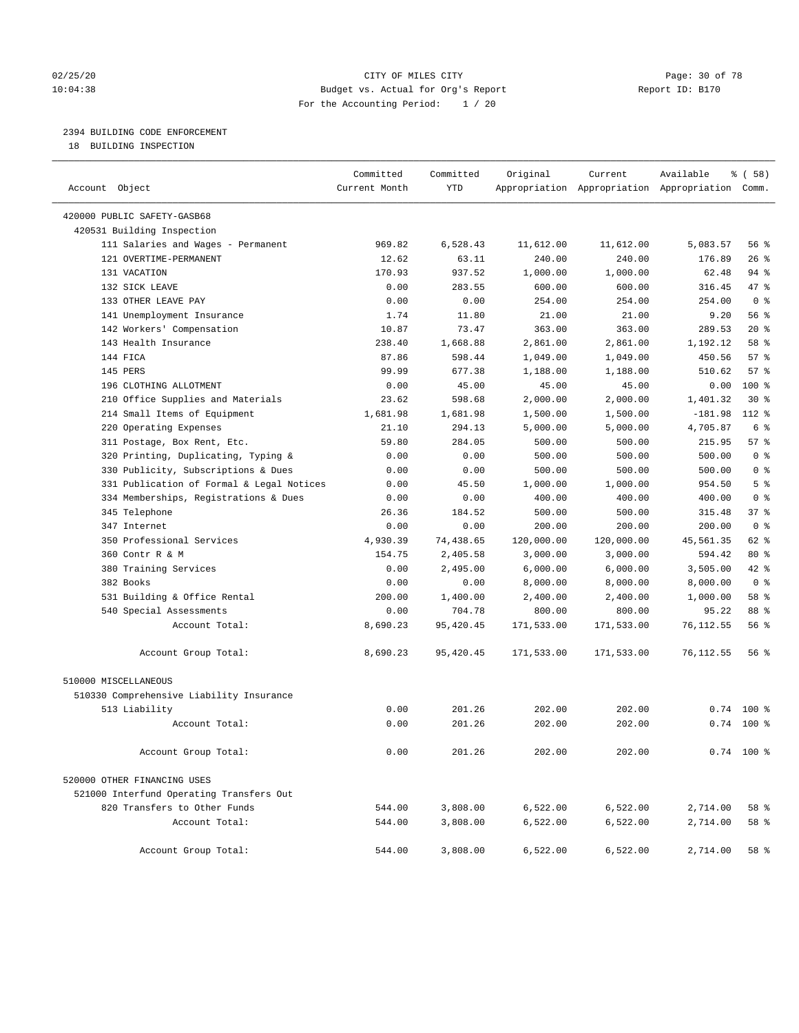#### 02/25/20 Page: 30 of 78 CITY OF MILES CITY CONTROL PAGE: 30 of 78 10:04:38 Budget vs. Actual for Org's Report Report ID: B170 For the Accounting Period: 1 / 20

#### 2394 BUILDING CODE ENFORCEMENT

18 BUILDING INSPECTION

| Account Object                                            | Committed<br>Current Month | Committed<br><b>YTD</b> | Original        | Current    | Available<br>Appropriation Appropriation Appropriation Comm. | % ( 58 )        |
|-----------------------------------------------------------|----------------------------|-------------------------|-----------------|------------|--------------------------------------------------------------|-----------------|
|                                                           |                            |                         |                 |            |                                                              |                 |
| 420000 PUBLIC SAFETY-GASB68<br>420531 Building Inspection |                            |                         |                 |            |                                                              |                 |
|                                                           |                            |                         |                 |            |                                                              |                 |
| 111 Salaries and Wages - Permanent                        | 969.82                     | 6,528.43                | 11,612.00       | 11,612.00  | 5,083.57                                                     | 56%<br>26%      |
| 121 OVERTIME-PERMANENT                                    | 12.62                      | 63.11<br>937.52         | 240.00          | 240.00     | 176.89                                                       | $94$ %          |
| 131 VACATION<br>132 SICK LEAVE                            | 170.93                     | 283.55                  | 1,000.00        | 1,000.00   | 62.48<br>316.45                                              | 47.8            |
| 133 OTHER LEAVE PAY                                       | 0.00<br>0.00               | 0.00                    | 600.00          | 600.00     |                                                              | 0 <sup>8</sup>  |
|                                                           |                            |                         | 254.00          | 254.00     | 254.00                                                       |                 |
| 141 Unemployment Insurance                                | 1.74                       | 11.80                   | 21.00<br>363.00 | 21.00      | 9.20<br>289.53                                               | 56%<br>$20*$    |
| 142 Workers' Compensation                                 | 10.87                      | 73.47                   |                 | 363.00     |                                                              |                 |
| 143 Health Insurance                                      | 238.40                     | 1,668.88                | 2,861.00        | 2,861.00   | 1,192.12                                                     | 58 %            |
| 144 FICA                                                  | 87.86                      | 598.44                  | 1,049.00        | 1,049.00   | 450.56                                                       | 57%             |
| 145 PERS                                                  | 99.99                      | 677.38                  | 1,188.00        | 1,188.00   | 510.62                                                       | 57%             |
| 196 CLOTHING ALLOTMENT                                    | 0.00                       | 45.00                   | 45.00           | 45.00      | 0.00                                                         | 100 %           |
| 210 Office Supplies and Materials                         | 23.62                      | 598.68                  | 2,000.00        | 2,000.00   | 1,401.32                                                     | $30*$           |
| 214 Small Items of Equipment                              | 1,681.98                   | 1,681.98                | 1,500.00        | 1,500.00   | $-181.98$                                                    | 112 %           |
| 220 Operating Expenses                                    | 21.10                      | 294.13                  | 5,000.00        | 5,000.00   | 4,705.87                                                     | 6 %             |
| 311 Postage, Box Rent, Etc.                               | 59.80                      | 284.05                  | 500.00          | 500.00     | 215.95                                                       | 57%             |
| 320 Printing, Duplicating, Typing &                       | 0.00                       | 0.00                    | 500.00          | 500.00     | 500.00                                                       | 0 <sup>8</sup>  |
| 330 Publicity, Subscriptions & Dues                       | 0.00                       | 0.00                    | 500.00          | 500.00     | 500.00                                                       | 0 <sup>8</sup>  |
| 331 Publication of Formal & Legal Notices                 | 0.00                       | 45.50                   | 1,000.00        | 1,000.00   | 954.50                                                       | 5 <sup>8</sup>  |
| 334 Memberships, Registrations & Dues                     | 0.00                       | 0.00                    | 400.00          | 400.00     | 400.00                                                       | 0 <sup>8</sup>  |
| 345 Telephone                                             | 26.36                      | 184.52                  | 500.00          | 500.00     | 315.48                                                       | 37 <sup>8</sup> |
| 347 Internet                                              | 0.00                       | 0.00                    | 200.00          | 200.00     | 200.00                                                       | 0 <sup>8</sup>  |
| 350 Professional Services                                 | 4,930.39                   | 74,438.65               | 120,000.00      | 120,000.00 | 45,561.35                                                    | $62$ %          |
| 360 Contr R & M                                           | 154.75                     | 2,405.58                | 3,000.00        | 3,000.00   | 594.42                                                       | 80 %            |
| 380 Training Services                                     | 0.00                       | 2,495.00                | 6,000.00        | 6,000.00   | 3,505.00                                                     | $42$ $%$        |
| 382 Books                                                 | 0.00                       | 0.00                    | 8,000.00        | 8,000.00   | 8,000.00                                                     | 0 <sup>8</sup>  |
| 531 Building & Office Rental                              | 200.00                     | 1,400.00                | 2,400.00        | 2,400.00   | 1,000.00                                                     | 58 %            |
| 540 Special Assessments                                   | 0.00                       | 704.78                  | 800.00          | 800.00     | 95.22                                                        | 88 %            |
| Account Total:                                            | 8,690.23                   | 95,420.45               | 171,533.00      | 171,533.00 | 76, 112.55                                                   | 56%             |
| Account Group Total:                                      | 8,690.23                   | 95,420.45               | 171,533.00      | 171,533.00 | 76,112.55                                                    | 56%             |
| 510000 MISCELLANEOUS                                      |                            |                         |                 |            |                                                              |                 |
| 510330 Comprehensive Liability Insurance                  |                            |                         |                 |            |                                                              |                 |
| 513 Liability                                             | 0.00                       | 201.26                  | 202.00          | 202.00     | 0.74                                                         | $100*$          |
| Account Total:                                            | 0.00                       | 201.26                  | 202.00          | 202.00     |                                                              | $0.74$ 100 %    |
| Account Group Total:                                      | 0.00                       | 201.26                  | 202.00          | 202.00     |                                                              | $0.74$ 100 %    |
| 520000 OTHER FINANCING USES                               |                            |                         |                 |            |                                                              |                 |
| 521000 Interfund Operating Transfers Out                  |                            |                         |                 |            |                                                              |                 |
| 820 Transfers to Other Funds                              | 544.00                     | 3,808.00                | 6,522.00        | 6,522.00   | 2,714.00                                                     | 58 %            |
| Account Total:                                            | 544.00                     | 3,808.00                | 6,522.00        | 6,522.00   | 2,714.00                                                     | 58 %            |
| Account Group Total:                                      | 544.00                     | 3,808.00                | 6,522.00        | 6,522.00   | 2,714.00                                                     | 58 %            |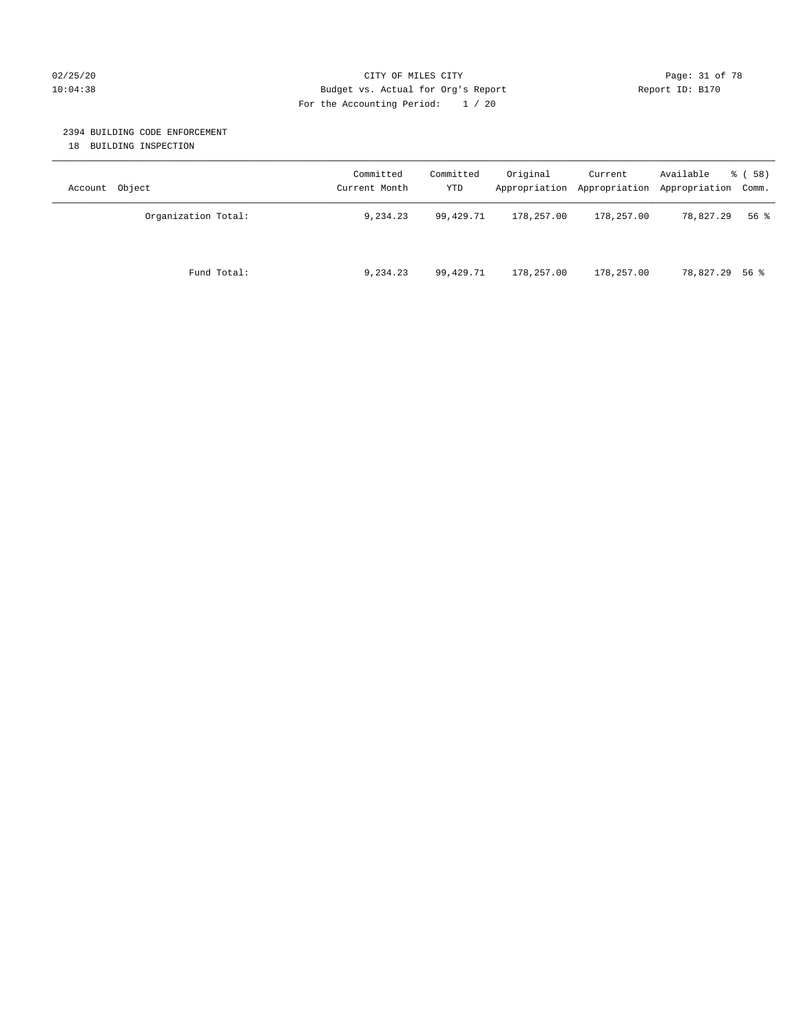#### 02/25/20 Page: 31 of 78 CITY OF MILES CITY CHE PAGE 21 OF 78 10:04:38 Budget vs. Actual for Org's Report Report ID: B170 For the Accounting Period: 1 / 20

#### 2394 BUILDING CODE ENFORCEMENT

18 BUILDING INSPECTION

| Account Object      | Committed<br>Current Month | Committed<br>YTD | Original   | Current    | Available<br>Appropriation Appropriation Appropriation Comm. | 8 ( 58 ) |
|---------------------|----------------------------|------------------|------------|------------|--------------------------------------------------------------|----------|
| Organization Total: | 9,234.23                   | 99,429.71        | 178,257.00 | 178,257.00 | 78,827.29                                                    | 56%      |
| Fund Total:         | 9,234.23                   | 99,429.71        | 178,257.00 | 178,257.00 | 78,827.29 56 %                                               |          |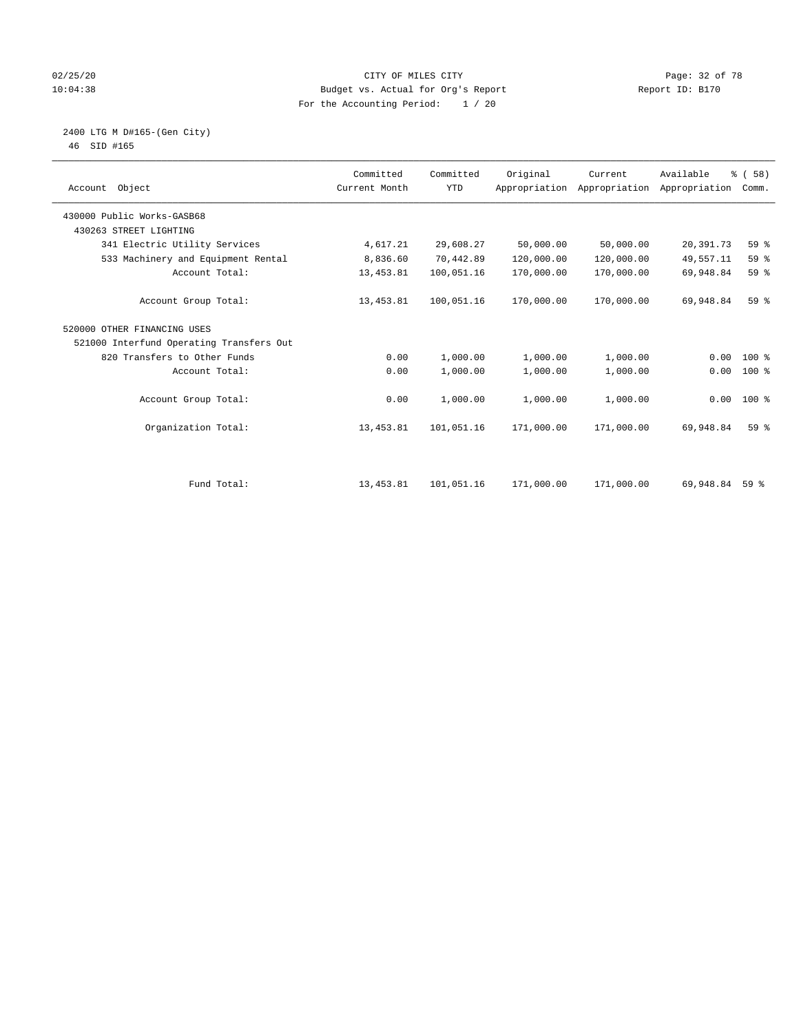#### 02/25/20 Page: 32 of 78 CITY OF MILES CITY CHECK PAGE: 32 of 78 10:04:38 Budget vs. Actual for Org's Report Changer Report ID: B170 For the Accounting Period: 1 / 20

#### 2400 LTG M D#165-(Gen City) 46 SID #165

| Account Object                           | Committed<br>Current Month | Committed<br><b>YTD</b> | Original   | Current<br>Appropriation Appropriation | Available<br>Appropriation | % (58)<br>Comm. |  |
|------------------------------------------|----------------------------|-------------------------|------------|----------------------------------------|----------------------------|-----------------|--|
| 430000 Public Works-GASB68               |                            |                         |            |                                        |                            |                 |  |
| 430263 STREET LIGHTING                   |                            |                         |            |                                        |                            |                 |  |
| 341 Electric Utility Services            | 4,617.21                   | 29,608.27               | 50,000.00  | 50,000.00                              | 20,391.73                  | 59 %            |  |
| 533 Machinery and Equipment Rental       | 8,836.60                   | 70,442.89               | 120,000.00 | 120,000.00                             | 49,557.11                  | 59 %            |  |
| Account Total:                           | 13, 453.81                 | 100,051.16              | 170,000.00 | 170,000.00                             | 69,948.84                  | 59 %            |  |
| Account Group Total:                     | 13, 453.81                 | 100,051.16              | 170,000.00 | 170,000.00                             | 69,948.84                  | 59 <sup>°</sup> |  |
| 520000 OTHER FINANCING USES              |                            |                         |            |                                        |                            |                 |  |
| 521000 Interfund Operating Transfers Out |                            |                         |            |                                        |                            |                 |  |
| 820 Transfers to Other Funds             | 0.00                       | 1,000.00                | 1,000.00   | 1,000.00                               | 0.00                       | $100*$          |  |
| Account Total:                           | 0.00                       | 1,000.00                | 1,000.00   | 1,000.00                               | 0.00                       | $100*$          |  |
| Account Group Total:                     | 0.00                       | 1,000.00                | 1,000.00   | 1,000.00                               |                            | $0.00$ 100 %    |  |
| Organization Total:                      | 13, 453.81                 | 101,051.16              | 171,000.00 | 171,000.00                             | 69,948.84                  | 59 <sup>8</sup> |  |
| Fund Total:                              | 13, 453.81                 | 101,051.16              | 171,000.00 | 171,000.00                             | 69,948.84                  | 59%             |  |
|                                          |                            |                         |            |                                        |                            |                 |  |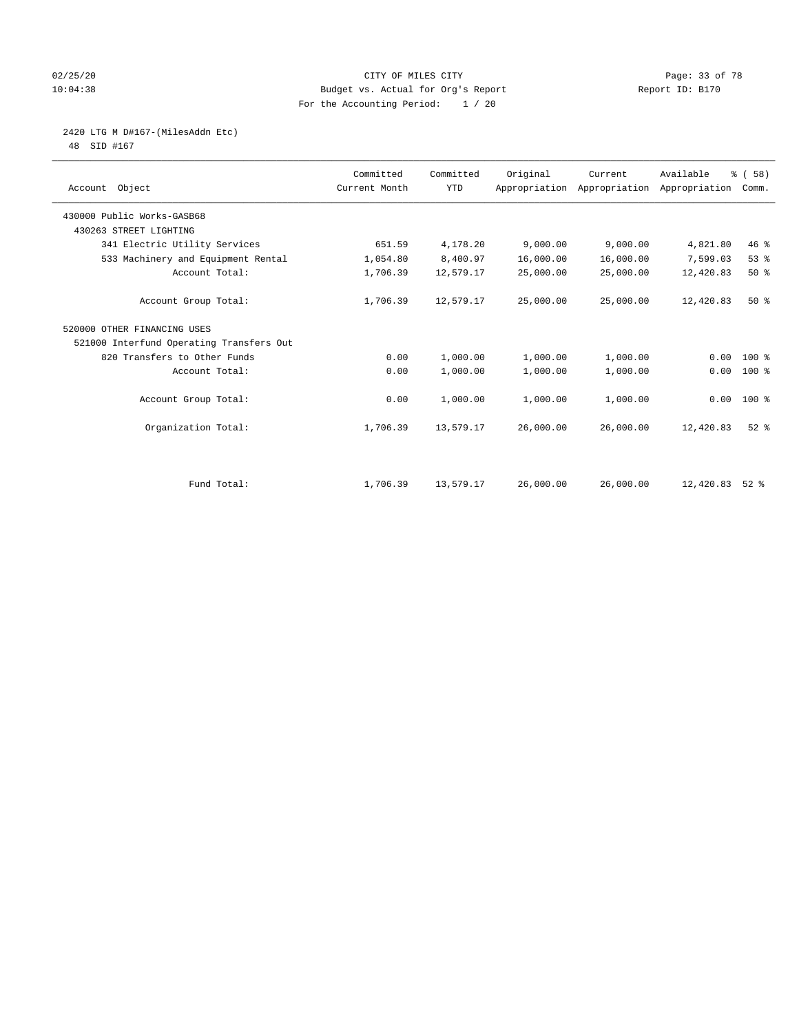#### 02/25/20 Page: 33 of 78 10:04:38 Budget vs. Actual for Org's Report Report ID: B170 For the Accounting Period: 1 / 20

## 2420 LTG M D#167-(MilesAddn Etc)

48 SID #167

| Account Object                           | Committed<br>Current Month | Committed<br><b>YTD</b> | Original  | Current<br>Appropriation Appropriation | Available<br>Appropriation | % (58)<br>Comm. |  |
|------------------------------------------|----------------------------|-------------------------|-----------|----------------------------------------|----------------------------|-----------------|--|
| 430000 Public Works-GASB68               |                            |                         |           |                                        |                            |                 |  |
| 430263 STREET LIGHTING                   |                            |                         |           |                                        |                            |                 |  |
| 341 Electric Utility Services            | 651.59                     | 4,178.20                | 9,000.00  | 9,000.00                               | 4,821.80                   | 46%             |  |
| 533 Machinery and Equipment Rental       | 1,054.80                   | 8,400.97                | 16,000.00 | 16,000.00                              | 7,599.03                   | 53%             |  |
| Account Total:                           | 1,706.39                   | 12,579.17               | 25,000.00 | 25,000.00                              | 12,420.83                  | 50%             |  |
| Account Group Total:                     | 1,706.39                   | 12,579.17               | 25,000.00 | 25,000.00                              | 12,420.83                  | $50*$           |  |
| 520000 OTHER FINANCING USES              |                            |                         |           |                                        |                            |                 |  |
| 521000 Interfund Operating Transfers Out |                            |                         |           |                                        |                            |                 |  |
| 820 Transfers to Other Funds             | 0.00                       | 1,000.00                | 1,000.00  | 1,000.00                               | 0.00                       | 100 %           |  |
| Account Total:                           | 0.00                       | 1,000.00                | 1,000.00  | 1,000.00                               | 0.00                       | 100 %           |  |
| Account Group Total:                     | 0.00                       | 1,000.00                | 1,000.00  | 1,000.00                               |                            | $0.00 100$ %    |  |
| Organization Total:                      | 1,706.39                   | 13,579.17               | 26,000.00 | 26,000.00                              | 12,420.83                  | $52$ $%$        |  |
|                                          |                            |                         |           |                                        |                            |                 |  |
| Fund Total:                              | 1,706.39                   | 13,579.17               | 26,000.00 | 26,000.00                              | 12,420.83                  | $52*$           |  |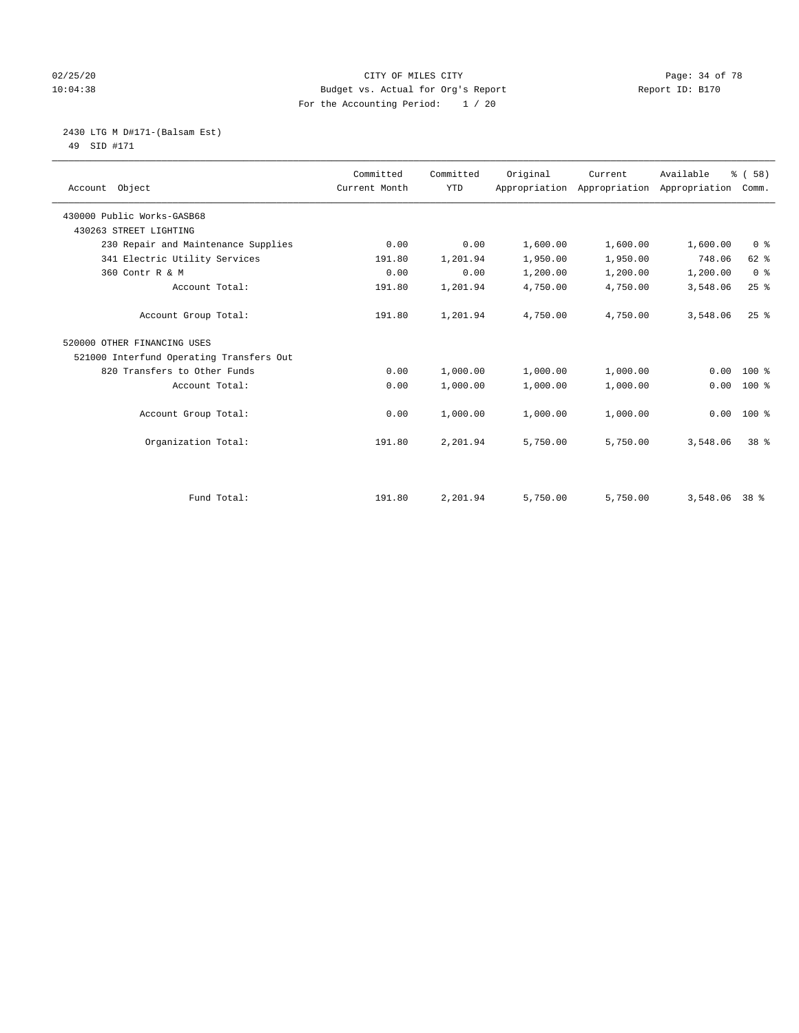#### 02/25/20 Page: 34 of 78 CITY OF MILES CITY 10:04:38 Budget vs. Actual for Org's Report Changer Report ID: B170 For the Accounting Period: 1 / 20

#### 2430 LTG M D#171-(Balsam Est) 49 SID #171

| Account Object                           | Committed<br>Current Month | Committed<br><b>YTD</b> | Original | Current<br>Appropriation Appropriation Appropriation | Available     | % (58)<br>Comm. |
|------------------------------------------|----------------------------|-------------------------|----------|------------------------------------------------------|---------------|-----------------|
| 430000 Public Works-GASB68               |                            |                         |          |                                                      |               |                 |
| 430263 STREET LIGHTING                   |                            |                         |          |                                                      |               |                 |
| 230 Repair and Maintenance Supplies      | 0.00                       | 0.00                    | 1,600.00 | 1,600.00                                             | 1,600.00      | 0 <sup>8</sup>  |
| 341 Electric Utility Services            | 191.80                     | 1,201.94                | 1,950.00 | 1,950.00                                             | 748.06        | 62 %            |
| 360 Contr R & M                          | 0.00                       | 0.00                    | 1,200.00 | 1,200.00                                             | 1,200.00      | 0 <sup>8</sup>  |
| Account Total:                           | 191.80                     | 1,201.94                | 4,750.00 | 4,750.00                                             | 3,548.06      | 25%             |
| Account Group Total:                     | 191.80                     | 1,201.94                | 4,750.00 | 4,750.00                                             | 3,548.06      | $25$ $%$        |
| 520000 OTHER FINANCING USES              |                            |                         |          |                                                      |               |                 |
| 521000 Interfund Operating Transfers Out |                            |                         |          |                                                      |               |                 |
| 820 Transfers to Other Funds             | 0.00                       | 1,000.00                | 1,000.00 | 1,000.00                                             | 0.00          | $100*$          |
| Account Total:                           | 0.00                       | 1,000.00                | 1,000.00 | 1,000.00                                             | 0.00          | $100*$          |
| Account Group Total:                     | 0.00                       | 1,000.00                | 1,000.00 | 1,000.00                                             | 0.00          | $100*$          |
| Organization Total:                      | 191.80                     | 2,201.94                | 5,750.00 | 5,750.00                                             | 3,548.06      | 38 %            |
|                                          |                            |                         |          |                                                      |               |                 |
| Fund Total:                              | 191.80                     | 2,201.94                | 5,750.00 | 5,750.00                                             | 3,548.06 38 % |                 |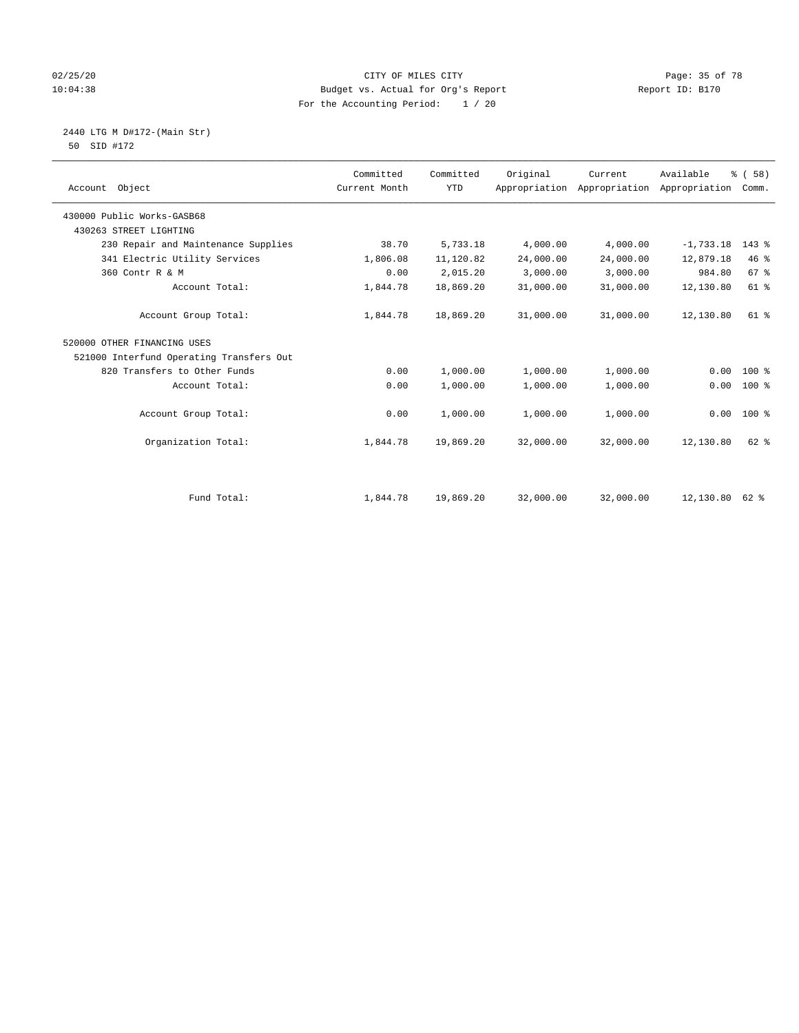#### 02/25/20 Page: 35 of 78 CITY OF MILES CITY CONTROL PAGE: 35 of 78 10:04:38 Budget vs. Actual for Org's Report Changer Report ID: B170 For the Accounting Period: 1 / 20

 2440 LTG M D#172-(Main Str) 50 SID #172

| Account Object                           | Committed<br>Current Month | Committed<br><b>YTD</b> | Original  | Current<br>Appropriation Appropriation | Available<br>Appropriation | % (58)<br>Comm. |
|------------------------------------------|----------------------------|-------------------------|-----------|----------------------------------------|----------------------------|-----------------|
| 430000 Public Works-GASB68               |                            |                         |           |                                        |                            |                 |
| 430263 STREET LIGHTING                   |                            |                         |           |                                        |                            |                 |
| 230 Repair and Maintenance Supplies      | 38.70                      | 5,733.18                | 4,000.00  | 4,000.00                               | $-1,733.18$                | $143$ %         |
| 341 Electric Utility Services            | 1,806.08                   | 11,120.82               | 24,000.00 | 24,000.00                              | 12,879.18                  | 46%             |
| 360 Contr R & M                          | 0.00                       | 2,015.20                | 3,000.00  | 3,000.00                               | 984.80                     | 67 %            |
| Account Total:                           | 1,844.78                   | 18,869.20               | 31,000.00 | 31,000.00                              | 12,130.80                  | 61 %            |
| Account Group Total:                     | 1,844.78                   | 18,869.20               | 31,000.00 | 31,000.00                              | 12,130.80                  | 61 %            |
| 520000 OTHER FINANCING USES              |                            |                         |           |                                        |                            |                 |
| 521000 Interfund Operating Transfers Out |                            |                         |           |                                        |                            |                 |
| 820 Transfers to Other Funds             | 0.00                       | 1,000.00                | 1,000.00  | 1,000.00                               | 0.00                       | $100*$          |
| Account Total:                           | 0.00                       | 1,000.00                | 1,000.00  | 1,000.00                               | 0.00                       | $100*$          |
| Account Group Total:                     | 0.00                       | 1,000.00                | 1,000.00  | 1,000.00                               | 0.00                       | 100 %           |
| Organization Total:                      | 1,844.78                   | 19,869.20               | 32,000.00 | 32,000.00                              | 12,130.80                  | $62$ $%$        |
|                                          |                            |                         |           |                                        |                            |                 |
| Fund Total:                              | 1,844.78                   | 19,869.20               | 32,000.00 | 32,000.00                              | 12,130.80 62 %             |                 |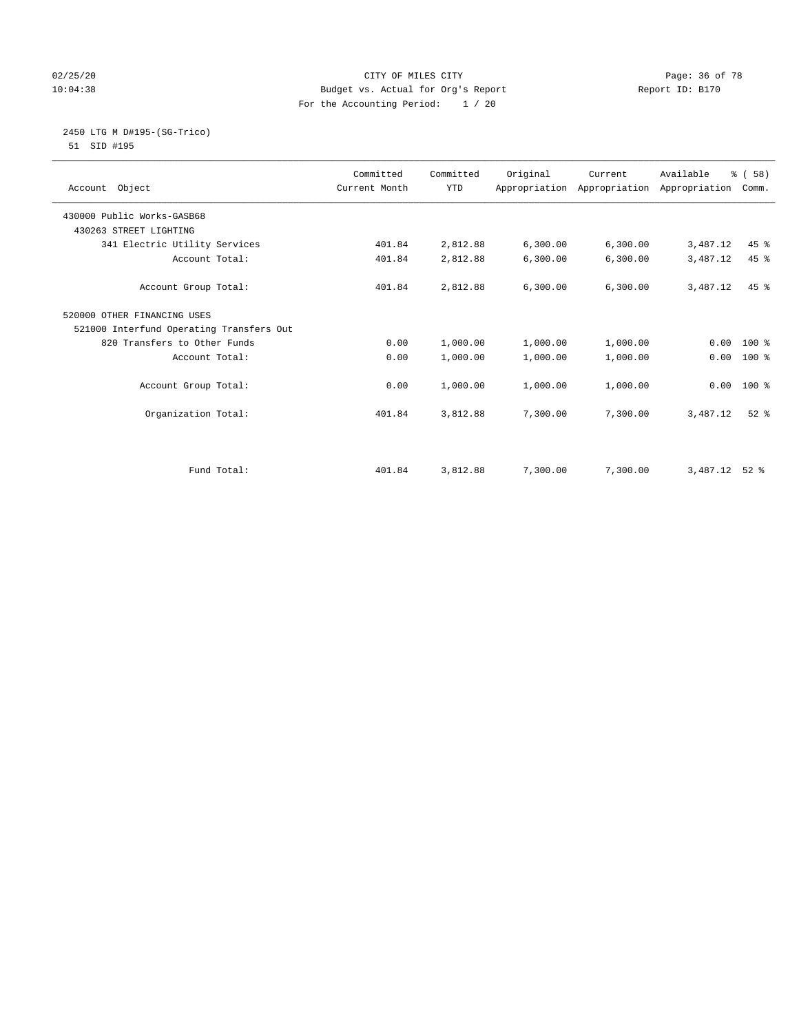#### $02/25/20$  Page: 36 of 78 10:04:38 Budget vs. Actual for Org's Report Report ID: B170 For the Accounting Period: 1 / 20

#### 2450 LTG M D#195-(SG-Trico) 51 SID #195

|                                          | Committed<br>Current Month | Committed<br><b>YTD</b> | Original | Current                                   | Available | % (58)   |  |
|------------------------------------------|----------------------------|-------------------------|----------|-------------------------------------------|-----------|----------|--|
| Account Object                           |                            |                         |          | Appropriation Appropriation Appropriation |           | Comm.    |  |
| 430000 Public Works-GASB68               |                            |                         |          |                                           |           |          |  |
| 430263 STREET LIGHTING                   |                            |                         |          |                                           |           |          |  |
| 341 Electric Utility Services            | 401.84                     | 2,812.88                | 6,300.00 | 6, 300.00                                 | 3,487.12  | 45 %     |  |
| Account Total:                           | 401.84                     | 2,812.88                | 6,300.00 | 6,300.00                                  | 3,487.12  | 45 %     |  |
| Account Group Total:                     | 401.84                     | 2,812.88                | 6,300.00 | 6, 300.00                                 | 3,487.12  | $45$ $%$ |  |
| 520000 OTHER FINANCING USES              |                            |                         |          |                                           |           |          |  |
| 521000 Interfund Operating Transfers Out |                            |                         |          |                                           |           |          |  |
| 820 Transfers to Other Funds             | 0.00                       | 1,000.00                | 1,000.00 | 1,000.00                                  | 0.00      | $100*$   |  |
| Account Total:                           | 0.00                       | 1,000.00                | 1,000.00 | 1,000.00                                  | 0.00      | $100*$   |  |
| Account Group Total:                     | 0.00                       | 1,000.00                | 1,000.00 | 1,000.00                                  | 0.00      | 100 %    |  |
| Organization Total:                      | 401.84                     | 3,812.88                | 7,300.00 | 7,300.00                                  | 3,487.12  | $52$ $%$ |  |
|                                          |                            |                         |          |                                           |           |          |  |
| Fund Total:                              | 401.84                     | 3,812.88                | 7,300.00 | 7,300.00                                  | 3,487.12  | $52*$    |  |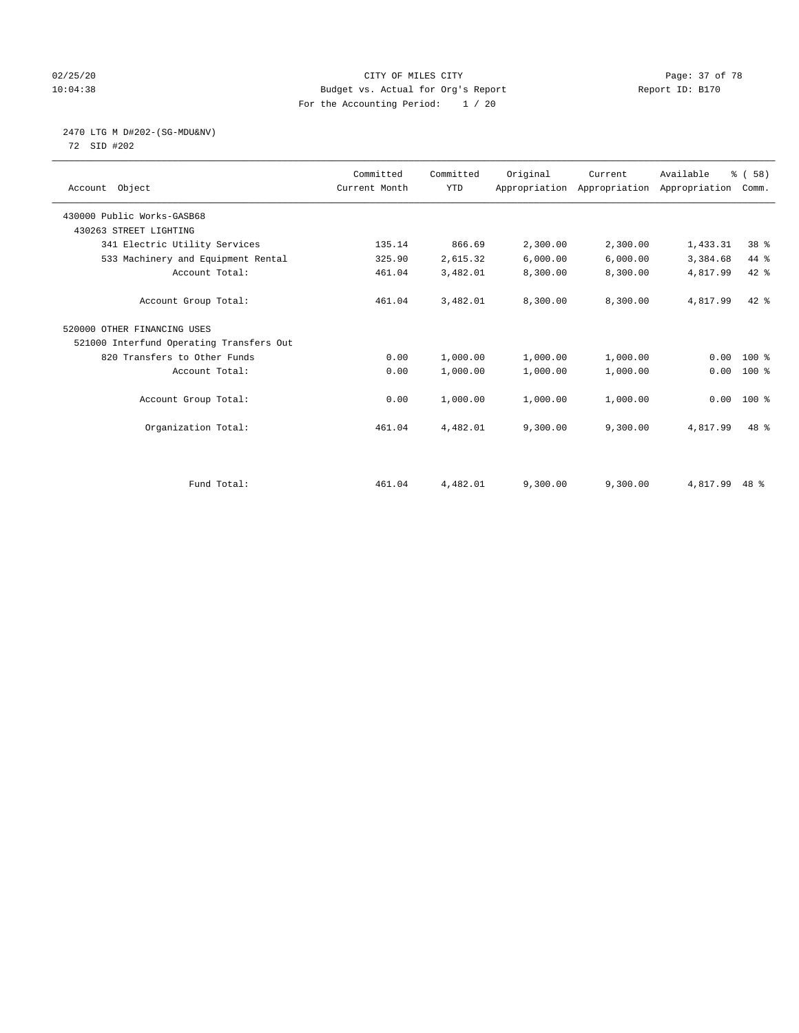#### 02/25/20 Page: 37 of 78 10:04:38 Budget vs. Actual for Org's Report Changer Report ID: B170 For the Accounting Period: 1 / 20

# 2470 LTG M D#202-(SG-MDU&NV)

72 SID #202

| Account Object                           | Committed<br>Current Month | Committed<br><b>YTD</b> | Original | Current<br>Appropriation Appropriation Appropriation | Available | % (58)<br>Comm. |  |
|------------------------------------------|----------------------------|-------------------------|----------|------------------------------------------------------|-----------|-----------------|--|
| 430000 Public Works-GASB68               |                            |                         |          |                                                      |           |                 |  |
| 430263 STREET LIGHTING                   |                            |                         |          |                                                      |           |                 |  |
| 341 Electric Utility Services            | 135.14                     | 866.69                  | 2,300.00 | 2,300.00                                             | 1,433.31  | 38 <sup>8</sup> |  |
| 533 Machinery and Equipment Rental       | 325.90                     | 2,615.32                | 6,000.00 | 6,000.00                                             | 3,384.68  | 44 %            |  |
| Account Total:                           | 461.04                     | 3,482.01                | 8,300.00 | 8,300.00                                             | 4,817.99  | $42$ %          |  |
| Account Group Total:                     | 461.04                     | 3,482.01                | 8,300.00 | 8,300.00                                             | 4,817.99  | $42*$           |  |
| 520000 OTHER FINANCING USES              |                            |                         |          |                                                      |           |                 |  |
| 521000 Interfund Operating Transfers Out |                            |                         |          |                                                      |           |                 |  |
| 820 Transfers to Other Funds             | 0.00                       | 1,000.00                | 1,000.00 | 1,000.00                                             | 0.00      | $100*$          |  |
| Account Total:                           | 0.00                       | 1,000.00                | 1,000.00 | 1,000.00                                             | 0.00      | $100$ %         |  |
| Account Group Total:                     | 0.00                       | 1,000.00                | 1,000.00 | 1,000.00                                             | 0.00      | $100*$          |  |
| Organization Total:                      | 461.04                     | 4,482.01                | 9,300.00 | 9,300.00                                             | 4,817.99  | 48 %            |  |
|                                          |                            |                         |          |                                                      |           |                 |  |
| Fund Total:                              | 461.04                     | 4,482.01                | 9,300.00 | 9,300.00                                             | 4,817.99  | $48*$           |  |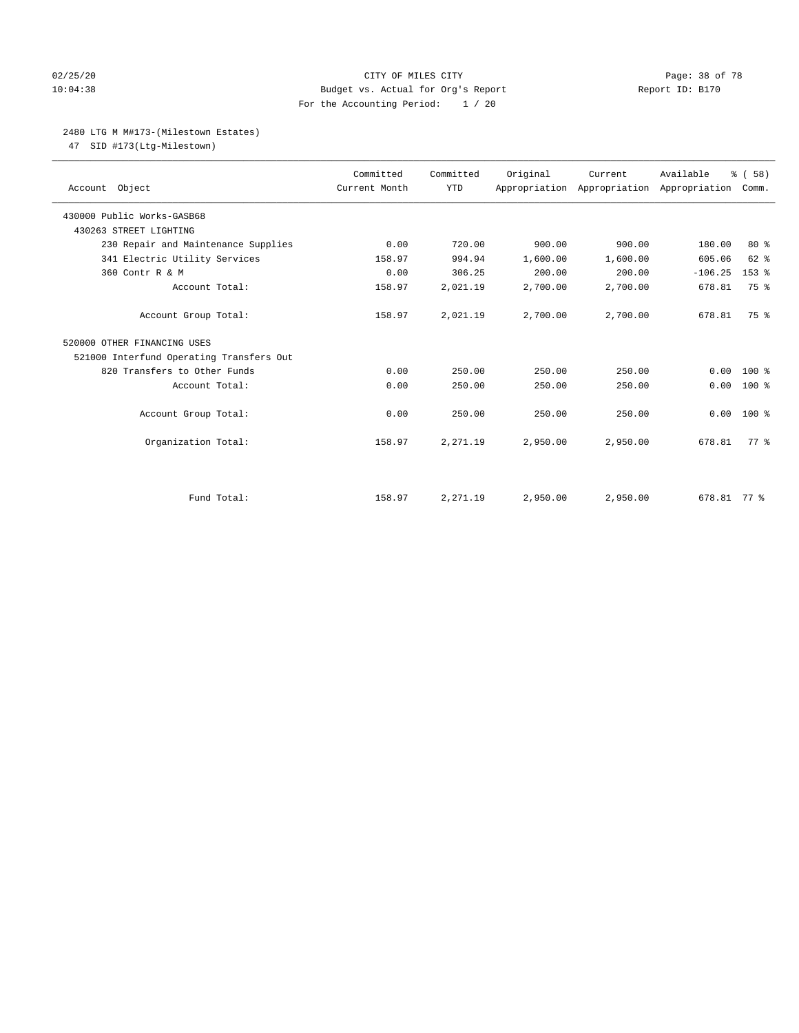#### 02/25/20 Page: 38 of 78 10:04:38 Budget vs. Actual for Org's Report Report ID: B170 For the Accounting Period: 1 / 20

#### 2480 LTG M M#173-(Milestown Estates)

47 SID #173(Ltg-Milestown)

| Account Object                           | Committed<br>Current Month | Committed<br><b>YTD</b> | Original | Current<br>Appropriation Appropriation Appropriation | Available   | 8 ( 58 )<br>Comm. |
|------------------------------------------|----------------------------|-------------------------|----------|------------------------------------------------------|-------------|-------------------|
| 430000 Public Works-GASB68               |                            |                         |          |                                                      |             |                   |
| 430263 STREET LIGHTING                   |                            |                         |          |                                                      |             |                   |
| 230 Repair and Maintenance Supplies      | 0.00                       | 720.00                  | 900.00   | 900.00                                               | 180.00      | 80%               |
| 341 Electric Utility Services            | 158.97                     | 994.94                  | 1,600.00 | 1,600.00                                             | 605.06      | 62 %              |
| 360 Contr R & M                          | 0.00                       | 306.25                  | 200.00   | 200.00                                               | $-106.25$   | 153 %             |
| Account Total:                           | 158.97                     | 2,021.19                | 2,700.00 | 2,700.00                                             | 678.81      | 75 %              |
| Account Group Total:                     | 158.97                     | 2,021.19                | 2,700.00 | 2,700.00                                             | 678.81      | 75 %              |
| 520000 OTHER FINANCING USES              |                            |                         |          |                                                      |             |                   |
| 521000 Interfund Operating Transfers Out |                            |                         |          |                                                      |             |                   |
| 820 Transfers to Other Funds             | 0.00                       | 250.00                  | 250.00   | 250.00                                               | 0.00        | $100*$            |
| Account Total:                           | 0.00                       | 250.00                  | 250.00   | 250.00                                               | 0.00        | $100$ %           |
| Account Group Total:                     | 0.00                       | 250.00                  | 250.00   | 250.00                                               | 0.00        | 100 %             |
| Organization Total:                      | 158.97                     | 2,271.19                | 2,950.00 | 2,950.00                                             | 678.81      | 77.8              |
|                                          |                            |                         |          |                                                      |             |                   |
| Fund Total:                              | 158.97                     | 2,271.19                | 2,950.00 | 2,950.00                                             | 678.81 77 % |                   |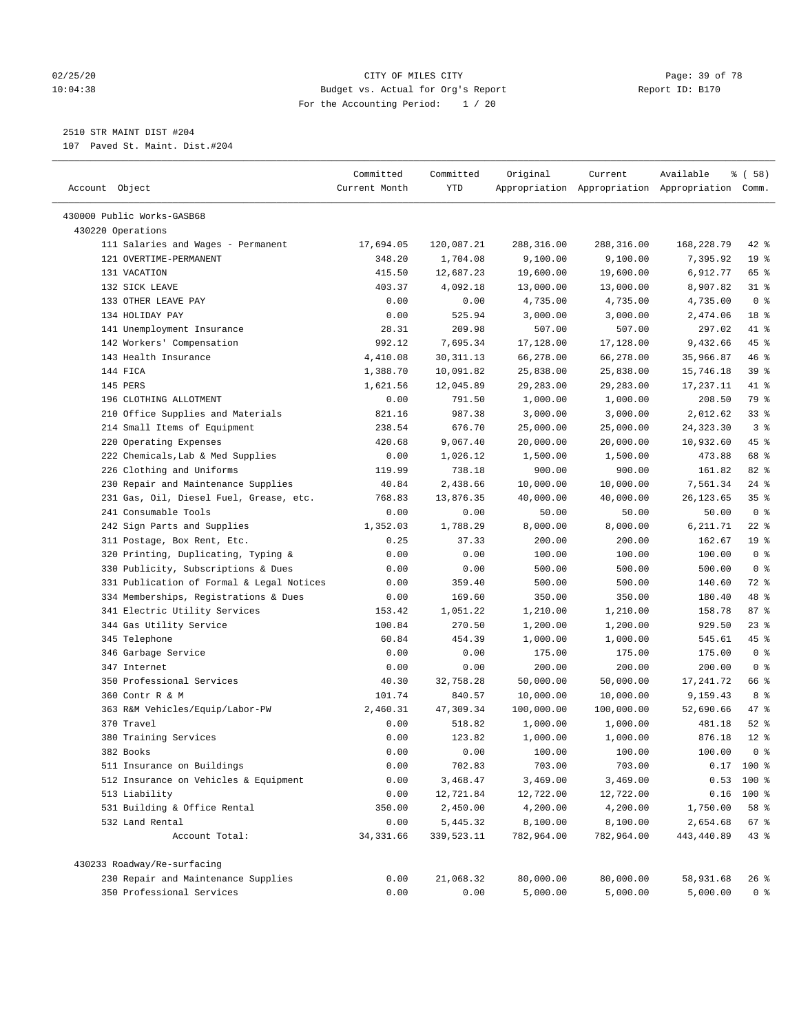#### 02/25/20 Page: 39 of 78 10:04:38 Budget vs. Actual for Org's Report Report ID: B170 For the Accounting Period: 1 / 20

————————————————————————————————————————————————————————————————————————————————————————————————————————————————————————————————————

# 2510 STR MAINT DIST #204

107 Paved St. Maint. Dist.#204

|                                                              | Committed           | Committed              | Original               | Current                | Available                                       | % ( 58 )                  |  |
|--------------------------------------------------------------|---------------------|------------------------|------------------------|------------------------|-------------------------------------------------|---------------------------|--|
| Account Object                                               | Current Month       | YTD                    |                        |                        | Appropriation Appropriation Appropriation Comm. |                           |  |
|                                                              |                     |                        |                        |                        |                                                 |                           |  |
| 430000 Public Works-GASB68                                   |                     |                        |                        |                        |                                                 |                           |  |
| 430220 Operations                                            |                     |                        |                        |                        |                                                 |                           |  |
| 111 Salaries and Wages - Permanent<br>121 OVERTIME-PERMANENT | 17,694.05<br>348.20 | 120,087.21<br>1,704.08 | 288,316.00<br>9,100.00 | 288,316.00<br>9,100.00 | 168,228.79<br>7,395.92                          | $42$ %<br>19 <sup>°</sup> |  |
| 131 VACATION                                                 | 415.50              | 12,687.23              | 19,600.00              | 19,600.00              | 6,912.77                                        | 65 %                      |  |
| 132 SICK LEAVE                                               | 403.37              | 4,092.18               | 13,000.00              | 13,000.00              | 8,907.82                                        | $31$ %                    |  |
| 133 OTHER LEAVE PAY                                          | 0.00                | 0.00                   | 4,735.00               | 4,735.00               | 4,735.00                                        | 0 <sup>8</sup>            |  |
| 134 HOLIDAY PAY                                              | 0.00                | 525.94                 | 3,000.00               | 3,000.00               | 2,474.06                                        | 18 %                      |  |
| 141 Unemployment Insurance                                   | 28.31               | 209.98                 | 507.00                 | 507.00                 | 297.02                                          | 41 %                      |  |
| 142 Workers' Compensation                                    | 992.12              | 7,695.34               | 17,128.00              | 17,128.00              | 9,432.66                                        | 45 %                      |  |
| 143 Health Insurance                                         | 4,410.08            | 30, 311.13             | 66,278.00              | 66,278.00              | 35,966.87                                       | 46 %                      |  |
| 144 FICA                                                     | 1,388.70            | 10,091.82              | 25,838.00              | 25,838.00              | 15,746.18                                       | 39 %                      |  |
| 145 PERS                                                     | 1,621.56            | 12,045.89              | 29,283.00              | 29,283.00              | 17,237.11                                       | 41 %                      |  |
| 196 CLOTHING ALLOTMENT                                       | 0.00                | 791.50                 | 1,000.00               | 1,000.00               | 208.50                                          | 79 %                      |  |
| 210 Office Supplies and Materials                            | 821.16              | 987.38                 | 3,000.00               | 3,000.00               | 2,012.62                                        | 33%                       |  |
| 214 Small Items of Equipment                                 | 238.54              | 676.70                 | 25,000.00              | 25,000.00              | 24, 323.30                                      | 3 <sup>8</sup>            |  |
| 220 Operating Expenses                                       | 420.68              | 9,067.40               | 20,000.00              | 20,000.00              | 10,932.60                                       | 45 %                      |  |
| 222 Chemicals, Lab & Med Supplies                            | 0.00                | 1,026.12               | 1,500.00               | 1,500.00               | 473.88                                          | 68 %                      |  |
| 226 Clothing and Uniforms                                    | 119.99              | 738.18                 | 900.00                 | 900.00                 | 161.82                                          | $82$ %                    |  |
| 230 Repair and Maintenance Supplies                          | 40.84               | 2,438.66               | 10,000.00              | 10,000.00              | 7,561.34                                        | $24$ %                    |  |
| 231 Gas, Oil, Diesel Fuel, Grease, etc.                      | 768.83              | 13,876.35              | 40,000.00              | 40,000.00              | 26, 123.65                                      | 35%                       |  |
| 241 Consumable Tools                                         | 0.00                | 0.00                   | 50.00                  | 50.00                  | 50.00                                           | 0 <sup>8</sup>            |  |
| 242 Sign Parts and Supplies                                  | 1,352.03            | 1,788.29               | 8,000.00               | 8,000.00               | 6,211.71                                        | $22$ %                    |  |
| 311 Postage, Box Rent, Etc.                                  | 0.25                | 37.33                  | 200.00                 | 200.00                 | 162.67                                          | 19 <sup>°</sup>           |  |
| 320 Printing, Duplicating, Typing &                          | 0.00                | 0.00                   | 100.00                 | 100.00                 | 100.00                                          | 0 <sup>8</sup>            |  |
| 330 Publicity, Subscriptions & Dues                          | 0.00                | 0.00                   | 500.00                 | 500.00                 | 500.00                                          | 0 <sup>8</sup>            |  |
| 331 Publication of Formal & Legal Notices                    | 0.00                | 359.40                 | 500.00                 | 500.00                 | 140.60                                          | 72 %                      |  |
| 334 Memberships, Registrations & Dues                        | 0.00                | 169.60                 | 350.00                 | 350.00                 | 180.40                                          | 48 %                      |  |
| 341 Electric Utility Services                                | 153.42              | 1,051.22               | 1,210.00               | 1,210.00               | 158.78                                          | 87%                       |  |
| 344 Gas Utility Service                                      | 100.84              | 270.50                 | 1,200.00               | 1,200.00               | 929.50                                          | 23%                       |  |
| 345 Telephone                                                | 60.84               | 454.39                 | 1,000.00               | 1,000.00               | 545.61                                          | 45 %                      |  |
| 346 Garbage Service                                          | 0.00                | 0.00                   | 175.00                 | 175.00                 | 175.00                                          | 0 <sup>8</sup>            |  |
| 347 Internet                                                 | 0.00                | 0.00                   | 200.00                 | 200.00                 | 200.00                                          | 0 <sup>8</sup>            |  |
| 350 Professional Services                                    | 40.30               | 32,758.28              | 50,000.00              | 50,000.00              | 17,241.72                                       | 66 %                      |  |
| 360 Contr R & M                                              | 101.74              | 840.57                 | 10,000.00              | 10,000.00              | 9,159.43                                        | 8 %                       |  |
| 363 R&M Vehicles/Equip/Labor-PW                              | 2,460.31            | 47,309.34              | 100,000.00             | 100,000.00             | 52,690.66                                       | 47 %                      |  |
| 370 Travel                                                   | 0.00                | 518.82                 | 1,000.00               | 1,000.00               | 481.18                                          | $52$ $%$                  |  |
| 380 Training Services                                        | 0.00                | 123.82                 | 1,000.00               | 1,000.00               | 876.18                                          | $12*$                     |  |
| 382 Books                                                    | 0.00                | 0.00                   | 100.00                 | 100.00                 | 100.00                                          | 0 <sup>8</sup>            |  |
| 511 Insurance on Buildings                                   | 0.00                | 702.83                 | 703.00                 | 703.00                 |                                                 | $0.17$ 100 %              |  |
| 512 Insurance on Vehicles & Equipment                        | 0.00                | 3,468.47               | 3,469.00               | 3,469.00               |                                                 | $0.53$ 100 %              |  |
| 513 Liability                                                | 0.00                | 12,721.84              | 12,722.00              | 12,722.00              |                                                 | $0.16$ 100 %              |  |
| 531 Building & Office Rental                                 | 350.00              | 2,450.00               | 4,200.00               | 4,200.00               | 1,750.00                                        | 58 %                      |  |
| 532 Land Rental                                              | 0.00                | 5,445.32               | 8,100.00               | 8,100.00               | 2,654.68                                        | 67 %                      |  |
| Account Total:                                               | 34, 331.66          | 339,523.11             | 782,964.00             | 782,964.00             | 443,440.89                                      | 43%                       |  |
| 430233 Roadway/Re-surfacing                                  |                     |                        |                        |                        |                                                 |                           |  |
| 230 Repair and Maintenance Supplies                          | 0.00                | 21,068.32              | 80,000.00              | 80,000.00              | 58,931.68                                       | 26 %                      |  |
| 350 Professional Services                                    | 0.00                | 0.00                   | 5,000.00               | 5,000.00               | 5,000.00                                        | 0 <sup>8</sup>            |  |
|                                                              |                     |                        |                        |                        |                                                 |                           |  |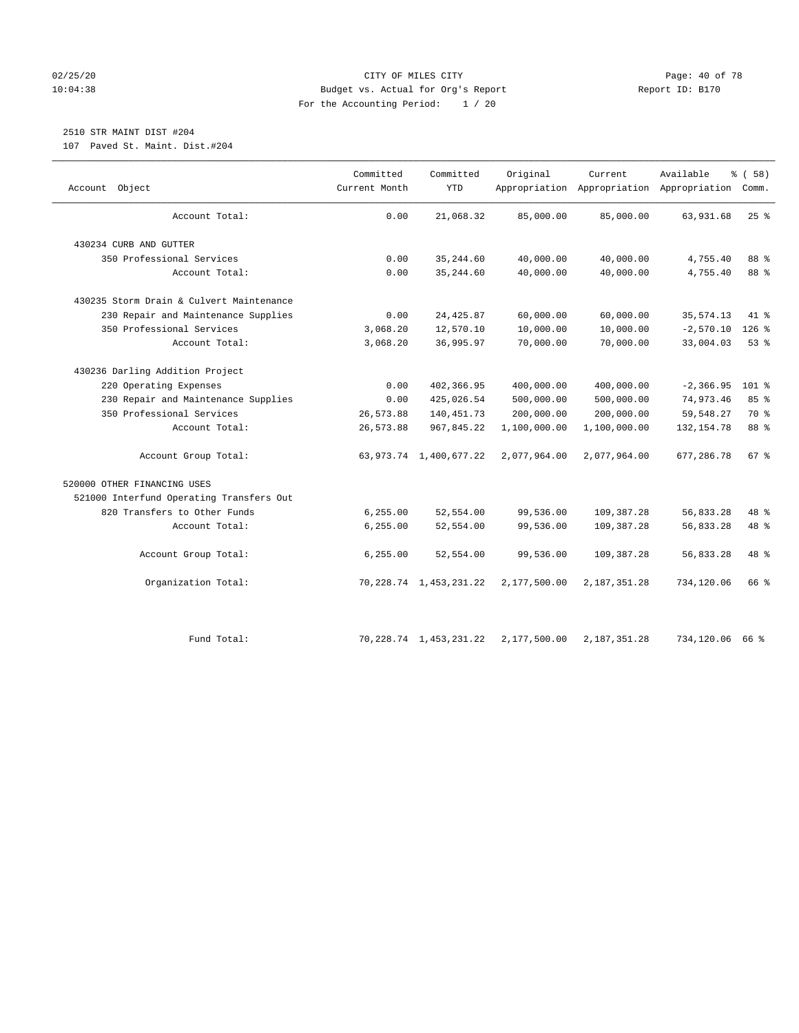#### 02/25/20 Page: 40 of 78 10:04:38 Budget vs. Actual for Org's Report Report ID: B170 For the Accounting Period: 1 / 20

# 2510 STR MAINT DIST #204

107 Paved St. Maint. Dist.#204

| Object<br>Account                        | Committed<br>Current Month | Committed<br><b>YTD</b>     | Original     | Current        | Available<br>Appropriation Appropriation Appropriation Comm. | % (58)             |
|------------------------------------------|----------------------------|-----------------------------|--------------|----------------|--------------------------------------------------------------|--------------------|
| Account Total:                           | 0.00                       | 21,068.32                   | 85,000.00    | 85,000.00      | 63,931.68                                                    | 25%                |
| 430234 CURB AND GUTTER                   |                            |                             |              |                |                                                              |                    |
| 350 Professional Services                | 0.00                       | 35, 244.60                  | 40,000.00    | 40,000.00      | 4,755.40                                                     | 88 %               |
| Account Total:                           | 0.00                       | 35, 244.60                  | 40,000.00    | 40,000.00      | 4,755.40                                                     | 88 %               |
| 430235 Storm Drain & Culvert Maintenance |                            |                             |              |                |                                                              |                    |
| 230 Repair and Maintenance Supplies      | 0.00                       | 24, 425.87                  | 60,000.00    | 60,000.00      | 35, 574.13                                                   | 41.8               |
| 350 Professional Services                | 3,068.20                   | 12,570.10                   | 10,000.00    | 10,000.00      | $-2,570.10$                                                  | $126$ %            |
| Account Total:                           | 3,068.20                   | 36,995.97                   | 70,000.00    | 70,000.00      | 33,004.03                                                    | 53%                |
| 430236 Darling Addition Project          |                            |                             |              |                |                                                              |                    |
| 220 Operating Expenses                   | 0.00                       | 402,366.95                  | 400,000.00   | 400,000.00     | $-2, 366.95$                                                 | $101$ %            |
| 230 Repair and Maintenance Supplies      | 0.00                       | 425,026.54                  | 500,000.00   | 500,000.00     | 74,973.46                                                    | 85%                |
| 350 Professional Services                | 26,573.88                  | 140, 451.73                 | 200,000.00   | 200,000.00     | 59, 548.27                                                   | 70 %               |
| Account Total:                           | 26,573.88                  | 967,845.22                  | 1,100,000.00 | 1,100,000.00   | 132, 154.78                                                  | 88 %               |
| Account Group Total:                     |                            | 63, 973. 74 1, 400, 677. 22 | 2,077,964.00 | 2,077,964.00   | 677,286.78                                                   | $67$ $\frac{6}{3}$ |
| 520000 OTHER FINANCING USES              |                            |                             |              |                |                                                              |                    |
| 521000 Interfund Operating Transfers Out |                            |                             |              |                |                                                              |                    |
| 820 Transfers to Other Funds             | 6, 255.00                  | 52,554.00                   | 99,536.00    | 109,387.28     | 56,833.28                                                    | 48 %               |
| Account Total:                           | 6, 255.00                  | 52,554.00                   | 99,536.00    | 109,387.28     | 56,833.28                                                    | 48 %               |
| Account Group Total:                     | 6, 255.00                  | 52,554.00                   | 99,536.00    | 109,387.28     | 56,833.28                                                    | 48 %               |
| Organization Total:                      |                            | 70, 228. 74 1, 453, 231. 22 | 2,177,500.00 | 2,187,351.28   | 734,120.06                                                   | 66 %               |
| Fund Total:                              |                            | 70, 228.74 1, 453, 231.22   | 2,177,500.00 | 2, 187, 351.28 | 734,120.06 66 %                                              |                    |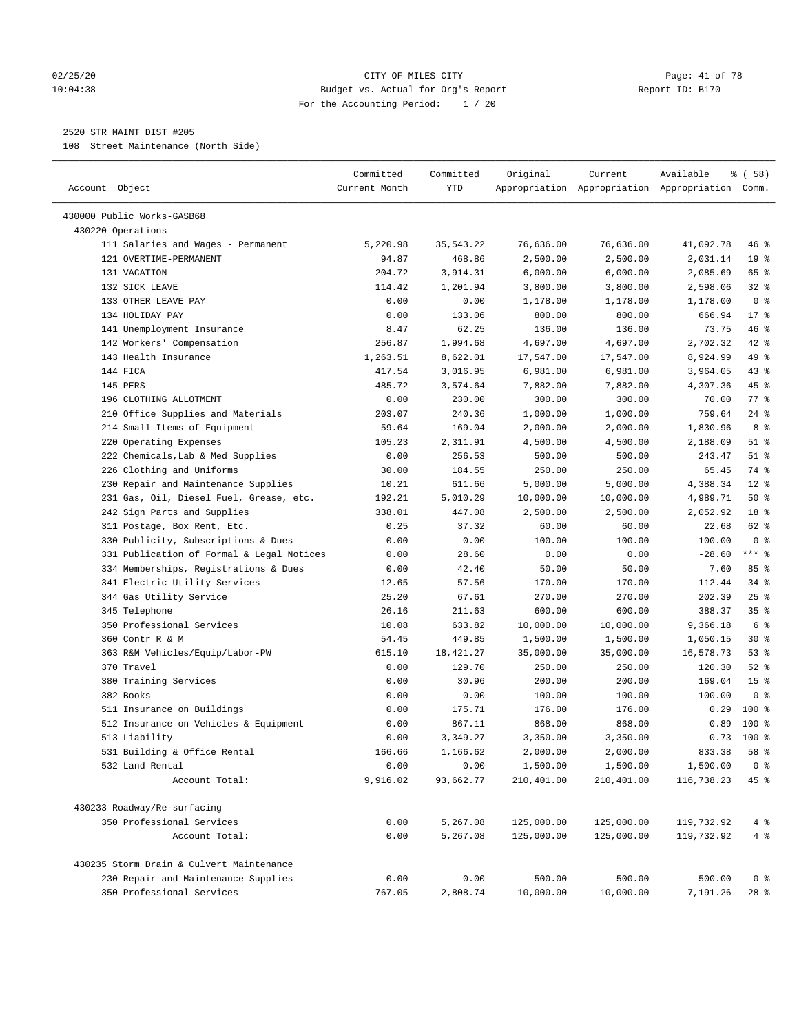#### 02/25/20 Page: 41 of 78 10:04:38 Budget vs. Actual for Org's Report Report ID: B170 For the Accounting Period: 1 / 20

————————————————————————————————————————————————————————————————————————————————————————————————————————————————————————————————————

#### 2520 STR MAINT DIST #205

108 Street Maintenance (North Side)

|                                           | Committed     | Committed | Original   | Current    | Available                                       | % ( 58 )        |
|-------------------------------------------|---------------|-----------|------------|------------|-------------------------------------------------|-----------------|
| Account Object                            | Current Month | YTD       |            |            | Appropriation Appropriation Appropriation Comm. |                 |
| 430000 Public Works-GASB68                |               |           |            |            |                                                 |                 |
| 430220 Operations                         |               |           |            |            |                                                 |                 |
| 111 Salaries and Wages - Permanent        | 5,220.98      | 35,543.22 | 76,636.00  | 76,636.00  | 41,092.78                                       | 46 %            |
| 121 OVERTIME-PERMANENT                    | 94.87         | 468.86    | 2,500.00   | 2,500.00   | 2,031.14                                        | 19 <sup>°</sup> |
| 131 VACATION                              | 204.72        | 3,914.31  | 6,000.00   | 6,000.00   | 2,085.69                                        | 65 %            |
| 132 SICK LEAVE                            | 114.42        | 1,201.94  | 3,800.00   | 3,800.00   | 2,598.06                                        | $32$ $%$        |
| 133 OTHER LEAVE PAY                       | 0.00          | 0.00      | 1,178.00   | 1,178.00   | 1,178.00                                        | 0 <sup>8</sup>  |
| 134 HOLIDAY PAY                           | 0.00          | 133.06    | 800.00     | 800.00     | 666.94                                          | $17*$           |
| 141 Unemployment Insurance                | 8.47          | 62.25     | 136.00     | 136.00     | 73.75                                           | 46 %            |
| 142 Workers' Compensation                 | 256.87        | 1,994.68  | 4,697.00   | 4,697.00   | 2,702.32                                        | $42$ %          |
| 143 Health Insurance                      | 1,263.51      | 8,622.01  | 17,547.00  | 17,547.00  | 8,924.99                                        | 49 %            |
| 144 FICA                                  | 417.54        | 3,016.95  | 6,981.00   | 6,981.00   | 3,964.05                                        | $43$ %          |
| 145 PERS                                  | 485.72        | 3,574.64  | 7,882.00   | 7,882.00   | 4,307.36                                        | 45 %            |
| 196 CLOTHING ALLOTMENT                    | 0.00          | 230.00    | 300.00     | 300.00     | 70.00                                           | 77.8            |
| 210 Office Supplies and Materials         | 203.07        | 240.36    | 1,000.00   | 1,000.00   | 759.64                                          | $24$ %          |
| 214 Small Items of Equipment              | 59.64         | 169.04    | 2,000.00   | 2,000.00   | 1,830.96                                        | 8 %             |
| 220 Operating Expenses                    | 105.23        | 2,311.91  | 4,500.00   | 4,500.00   | 2,188.09                                        | $51$ %          |
| 222 Chemicals, Lab & Med Supplies         | 0.00          | 256.53    | 500.00     | 500.00     | 243.47                                          | $51$ %          |
| 226 Clothing and Uniforms                 | 30.00         | 184.55    | 250.00     | 250.00     | 65.45                                           | 74 %            |
| 230 Repair and Maintenance Supplies       | 10.21         | 611.66    | 5,000.00   | 5,000.00   | 4,388.34                                        | $12*$           |
| 231 Gas, Oil, Diesel Fuel, Grease, etc.   | 192.21        | 5,010.29  | 10,000.00  | 10,000.00  | 4,989.71                                        | 50%             |
| 242 Sign Parts and Supplies               | 338.01        | 447.08    | 2,500.00   | 2,500.00   | 2,052.92                                        | 18 %            |
| 311 Postage, Box Rent, Etc.               | 0.25          | 37.32     | 60.00      | 60.00      | 22.68                                           | 62 %            |
| 330 Publicity, Subscriptions & Dues       | 0.00          | 0.00      | 100.00     | 100.00     | 100.00                                          | 0 <sup>8</sup>  |
| 331 Publication of Formal & Legal Notices | 0.00          | 28.60     | 0.00       | 0.00       | $-28.60$                                        | $***$ $-$       |
| 334 Memberships, Registrations & Dues     | 0.00          | 42.40     | 50.00      | 50.00      | 7.60                                            | 85%             |
| 341 Electric Utility Services             | 12.65         | 57.56     | 170.00     | 170.00     | 112.44                                          | 34 %            |
| 344 Gas Utility Service                   | 25.20         | 67.61     | 270.00     | 270.00     | 202.39                                          | $25$ %          |
| 345 Telephone                             | 26.16         | 211.63    | 600.00     | 600.00     | 388.37                                          | 35 <sup>8</sup> |
| 350 Professional Services                 | 10.08         | 633.82    | 10,000.00  | 10,000.00  | 9,366.18                                        | 6 <sup>°</sup>  |
| 360 Contr R & M                           | 54.45         | 449.85    | 1,500.00   | 1,500.00   | 1,050.15                                        | $30*$           |
| 363 R&M Vehicles/Equip/Labor-PW           | 615.10        | 18,421.27 | 35,000.00  | 35,000.00  | 16,578.73                                       | 53%             |
| 370 Travel                                | 0.00          | 129.70    | 250.00     | 250.00     | 120.30                                          | $52$ $%$        |
| 380 Training Services                     | 0.00          | 30.96     | 200.00     | 200.00     | 169.04                                          | 15 <sup>°</sup> |
| 382 Books                                 | 0.00          | 0.00      | 100.00     | 100.00     | 100.00                                          | 0 <sup>8</sup>  |
| 511 Insurance on Buildings                | 0.00          | 175.71    | 176.00     | 176.00     | 0.29                                            | 100 %           |
| 512 Insurance on Vehicles & Equipment     | 0.00          | 867.11    | 868.00     | 868.00     | 0.89                                            | $100*$          |
| 513 Liability                             | 0.00          | 3,349.27  | 3,350.00   | 3,350.00   | 0.73                                            | $100$ %         |
| 531 Building & Office Rental              | 166.66        | 1,166.62  | 2,000.00   | 2,000.00   | 833.38                                          | 58 %            |
| 532 Land Rental                           | 0.00          | 0.00      | 1,500.00   | 1,500.00   | 1,500.00                                        | 0 <sup>8</sup>  |
| Account Total:                            | 9,916.02      | 93,662.77 | 210,401.00 | 210,401.00 | 116,738.23                                      | 45 %            |
| 430233 Roadway/Re-surfacing               |               |           |            |            |                                                 |                 |
| 350 Professional Services                 | 0.00          | 5,267.08  | 125,000.00 | 125,000.00 | 119,732.92                                      | 4%              |
| Account Total:                            | 0.00          | 5,267.08  | 125,000.00 | 125,000.00 | 119,732.92                                      | 4%              |
| 430235 Storm Drain & Culvert Maintenance  |               |           |            |            |                                                 |                 |
| 230 Repair and Maintenance Supplies       | 0.00          | 0.00      | 500.00     | 500.00     | 500.00                                          | 0 <sup>8</sup>  |
| 350 Professional Services                 | 767.05        | 2,808.74  | 10,000.00  | 10,000.00  | 7,191.26                                        | $28$ %          |
|                                           |               |           |            |            |                                                 |                 |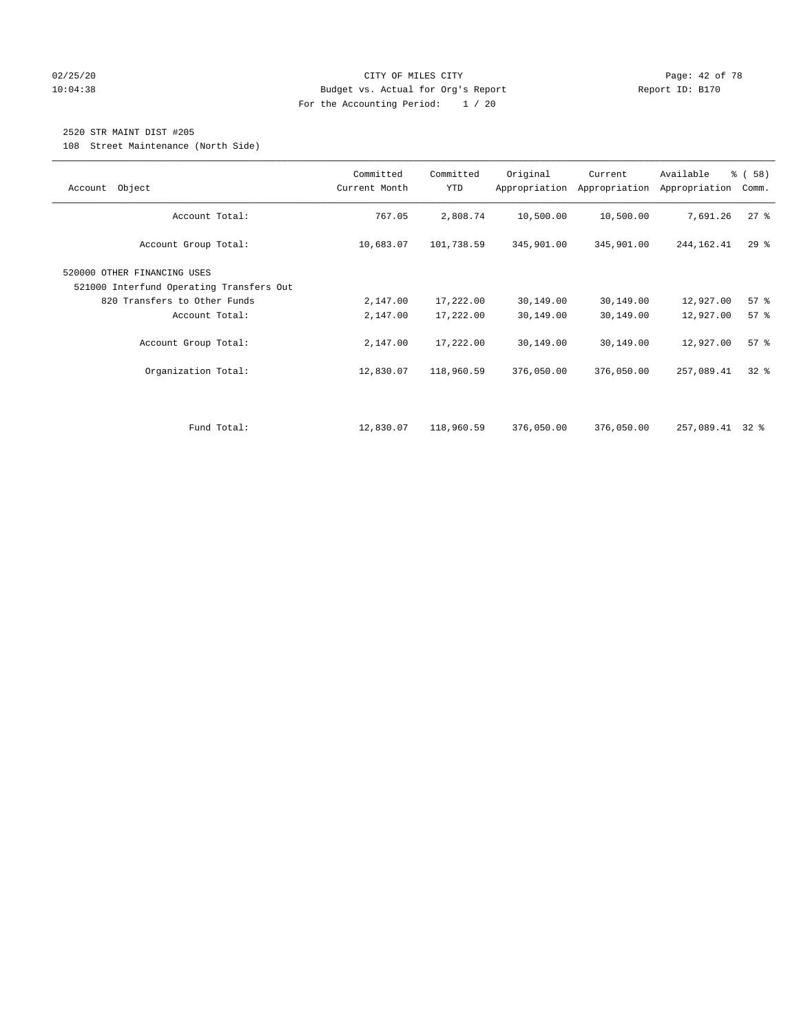#### 02/25/20 Page: 42 of 78 10:04:38 Budget vs. Actual for Org's Report Report ID: B170 For the Accounting Period: 1 / 20

### 2520 STR MAINT DIST #205

108 Street Maintenance (North Side)

| Object<br>Account                                                       | Committed<br>Current Month | Committed<br><b>YTD</b> | Original   | Current<br>Appropriation Appropriation | Available<br>Appropriation | % (58)<br>Comm. |
|-------------------------------------------------------------------------|----------------------------|-------------------------|------------|----------------------------------------|----------------------------|-----------------|
| Account Total:                                                          | 767.05                     | 2,808.74                | 10,500.00  | 10,500.00                              | 7,691.26                   | $27$ %          |
| Account Group Total:                                                    | 10,683.07                  | 101,738.59              | 345,901.00 | 345,901.00                             | 244,162.41                 | $29$ $%$        |
| 520000 OTHER FINANCING USES<br>521000 Interfund Operating Transfers Out |                            |                         |            |                                        |                            |                 |
| 820 Transfers to Other Funds                                            | 2,147.00                   | 17,222.00               | 30,149.00  | 30,149.00                              | 12,927.00                  | 57%             |
| Account Total:                                                          | 2,147.00                   | 17,222.00               | 30,149.00  | 30,149.00                              | 12,927.00                  | 57%             |
| Account Group Total:                                                    | 2,147.00                   | 17,222.00               | 30,149.00  | 30,149.00                              | 12,927.00                  | 57%             |
| Organization Total:                                                     | 12,830.07                  | 118,960.59              | 376,050.00 | 376,050.00                             | 257,089.41                 | $32$ $%$        |
|                                                                         |                            |                         |            |                                        |                            |                 |
| Fund Total:                                                             | 12,830.07                  | 118,960.59              | 376,050.00 | 376,050.00                             | 257,089.41                 | 32 %            |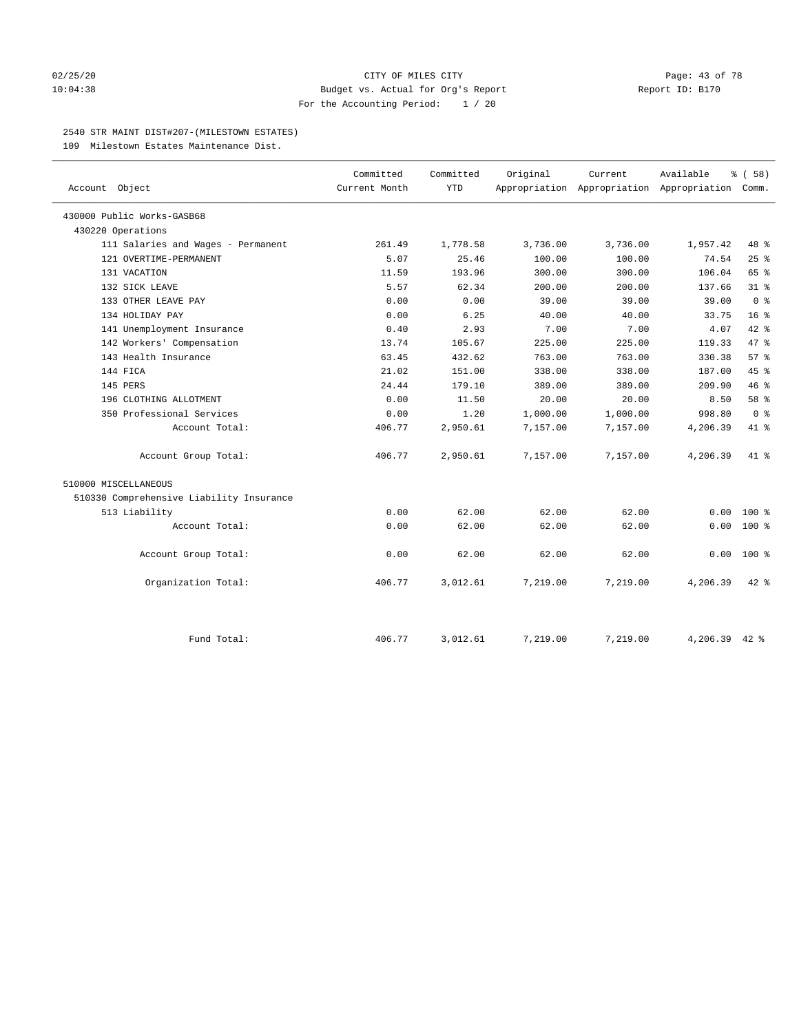#### 02/25/20 **CITY OF MILES CITY CITY CITY Page: 43 of 78** 10:04:38 Budget vs. Actual for Org's Report Report ID: B170 For the Accounting Period: 1 / 20

#### 2540 STR MAINT DIST#207-(MILESTOWN ESTATES)

109 Milestown Estates Maintenance Dist.

| Account Object                           | Committed<br>Current Month | Committed<br><b>YTD</b> | Original | Current  | Available<br>Appropriation Appropriation Appropriation Comm. | % (58)          |
|------------------------------------------|----------------------------|-------------------------|----------|----------|--------------------------------------------------------------|-----------------|
| 430000 Public Works-GASB68               |                            |                         |          |          |                                                              |                 |
| 430220 Operations                        |                            |                         |          |          |                                                              |                 |
| 111 Salaries and Wages - Permanent       | 261.49                     | 1,778.58                | 3,736.00 | 3,736.00 | 1,957.42                                                     | 48 %            |
| 121 OVERTIME-PERMANENT                   | 5.07                       | 25.46                   | 100.00   | 100.00   | 74.54                                                        | 25%             |
| 131 VACATION                             | 11.59                      | 193.96                  | 300.00   | 300.00   | 106.04                                                       | 65 %            |
| 132 SICK LEAVE                           | 5.57                       | 62.34                   | 200.00   | 200.00   | 137.66                                                       | $31$ $%$        |
| 133 OTHER LEAVE PAY                      | 0.00                       | 0.00                    | 39.00    | 39.00    | 39.00                                                        | 0 <sup>8</sup>  |
| 134 HOLIDAY PAY                          | 0.00                       | 6.25                    | 40.00    | 40.00    | 33.75                                                        | 16 <sup>8</sup> |
| 141 Unemployment Insurance               | 0.40                       | 2.93                    | 7.00     | 7.00     | 4.07                                                         | 42 %            |
| 142 Workers' Compensation                | 13.74                      | 105.67                  | 225.00   | 225.00   | 119.33                                                       | 47.8            |
| 143 Health Insurance                     | 63.45                      | 432.62                  | 763.00   | 763.00   | 330.38                                                       | 57%             |
| 144 FICA                                 | 21.02                      | 151.00                  | 338.00   | 338.00   | 187.00                                                       | 45%             |
| 145 PERS                                 | 24.44                      | 179.10                  | 389.00   | 389.00   | 209.90                                                       | 46%             |
| 196 CLOTHING ALLOTMENT                   | 0.00                       | 11.50                   | 20.00    | 20.00    | 8.50                                                         | 58 %            |
| 350 Professional Services                | 0.00                       | 1.20                    | 1,000.00 | 1,000.00 | 998.80                                                       | 0 <sup>8</sup>  |
| Account Total:                           | 406.77                     | 2,950.61                | 7,157.00 | 7,157.00 | 4,206.39                                                     | 41.8            |
| Account Group Total:                     | 406.77                     | 2,950.61                | 7,157.00 | 7,157.00 | 4,206.39                                                     | $41*$           |
| 510000 MISCELLANEOUS                     |                            |                         |          |          |                                                              |                 |
| 510330 Comprehensive Liability Insurance |                            |                         |          |          |                                                              |                 |
| 513 Liability                            | 0.00                       | 62.00                   | 62.00    | 62.00    | 0.00                                                         | $100*$          |
| Account Total:                           | 0.00                       | 62.00                   | 62.00    | 62.00    | 0.00                                                         | $100*$          |
| Account Group Total:                     | 0.00                       | 62.00                   | 62.00    | 62.00    | 0.00                                                         | $100*$          |
| Organization Total:                      | 406.77                     | 3,012.61                | 7,219.00 | 7,219.00 | 4,206.39                                                     | $42$ $%$        |
| Fund Total:                              | 406.77                     | 3,012.61                | 7,219.00 | 7,219.00 | 4,206.39 42 %                                                |                 |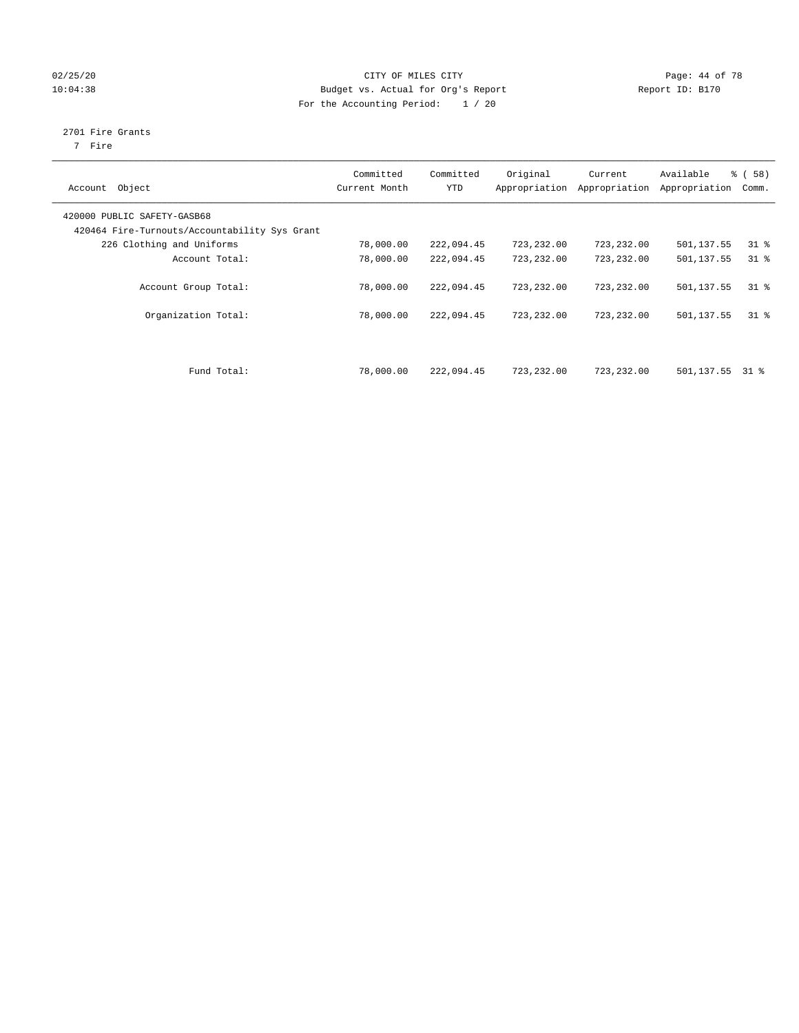#### 02/25/20 Page: 44 of 78 10:04:38 Budget vs. Actual for Org's Report Report ID: B170 For the Accounting Period: 1 / 20

## 2701 Fire Grants

7 Fire

| Object<br>Account                                                            | Committed<br>Current Month | Committed<br><b>YTD</b> | Original   | Current<br>Appropriation Appropriation | Available<br>Appropriation | % ( 58 )<br>Comm. |
|------------------------------------------------------------------------------|----------------------------|-------------------------|------------|----------------------------------------|----------------------------|-------------------|
| 420000 PUBLIC SAFETY-GASB68<br>420464 Fire-Turnouts/Accountability Sys Grant |                            |                         |            |                                        |                            |                   |
| 226 Clothing and Uniforms                                                    | 78,000.00                  | 222,094.45              | 723,232.00 | 723,232.00                             | 501,137.55                 | $31$ %            |
| Account Total:                                                               | 78,000.00                  | 222,094.45              | 723,232.00 | 723,232.00                             | 501,137.55                 | $31$ %            |
| Account Group Total:                                                         | 78,000.00                  | 222,094.45              | 723,232.00 | 723,232.00                             | 501,137.55                 | $31$ %            |
| Organization Total:                                                          | 78,000.00                  | 222,094.45              | 723,232.00 | 723,232.00                             | 501,137.55                 | $31$ %            |
| Fund Total:                                                                  | 78,000.00                  | 222,094.45              | 723,232.00 | 723,232.00                             | 501,137.55                 | 31 %              |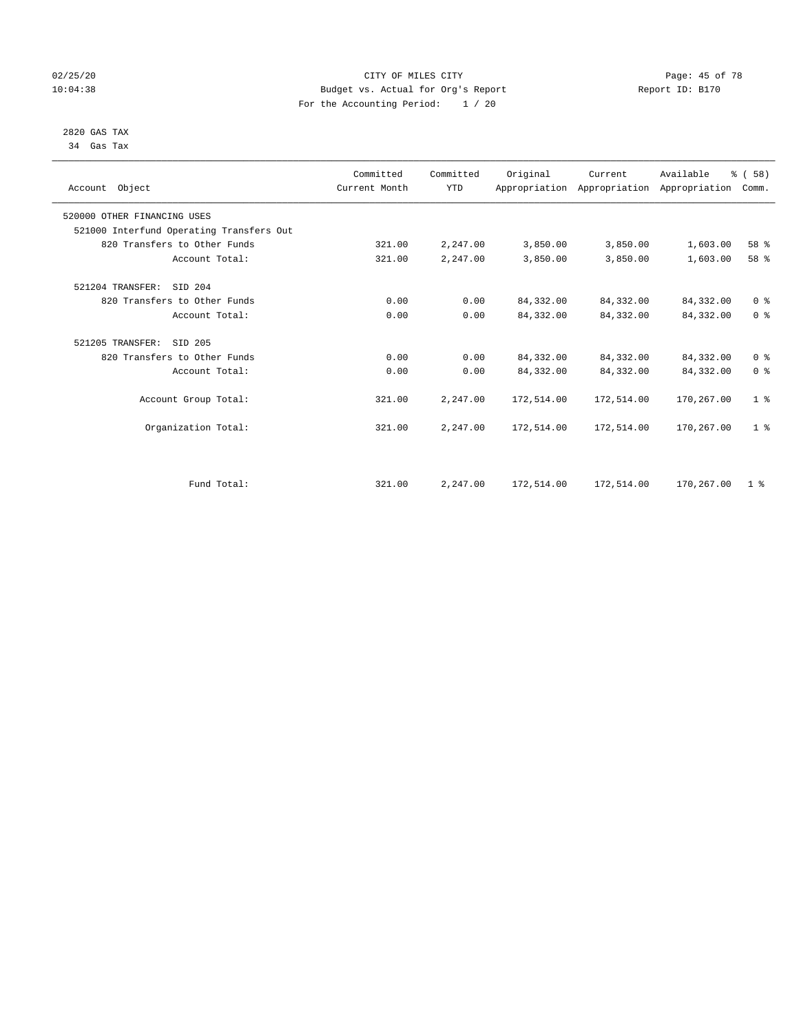#### 02/25/20 Page: 45 of 78 10:04:38 Budget vs. Actual for Org's Report Report ID: B170 For the Accounting Period: 1 / 20

#### 2820 GAS TAX 34 Gas Tax

| Account Object              |                                          | Committed<br>Current Month | Committed<br><b>YTD</b> | Original   | Current<br>Appropriation Appropriation Appropriation | Available  | % (58)<br>Comm. |
|-----------------------------|------------------------------------------|----------------------------|-------------------------|------------|------------------------------------------------------|------------|-----------------|
| 520000 OTHER FINANCING USES |                                          |                            |                         |            |                                                      |            |                 |
|                             | 521000 Interfund Operating Transfers Out |                            |                         |            |                                                      |            |                 |
|                             | 820 Transfers to Other Funds             | 321.00                     | 2,247.00                | 3,850.00   | 3,850.00                                             | 1,603.00   | 58 %            |
|                             | Account Total:                           | 321.00                     | 2,247.00                | 3,850.00   | 3,850.00                                             | 1,603.00   | 58 %            |
| 521204 TRANSFER:            | SID 204                                  |                            |                         |            |                                                      |            |                 |
|                             | 820 Transfers to Other Funds             | 0.00                       | 0.00                    | 84, 332.00 | 84,332.00                                            | 84,332.00  | 0 <sup>8</sup>  |
|                             | Account Total:                           | 0.00                       | 0.00                    | 84,332.00  | 84,332.00                                            | 84, 332.00 | 0 <sup>8</sup>  |
| 521205 TRANSFER:            | SID 205                                  |                            |                         |            |                                                      |            |                 |
|                             | 820 Transfers to Other Funds             | 0.00                       | 0.00                    | 84, 332.00 | 84,332.00                                            | 84,332.00  | 0 <sup>8</sup>  |
|                             | Account Total:                           | 0.00                       | 0.00                    | 84,332.00  | 84,332.00                                            | 84,332.00  | 0 <sup>8</sup>  |
|                             | Account Group Total:                     | 321.00                     | 2,247.00                | 172,514.00 | 172,514.00                                           | 170,267.00 | 1 <sup>8</sup>  |
|                             | Organization Total:                      | 321.00                     | 2,247.00                | 172,514.00 | 172,514.00                                           | 170,267.00 | 1 <sup>8</sup>  |
|                             |                                          |                            |                         |            |                                                      |            |                 |
|                             | Fund Total:                              | 321.00                     | 2,247.00                | 172,514.00 | 172,514.00                                           | 170,267.00 | 1 <sup>8</sup>  |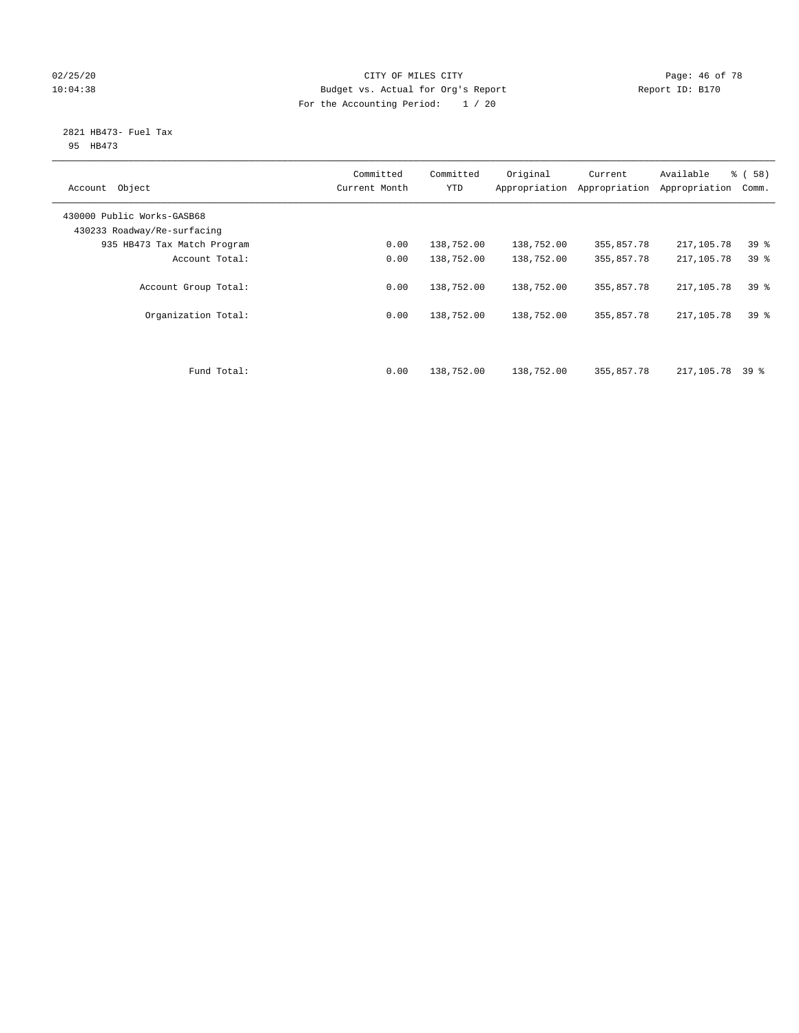#### $02/25/20$  Page: 46 of 78 10:04:38 Budget vs. Actual for Org's Report Report ID: B170 For the Accounting Period: 1 / 20

#### 2821 HB473- Fuel Tax 95 HB473

| Object<br>Account                                         | Committed<br>Current Month | Committed<br><b>YTD</b> | Original<br>Appropriation | Current<br>Appropriation | Available<br>Appropriation | % ( 58 )<br>Comm. |
|-----------------------------------------------------------|----------------------------|-------------------------|---------------------------|--------------------------|----------------------------|-------------------|
| 430000 Public Works-GASB68<br>430233 Roadway/Re-surfacing |                            |                         |                           |                          |                            |                   |
| 935 HB473 Tax Match Program                               | 0.00                       | 138,752.00              | 138,752.00                | 355,857.78               | 217,105.78                 | 39 <sup>°</sup>   |
| Account Total:                                            | 0.00                       | 138,752.00              | 138,752.00                | 355,857.78               | 217,105.78                 | 39 <sup>°</sup>   |
| Account Group Total:                                      | 0.00                       | 138,752.00              | 138,752.00                | 355,857.78               | 217,105.78                 | 39%               |
| Organization Total:                                       | 0.00                       | 138,752.00              | 138,752.00                | 355,857.78               | 217,105.78                 | 39 <sup>8</sup>   |
| Fund Total:                                               | 0.00                       | 138,752.00              | 138,752.00                | 355,857.78               | 217,105.78 39 %            |                   |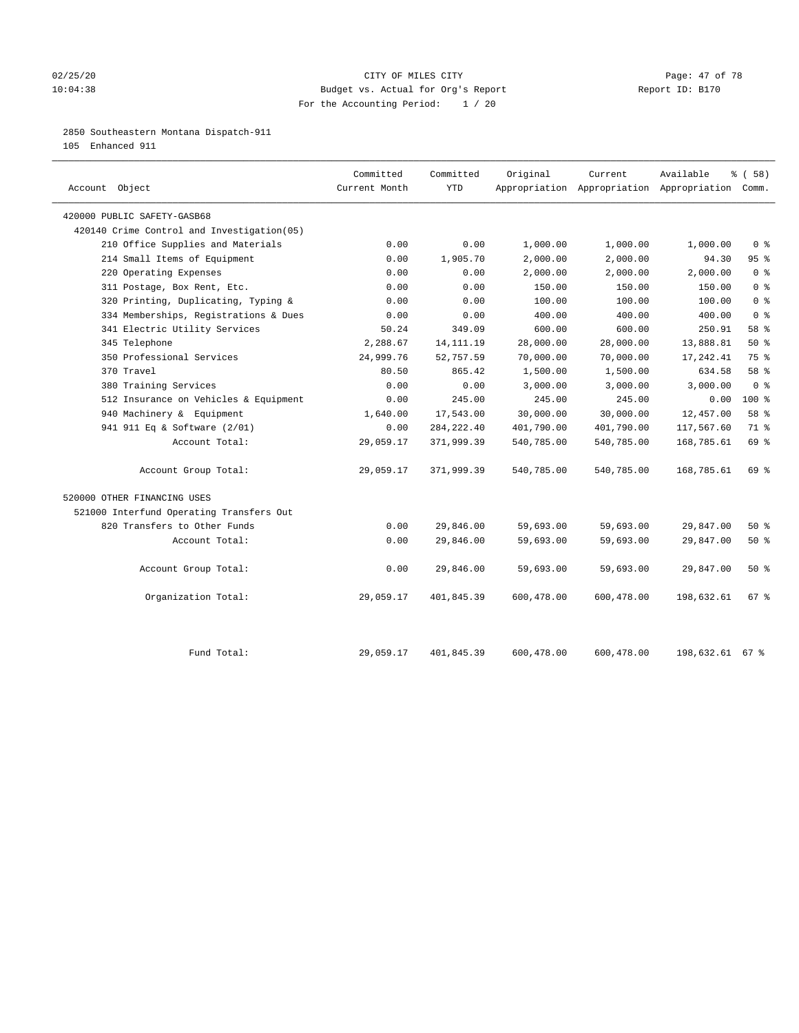#### 02/25/20 Page: 47 of 78 10:04:38 Budget vs. Actual for Org's Report Changer Report ID: B170 For the Accounting Period: 1 / 20

#### 2850 Southeastern Montana Dispatch-911

105 Enhanced 911

| Account Object                              | Committed<br>Current Month | Committed<br><b>YTD</b> | Original   | Current    | Available<br>Appropriation Appropriation Appropriation Comm. | 8 ( 58 )                           |
|---------------------------------------------|----------------------------|-------------------------|------------|------------|--------------------------------------------------------------|------------------------------------|
| 420000 PUBLIC SAFETY-GASB68                 |                            |                         |            |            |                                                              |                                    |
| 420140 Crime Control and Investigation (05) |                            |                         |            |            |                                                              |                                    |
| 210 Office Supplies and Materials           | 0.00                       | 0.00                    | 1,000.00   | 1,000.00   | 1,000.00                                                     | 0 <sup>8</sup>                     |
| 214 Small Items of Equipment                | 0.00                       | 1,905.70                | 2,000.00   | 2,000.00   | 94.30                                                        | 95%                                |
| 220 Operating Expenses                      | 0.00                       | 0.00                    | 2,000.00   | 2,000.00   | 2,000.00                                                     | $0 \text{ }$ $\text{ }$ $\text{ }$ |
| 311 Postage, Box Rent, Etc.                 | 0.00                       | 0.00                    | 150.00     | 150.00     | 150.00                                                       | 0 <sup>8</sup>                     |
| 320 Printing, Duplicating, Typing &         | 0.00                       | 0.00                    | 100.00     | 100.00     | 100.00                                                       | 0 <sup>8</sup>                     |
| 334 Memberships, Registrations & Dues       | 0.00                       | 0.00                    | 400.00     | 400.00     | 400.00                                                       | 0 <sup>8</sup>                     |
| 341 Electric Utility Services               | 50.24                      | 349.09                  | 600.00     | 600.00     | 250.91                                                       | 58 %                               |
| 345 Telephone                               | 2,288.67                   | 14, 111. 19             | 28,000.00  | 28,000.00  | 13,888.81                                                    | 50%                                |
| 350 Professional Services                   | 24,999.76                  | 52,757.59               | 70,000.00  | 70,000.00  | 17, 242.41                                                   | 75 %                               |
| 370 Travel                                  | 80.50                      | 865.42                  | 1,500.00   | 1,500.00   | 634.58                                                       | 58 %                               |
| 380 Training Services                       | 0.00                       | 0.00                    | 3,000.00   | 3,000.00   | 3,000.00                                                     | 0 <sup>8</sup>                     |
| 512 Insurance on Vehicles & Equipment       | 0.00                       | 245.00                  | 245.00     | 245.00     | 0.00                                                         | $100*$                             |
| 940 Machinery & Equipment                   | 1,640.00                   | 17,543.00               | 30,000.00  | 30,000.00  | 12,457.00                                                    | 58 %                               |
| 941 911 Eq & Software (2/01)                | 0.00                       | 284, 222.40             | 401,790.00 | 401,790.00 | 117,567.60                                                   | 71 %                               |
| Account Total:                              | 29,059.17                  | 371,999.39              | 540,785.00 | 540,785.00 | 168,785.61                                                   | 69 %                               |
| Account Group Total:                        | 29,059.17                  | 371,999.39              | 540,785.00 | 540,785.00 | 168,785.61                                                   | 69 %                               |
| 520000 OTHER FINANCING USES                 |                            |                         |            |            |                                                              |                                    |
| 521000 Interfund Operating Transfers Out    |                            |                         |            |            |                                                              |                                    |
| 820 Transfers to Other Funds                | 0.00                       | 29,846.00               | 59,693.00  | 59,693.00  | 29,847.00                                                    | 50%                                |
| Account Total:                              | 0.00                       | 29,846.00               | 59,693.00  | 59,693.00  | 29,847.00                                                    | 50%                                |
| Account Group Total:                        | 0.00                       | 29,846.00               | 59,693.00  | 59,693.00  | 29,847.00                                                    | 50%                                |
| Organization Total:                         | 29,059.17                  | 401,845.39              | 600,478.00 | 600,478.00 | 198,632.61                                                   | 67 <sup>8</sup>                    |
| Fund Total:                                 | 29,059.17                  | 401,845.39              | 600,478.00 | 600,478.00 | 198,632.61 67 %                                              |                                    |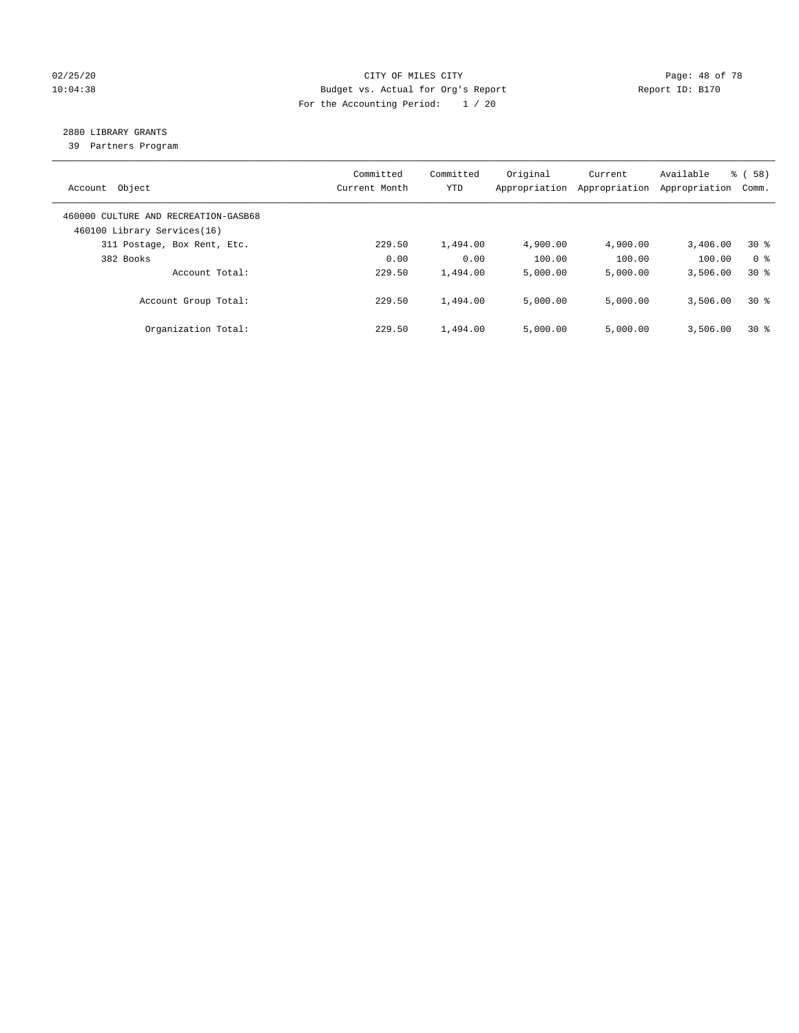#### 02/25/20 Page: 48 of 78 10:04:38 Budget vs. Actual for Org's Report Report ID: B170 For the Accounting Period: 1 / 20

## 2880 LIBRARY GRANTS

39 Partners Program

| Account Object                                                      | Committed<br>Current Month | Committed<br><b>YTD</b> | Original<br>Appropriation | Current<br>Appropriation | Available<br>Appropriation | % ( 58 )<br>Comm. |
|---------------------------------------------------------------------|----------------------------|-------------------------|---------------------------|--------------------------|----------------------------|-------------------|
| 460000 CULTURE AND RECREATION-GASB68<br>460100 Library Services(16) |                            |                         |                           |                          |                            |                   |
| 311 Postage, Box Rent, Etc.                                         | 229.50                     | 1,494.00                | 4,900.00                  | 4,900.00                 | 3,406.00                   | $30*$             |
| 382 Books                                                           | 0.00                       | 0.00                    | 100.00                    | 100.00                   | 100.00                     | 0 <sup>8</sup>    |
| Account Total:                                                      | 229.50                     | 1,494.00                | 5,000.00                  | 5,000.00                 | 3,506.00                   | $30*$             |
| Account Group Total:                                                | 229.50                     | 1,494.00                | 5,000.00                  | 5,000.00                 | 3,506.00                   | $30*$             |
| Organization Total:                                                 | 229.50                     | 1,494.00                | 5.000.00                  | 5,000.00                 | 3,506.00                   | $30*$             |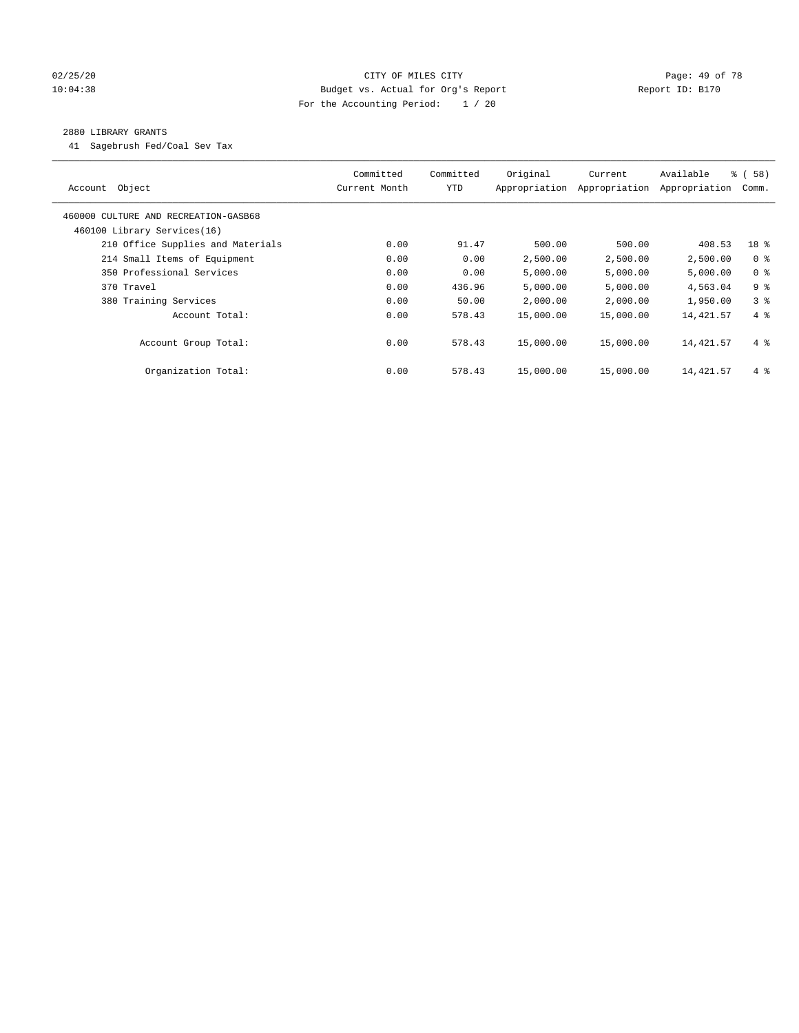#### 02/25/20 Page: 49 of 78 10:04:38 Budget vs. Actual for Org's Report Changer Report ID: B170 For the Accounting Period: 1 / 20

#### 2880 LIBRARY GRANTS

41 Sagebrush Fed/Coal Sev Tax

| Object<br>Account                    | Committed<br>Current Month | Committed<br><b>YTD</b> | Original<br>Appropriation | Current<br>Appropriation | Available<br>Appropriation | % (58)<br>Comm. |
|--------------------------------------|----------------------------|-------------------------|---------------------------|--------------------------|----------------------------|-----------------|
| 460000 CULTURE AND RECREATION-GASB68 |                            |                         |                           |                          |                            |                 |
| 460100 Library Services(16)          |                            |                         |                           |                          |                            |                 |
| 210 Office Supplies and Materials    | 0.00                       | 91.47                   | 500.00                    | 500.00                   | 408.53                     | 18 %            |
| 214 Small Items of Equipment         | 0.00                       | 0.00                    | 2,500.00                  | 2,500.00                 | 2,500.00                   | 0 <sup>8</sup>  |
| 350 Professional Services            | 0.00                       | 0.00                    | 5,000.00                  | 5,000.00                 | 5,000.00                   | 0 <sup>8</sup>  |
| 370 Travel                           | 0.00                       | 436.96                  | 5,000.00                  | 5,000.00                 | 4,563.04                   | 9 <sup>8</sup>  |
| 380 Training Services                | 0.00                       | 50.00                   | 2,000.00                  | 2,000.00                 | 1,950.00                   | 3 <sup>8</sup>  |
| Account Total:                       | 0.00                       | 578.43                  | 15,000.00                 | 15,000.00                | 14,421.57                  | 4%              |
| Account Group Total:                 | 0.00                       | 578.43                  | 15,000.00                 | 15,000.00                | 14,421.57                  | $4\degree$      |
| Organization Total:                  | 0.00                       | 578.43                  | 15,000.00                 | 15,000.00                | 14,421.57                  | $4\degree$      |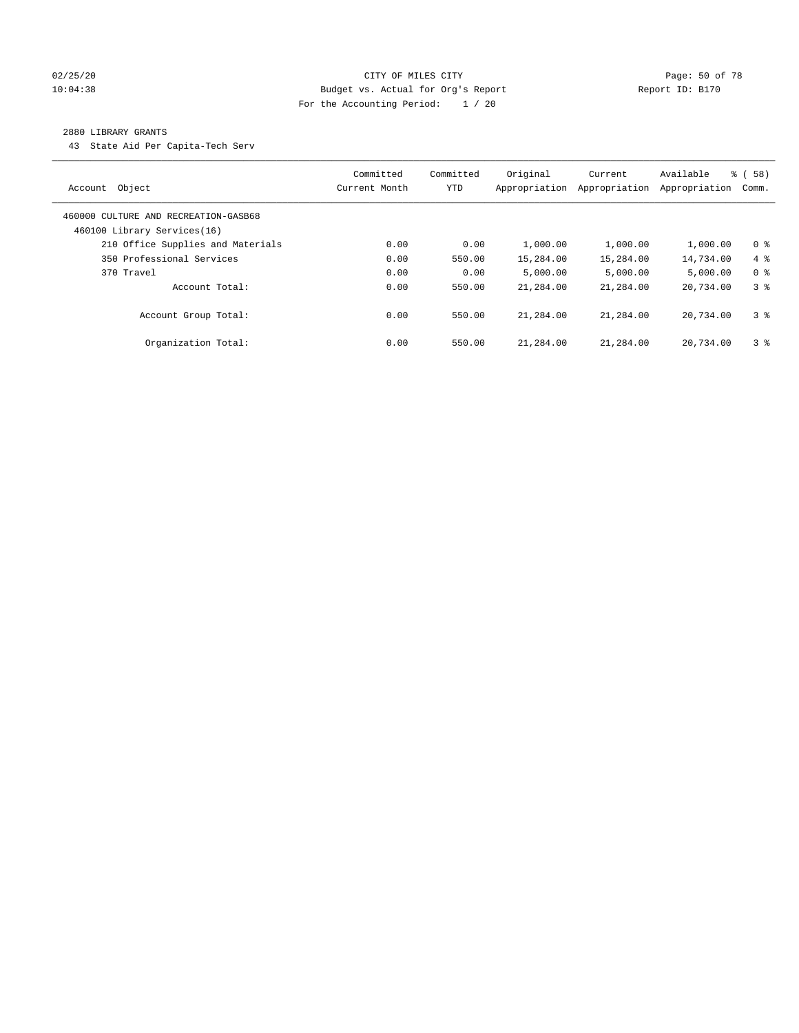#### 02/25/20 Page: 50 of 78 CITY OF MILES CITY CONTROL PAGE: 50 OF 78 10:04:38 Budget vs. Actual for Org's Report Changer Report ID: B170 For the Accounting Period: 1 / 20

#### 2880 LIBRARY GRANTS

43 State Aid Per Capita-Tech Serv

| Object<br>Account                                                   | Committed<br>Current Month | Committed<br><b>YTD</b> | Original<br>Appropriation | Current<br>Appropriation | Available<br>Appropriation | 8 ( 58)<br>Comm. |
|---------------------------------------------------------------------|----------------------------|-------------------------|---------------------------|--------------------------|----------------------------|------------------|
| 460000 CULTURE AND RECREATION-GASB68<br>460100 Library Services(16) |                            |                         |                           |                          |                            |                  |
| 210 Office Supplies and Materials                                   | 0.00                       | 0.00                    | 1,000.00                  | 1,000.00                 | 1,000.00                   | 0 <sup>8</sup>   |
| 350 Professional Services                                           | 0.00                       | 550.00                  | 15,284.00                 | 15,284.00                | 14,734.00                  | $4\degree$       |
| 370 Travel                                                          | 0.00                       | 0.00                    | 5.000.00                  | 5,000.00                 | 5.000.00                   | 0 <sup>8</sup>   |
| Account Total:                                                      | 0.00                       | 550.00                  | 21,284.00                 | 21,284.00                | 20,734.00                  | 3 <sup>8</sup>   |
| Account Group Total:                                                | 0.00                       | 550.00                  | 21,284.00                 | 21,284.00                | 20,734.00                  | 3 <sup>8</sup>   |
| Organization Total:                                                 | 0.00                       | 550.00                  | 21,284.00                 | 21,284.00                | 20,734.00                  | 3 <sup>8</sup>   |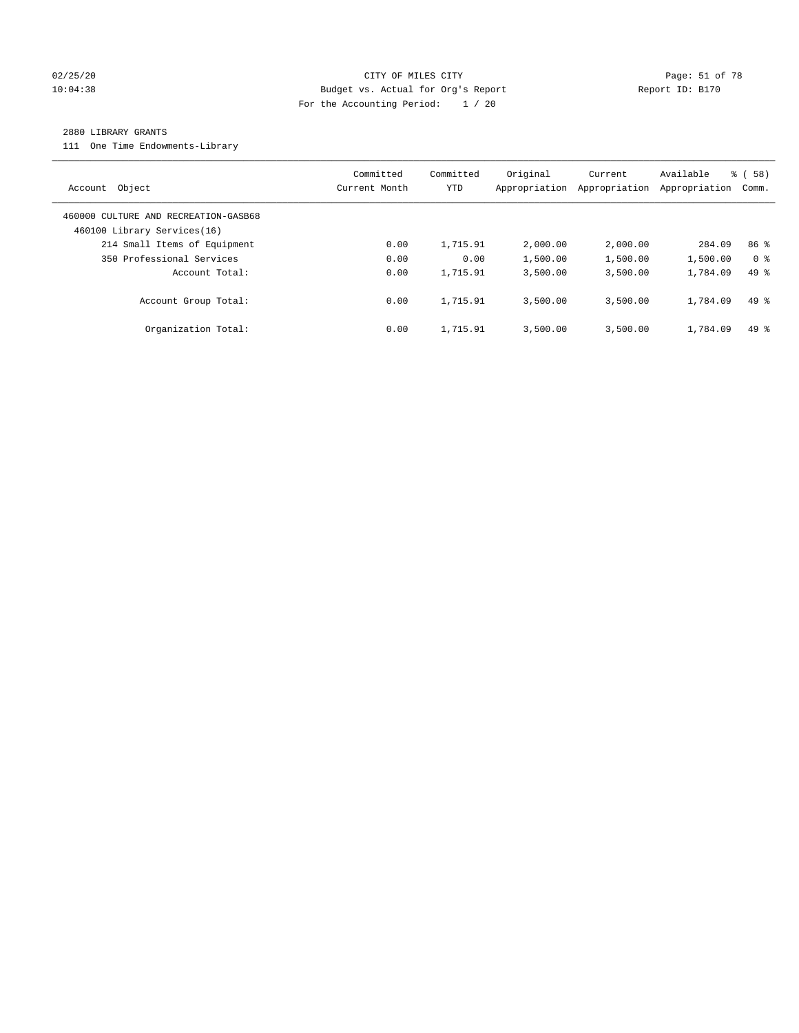#### 02/25/20 Page: 51 of 78 CITY OF MILES CITY CONTROL PAGE: 51 of 78 10:04:38 Budget vs. Actual for Org's Report Report ID: B170 For the Accounting Period: 1 / 20

#### 2880 LIBRARY GRANTS

111 One Time Endowments-Library

| Object<br>Account                                                   | Committed<br>Current Month | Committed<br>YTD | Original<br>Appropriation | Current<br>Appropriation | Available<br>Appropriation | % ( 58 )<br>Comm. |
|---------------------------------------------------------------------|----------------------------|------------------|---------------------------|--------------------------|----------------------------|-------------------|
| 460000 CULTURE AND RECREATION-GASB68<br>460100 Library Services(16) |                            |                  |                           |                          |                            |                   |
| 214 Small Items of Equipment                                        | 0.00                       | 1,715.91         | 2,000.00                  | 2,000.00                 | 284.09                     | 86 <sup>8</sup>   |
| 350 Professional Services                                           | 0.00                       | 0.00             | 1,500.00                  | 1,500.00                 | 1,500.00                   | 0 <sup>8</sup>    |
| Account Total:                                                      | 0.00                       | 1,715.91         | 3,500.00                  | 3,500.00                 | 1,784.09                   | $49*$             |
| Account Group Total:                                                | 0.00                       | 1,715.91         | 3,500.00                  | 3,500.00                 | 1,784.09                   | $49*$             |
| Organization Total:                                                 | 0.00                       | 1,715.91         | 3,500.00                  | 3.500.00                 | 1,784.09                   | $49*$             |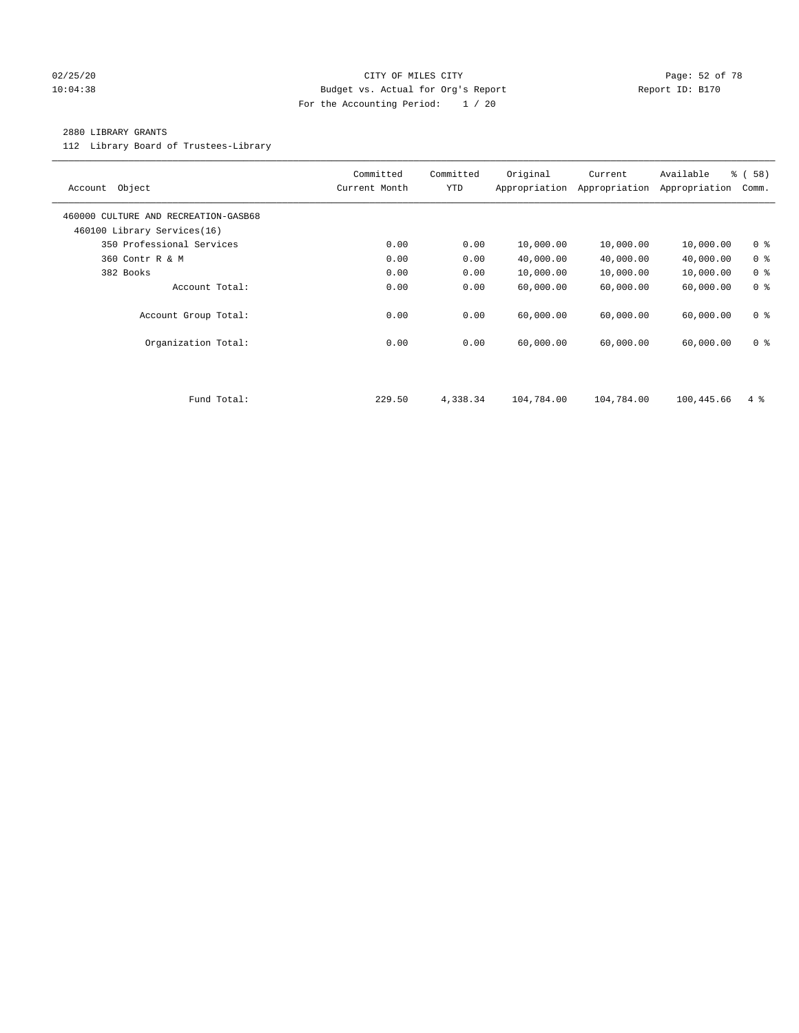#### 02/25/20 Page: 52 of 78 10:04:38 Budget vs. Actual for Org's Report Changer Report ID: B170 For the Accounting Period: 1 / 20

#### 2880 LIBRARY GRANTS

112 Library Board of Trustees-Library

| Object<br>Account                                                   | Committed<br>Current Month | Committed<br><b>YTD</b> | Original<br>Appropriation | Current<br>Appropriation | Available<br>Appropriation | 8 ( 58 )<br>Comm. |
|---------------------------------------------------------------------|----------------------------|-------------------------|---------------------------|--------------------------|----------------------------|-------------------|
| 460000 CULTURE AND RECREATION-GASB68<br>460100 Library Services(16) |                            |                         |                           |                          |                            |                   |
| 350 Professional Services                                           | 0.00                       | 0.00                    | 10,000.00                 | 10,000.00                | 10,000.00                  | 0 <sup>8</sup>    |
| 360 Contr R & M                                                     | 0.00                       | 0.00                    | 40,000.00                 | 40,000.00                | 40,000.00                  | 0 <sup>8</sup>    |
| 382 Books                                                           | 0.00                       | 0.00                    | 10,000.00                 | 10,000.00                | 10,000.00                  | 0 <sup>8</sup>    |
| Account Total:                                                      | 0.00                       | 0.00                    | 60,000.00                 | 60,000.00                | 60,000.00                  | 0 <sup>8</sup>    |
| Account Group Total:                                                | 0.00                       | 0.00                    | 60,000.00                 | 60,000.00                | 60,000.00                  | 0 <sup>8</sup>    |
| Organization Total:                                                 | 0.00                       | 0.00                    | 60,000.00                 | 60,000.00                | 60,000.00                  | 0 <sup>8</sup>    |
|                                                                     |                            |                         |                           |                          |                            |                   |
| Fund Total:                                                         | 229.50                     | 4,338.34                | 104,784.00                | 104,784.00               | 100,445.66                 | $4\degree$        |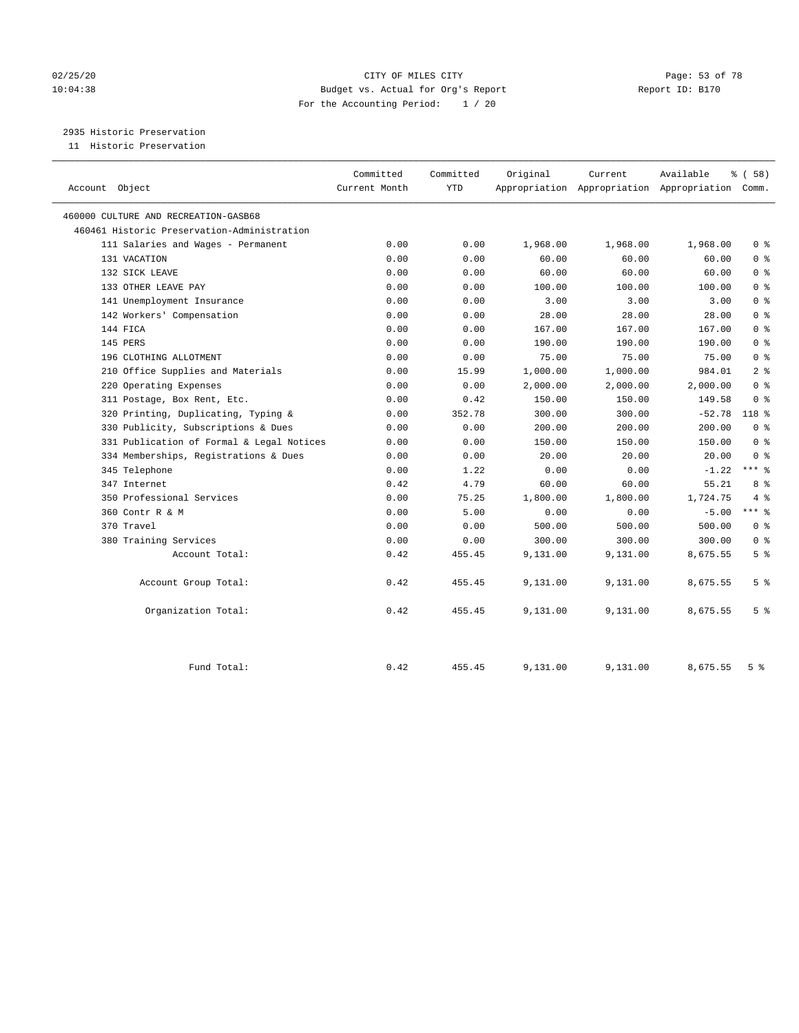#### 02/25/20 Page: 53 of 78 10:04:38 Budget vs. Actual for Org's Report Changer Report ID: B170 For the Accounting Period: 1 / 20

2935 Historic Preservation

| Account Object                              | Committed<br>Current Month | Committed<br><b>YTD</b> | Original | Current  | Available<br>Appropriation Appropriation Appropriation Comm. | % (58)         |
|---------------------------------------------|----------------------------|-------------------------|----------|----------|--------------------------------------------------------------|----------------|
| 460000 CULTURE AND RECREATION-GASB68        |                            |                         |          |          |                                                              |                |
| 460461 Historic Preservation-Administration |                            |                         |          |          |                                                              |                |
| 111 Salaries and Wages - Permanent          | 0.00                       | 0.00                    | 1,968.00 | 1,968.00 | 1,968.00                                                     | 0 <sup>8</sup> |
| 131 VACATION                                | 0.00                       | 0.00                    | 60.00    | 60.00    | 60.00                                                        | 0 <sup>8</sup> |
| 132 SICK LEAVE                              | 0.00                       | 0.00                    | 60.00    | 60.00    | 60.00                                                        | 0 <sup>8</sup> |
| 133 OTHER LEAVE PAY                         | 0.00                       | 0.00                    | 100.00   | 100.00   | 100.00                                                       | 0 <sup>8</sup> |
| 141 Unemployment Insurance                  | 0.00                       | 0.00                    | 3.00     | 3.00     | 3.00                                                         | 0 <sup>8</sup> |
| 142 Workers' Compensation                   | 0.00                       | 0.00                    | 28.00    | 28.00    | 28.00                                                        | 0 <sup>8</sup> |
| 144 FICA                                    | 0.00                       | 0.00                    | 167.00   | 167.00   | 167.00                                                       | 0 <sup>8</sup> |
| 145 PERS                                    | 0.00                       | 0.00                    | 190.00   | 190.00   | 190.00                                                       | 0 <sup>8</sup> |
| 196 CLOTHING ALLOTMENT                      | 0.00                       | 0.00                    | 75.00    | 75.00    | 75.00                                                        | 0 <sup>8</sup> |
| 210 Office Supplies and Materials           | 0.00                       | 15.99                   | 1,000.00 | 1,000.00 | 984.01                                                       | 2 <sup>8</sup> |
| 220 Operating Expenses                      | 0.00                       | 0.00                    | 2,000.00 | 2,000.00 | 2,000.00                                                     | 0 <sup>8</sup> |
| 311 Postage, Box Rent, Etc.                 | 0.00                       | 0.42                    | 150.00   | 150.00   | 149.58                                                       | 0 <sup>8</sup> |
| 320 Printing, Duplicating, Typing &         | 0.00                       | 352.78                  | 300.00   | 300.00   | $-52.78$                                                     | 118 %          |
| 330 Publicity, Subscriptions & Dues         | 0.00                       | 0.00                    | 200.00   | 200.00   | 200.00                                                       | 0 <sup>8</sup> |
| 331 Publication of Formal & Legal Notices   | 0.00                       | 0.00                    | 150.00   | 150.00   | 150.00                                                       | 0 <sup>8</sup> |
| 334 Memberships, Registrations & Dues       | 0.00                       | 0.00                    | 20.00    | 20.00    | 20.00                                                        | 0 <sup>8</sup> |
| 345 Telephone                               | 0.00                       | 1.22                    | 0.00     | 0.00     | $-1.22$                                                      | $***$ $-$      |
| 347 Internet                                | 0.42                       | 4.79                    | 60.00    | 60.00    | 55.21                                                        | 8 %            |
| 350 Professional Services                   | 0.00                       | 75.25                   | 1,800.00 | 1,800.00 | 1,724.75                                                     | 4%             |
| 360 Contr R & M                             | 0.00                       | 5.00                    | 0.00     | 0.00     | $-5.00$                                                      | $***$ 8        |
| 370 Travel                                  | 0.00                       | 0.00                    | 500.00   | 500.00   | 500.00                                                       | 0 <sup>8</sup> |
| 380 Training Services                       | 0.00                       | 0.00                    | 300.00   | 300.00   | 300.00                                                       | 0 <sup>8</sup> |
| Account Total:                              | 0.42                       | 455.45                  | 9,131.00 | 9,131.00 | 8,675.55                                                     | 5 <sup>°</sup> |
| Account Group Total:                        | 0.42                       | 455.45                  | 9,131.00 | 9,131.00 | 8,675.55                                                     | 5 <sup>°</sup> |
| Organization Total:                         | 0.42                       | 455.45                  | 9,131.00 | 9,131.00 | 8,675.55                                                     | 5 <sup>°</sup> |
| Fund Total:                                 | 0.42                       | 455.45                  | 9,131.00 | 9,131.00 | 8,675.55                                                     | 5 <sup>8</sup> |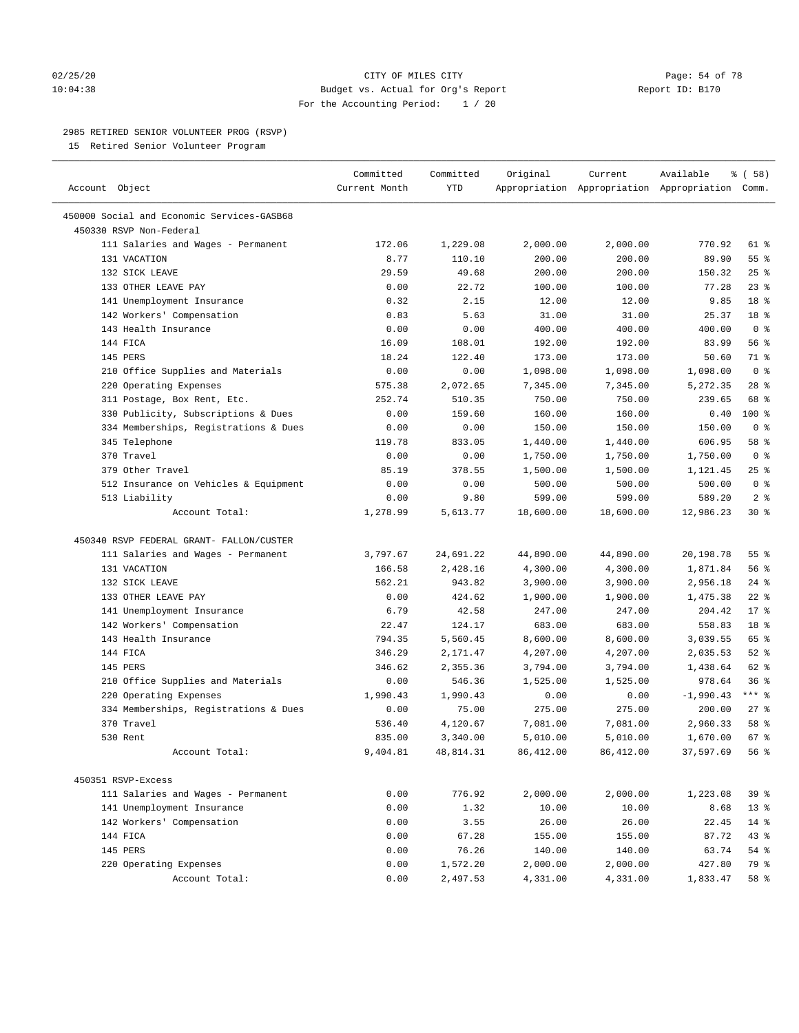#### $02/25/20$  Page: 54 of 78 10:04:38 Budget vs. Actual for Org's Report Report ID: B170 For the Accounting Period: 1 / 20

#### 2985 RETIRED SENIOR VOLUNTEER PROG (RSVP)

15 Retired Senior Volunteer Program

| Account Object                             | Committed<br>Current Month | Committed<br><b>YTD</b> | Original  | Current   | Available<br>Appropriation Appropriation Appropriation Comm. | % (58)             |
|--------------------------------------------|----------------------------|-------------------------|-----------|-----------|--------------------------------------------------------------|--------------------|
| 450000 Social and Economic Services-GASB68 |                            |                         |           |           |                                                              |                    |
| 450330 RSVP Non-Federal                    |                            |                         |           |           |                                                              |                    |
| 111 Salaries and Wages - Permanent         | 172.06                     | 1,229.08                | 2,000.00  | 2,000.00  | 770.92                                                       | 61 %               |
| 131 VACATION                               | 8.77                       | 110.10                  | 200.00    | 200.00    | 89.90                                                        | 55%                |
| 132 SICK LEAVE                             | 29.59                      | 49.68                   | 200.00    | 200.00    | 150.32                                                       | 25%                |
| 133 OTHER LEAVE PAY                        | 0.00                       | 22.72                   | 100.00    | 100.00    | 77.28                                                        | $23$ $%$           |
| 141 Unemployment Insurance                 | 0.32                       | 2.15                    | 12.00     | 12.00     | 9.85                                                         | 18 %               |
| 142 Workers' Compensation                  | 0.83                       | 5.63                    | 31.00     | 31.00     | 25.37                                                        | 18 %               |
| 143 Health Insurance                       | 0.00                       | 0.00                    | 400.00    | 400.00    | 400.00                                                       | 0 <sup>8</sup>     |
| 144 FICA                                   | 16.09                      | 108.01                  | 192.00    | 192.00    | 83.99                                                        | 56%                |
| 145 PERS                                   | 18.24                      | 122.40                  | 173.00    | 173.00    | 50.60                                                        | 71 %               |
| 210 Office Supplies and Materials          | 0.00                       | 0.00                    | 1,098.00  | 1,098.00  | 1,098.00                                                     | 0 <sup>8</sup>     |
| 220 Operating Expenses                     | 575.38                     | 2,072.65                | 7,345.00  | 7,345.00  | 5,272.35                                                     | $28$ %             |
| 311 Postage, Box Rent, Etc.                | 252.74                     | 510.35                  | 750.00    | 750.00    | 239.65                                                       | 68 %               |
| 330 Publicity, Subscriptions & Dues        | 0.00                       | 159.60                  | 160.00    | 160.00    | 0.40                                                         | 100 %              |
| 334 Memberships, Registrations & Dues      | 0.00                       | 0.00                    | 150.00    | 150.00    | 150.00                                                       | 0 <sup>8</sup>     |
| 345 Telephone                              | 119.78                     | 833.05                  | 1,440.00  | 1,440.00  | 606.95                                                       | 58 %               |
| 370 Travel                                 | 0.00                       | 0.00                    | 1,750.00  | 1,750.00  | 1,750.00                                                     | 0 <sup>8</sup>     |
| 379 Other Travel                           | 85.19                      | 378.55                  | 1,500.00  | 1,500.00  | 1,121.45                                                     | 25%                |
| 512 Insurance on Vehicles & Equipment      | 0.00                       | 0.00                    | 500.00    | 500.00    | 500.00                                                       | 0 <sup>8</sup>     |
| 513 Liability                              | 0.00                       | 9.80                    | 599.00    | 599.00    | 589.20                                                       | 2 <sup>8</sup>     |
| Account Total:                             | 1,278.99                   | 5,613.77                | 18,600.00 | 18,600.00 | 12,986.23                                                    | $30*$              |
| 450340 RSVP FEDERAL GRANT- FALLON/CUSTER   |                            |                         |           |           |                                                              |                    |
| 111 Salaries and Wages - Permanent         | 3,797.67                   | 24,691.22               | 44,890.00 | 44,890.00 | 20,198.78                                                    | $55$ $\frac{6}{3}$ |
| 131 VACATION                               | 166.58                     | 2,428.16                | 4,300.00  | 4,300.00  | 1,871.84                                                     | 56%                |
| 132 SICK LEAVE                             | 562.21                     | 943.82                  | 3,900.00  | 3,900.00  | 2,956.18                                                     | $24$ %             |
| 133 OTHER LEAVE PAY                        | 0.00                       | 424.62                  | 1,900.00  | 1,900.00  | 1,475.38                                                     | $22$ %             |
| 141 Unemployment Insurance                 | 6.79                       | 42.58                   | 247.00    | 247.00    | 204.42                                                       | $17*$              |
| 142 Workers' Compensation                  | 22.47                      | 124.17                  | 683.00    | 683.00    | 558.83                                                       | 18 %               |
| 143 Health Insurance                       | 794.35                     | 5,560.45                | 8,600.00  | 8,600.00  | 3,039.55                                                     | 65 %               |
| 144 FICA                                   | 346.29                     | 2,171.47                | 4,207.00  | 4,207.00  | 2,035.53                                                     | $52$ $%$           |
| 145 PERS                                   | 346.62                     | 2,355.36                | 3,794.00  | 3,794.00  | 1,438.64                                                     | 62 %               |
| 210 Office Supplies and Materials          | 0.00                       | 546.36                  | 1,525.00  | 1,525.00  | 978.64                                                       | 36%                |
| 220 Operating Expenses                     | 1,990.43                   | 1,990.43                | 0.00      | 0.00      | $-1,990.43$                                                  | $***$ $-$          |
| 334 Memberships, Registrations & Dues      | 0.00                       | 75.00                   | 275.00    | 275.00    | 200.00                                                       | $27$ %             |
| 370 Travel                                 | 536.40                     | 4,120.67                | 7,081.00  | 7,081.00  | 2,960.33                                                     | 58 %               |
| 530 Rent                                   | 835.00                     | 3,340.00                | 5,010.00  | 5,010.00  | 1,670.00                                                     | 67 %               |
| Account Total:                             | 9,404.81                   | 48,814.31               | 86,412.00 | 86,412.00 | 37,597.69                                                    | 56 %               |
|                                            |                            |                         |           |           |                                                              |                    |
| 450351 RSVP-Excess                         |                            |                         |           |           |                                                              |                    |
| 111 Salaries and Wages - Permanent         | 0.00                       | 776.92                  | 2,000.00  | 2,000.00  | 1,223.08                                                     | 39 %               |
| 141 Unemployment Insurance                 | 0.00                       | 1.32                    | 10.00     | 10.00     | 8.68                                                         | 13 <sup>8</sup>    |
| 142 Workers' Compensation                  | 0.00                       | 3.55                    | 26.00     | 26.00     | 22.45                                                        | $14$ %             |
| 144 FICA                                   | 0.00                       | 67.28                   | 155.00    | 155.00    | 87.72                                                        | 43 %               |
| 145 PERS                                   | 0.00                       | 76.26                   | 140.00    | 140.00    | 63.74                                                        | 54 %               |
| 220 Operating Expenses                     | 0.00                       | 1,572.20                | 2,000.00  | 2,000.00  | 427.80                                                       | 79 %               |
| Account Total:                             | 0.00                       | 2,497.53                | 4,331.00  | 4,331.00  | 1,833.47                                                     | 58 %               |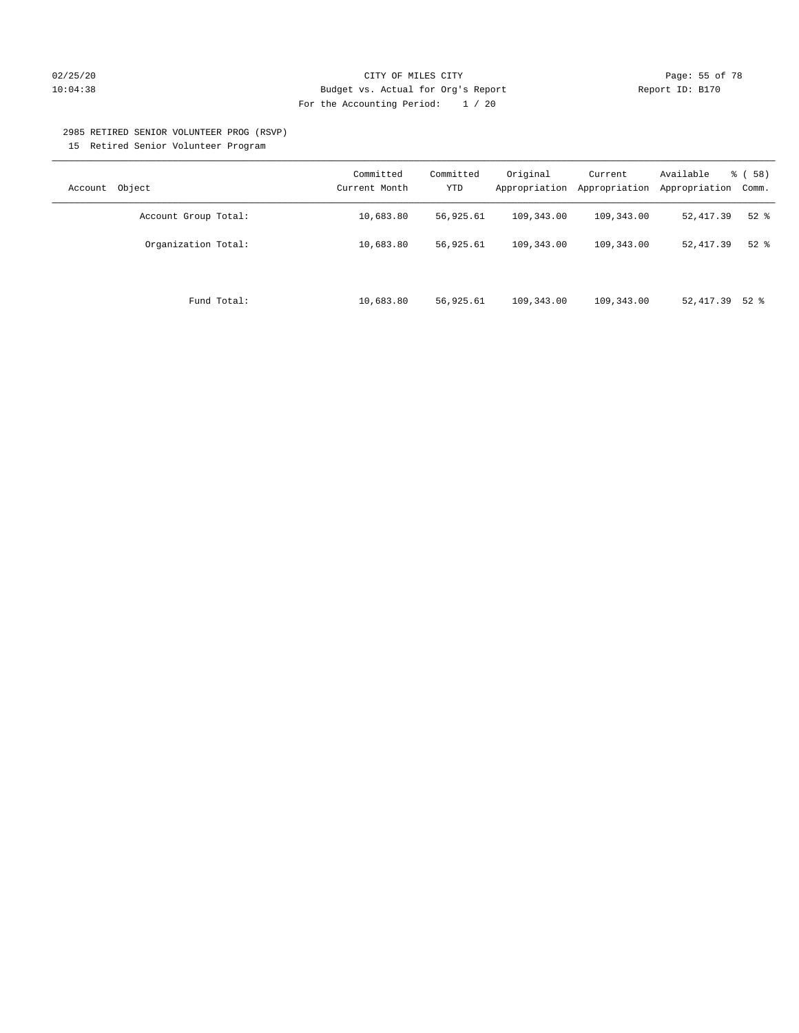#### 02/25/20 **CITY OF MILES CITY CITY CITY Page: 55 of 78** 10:04:38 Budget vs. Actual for Org's Report Report ID: B170 For the Accounting Period: 1 / 20

#### 2985 RETIRED SENIOR VOLUNTEER PROG (RSVP)

15 Retired Senior Volunteer Program

| Object<br>Account    | Committed<br>Current Month | Committed<br><b>YTD</b> | Original<br>Appropriation | Current<br>Appropriation | Available<br>Appropriation | % ( 58 )<br>Comm. |
|----------------------|----------------------------|-------------------------|---------------------------|--------------------------|----------------------------|-------------------|
| Account Group Total: | 10,683.80                  | 56,925.61               | 109,343.00                | 109,343.00               | 52, 417.39                 | $52$ $%$          |
| Organization Total:  | 10,683.80                  | 56,925.61               | 109,343.00                | 109,343.00               | 52, 417.39                 | $52$ $%$          |
| Fund Total:          | 10,683.80                  | 56,925.61               | 109,343.00                | 109,343.00               | 52, 417.39 52 %            |                   |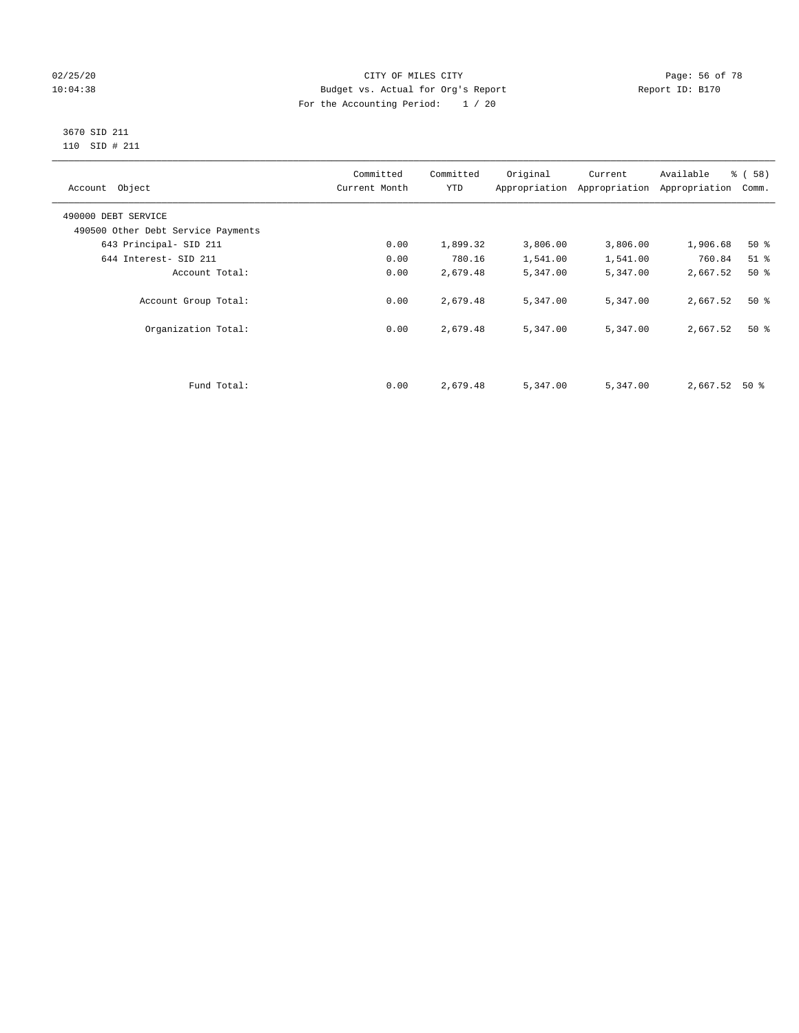#### 02/25/20 Page: 56 of 78 10:04:38 Budget vs. Actual for Org's Report Report ID: B170 For the Accounting Period: 1 / 20

#### 3670 SID 211 110 SID # 211

| Account Object                     | Committed<br>Current Month | Committed<br><b>YTD</b> | Original | Current<br>Appropriation Appropriation | Available<br>Appropriation | % (58)<br>Comm. |
|------------------------------------|----------------------------|-------------------------|----------|----------------------------------------|----------------------------|-----------------|
| 490000 DEBT SERVICE                |                            |                         |          |                                        |                            |                 |
| 490500 Other Debt Service Payments |                            |                         |          |                                        |                            |                 |
| 643 Principal- SID 211             | 0.00                       | 1,899.32                | 3,806.00 | 3,806.00                               | 1,906.68                   | $50*$           |
| 644 Interest- SID 211              | 0.00                       | 780.16                  | 1,541.00 | 1,541.00                               | 760.84                     | $51$ %          |
| Account Total:                     | 0.00                       | 2,679.48                | 5,347.00 | 5,347.00                               | 2,667.52                   | 50%             |
| Account Group Total:               | 0.00                       | 2,679.48                | 5,347.00 | 5,347.00                               | 2,667.52                   | $50*$           |
| Organization Total:                | 0.00                       | 2,679.48                | 5,347.00 | 5,347.00                               | 2,667.52                   | $50*$           |
|                                    |                            |                         |          |                                        |                            |                 |
| Fund Total:                        | 0.00                       | 2,679.48                | 5,347.00 | 5,347.00                               | 2,667.52                   | 50 %            |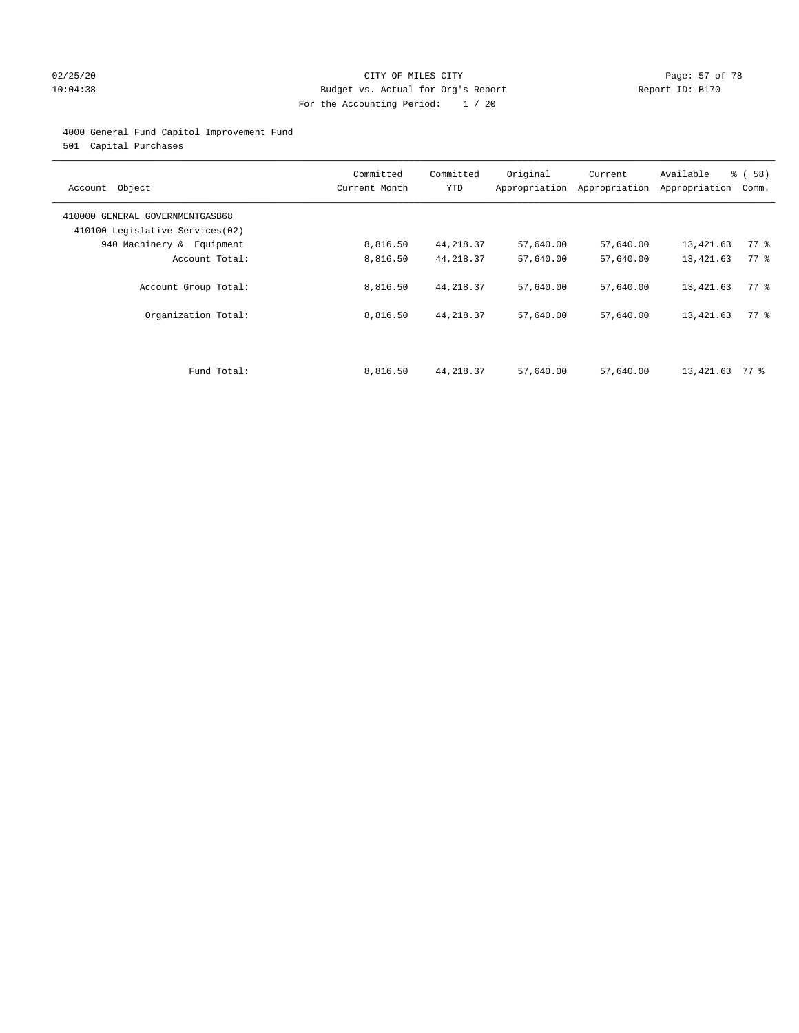#### 02/25/20 Page: 57 of 78 CITY OF MILES CITY CONTROL PAGE: 57 of 78 10:04:38 Budget vs. Actual for Org's Report Report ID: B170 For the Accounting Period: 1 / 20

#### 4000 General Fund Capitol Improvement Fund

501 Capital Purchases

| Account Object                                                     | Committed<br>Current Month | Committed<br><b>YTD</b> | Original  | Current<br>Appropriation Appropriation | Available<br>Appropriation | % ( 58 )<br>Comm.  |
|--------------------------------------------------------------------|----------------------------|-------------------------|-----------|----------------------------------------|----------------------------|--------------------|
| 410000 GENERAL GOVERNMENTGASB68<br>410100 Legislative Services(02) |                            |                         |           |                                        |                            |                    |
| 940 Machinery & Equipment                                          | 8,816.50                   | 44, 218.37              | 57,640.00 | 57,640.00                              | 13,421.63                  | $77$ $\frac{6}{9}$ |
| Account Total:                                                     | 8,816.50                   | 44, 218.37              | 57,640.00 | 57,640.00                              | 13,421.63                  | 77.8               |
| Account Group Total:                                               | 8,816.50                   | 44, 218.37              | 57,640.00 | 57,640.00                              | 13,421.63                  | 77.8               |
| Organization Total:                                                | 8,816.50                   | 44, 218.37              | 57,640.00 | 57,640.00                              | 13,421.63                  | 77.8               |
|                                                                    |                            |                         |           |                                        |                            |                    |
| Fund Total:                                                        | 8,816.50                   | 44, 218.37              | 57,640.00 | 57,640.00                              | 13,421.63                  | 77 %               |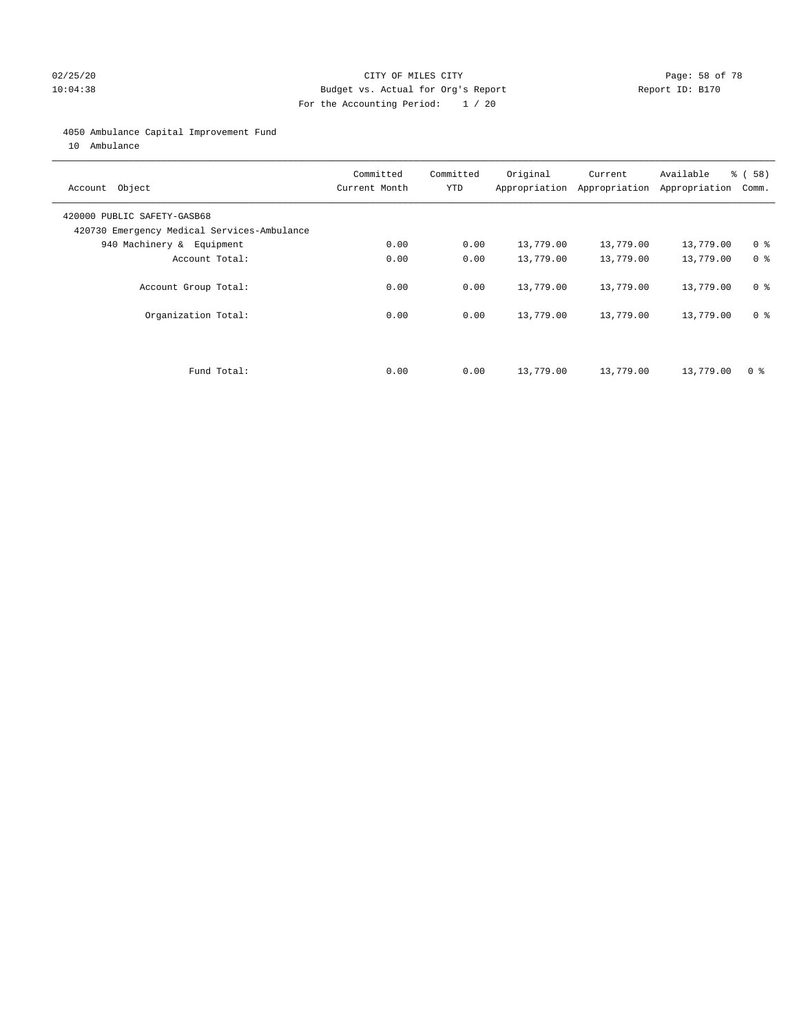#### 02/25/20 Page: 58 of 78 10:04:38 Budget vs. Actual for Org's Report Report ID: B170 For the Accounting Period: 1 / 20

#### 4050 Ambulance Capital Improvement Fund

10 Ambulance

| Account Object                                                             | Committed<br>Current Month | Committed<br><b>YTD</b> | Original  | Current<br>Appropriation Appropriation | Available<br>Appropriation | % ( 58 )<br>Comm. |
|----------------------------------------------------------------------------|----------------------------|-------------------------|-----------|----------------------------------------|----------------------------|-------------------|
| 420000 PUBLIC SAFETY-GASB68<br>420730 Emergency Medical Services-Ambulance |                            |                         |           |                                        |                            |                   |
| 940 Machinery & Equipment                                                  | 0.00                       | 0.00                    | 13,779.00 | 13,779.00                              | 13,779.00                  | 0 <sup>8</sup>    |
| Account Total:                                                             | 0.00                       | 0.00                    | 13,779.00 | 13,779.00                              | 13,779.00                  | 0 <sup>8</sup>    |
| Account Group Total:                                                       | 0.00                       | 0.00                    | 13,779.00 | 13,779.00                              | 13,779.00                  | 0 <sup>8</sup>    |
| Organization Total:                                                        | 0.00                       | 0.00                    | 13,779.00 | 13,779.00                              | 13,779.00                  | 0 <sup>8</sup>    |
|                                                                            |                            |                         |           |                                        |                            |                   |
| Fund Total:                                                                | 0.00                       | 0.00                    | 13,779.00 | 13,779.00                              | 13,779.00                  | 0 %               |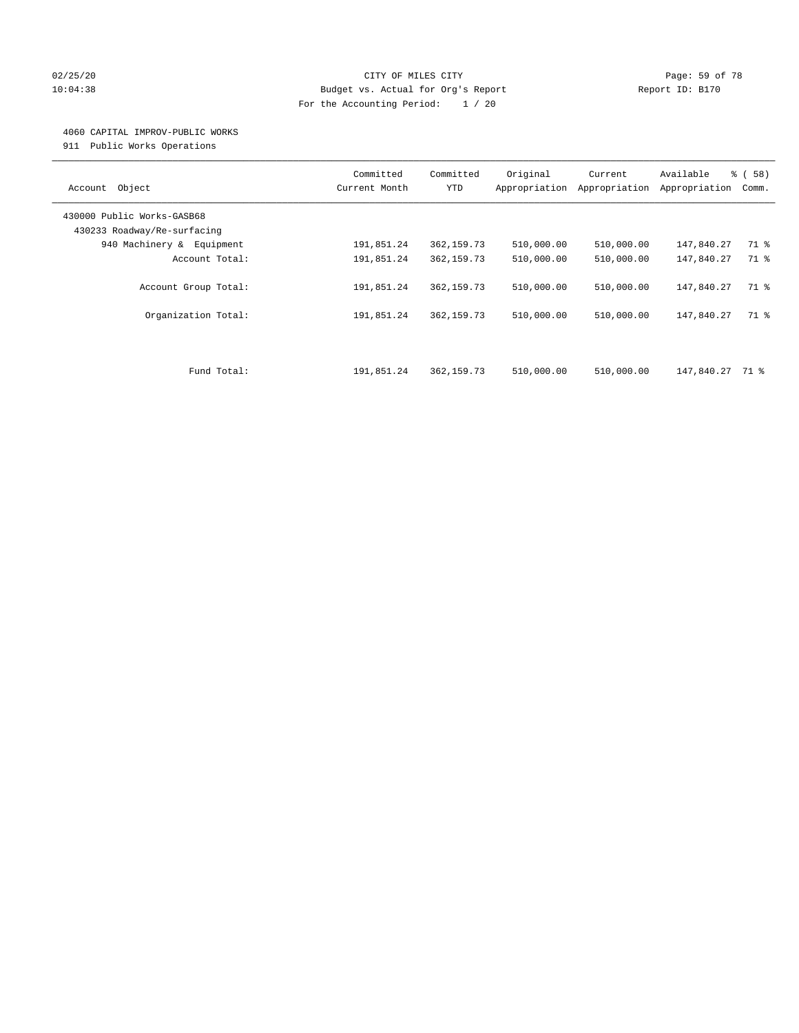#### 02/25/20 Page: 59 of 78 10:04:38 Budget vs. Actual for Org's Report Report ID: B170 For the Accounting Period: 1 / 20

#### 4060 CAPITAL IMPROV-PUBLIC WORKS

911 Public Works Operations

| Object<br>Account                                         | Committed<br>Current Month | Committed<br><b>YTD</b> | Original<br>Appropriation | Current<br>Appropriation | Available<br>Appropriation | % (58)<br>Comm. |
|-----------------------------------------------------------|----------------------------|-------------------------|---------------------------|--------------------------|----------------------------|-----------------|
| 430000 Public Works-GASB68<br>430233 Roadway/Re-surfacing |                            |                         |                           |                          |                            |                 |
| 940 Machinery & Equipment                                 | 191,851.24                 | 362,159.73              | 510,000.00                | 510,000.00               | 147,840.27                 | 71 %            |
| Account Total:                                            | 191,851.24                 | 362, 159.73             | 510,000.00                | 510,000.00               | 147,840.27                 | 71 %            |
| Account Group Total:                                      | 191,851.24                 | 362,159.73              | 510,000.00                | 510,000.00               | 147,840.27                 | 71 %            |
| Organization Total:                                       | 191,851.24                 | 362,159.73              | 510,000.00                | 510,000.00               | 147,840.27                 | 71 %            |
|                                                           |                            |                         |                           |                          |                            |                 |
| Fund Total:                                               | 191,851.24                 | 362,159.73              | 510,000.00                | 510,000.00               | 147,840.27 71 %            |                 |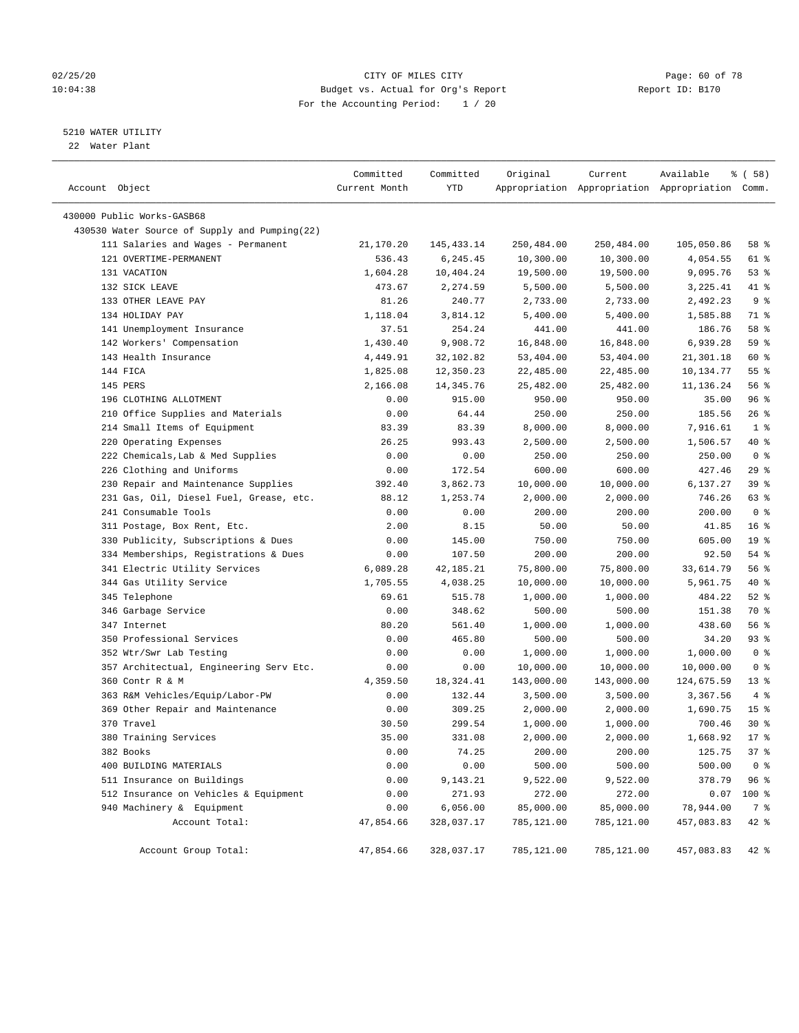#### 02/25/20 Page: 60 of 78 10:04:38 Budget vs. Actual for Org's Report Report ID: B170 For the Accounting Period: 1 / 20

#### 5210 WATER UTILITY

22 Water Plant

| Account Object                                | Committed<br>Current Month | Committed<br>YTD | Original   | Current    | Available<br>Appropriation Appropriation Appropriation Comm. | 8 ( 58 )           |
|-----------------------------------------------|----------------------------|------------------|------------|------------|--------------------------------------------------------------|--------------------|
| 430000 Public Works-GASB68                    |                            |                  |            |            |                                                              |                    |
| 430530 Water Source of Supply and Pumping(22) |                            |                  |            |            |                                                              |                    |
| 111 Salaries and Wages - Permanent            | 21,170.20                  | 145, 433. 14     | 250,484.00 | 250,484.00 | 105,050.86                                                   | 58 %               |
| 121 OVERTIME-PERMANENT                        | 536.43                     | 6,245.45         | 10,300.00  | 10,300.00  | 4,054.55                                                     | 61 %               |
| 131 VACATION                                  | 1,604.28                   | 10,404.24        | 19,500.00  | 19,500.00  | 9,095.76                                                     | 53%                |
| 132 SICK LEAVE                                | 473.67                     | 2,274.59         | 5,500.00   | 5,500.00   | 3,225.41                                                     | 41 %               |
| 133 OTHER LEAVE PAY                           | 81.26                      | 240.77           | 2,733.00   | 2,733.00   | 2,492.23                                                     | 9 <sub>8</sub>     |
| 134 HOLIDAY PAY                               | 1,118.04                   | 3,814.12         | 5,400.00   | 5,400.00   | 1,585.88                                                     | 71 %               |
| 141 Unemployment Insurance                    | 37.51                      | 254.24           | 441.00     | 441.00     | 186.76                                                       | 58 %               |
| 142 Workers' Compensation                     | 1,430.40                   | 9,908.72         | 16,848.00  | 16,848.00  | 6,939.28                                                     | 59 %               |
| 143 Health Insurance                          | 4,449.91                   | 32,102.82        | 53,404.00  | 53,404.00  | 21,301.18                                                    | 60 %               |
| 144 FICA                                      | 1,825.08                   | 12,350.23        | 22,485.00  | 22,485.00  | 10,134.77                                                    | $55$ $\frac{6}{3}$ |
| 145 PERS                                      | 2,166.08                   | 14, 345.76       | 25,482.00  | 25,482.00  | 11,136.24                                                    | 56%                |
| 196 CLOTHING ALLOTMENT                        | 0.00                       | 915.00           | 950.00     | 950.00     | 35.00                                                        | 96%                |
| 210 Office Supplies and Materials             | 0.00                       | 64.44            | 250.00     | 250.00     | 185.56                                                       | 26%                |
| 214 Small Items of Equipment                  | 83.39                      | 83.39            | 8,000.00   | 8,000.00   | 7,916.61                                                     | 1 <sup>°</sup>     |
| 220 Operating Expenses                        | 26.25                      | 993.43           | 2,500.00   | 2,500.00   | 1,506.57                                                     | 40 %               |
| 222 Chemicals, Lab & Med Supplies             | 0.00                       | 0.00             | 250.00     | 250.00     | 250.00                                                       | 0 <sup>8</sup>     |
| 226 Clothing and Uniforms                     | 0.00                       | 172.54           | 600.00     | 600.00     | 427.46                                                       | 29%                |
| 230 Repair and Maintenance Supplies           | 392.40                     | 3,862.73         | 10,000.00  | 10,000.00  | 6,137.27                                                     | 39 %               |
| 231 Gas, Oil, Diesel Fuel, Grease, etc.       | 88.12                      | 1,253.74         | 2,000.00   | 2,000.00   | 746.26                                                       | 63 %               |
| 241 Consumable Tools                          | 0.00                       | 0.00             | 200.00     | 200.00     | 200.00                                                       | 0 <sup>8</sup>     |
| 311 Postage, Box Rent, Etc.                   | 2.00                       | 8.15             | 50.00      | 50.00      | 41.85                                                        | 16 <sup>°</sup>    |
| 330 Publicity, Subscriptions & Dues           | 0.00                       | 145.00           | 750.00     | 750.00     | 605.00                                                       | 19 <sup>°</sup>    |
| 334 Memberships, Registrations & Dues         | 0.00                       | 107.50           | 200.00     | 200.00     | 92.50                                                        | 54 %               |
| 341 Electric Utility Services                 | 6,089.28                   | 42, 185. 21      | 75,800.00  | 75,800.00  | 33,614.79                                                    | 56%                |
| 344 Gas Utility Service                       | 1,705.55                   | 4,038.25         | 10,000.00  | 10,000.00  | 5,961.75                                                     | 40 %               |
| 345 Telephone                                 | 69.61                      | 515.78           | 1,000.00   | 1,000.00   | 484.22                                                       | $52$ $%$           |
| 346 Garbage Service                           | 0.00                       | 348.62           | 500.00     | 500.00     | 151.38                                                       | 70 %               |
| 347 Internet                                  | 80.20                      | 561.40           | 1,000.00   | 1,000.00   | 438.60                                                       | 56%                |
| 350 Professional Services                     | 0.00                       | 465.80           | 500.00     | 500.00     | 34.20                                                        | $93$ $%$           |
| 352 Wtr/Swr Lab Testing                       | 0.00                       | 0.00             | 1,000.00   | 1,000.00   | 1,000.00                                                     | 0 <sup>8</sup>     |
| 357 Architectual, Engineering Serv Etc.       | 0.00                       | 0.00             | 10,000.00  | 10,000.00  | 10,000.00                                                    | 0 <sup>8</sup>     |
| 360 Contr R & M                               | 4,359.50                   | 18,324.41        | 143,000.00 | 143,000.00 | 124,675.59                                                   | $13*$              |
| 363 R&M Vehicles/Equip/Labor-PW               | 0.00                       | 132.44           | 3,500.00   | 3,500.00   | 3,367.56                                                     | 4%                 |
| 369 Other Repair and Maintenance              | 0.00                       | 309.25           | 2,000.00   | 2,000.00   | 1,690.75                                                     | 15 <sup>°</sup>    |
| 370 Travel                                    | 30.50                      | 299.54           | 1,000.00   | 1,000.00   | 700.46                                                       | $30*$              |
| 380 Training Services                         | 35.00                      | 331.08           | 2,000.00   | 2,000.00   | 1,668.92                                                     | 17.8               |
| 382 Books                                     | 0.00                       | 74.25            | 200.00     | 200.00     | 125.75                                                       | 37%                |
| 400 BUILDING MATERIALS                        | 0.00                       | 0.00             | 500.00     | 500.00     | 500.00                                                       | 0 <sup>8</sup>     |
| 511 Insurance on Buildings                    | 0.00                       | 9,143.21         | 9,522.00   | 9,522.00   | 378.79                                                       | 96 %               |
| 512 Insurance on Vehicles & Equipment         | 0.00                       | 271.93           | 272.00     | 272.00     | 0.07                                                         | $100$ %            |
| 940 Machinery & Equipment                     | 0.00                       | 6,056.00         | 85,000.00  | 85,000.00  | 78,944.00                                                    | 7 %                |
| Account Total:                                | 47,854.66                  | 328,037.17       | 785,121.00 | 785,121.00 | 457,083.83                                                   | 42 %               |
| Account Group Total:                          | 47,854.66                  | 328,037.17       | 785,121.00 | 785,121.00 | 457,083.83                                                   | 42 %               |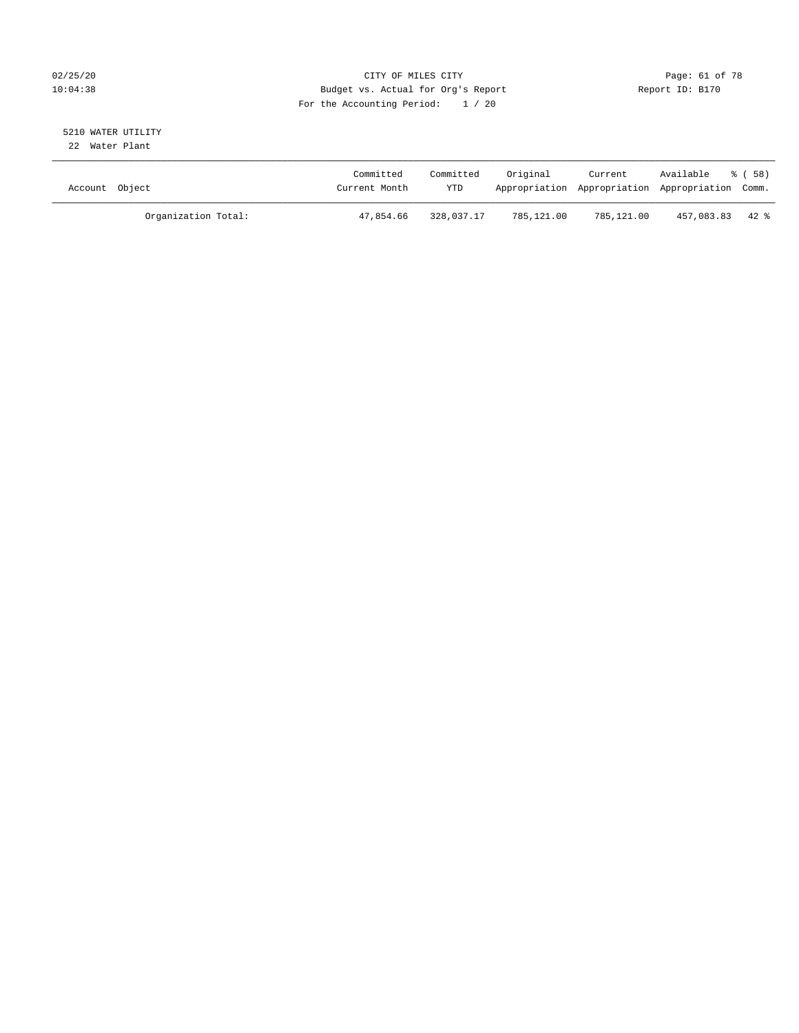#### 02/25/20 Page: 61 of 78 CITY OF MILES CITY CONTROL PAGE: 61 of 78 10:04:38 Budget vs. Actual for Org's Report Report ID: B170 For the Accounting Period: 1 / 20

#### 5210 WATER UTILITY 22 Water Plant

| Account Object |                     | Committed<br>Current Month | Committed<br><b>YTD</b> | Original   | Current    | Available<br>Appropriation Appropriation Appropriation Comm. | ※ ( 58 ) |
|----------------|---------------------|----------------------------|-------------------------|------------|------------|--------------------------------------------------------------|----------|
|                | Organization Total: | 47,854.66                  | 328,037.17              | 785,121.00 | 785,121.00 | 457,083.83 42 %                                              |          |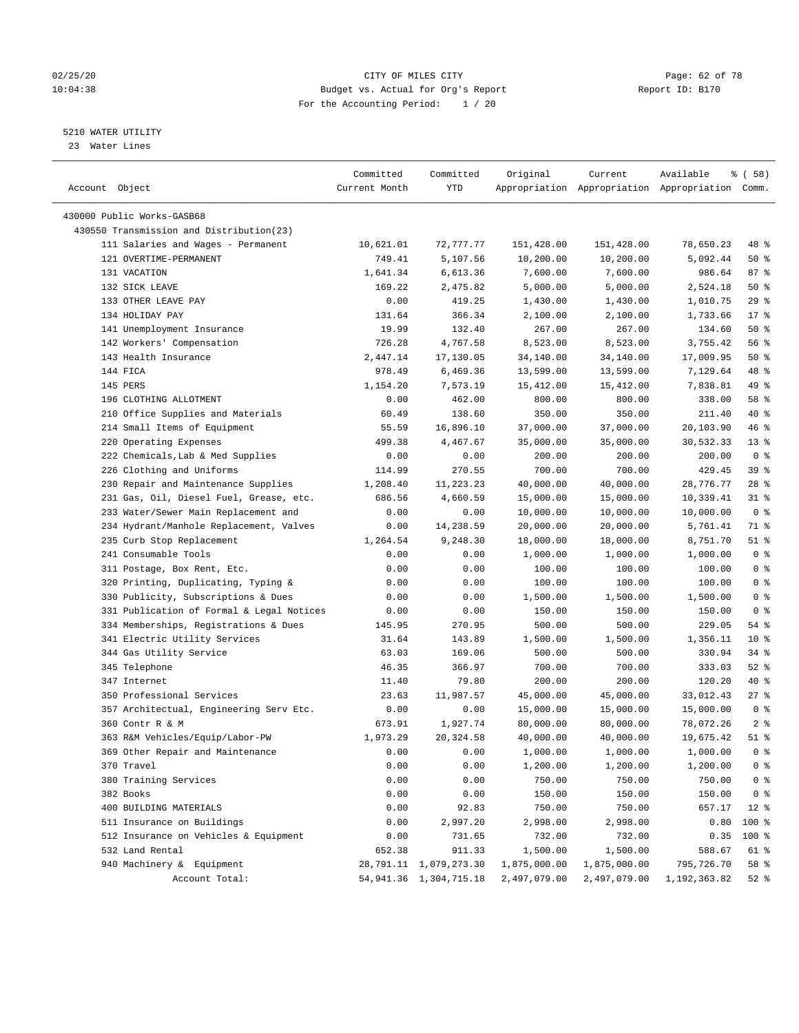#### 02/25/20 Page: 62 of 78 10:04:38 Budget vs. Actual for Org's Report Report ID: B170 For the Accounting Period: 1 / 20

————————————————————————————————————————————————————————————————————————————————————————————————————————————————————————————————————

#### 5210 WATER UTILITY

23 Water Lines

|                                           | Committed     | Committed                 | Original     | Current                                         | Available      | % ( 58 )       |  |
|-------------------------------------------|---------------|---------------------------|--------------|-------------------------------------------------|----------------|----------------|--|
| Account Object                            | Current Month | YTD                       |              | Appropriation Appropriation Appropriation Comm. |                |                |  |
|                                           |               |                           |              |                                                 |                |                |  |
| 430000 Public Works-GASB68                |               |                           |              |                                                 |                |                |  |
| 430550 Transmission and Distribution(23)  |               |                           |              |                                                 |                |                |  |
| 111 Salaries and Wages - Permanent        | 10,621.01     | 72,777.77                 | 151,428.00   | 151,428.00                                      | 78,650.23      | 48 %           |  |
| 121 OVERTIME-PERMANENT                    | 749.41        | 5,107.56                  | 10,200.00    | 10,200.00                                       | 5,092.44       | 50%            |  |
| 131 VACATION                              | 1,641.34      | 6,613.36                  | 7,600.00     | 7,600.00                                        | 986.64         | 87%            |  |
| 132 SICK LEAVE                            | 169.22        | 2,475.82                  | 5,000.00     | 5,000.00                                        | 2,524.18       | 50%            |  |
| 133 OTHER LEAVE PAY                       | 0.00          | 419.25                    | 1,430.00     | 1,430.00                                        | 1,010.75       | $29$ %         |  |
| 134 HOLIDAY PAY                           | 131.64        | 366.34                    | 2,100.00     | 2,100.00                                        | 1,733.66       | $17*$          |  |
| 141 Unemployment Insurance                | 19.99         | 132.40                    | 267.00       | 267.00                                          | 134.60         | 50%            |  |
| 142 Workers' Compensation                 | 726.28        | 4,767.58                  | 8,523.00     | 8,523.00                                        | 3,755.42       | 56%            |  |
| 143 Health Insurance                      | 2,447.14      | 17,130.05                 | 34,140.00    | 34,140.00                                       | 17,009.95      | $50*$          |  |
| 144 FICA                                  | 978.49        | 6,469.36                  | 13,599.00    | 13,599.00                                       | 7,129.64       | 48 %           |  |
| 145 PERS                                  | 1,154.20      | 7,573.19                  | 15,412.00    | 15,412.00                                       | 7,838.81       | 49 %           |  |
| 196 CLOTHING ALLOTMENT                    | 0.00          | 462.00                    | 800.00       | 800.00                                          | 338.00         | 58 %           |  |
| 210 Office Supplies and Materials         | 60.49         | 138.60                    | 350.00       | 350.00                                          | 211.40         | 40 %           |  |
| 214 Small Items of Equipment              | 55.59         | 16,896.10                 | 37,000.00    | 37,000.00                                       | 20,103.90      | 46 %           |  |
| 220 Operating Expenses                    | 499.38        | 4,467.67                  | 35,000.00    | 35,000.00                                       | 30,532.33      | $13*$          |  |
| 222 Chemicals, Lab & Med Supplies         | 0.00          | 0.00                      | 200.00       | 200.00                                          | 200.00         | 0 <sup>8</sup> |  |
| 226 Clothing and Uniforms                 | 114.99        | 270.55                    | 700.00       | 700.00                                          | 429.45         | 39 %           |  |
| 230 Repair and Maintenance Supplies       | 1,208.40      | 11,223.23                 | 40,000.00    | 40,000.00                                       | 28,776.77      | $28$ %         |  |
| 231 Gas, Oil, Diesel Fuel, Grease, etc.   | 686.56        | 4,660.59                  | 15,000.00    | 15,000.00                                       | 10,339.41      | $31$ %         |  |
| 233 Water/Sewer Main Replacement and      | 0.00          | 0.00                      | 10,000.00    | 10,000.00                                       | 10,000.00      | 0 <sup>8</sup> |  |
| 234 Hydrant/Manhole Replacement, Valves   | 0.00          | 14,238.59                 | 20,000.00    | 20,000.00                                       | 5,761.41       | 71 %           |  |
| 235 Curb Stop Replacement                 | 1,264.54      | 9,248.30                  | 18,000.00    | 18,000.00                                       | 8,751.70       | $51$ %         |  |
| 241 Consumable Tools                      | 0.00          | 0.00                      | 1,000.00     | 1,000.00                                        | 1,000.00       | 0 <sup>8</sup> |  |
| 311 Postage, Box Rent, Etc.               | 0.00          | 0.00                      | 100.00       | 100.00                                          | 100.00         | 0 <sup>8</sup> |  |
| 320 Printing, Duplicating, Typing &       | 0.00          | 0.00                      | 100.00       | 100.00                                          | 100.00         | 0 <sup>8</sup> |  |
| 330 Publicity, Subscriptions & Dues       | 0.00          | 0.00                      | 1,500.00     | 1,500.00                                        | 1,500.00       | 0 <sup>8</sup> |  |
| 331 Publication of Formal & Legal Notices | 0.00          | 0.00                      | 150.00       | 150.00                                          | 150.00         | 0 <sup>8</sup> |  |
| 334 Memberships, Registrations & Dues     | 145.95        | 270.95                    | 500.00       | 500.00                                          | 229.05         | 54 %           |  |
| 341 Electric Utility Services             | 31.64         | 143.89                    | 1,500.00     | 1,500.00                                        | 1,356.11       | $10*$          |  |
| 344 Gas Utility Service                   | 63.03         | 169.06                    | 500.00       | 500.00                                          | 330.94         | $34$ $%$       |  |
| 345 Telephone                             | 46.35         | 366.97                    | 700.00       | 700.00                                          | 333.03         | $52$ $%$       |  |
| 347 Internet                              | 11.40         | 79.80                     | 200.00       | 200.00                                          | 120.20         | 40 %           |  |
| 350 Professional Services                 | 23.63         | 11,987.57                 | 45,000.00    | 45,000.00                                       | 33,012.43      | $27$ %         |  |
| 357 Architectual, Engineering Serv Etc.   | 0.00          | 0.00                      | 15,000.00    | 15,000.00                                       | 15,000.00      | 0 <sup>8</sup> |  |
| 360 Contr R & M                           | 673.91        | 1,927.74                  | 80,000.00    | 80,000.00                                       | 78,072.26      | 2 <sup>8</sup> |  |
| 363 R&M Vehicles/Equip/Labor-PW           | 1,973.29      | 20,324.58                 | 40,000.00    | 40,000.00                                       | 19,675.42      | $51$ %         |  |
| 369 Other Repair and Maintenance          | 0.00          | 0.00                      | 1,000.00     | 1,000.00                                        | 1,000.00       | 0 <sup>8</sup> |  |
| 370 Travel                                | 0.00          | 0.00                      | 1,200.00     | 1,200.00                                        | 1,200.00       | 0 <sup>8</sup> |  |
| 380 Training Services                     | 0.00          | 0.00                      | 750.00       | 750.00                                          | 750.00         | 0 <sup>8</sup> |  |
| 382 Books                                 | 0.00          | 0.00                      | 150.00       | 150.00                                          | 150.00         | 0 <sup>8</sup> |  |
|                                           |               |                           |              |                                                 |                |                |  |
| 400 BUILDING MATERIALS                    | 0.00<br>0.00  | 92.83<br>2,997.20         | 750.00       | 750.00                                          | 657.17<br>0.80 | $12*$          |  |
| 511 Insurance on Buildings                |               |                           | 2,998.00     | 2,998.00                                        |                | 100 %          |  |
| 512 Insurance on Vehicles & Equipment     | 0.00          | 731.65                    | 732.00       | 732.00                                          | 0.35           | 100 %          |  |
| 532 Land Rental                           | 652.38        | 911.33                    | 1,500.00     | 1,500.00                                        | 588.67         | 61 %           |  |
| 940 Machinery & Equipment                 |               | 28,791.11 1,079,273.30    | 1,875,000.00 | 1,875,000.00                                    | 795,726.70     | 58 %           |  |
| Account Total:                            |               | 54, 941.36 1, 304, 715.18 | 2,497,079.00 | 2,497,079.00                                    | 1,192,363.82   | $52$ $%$       |  |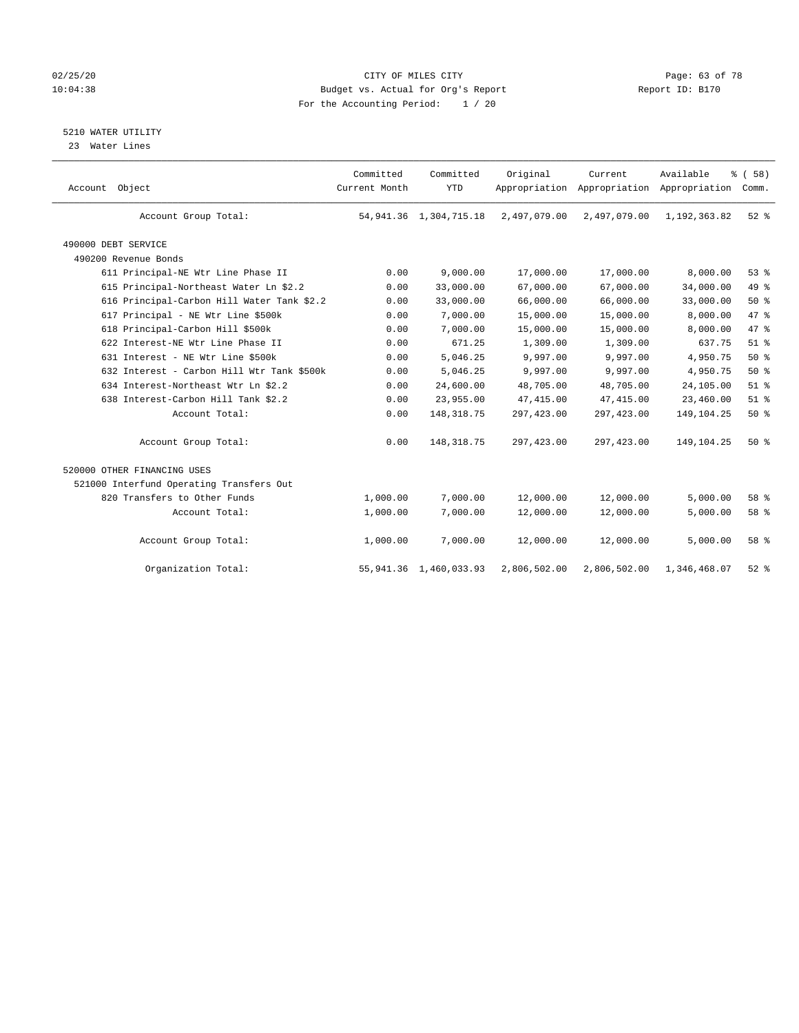#### 02/25/20 Page: 63 of 78 10:04:38 Budget vs. Actual for Org's Report Report ID: B170 For the Accounting Period: 1 / 20

5210 WATER UTILITY

23 Water Lines

| Account Object |                                            | Committed<br>Current Month | Committed<br><b>YTD</b>     | Original     | Current      | Available<br>Appropriation Appropriation Appropriation | % (58)<br>Comm. |  |
|----------------|--------------------------------------------|----------------------------|-----------------------------|--------------|--------------|--------------------------------------------------------|-----------------|--|
|                | Account Group Total:                       |                            | 54, 941, 36 1, 304, 715, 18 | 2,497,079.00 | 2,497,079.00 | 1,192,363.82                                           | $52$ $%$        |  |
|                | 490000 DEBT SERVICE                        |                            |                             |              |              |                                                        |                 |  |
|                | 490200 Revenue Bonds                       |                            |                             |              |              |                                                        |                 |  |
|                | 611 Principal-NE Wtr Line Phase II         | 0.00                       | 9,000.00                    | 17,000.00    | 17,000.00    | 8,000.00                                               | 53%             |  |
|                | 615 Principal-Northeast Water Ln \$2.2     | 0.00                       | 33,000.00                   | 67,000.00    | 67,000.00    | 34,000.00                                              | 49 %            |  |
|                | 616 Principal-Carbon Hill Water Tank \$2.2 | 0.00                       | 33,000.00                   | 66,000.00    | 66,000.00    | 33,000.00                                              | $50*$           |  |
|                | 617 Principal - NE Wtr Line \$500k         | 0.00                       | 7,000.00                    | 15,000.00    | 15,000.00    | 8,000.00                                               | 47 %            |  |
|                | 618 Principal-Carbon Hill \$500k           | 0.00                       | 7,000.00                    | 15,000.00    | 15,000.00    | 8,000.00                                               | 47 %            |  |
|                | 622 Interest-NE Wtr Line Phase II          | 0.00                       | 671.25                      | 1,309.00     | 1,309.00     | 637.75                                                 | $51$ $%$        |  |
|                | 631 Interest - NE Wtr Line \$500k          | 0.00                       | 5,046.25                    | 9,997.00     | 9,997.00     | 4,950.75                                               | 50%             |  |
|                | 632 Interest - Carbon Hill Wtr Tank \$500k | 0.00                       | 5,046.25                    | 9,997.00     | 9,997.00     | 4,950.75                                               | $50*$           |  |
|                | 634 Interest-Northeast Wtr Ln \$2.2        | 0.00                       | 24,600.00                   | 48,705.00    | 48,705.00    | 24,105.00                                              | $51$ %          |  |
|                | 638 Interest-Carbon Hill Tank \$2.2        | 0.00                       | 23,955.00                   | 47, 415.00   | 47,415.00    | 23,460.00                                              | $51$ %          |  |
|                | Account Total:                             | 0.00                       | 148, 318.75                 | 297,423.00   | 297, 423.00  | 149, 104. 25                                           | 50%             |  |
|                | Account Group Total:                       | 0.00                       | 148, 318.75                 | 297,423.00   | 297, 423.00  | 149,104.25                                             | 50%             |  |
|                | 520000 OTHER FINANCING USES                |                            |                             |              |              |                                                        |                 |  |
|                | 521000 Interfund Operating Transfers Out   |                            |                             |              |              |                                                        |                 |  |
|                | 820 Transfers to Other Funds               | 1,000.00                   | 7,000.00                    | 12,000.00    | 12,000.00    | 5,000.00                                               | 58 %            |  |
|                | Account Total:                             | 1,000.00                   | 7,000.00                    | 12,000.00    | 12,000.00    | 5,000.00                                               | 58 %            |  |
|                | Account Group Total:                       | 1,000.00                   | 7,000.00                    | 12,000.00    | 12,000.00    | 5,000.00                                               | 58 %            |  |
|                | Organization Total:                        |                            | 55, 941.36 1, 460, 033.93   | 2,806,502.00 | 2,806,502.00 | 1,346,468.07                                           | $52$ $%$        |  |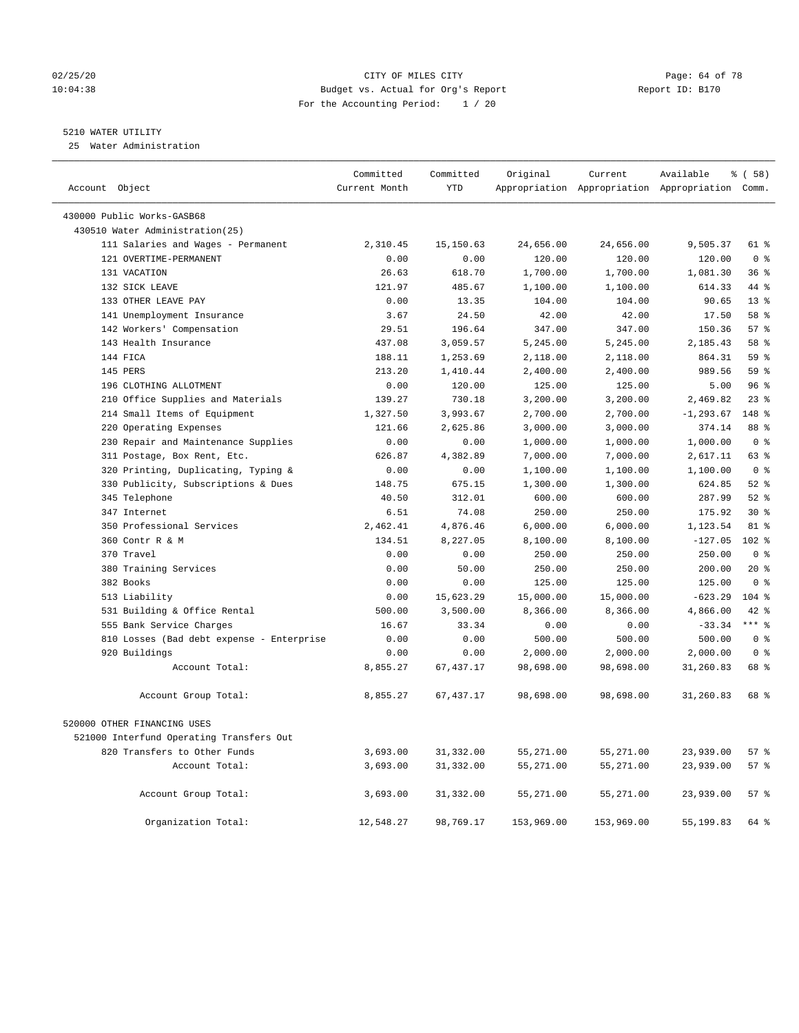#### 02/25/20 Page: 64 of 78 10:04:38 Budget vs. Actual for Org's Report Changer Report ID: B170 For the Accounting Period: 1 / 20

————————————————————————————————————————————————————————————————————————————————————————————————————————————————————————————————————

#### 5210 WATER UTILITY

25 Water Administration

|                                          |                                           | Committed<br>Current Month | Committed<br><b>YTD</b> | Original   | Current    | Available                                       | 8 ( 58 )       |  |
|------------------------------------------|-------------------------------------------|----------------------------|-------------------------|------------|------------|-------------------------------------------------|----------------|--|
| Account Object                           |                                           |                            |                         |            |            | Appropriation Appropriation Appropriation Comm. |                |  |
| 430000 Public Works-GASB68               |                                           |                            |                         |            |            |                                                 |                |  |
| 430510 Water Administration(25)          |                                           |                            |                         |            |            |                                                 |                |  |
|                                          | 111 Salaries and Wages - Permanent        | 2,310.45                   | 15,150.63               | 24,656.00  | 24,656.00  | 9,505.37                                        | 61 %           |  |
| 121 OVERTIME-PERMANENT                   |                                           | 0.00                       | 0.00                    | 120.00     | 120.00     | 120.00                                          | 0 <sup>8</sup> |  |
| 131 VACATION                             |                                           | 26.63                      | 618.70                  | 1,700.00   | 1,700.00   | 1,081.30                                        | 36%            |  |
| 132 SICK LEAVE                           |                                           | 121.97                     | 485.67                  | 1,100.00   | 1,100.00   | 614.33                                          | 44 %           |  |
| 133 OTHER LEAVE PAY                      |                                           | 0.00                       | 13.35                   | 104.00     | 104.00     | 90.65                                           | $13*$          |  |
| 141 Unemployment Insurance               |                                           | 3.67                       | 24.50                   | 42.00      | 42.00      | 17.50                                           | 58 %           |  |
| 142 Workers' Compensation                |                                           | 29.51                      | 196.64                  | 347.00     | 347.00     | 150.36                                          | 57%            |  |
| 143 Health Insurance                     |                                           | 437.08                     | 3,059.57                | 5,245.00   | 5,245.00   | 2,185.43                                        | 58 %           |  |
| 144 FICA                                 |                                           | 188.11                     | 1,253.69                | 2,118.00   | 2,118.00   | 864.31                                          | 59 %           |  |
| 145 PERS                                 |                                           | 213.20                     | 1,410.44                | 2,400.00   | 2,400.00   | 989.56                                          | 59 %           |  |
| 196 CLOTHING ALLOTMENT                   |                                           | 0.00                       | 120.00                  | 125.00     | 125.00     | 5.00                                            | 96%            |  |
|                                          | 210 Office Supplies and Materials         | 139.27                     | 730.18                  | 3,200.00   | 3,200.00   | 2,469.82                                        | 238            |  |
| 214 Small Items of Equipment             |                                           | 1,327.50                   | 3,993.67                | 2,700.00   | 2,700.00   | $-1, 293.67$                                    | 148 %          |  |
| 220 Operating Expenses                   |                                           | 121.66                     | 2,625.86                | 3,000.00   | 3,000.00   | 374.14                                          | 88 %           |  |
|                                          | 230 Repair and Maintenance Supplies       | 0.00                       | 0.00                    | 1,000.00   | 1,000.00   | 1,000.00                                        | 0 <sup>8</sup> |  |
| 311 Postage, Box Rent, Etc.              |                                           | 626.87                     | 4,382.89                | 7,000.00   | 7,000.00   | 2,617.11                                        | 63 %           |  |
|                                          | 320 Printing, Duplicating, Typing &       | 0.00                       | 0.00                    | 1,100.00   | 1,100.00   | 1,100.00                                        | 0 <sup>8</sup> |  |
|                                          | 330 Publicity, Subscriptions & Dues       | 148.75                     | 675.15                  | 1,300.00   | 1,300.00   | 624.85                                          | $52$ $%$       |  |
| 345 Telephone                            |                                           | 40.50                      | 312.01                  | 600.00     | 600.00     | 287.99                                          | $52$ $%$       |  |
| 347 Internet                             |                                           | 6.51                       | 74.08                   | 250.00     | 250.00     | 175.92                                          | $30*$          |  |
| 350 Professional Services                |                                           | 2,462.41                   | 4,876.46                | 6,000.00   | 6,000.00   | 1,123.54                                        | 81 %           |  |
| 360 Contr R & M                          |                                           | 134.51                     | 8,227.05                | 8,100.00   | 8,100.00   | $-127.05$                                       | 102 %          |  |
| 370 Travel                               |                                           | 0.00                       | 0.00                    | 250.00     | 250.00     | 250.00                                          | 0 <sup>8</sup> |  |
| 380 Training Services                    |                                           | 0.00                       | 50.00                   | 250.00     | 250.00     | 200.00                                          | $20*$          |  |
| 382 Books                                |                                           | 0.00                       | 0.00                    | 125.00     | 125.00     | 125.00                                          | 0 <sup>8</sup> |  |
| 513 Liability                            |                                           | 0.00                       | 15,623.29               | 15,000.00  | 15,000.00  | $-623.29$                                       | $104$ %        |  |
| 531 Building & Office Rental             |                                           | 500.00                     | 3,500.00                | 8,366.00   | 8,366.00   | 4,866.00                                        | $42$ %         |  |
| 555 Bank Service Charges                 |                                           | 16.67                      | 33.34                   | 0.00       | 0.00       | $-33.34$                                        | $***$ $%$      |  |
|                                          | 810 Losses (Bad debt expense - Enterprise | 0.00                       | 0.00                    | 500.00     | 500.00     | 500.00                                          | 0 <sup>8</sup> |  |
| 920 Buildings                            |                                           | 0.00                       | 0.00                    | 2,000.00   | 2,000.00   | 2,000.00                                        | 0 <sup>8</sup> |  |
|                                          | Account Total:                            | 8,855.27                   | 67, 437.17              | 98,698.00  | 98,698.00  | 31,260.83                                       | 68 %           |  |
|                                          | Account Group Total:                      | 8,855.27                   | 67, 437.17              | 98,698.00  | 98,698.00  | 31,260.83                                       | 68 %           |  |
|                                          |                                           |                            |                         |            |            |                                                 |                |  |
| 520000 OTHER FINANCING USES              |                                           |                            |                         |            |            |                                                 |                |  |
| 521000 Interfund Operating Transfers Out |                                           |                            |                         |            |            |                                                 |                |  |
| 820 Transfers to Other Funds             |                                           | 3,693.00                   | 31,332.00               | 55,271.00  | 55,271.00  | 23,939.00                                       | 57%            |  |
|                                          | Account Total:                            | 3,693.00                   | 31,332.00               | 55,271.00  | 55,271.00  | 23,939.00                                       | 57%            |  |
|                                          | Account Group Total:                      | 3,693.00                   | 31,332.00               | 55,271.00  | 55,271.00  | 23,939.00                                       | 57%            |  |
|                                          | Organization Total:                       | 12,548.27                  | 98,769.17               | 153,969.00 | 153,969.00 | 55, 199.83                                      | 64 %           |  |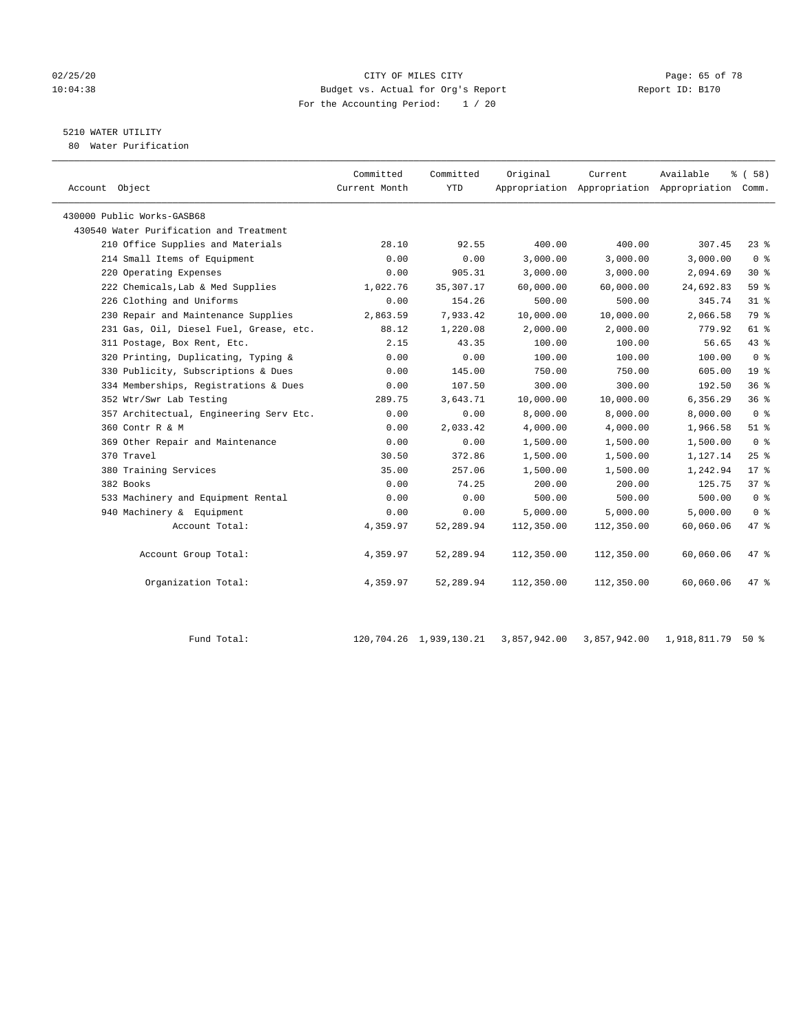#### 02/25/20 Page: 65 of 78 10:04:38 Budget vs. Actual for Org's Report Report ID: B170 For the Accounting Period: 1 / 20

## 5210 WATER UTILITY

80 Water Purification

| Account Object                          | Committed<br>Current Month | Committed<br><b>YTD</b> | Original   | Current    | Available<br>Appropriation Appropriation Appropriation Comm. | 8 ( 58 )        |
|-----------------------------------------|----------------------------|-------------------------|------------|------------|--------------------------------------------------------------|-----------------|
| 430000 Public Works-GASB68              |                            |                         |            |            |                                                              |                 |
| 430540 Water Purification and Treatment |                            |                         |            |            |                                                              |                 |
| 210 Office Supplies and Materials       | 28.10                      | 92.55                   | 400.00     | 400.00     | 307.45                                                       | $23$ $%$        |
| 214 Small Items of Equipment            | 0.00                       | 0.00                    | 3,000.00   | 3,000.00   | 3,000.00                                                     | 0 <sup>8</sup>  |
| 220 Operating Expenses                  | 0.00                       | 905.31                  | 3,000.00   | 3,000.00   | 2,094.69                                                     | $30*$           |
| 222 Chemicals, Lab & Med Supplies       | 1,022.76                   | 35, 307. 17             | 60,000.00  | 60,000.00  | 24,692.83                                                    | 59 %            |
| 226 Clothing and Uniforms               | 0.00                       | 154.26                  | 500.00     | 500.00     | 345.74                                                       | 31.8            |
| 230 Repair and Maintenance Supplies     | 2,863.59                   | 7.933.42                | 10,000.00  | 10,000.00  | 2,066.58                                                     | 79 %            |
| 231 Gas, Oil, Diesel Fuel, Grease, etc. | 88.12                      | 1,220.08                | 2,000.00   | 2,000.00   | 779.92                                                       | 61 %            |
| 311 Postage, Box Rent, Etc.             | 2.15                       | 43.35                   | 100.00     | 100.00     | 56.65                                                        | 43 %            |
| 320 Printing, Duplicating, Typing &     | 0.00                       | 0.00                    | 100.00     | 100.00     | 100.00                                                       | 0 <sup>8</sup>  |
| 330 Publicity, Subscriptions & Dues     | 0.00                       | 145.00                  | 750.00     | 750.00     | 605.00                                                       | 19 <sup>°</sup> |
| 334 Memberships, Registrations & Dues   | 0.00                       | 107.50                  | 300.00     | 300.00     | 192.50                                                       | 36%             |
| 352 Wtr/Swr Lab Testing                 | 289.75                     | 3,643.71                | 10,000.00  | 10,000.00  | 6,356.29                                                     | 36%             |
| 357 Architectual, Engineering Serv Etc. | 0.00                       | 0.00                    | 8,000.00   | 8,000.00   | 8,000.00                                                     | 0 <sup>8</sup>  |
| 360 Contr R & M                         | 0.00                       | 2,033.42                | 4,000.00   | 4,000.00   | 1,966.58                                                     | $51$ %          |
| 369 Other Repair and Maintenance        | 0.00                       | 0.00                    | 1,500.00   | 1,500.00   | 1,500.00                                                     | 0 <sup>8</sup>  |
| 370 Travel                              | 30.50                      | 372.86                  | 1,500.00   | 1,500.00   | 1,127.14                                                     | 25%             |
| 380 Training Services                   | 35.00                      | 257.06                  | 1,500.00   | 1,500.00   | 1,242.94                                                     | $17*$           |
| 382 Books                               | 0.00                       | 74.25                   | 200.00     | 200.00     | 125.75                                                       | 37%             |
| 533 Machinery and Equipment Rental      | 0.00                       | 0.00                    | 500.00     | 500.00     | 500.00                                                       | 0 <sup>8</sup>  |
| 940 Machinery & Equipment               | 0.00                       | 0.00                    | 5,000.00   | 5,000.00   | 5,000.00                                                     | 0 <sup>8</sup>  |
| Account Total:                          | 4,359.97                   | 52,289.94               | 112,350.00 | 112,350.00 | 60,060.06                                                    | 47 %            |
| Account Group Total:                    | 4,359.97                   | 52,289.94               | 112,350.00 | 112,350.00 | 60,060.06                                                    | $47$ %          |
| Organization Total:                     | 4,359.97                   | 52,289.94               | 112,350.00 | 112,350.00 | 60,060.06                                                    | 47.8            |

| Fund Total |  | 120,704.26  1,939,130.21  3,857,942.00  3,857,942.00 | 1,918,811.79 50 % |
|------------|--|------------------------------------------------------|-------------------|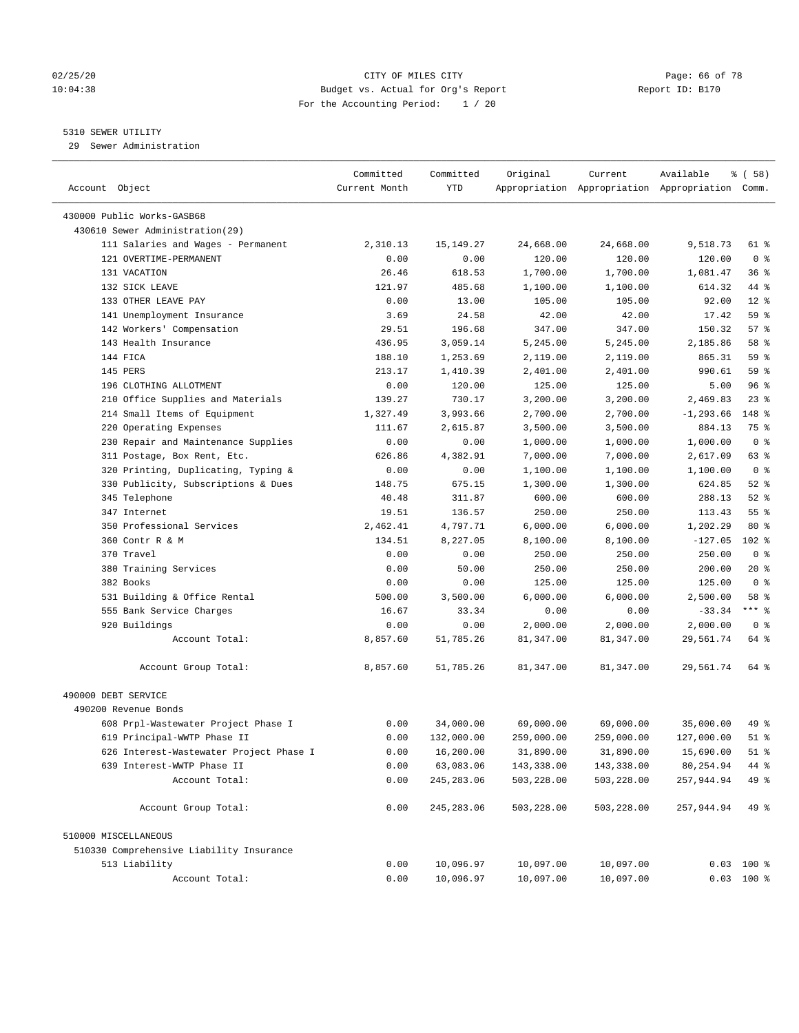#### 02/25/20 Page: 66 of 78 10:04:38 Budget vs. Actual for Org's Report Report ID: B170 For the Accounting Period: 1 / 20

————————————————————————————————————————————————————————————————————————————————————————————————————————————————————————————————————

#### 5310 SEWER UTILITY

29 Sewer Administration

|                                          | Committed     | Committed   | Original   | Current    | Available                                       | १ ( 58)            |
|------------------------------------------|---------------|-------------|------------|------------|-------------------------------------------------|--------------------|
| Account Object                           | Current Month | YTD         |            |            | Appropriation Appropriation Appropriation Comm. |                    |
| 430000 Public Works-GASB68               |               |             |            |            |                                                 |                    |
| 430610 Sewer Administration(29)          |               |             |            |            |                                                 |                    |
| 111 Salaries and Wages - Permanent       | 2,310.13      | 15, 149. 27 | 24,668.00  | 24,668.00  | 9,518.73                                        | 61 %               |
| 121 OVERTIME-PERMANENT                   | 0.00          | 0.00        | 120.00     | 120.00     | 120.00                                          | 0 <sup>8</sup>     |
| 131 VACATION                             | 26.46         | 618.53      | 1,700.00   | 1,700.00   | 1,081.47                                        | 36%                |
| 132 SICK LEAVE                           | 121.97        | 485.68      | 1,100.00   | 1,100.00   | 614.32                                          | 44 %               |
| 133 OTHER LEAVE PAY                      | 0.00          | 13.00       | 105.00     | 105.00     | 92.00                                           | $12*$              |
| 141 Unemployment Insurance               | 3.69          | 24.58       | 42.00      | 42.00      | 17.42                                           | 59 %               |
| 142 Workers' Compensation                | 29.51         | 196.68      | 347.00     | 347.00     | 150.32                                          | 57%                |
| 143 Health Insurance                     | 436.95        | 3,059.14    | 5,245.00   | 5,245.00   | 2,185.86                                        | 58 %               |
| 144 FICA                                 | 188.10        | 1,253.69    | 2,119.00   | 2,119.00   | 865.31                                          | 59 %               |
| 145 PERS                                 | 213.17        | 1,410.39    | 2,401.00   | 2,401.00   | 990.61                                          | 59 %               |
| 196 CLOTHING ALLOTMENT                   | 0.00          | 120.00      | 125.00     | 125.00     | 5.00                                            | 96%                |
| 210 Office Supplies and Materials        | 139.27        | 730.17      | 3,200.00   | 3,200.00   | 2,469.83                                        | $23$ $%$           |
| 214 Small Items of Equipment             | 1,327.49      | 3,993.66    | 2,700.00   | 2,700.00   | $-1, 293.66$                                    | 148 %              |
| 220 Operating Expenses                   | 111.67        | 2,615.87    | 3,500.00   | 3,500.00   | 884.13                                          | 75 %               |
| 230 Repair and Maintenance Supplies      | 0.00          | 0.00        | 1,000.00   | 1,000.00   | 1,000.00                                        | 0 <sup>8</sup>     |
| 311 Postage, Box Rent, Etc.              | 626.86        | 4,382.91    | 7,000.00   | 7,000.00   | 2,617.09                                        | 63 %               |
| 320 Printing, Duplicating, Typing &      | 0.00          | 0.00        | 1,100.00   | 1,100.00   | 1,100.00                                        | 0 <sup>8</sup>     |
| 330 Publicity, Subscriptions & Dues      | 148.75        | 675.15      | 1,300.00   | 1,300.00   | 624.85                                          | $52$ $%$           |
| 345 Telephone                            | 40.48         | 311.87      | 600.00     | 600.00     | 288.13                                          | $52$ $%$           |
| 347 Internet                             | 19.51         | 136.57      | 250.00     | 250.00     | 113.43                                          | $55$ $\frac{6}{3}$ |
| 350 Professional Services                | 2,462.41      | 4,797.71    | 6,000.00   | 6,000.00   | 1,202.29                                        | $80*$              |
| 360 Contr R & M                          | 134.51        | 8,227.05    | 8,100.00   | 8,100.00   | $-127.05$                                       | $102$ %            |
| 370 Travel                               | 0.00          | 0.00        | 250.00     | 250.00     | 250.00                                          | 0 <sup>8</sup>     |
| 380 Training Services                    | 0.00          | 50.00       | 250.00     | 250.00     | 200.00                                          | $20*$              |
| 382 Books                                | 0.00          | 0.00        | 125.00     | 125.00     | 125.00                                          | 0 <sup>8</sup>     |
| 531 Building & Office Rental             | 500.00        | 3,500.00    | 6,000.00   | 6,000.00   | 2,500.00                                        | 58 %               |
| 555 Bank Service Charges                 | 16.67         | 33.34       | 0.00       | 0.00       | $-33.34$                                        | $***$ $-$          |
| 920 Buildings                            | 0.00          | 0.00        | 2,000.00   | 2,000.00   | 2,000.00                                        | 0 <sup>8</sup>     |
| Account Total:                           | 8,857.60      | 51,785.26   | 81,347.00  | 81,347.00  | 29,561.74                                       | 64 %               |
|                                          |               |             |            |            |                                                 |                    |
| Account Group Total:                     | 8,857.60      | 51,785.26   | 81,347.00  | 81,347.00  | 29,561.74                                       | 64 %               |
| 490000 DEBT SERVICE                      |               |             |            |            |                                                 |                    |
| 490200 Revenue Bonds                     |               |             |            |            |                                                 |                    |
| 608 Prpl-Wastewater Project Phase I      | 0.00          | 34,000.00   | 69,000.00  | 69,000.00  | 35,000.00                                       | 49 %               |
| 619 Principal-WWTP Phase II              | 0.00          | 132,000.00  | 259,000.00 | 259,000.00 | 127,000.00                                      | $51$ %             |
| 626 Interest-Wastewater Project Phase I  | 0.00          | 16,200.00   | 31,890.00  | 31,890.00  | 15,690.00                                       | $51$ %             |
| 639 Interest-WWTP Phase II               | 0.00          | 63,083.06   | 143,338.00 | 143,338.00 | 80,254.94                                       | 44 %               |
| Account Total:                           | 0.00          | 245, 283.06 | 503,228.00 | 503,228.00 | 257,944.94                                      | 49 %               |
| Account Group Total:                     | 0.00          | 245, 283.06 | 503,228.00 | 503,228.00 | 257,944.94                                      | 49 %               |
| 510000 MISCELLANEOUS                     |               |             |            |            |                                                 |                    |
| 510330 Comprehensive Liability Insurance |               |             |            |            |                                                 |                    |
| 513 Liability                            | 0.00          | 10,096.97   | 10,097.00  | 10,097.00  |                                                 | $0.03$ 100 %       |
| Account Total:                           | 0.00          | 10,096.97   | 10,097.00  | 10,097.00  |                                                 | $0.03$ 100 %       |
|                                          |               |             |            |            |                                                 |                    |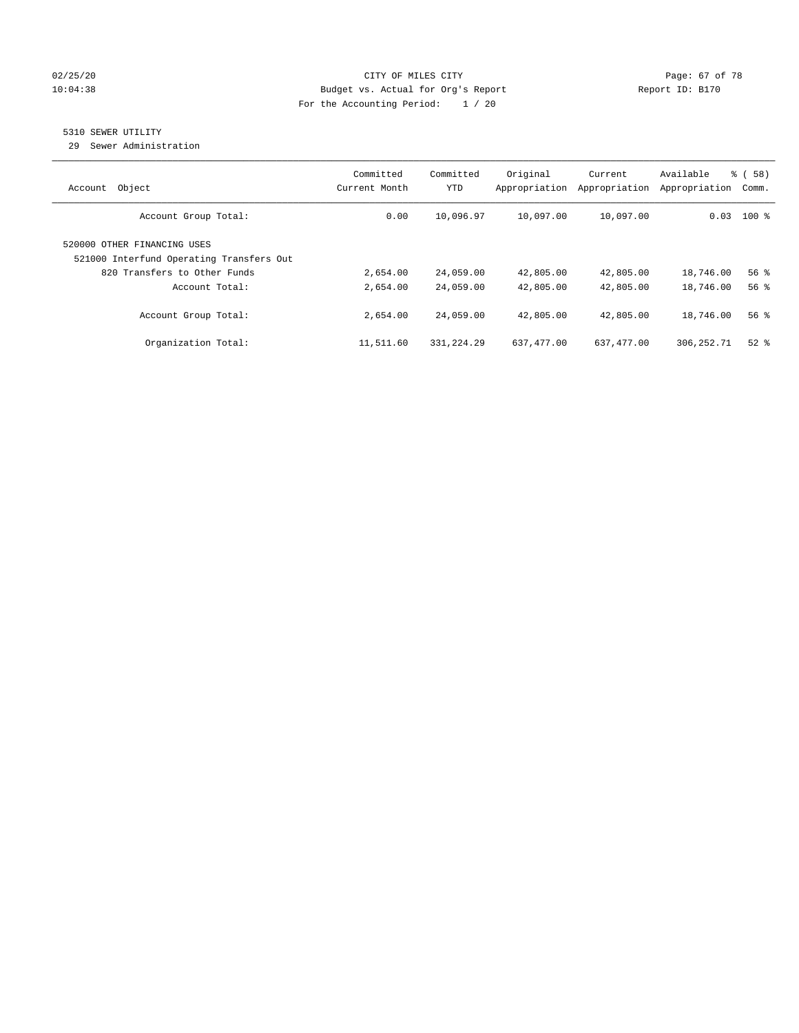#### 02/25/20 Page: 67 of 78 10:04:38 Budget vs. Actual for Org's Report Report ID: B170 For the Accounting Period: 1 / 20

## 5310 SEWER UTILITY

29 Sewer Administration

| Object<br>Account                                                                                       | Committed<br>Current Month | Committed<br><b>YTD</b> | Original<br>Appropriation | Current<br>Appropriation | Available<br>Appropriation | % (58)<br>Comm. |
|---------------------------------------------------------------------------------------------------------|----------------------------|-------------------------|---------------------------|--------------------------|----------------------------|-----------------|
| Account Group Total:                                                                                    | 0.00                       | 10,096.97               | 10,097.00                 | 10,097.00                |                            | $0.03$ 100 %    |
| 520000 OTHER FINANCING USES<br>521000 Interfund Operating Transfers Out<br>820 Transfers to Other Funds | 2,654.00                   | 24,059.00               | 42,805.00                 | 42,805.00                | 18,746.00                  | 56%             |
| Account Total:                                                                                          | 2,654.00                   | 24,059.00               | 42,805.00                 | 42,805.00                | 18,746.00                  | 56 <sup>8</sup> |
| Account Group Total:                                                                                    | 2,654.00                   | 24,059.00               | 42,805.00                 | 42,805.00                | 18,746.00                  | 56%             |
| Organization Total:                                                                                     | 11,511.60                  | 331,224.29              | 637,477.00                | 637, 477.00              | 306,252.71                 | $52$ $%$        |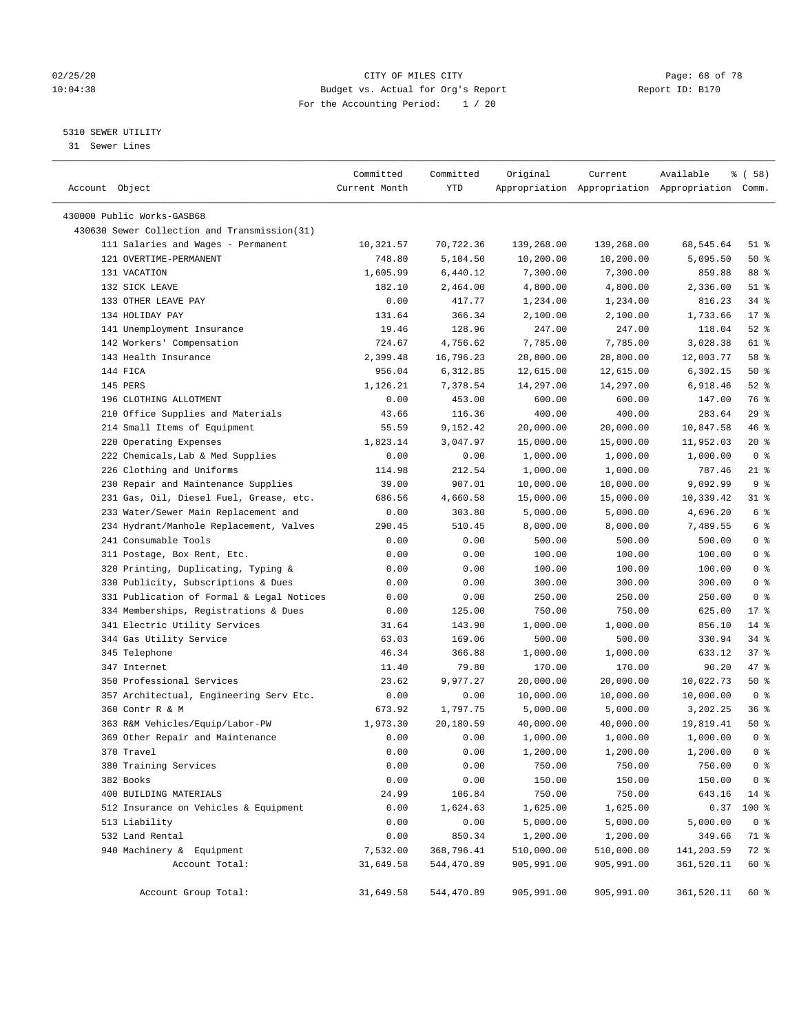#### 02/25/20 Page: 68 of 78 10:04:38 Budget vs. Actual for Org's Report Report ID: B170 For the Accounting Period: 1 / 20

————————————————————————————————————————————————————————————————————————————————————————————————————————————————————————————————————

#### 5310 SEWER UTILITY

31 Sewer Lines

| Account Object                                               | Committed<br>Current Month | Committed<br>YTD     | Original             | Current              | Available<br>Appropriation Appropriation Appropriation Comm. | १८       (६७६४) |
|--------------------------------------------------------------|----------------------------|----------------------|----------------------|----------------------|--------------------------------------------------------------|-----------------|
|                                                              |                            |                      |                      |                      |                                                              |                 |
| 430000 Public Works-GASB68                                   |                            |                      |                      |                      |                                                              |                 |
| 430630 Sewer Collection and Transmission(31)                 |                            |                      |                      |                      |                                                              |                 |
| 111 Salaries and Wages - Permanent<br>121 OVERTIME-PERMANENT | 10,321.57                  | 70,722.36            | 139,268.00           | 139,268.00           | 68,545.64                                                    | 51 %            |
|                                                              | 748.80                     | 5,104.50             | 10,200.00            | 10,200.00            | 5,095.50                                                     | 50%             |
| 131 VACATION                                                 | 1,605.99                   | 6,440.12<br>2,464.00 | 7,300.00             | 7,300.00             | 859.88                                                       | 88 %<br>$51$ %  |
| 132 SICK LEAVE<br>133 OTHER LEAVE PAY                        | 182.10<br>0.00             | 417.77               | 4,800.00<br>1,234.00 | 4,800.00             | 2,336.00<br>816.23                                           | $34$ %          |
| 134 HOLIDAY PAY                                              | 131.64                     | 366.34               | 2,100.00             | 1,234.00<br>2,100.00 | 1,733.66                                                     | $17*$           |
| 141 Unemployment Insurance                                   | 19.46                      | 128.96               | 247.00               | 247.00               | 118.04                                                       | $52$ $%$        |
| 142 Workers' Compensation                                    | 724.67                     | 4,756.62             | 7,785.00             | 7,785.00             | 3,028.38                                                     | 61 %            |
| 143 Health Insurance                                         | 2,399.48                   | 16,796.23            | 28,800.00            | 28,800.00            | 12,003.77                                                    | 58 %            |
| 144 FICA                                                     | 956.04                     | 6,312.85             | 12,615.00            | 12,615.00            | 6,302.15                                                     | 50%             |
| 145 PERS                                                     | 1,126.21                   | 7,378.54             | 14,297.00            | 14,297.00            | 6,918.46                                                     | $52$ $%$        |
| 196 CLOTHING ALLOTMENT                                       | 0.00                       | 453.00               | 600.00               | 600.00               | 147.00                                                       | 76 %            |
| 210 Office Supplies and Materials                            | 43.66                      | 116.36               | 400.00               | 400.00               | 283.64                                                       | 29%             |
| 214 Small Items of Equipment                                 | 55.59                      | 9,152.42             | 20,000.00            | 20,000.00            | 10,847.58                                                    | 46 %            |
| 220 Operating Expenses                                       | 1,823.14                   | 3,047.97             | 15,000.00            | 15,000.00            | 11,952.03                                                    | $20*$           |
| 222 Chemicals, Lab & Med Supplies                            | 0.00                       | 0.00                 | 1,000.00             | 1,000.00             | 1,000.00                                                     | 0 <sup>8</sup>  |
| 226 Clothing and Uniforms                                    | 114.98                     | 212.54               | 1,000.00             | 1,000.00             | 787.46                                                       | $21$ %          |
| 230 Repair and Maintenance Supplies                          | 39.00                      | 907.01               | 10,000.00            | 10,000.00            | 9,092.99                                                     | 9 <sup>°</sup>  |
| 231 Gas, Oil, Diesel Fuel, Grease, etc.                      | 686.56                     | 4,660.58             | 15,000.00            | 15,000.00            | 10,339.42                                                    | 31 %            |
| 233 Water/Sewer Main Replacement and                         | 0.00                       | 303.80               | 5,000.00             | 5,000.00             | 4,696.20                                                     | $6\degree$      |
| 234 Hydrant/Manhole Replacement, Valves                      | 290.45                     | 510.45               | 8,000.00             | 8,000.00             | 7,489.55                                                     | 6 <sup>8</sup>  |
| 241 Consumable Tools                                         | 0.00                       | 0.00                 | 500.00               | 500.00               | 500.00                                                       | 0 <sup>8</sup>  |
| 311 Postage, Box Rent, Etc.                                  | 0.00                       | 0.00                 | 100.00               | 100.00               | 100.00                                                       | 0 <sup>8</sup>  |
| 320 Printing, Duplicating, Typing &                          | 0.00                       | 0.00                 | 100.00               | 100.00               | 100.00                                                       | 0 <sup>8</sup>  |
| 330 Publicity, Subscriptions & Dues                          | 0.00                       | 0.00                 | 300.00               | 300.00               | 300.00                                                       | 0 <sup>°</sup>  |
| 331 Publication of Formal & Legal Notices                    | 0.00                       | 0.00                 | 250.00               | 250.00               | 250.00                                                       | 0 <sup>8</sup>  |
| 334 Memberships, Registrations & Dues                        | 0.00                       | 125.00               | 750.00               | 750.00               | 625.00                                                       | $17*$           |
| 341 Electric Utility Services                                | 31.64                      | 143.90               | 1,000.00             | 1,000.00             | 856.10                                                       | $14$ %          |
| 344 Gas Utility Service                                      | 63.03                      | 169.06               | 500.00               | 500.00               | 330.94                                                       | $34$ $%$        |
| 345 Telephone                                                | 46.34                      | 366.88               | 1,000.00             | 1,000.00             | 633.12                                                       | 37%             |
| 347 Internet                                                 | 11.40                      | 79.80                | 170.00               | 170.00               | 90.20                                                        | 47 %            |
| 350 Professional Services                                    | 23.62                      | 9,977.27             | 20,000.00            | 20,000.00            | 10,022.73                                                    | 50%             |
| 357 Architectual, Engineering Serv Etc.                      | 0.00                       | 0.00                 | 10,000.00            | 10,000.00            | 10,000.00                                                    | 0 <sup>8</sup>  |
| 360 Contr R & M                                              | 673.92                     | 1,797.75             | 5,000.00             | 5,000.00             | 3,202.25                                                     | 36%             |
| 363 R&M Vehicles/Equip/Labor-PW                              | 1,973.30                   | 20,180.59            | 40,000.00            | 40,000.00            | 19,819.41                                                    | 50%             |
| 369 Other Repair and Maintenance                             | 0.00                       | 0.00                 | 1,000.00             | 1,000.00             | 1,000.00                                                     | 0 <sup>8</sup>  |
| 370 Travel                                                   | 0.00                       | 0.00                 | 1,200.00             | 1,200.00             | 1,200.00                                                     | 0 <sup>8</sup>  |
| 380 Training Services                                        | 0.00                       | 0.00                 | 750.00               | 750.00               | 750.00                                                       | 0 <sup>8</sup>  |
| 382 Books                                                    | 0.00                       | 0.00                 | 150.00               | 150.00               | 150.00                                                       | 0 <sup>8</sup>  |
| 400 BUILDING MATERIALS                                       | 24.99                      | 106.84               | 750.00               | 750.00               | 643.16                                                       | $14*$           |
| 512 Insurance on Vehicles & Equipment                        | 0.00                       | 1,624.63             | 1,625.00             | 1,625.00             | 0.37                                                         | 100 %           |
| 513 Liability                                                | 0.00                       | 0.00                 | 5,000.00             | 5,000.00             | 5,000.00                                                     | 0 <sup>8</sup>  |
| 532 Land Rental                                              | 0.00                       | 850.34               | 1,200.00             | 1,200.00             | 349.66                                                       | 71 %            |
| 940 Machinery & Equipment                                    | 7,532.00                   | 368,796.41           | 510,000.00           | 510,000.00           | 141,203.59                                                   | 72 %            |
| Account Total:                                               | 31,649.58                  | 544,470.89           | 905,991.00           | 905,991.00           | 361,520.11                                                   | 60 %            |
|                                                              |                            |                      |                      |                      |                                                              |                 |
| Account Group Total:                                         | 31,649.58                  | 544,470.89           | 905,991.00           | 905,991.00           | 361,520.11                                                   | 60 %            |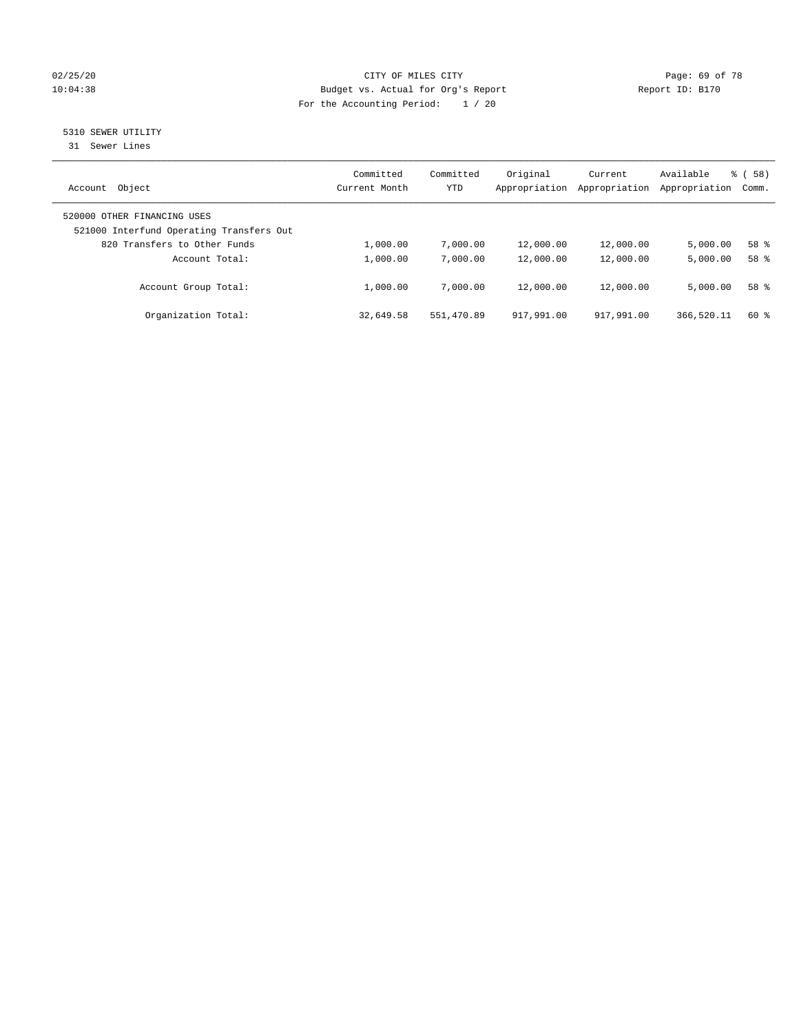#### 02/25/20 Page: 69 of 78 10:04:38 Budget vs. Actual for Org's Report Changer Report ID: B170 For the Accounting Period: 1 / 20

# 5310 SEWER UTILITY

31 Sewer Lines

| Object<br>Account                                                       | Committed<br>Current Month | Committed<br><b>YTD</b> | Original<br>Appropriation | Current<br>Appropriation | Available<br>Appropriation | 58)<br>ී (<br>Comm. |
|-------------------------------------------------------------------------|----------------------------|-------------------------|---------------------------|--------------------------|----------------------------|---------------------|
| 520000 OTHER FINANCING USES<br>521000 Interfund Operating Transfers Out |                            |                         |                           |                          |                            |                     |
| 820 Transfers to Other Funds                                            | 1,000.00                   | 7,000.00                | 12,000.00                 | 12,000.00                | 5.000.00                   | 58 %                |
| Account Total:                                                          | 1,000.00                   | 7,000.00                | 12,000.00                 | 12,000.00                | 5,000.00                   | 58 %                |
| Account Group Total:                                                    | 1,000.00                   | 7,000.00                | 12,000.00                 | 12,000.00                | 5.000.00                   | 58 %                |
| Organization Total:                                                     | 32,649.58                  | 551,470.89              | 917,991.00                | 917,991.00               | 366,520.11                 | $60*$               |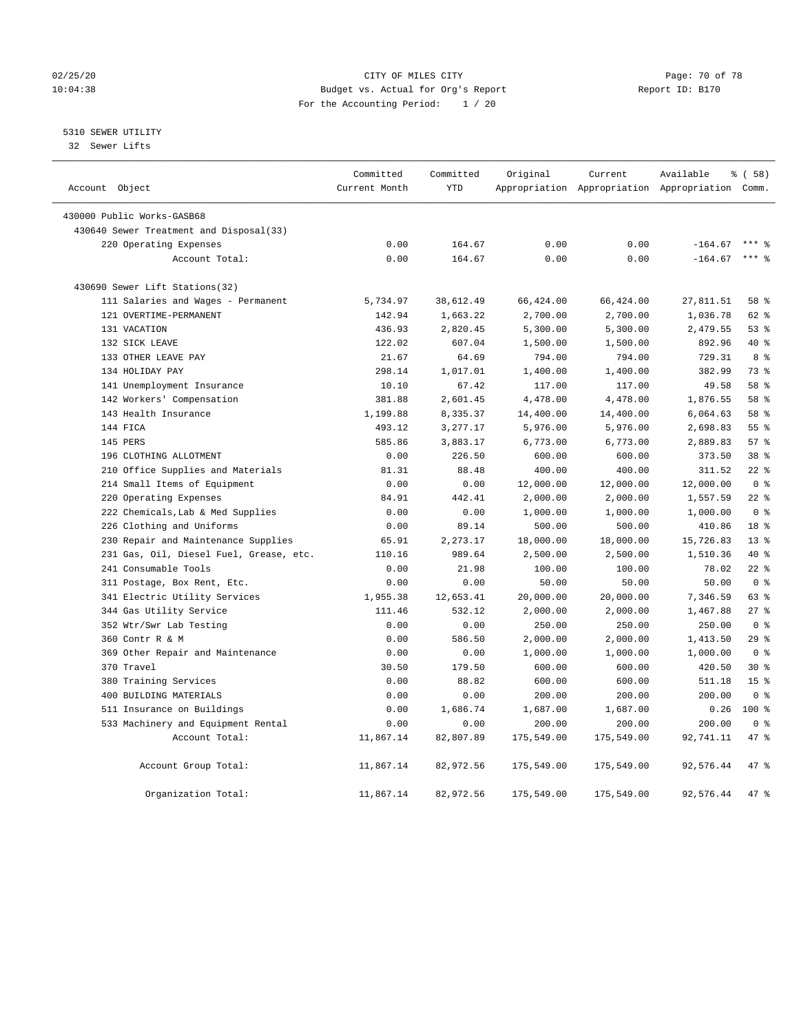#### 02/25/20 Page: 70 of 78 10:04:38 Budget vs. Actual for Org's Report Report ID: B170 For the Accounting Period: 1 / 20

#### 5310 SEWER UTILITY

32 Sewer Lifts

| Account Object |                                         | Committed<br>Current Month | Committed<br><b>YTD</b> | Original   | Current    | Available<br>Appropriation Appropriation Appropriation Comm. | 8 ( 58 )        |
|----------------|-----------------------------------------|----------------------------|-------------------------|------------|------------|--------------------------------------------------------------|-----------------|
|                |                                         |                            |                         |            |            |                                                              |                 |
|                | 430000 Public Works-GASB68              |                            |                         |            |            |                                                              |                 |
|                | 430640 Sewer Treatment and Disposal(33) |                            |                         |            |            |                                                              |                 |
|                | 220 Operating Expenses                  | 0.00                       | 164.67                  | 0.00       | 0.00       | $-164.67$                                                    |                 |
|                | Account Total:                          | 0.00                       | 164.67                  | 0.00       | 0.00       | $-164.67$                                                    | $***$ $%$       |
|                | 430690 Sewer Lift Stations(32)          |                            |                         |            |            |                                                              |                 |
|                | 111 Salaries and Wages - Permanent      | 5,734.97                   | 38,612.49               | 66,424.00  | 66,424.00  | 27,811.51                                                    | 58 %            |
|                | 121 OVERTIME-PERMANENT                  | 142.94                     | 1,663.22                | 2,700.00   | 2,700.00   | 1,036.78                                                     | 62 %            |
|                | 131 VACATION                            | 436.93                     | 2,820.45                | 5,300.00   | 5,300.00   | 2,479.55                                                     | 53%             |
|                | 132 SICK LEAVE                          | 122.02                     | 607.04                  | 1,500.00   | 1,500.00   | 892.96                                                       | $40*$           |
|                | 133 OTHER LEAVE PAY                     | 21.67                      | 64.69                   | 794.00     | 794.00     | 729.31                                                       | 8 %             |
|                | 134 HOLIDAY PAY                         | 298.14                     | 1,017.01                | 1,400.00   | 1,400.00   | 382.99                                                       | 73 %            |
|                | 141 Unemployment Insurance              | 10.10                      | 67.42                   | 117.00     | 117.00     | 49.58                                                        | 58 %            |
|                | 142 Workers' Compensation               | 381.88                     | 2,601.45                | 4,478.00   | 4,478.00   | 1,876.55                                                     | 58 %            |
|                | 143 Health Insurance                    | 1,199.88                   | 8,335.37                | 14,400.00  | 14,400.00  | 6,064.63                                                     | 58 %            |
|                | 144 FICA                                | 493.12                     | 3,277.17                | 5,976.00   | 5,976.00   | 2,698.83                                                     | 55%             |
|                | 145 PERS                                | 585.86                     | 3,883.17                | 6,773.00   | 6,773.00   | 2,889.83                                                     | 57%             |
|                | 196 CLOTHING ALLOTMENT                  | 0.00                       | 226.50                  | 600.00     | 600.00     | 373.50                                                       | 38 <sup>8</sup> |
|                | 210 Office Supplies and Materials       | 81.31                      | 88.48                   | 400.00     | 400.00     | 311.52                                                       | $22*$           |
|                | 214 Small Items of Equipment            | 0.00                       | 0.00                    | 12,000.00  | 12,000.00  | 12,000.00                                                    | 0 <sup>8</sup>  |
|                | 220 Operating Expenses                  | 84.91                      | 442.41                  | 2,000.00   | 2,000.00   | 1,557.59                                                     | $22$ %          |
|                | 222 Chemicals, Lab & Med Supplies       | 0.00                       | 0.00                    | 1,000.00   | 1,000.00   | 1,000.00                                                     | 0 <sup>8</sup>  |
|                | 226 Clothing and Uniforms               | 0.00                       | 89.14                   | 500.00     | 500.00     | 410.86                                                       | 18 %            |
|                | 230 Repair and Maintenance Supplies     | 65.91                      | 2,273.17                | 18,000.00  | 18,000.00  | 15,726.83                                                    | 13 <sup>8</sup> |
|                | 231 Gas, Oil, Diesel Fuel, Grease, etc. | 110.16                     | 989.64                  | 2,500.00   | 2,500.00   | 1,510.36                                                     | $40*$           |
|                | 241 Consumable Tools                    | 0.00                       | 21.98                   | 100.00     | 100.00     | 78.02                                                        | $22$ %          |
|                | 311 Postage, Box Rent, Etc.             | 0.00                       | 0.00                    | 50.00      | 50.00      | 50.00                                                        | 0 <sup>8</sup>  |
|                | 341 Electric Utility Services           | 1,955.38                   | 12,653.41               | 20,000.00  | 20,000.00  | 7,346.59                                                     | 63 %            |
|                | 344 Gas Utility Service                 | 111.46                     | 532.12                  | 2,000.00   | 2,000.00   | 1,467.88                                                     | 27%             |
|                | 352 Wtr/Swr Lab Testing                 | 0.00                       | 0.00                    | 250.00     | 250.00     | 250.00                                                       | 0 <sup>8</sup>  |
|                | 360 Contr R & M                         | 0.00                       | 586.50                  | 2,000.00   | 2,000.00   | 1,413.50                                                     | 29%             |
|                | 369 Other Repair and Maintenance        | 0.00                       | 0.00                    | 1,000.00   | 1,000.00   | 1,000.00                                                     | 0 <sup>8</sup>  |
|                | 370 Travel                              | 30.50                      | 179.50                  | 600.00     | 600.00     | 420.50                                                       | $30*$           |
|                | 380 Training Services                   | 0.00                       | 88.82                   | 600.00     | 600.00     | 511.18                                                       | 15 <sup>8</sup> |
|                | 400 BUILDING MATERIALS                  | 0.00                       | 0.00                    | 200.00     | 200.00     | 200.00                                                       | 0 <sup>8</sup>  |
|                | 511 Insurance on Buildings              | 0.00                       | 1,686.74                | 1,687.00   | 1,687.00   | 0.26                                                         | $100*$          |
|                | 533 Machinery and Equipment Rental      | 0.00                       | 0.00                    | 200.00     | 200.00     | 200.00                                                       | 0 <sup>8</sup>  |
|                | Account Total:                          | 11,867.14                  | 82,807.89               | 175,549.00 | 175,549.00 | 92,741.11                                                    | 47.8            |
|                | Account Group Total:                    | 11,867.14                  | 82,972.56               | 175,549.00 | 175,549.00 | 92,576.44                                                    | 47 %            |
|                | Organization Total:                     | 11,867.14                  | 82,972.56               | 175,549.00 | 175,549.00 | 92,576.44                                                    | 47.8            |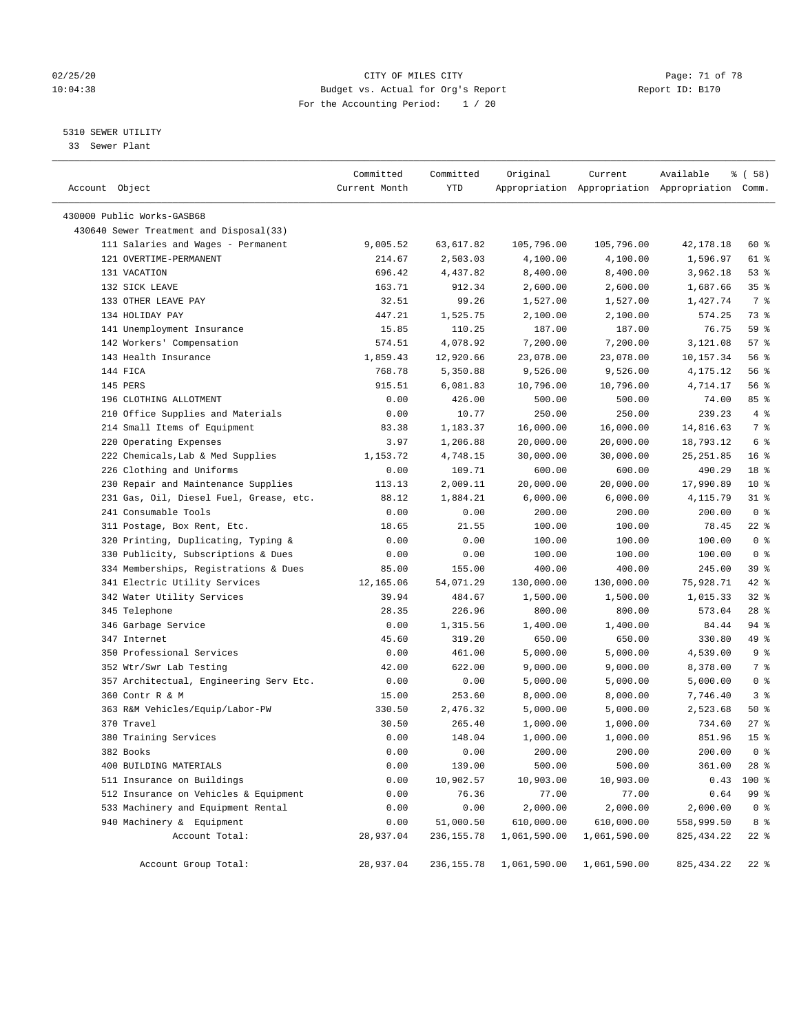#### 02/25/20 Page: 71 of 78 10:04:38 Budget vs. Actual for Org's Report Report ID: B170 For the Accounting Period: 1 / 20

————————————————————————————————————————————————————————————————————————————————————————————————————————————————————————————————————

#### 5310 SEWER UTILITY

33 Sewer Plant

|                                         | Committed     | Committed   | Original                | Current      | Available                                       | 8 ( 58 )        |
|-----------------------------------------|---------------|-------------|-------------------------|--------------|-------------------------------------------------|-----------------|
| Account Object                          | Current Month | YTD         |                         |              | Appropriation Appropriation Appropriation Comm. |                 |
| 430000 Public Works-GASB68              |               |             |                         |              |                                                 |                 |
| 430640 Sewer Treatment and Disposal(33) |               |             |                         |              |                                                 |                 |
| 111 Salaries and Wages - Permanent      | 9,005.52      | 63,617.82   | 105,796.00              | 105,796.00   | 42,178.18                                       | 60 %            |
| 121 OVERTIME-PERMANENT                  | 214.67        | 2,503.03    | 4,100.00                | 4,100.00     | 1,596.97                                        | 61 %            |
| 131 VACATION                            | 696.42        | 4,437.82    | 8,400.00                | 8,400.00     | 3,962.18                                        | 53%             |
| 132 SICK LEAVE                          | 163.71        | 912.34      | 2,600.00                | 2,600.00     | 1,687.66                                        | 35 <sup>8</sup> |
| 133 OTHER LEAVE PAY                     | 32.51         | 99.26       | 1,527.00                | 1,527.00     | 1,427.74                                        | 7 %             |
| 134 HOLIDAY PAY                         | 447.21        | 1,525.75    | 2,100.00                | 2,100.00     | 574.25                                          | 73 %            |
| 141 Unemployment Insurance              | 15.85         | 110.25      | 187.00                  | 187.00       | 76.75                                           | 59 %            |
| 142 Workers' Compensation               | 574.51        | 4,078.92    | 7,200.00                | 7,200.00     | 3,121.08                                        | 57%             |
| 143 Health Insurance                    | 1,859.43      | 12,920.66   | 23,078.00               | 23,078.00    | 10,157.34                                       | 56%             |
| 144 FICA                                | 768.78        | 5,350.88    | 9,526.00                | 9,526.00     | 4,175.12                                        | 56%             |
| 145 PERS                                | 915.51        | 6,081.83    | 10,796.00               | 10,796.00    | 4,714.17                                        | 56%             |
| 196 CLOTHING ALLOTMENT                  | 0.00          | 426.00      | 500.00                  | 500.00       | 74.00                                           | 85 %            |
| 210 Office Supplies and Materials       | 0.00          | 10.77       | 250.00                  | 250.00       | 239.23                                          | 4%              |
| 214 Small Items of Equipment            | 83.38         | 1,183.37    | 16,000.00               | 16,000.00    | 14,816.63                                       | 7 %             |
| 220 Operating Expenses                  | 3.97          | 1,206.88    | 20,000.00               | 20,000.00    | 18,793.12                                       | 6 %             |
| 222 Chemicals, Lab & Med Supplies       | 1,153.72      | 4,748.15    | 30,000.00               | 30,000.00    | 25, 251.85                                      | 16 <sup>8</sup> |
| 226 Clothing and Uniforms               | 0.00          | 109.71      | 600.00                  | 600.00       | 490.29                                          | 18 <sup>8</sup> |
| 230 Repair and Maintenance Supplies     | 113.13        | 2,009.11    | 20,000.00               | 20,000.00    | 17,990.89                                       | $10*$           |
| 231 Gas, Oil, Diesel Fuel, Grease, etc. | 88.12         | 1,884.21    | 6,000.00                | 6,000.00     | 4,115.79                                        | $31$ %          |
| 241 Consumable Tools                    | 0.00          | 0.00        | 200.00                  | 200.00       | 200.00                                          | 0 <sup>8</sup>  |
| 311 Postage, Box Rent, Etc.             | 18.65         | 21.55       | 100.00                  | 100.00       | 78.45                                           | $22$ %          |
| 320 Printing, Duplicating, Typing &     | 0.00          | 0.00        | 100.00                  | 100.00       | 100.00                                          | 0 <sup>8</sup>  |
| 330 Publicity, Subscriptions & Dues     | 0.00          | 0.00        | 100.00                  | 100.00       | 100.00                                          | 0 <sup>8</sup>  |
| 334 Memberships, Registrations & Dues   | 85.00         | 155.00      | 400.00                  | 400.00       | 245.00                                          | 39%             |
| 341 Electric Utility Services           | 12,165.06     | 54,071.29   | 130,000.00              | 130,000.00   | 75,928.71                                       | $42$ %          |
| 342 Water Utility Services              | 39.94         | 484.67      | 1,500.00                | 1,500.00     | 1,015.33                                        | $32$ $%$        |
| 345 Telephone                           | 28.35         | 226.96      | 800.00                  | 800.00       | 573.04                                          | $28$ %          |
| 346 Garbage Service                     | 0.00          | 1,315.56    | 1,400.00                | 1,400.00     | 84.44                                           | 94 %            |
| 347 Internet                            | 45.60         | 319.20      | 650.00                  | 650.00       | 330.80                                          | 49 %            |
| 350 Professional Services               | 0.00          | 461.00      | 5,000.00                | 5,000.00     | 4,539.00                                        | 9 <sup>°</sup>  |
| 352 Wtr/Swr Lab Testing                 | 42.00         | 622.00      | 9,000.00                | 9,000.00     | 8,378.00                                        | 7 %             |
| 357 Architectual, Engineering Serv Etc. | 0.00          | 0.00        | 5,000.00                | 5,000.00     | 5,000.00                                        | 0 <sup>8</sup>  |
| 360 Contr R & M                         | 15.00         | 253.60      | 8,000.00                | 8,000.00     | 7,746.40                                        | 3%              |
| 363 R&M Vehicles/Equip/Labor-PW         | 330.50        | 2,476.32    | 5,000.00                | 5,000.00     | 2,523.68                                        | $50*$           |
| 370 Travel                              | 30.50         | 265.40      | 1,000.00                | 1,000.00     | 734.60                                          | $27$ %          |
| 380 Training Services                   | 0.00          | 148.04      | 1,000.00                | 1,000.00     | 851.96                                          | 15 <sup>°</sup> |
| 382 Books                               | 0.00          | 0.00        | 200.00                  | 200.00       | 200.00                                          | 0 <sup>8</sup>  |
| 400 BUILDING MATERIALS                  | 0.00          | 139.00      | 500.00                  | 500.00       | 361.00                                          | $28$ %          |
| 511 Insurance on Buildings              | 0.00          | 10,902.57   | 10,903.00               | 10,903.00    | 0.43                                            | 100 %           |
| 512 Insurance on Vehicles & Equipment   | 0.00          | 76.36       | 77.00                   | 77.00        | 0.64                                            | 99 %            |
| 533 Machinery and Equipment Rental      | 0.00          | 0.00        | 2,000.00                | 2,000.00     | 2,000.00                                        | 0 <sup>8</sup>  |
| 940 Machinery & Equipment               | 0.00          | 51,000.50   | 610,000.00              | 610,000.00   | 558,999.50                                      | 8 %             |
| Account Total:                          | 28,937.04     | 236, 155.78 | 1,061,590.00            | 1,061,590.00 | 825, 434.22                                     | $22$ %          |
|                                         |               |             |                         |              |                                                 |                 |
| Account Group Total:                    | 28,937.04     |             | 236,155.78 1,061,590.00 | 1,061,590.00 | 825, 434.22                                     | $22$ %          |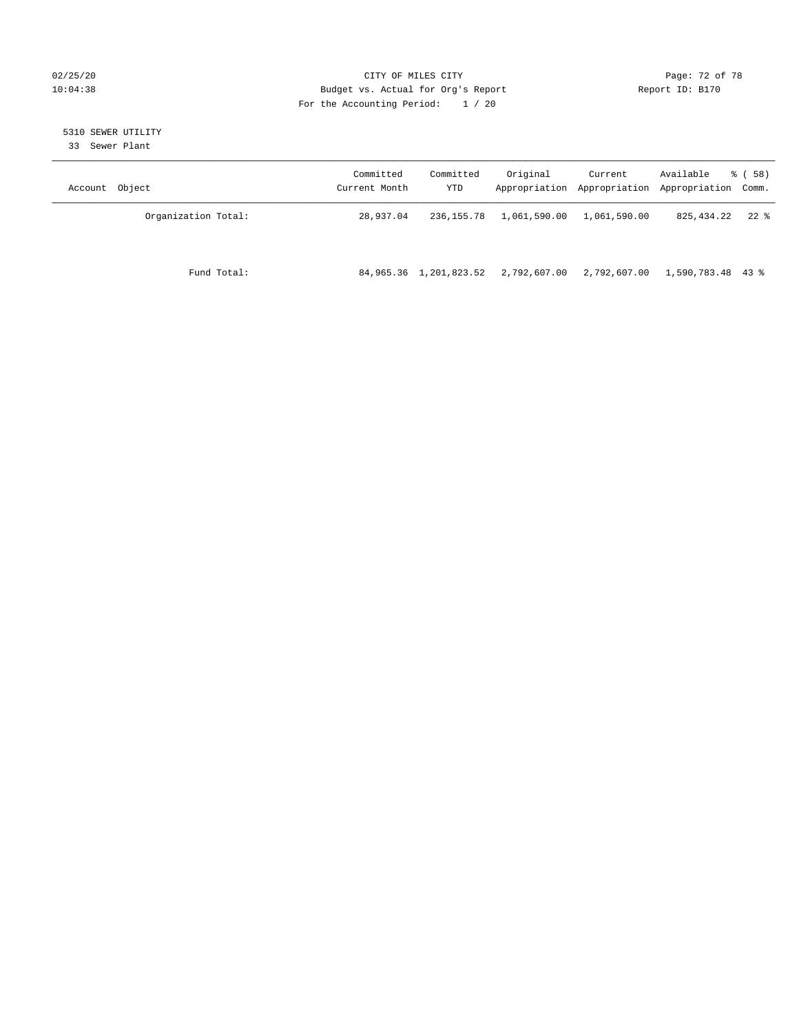#### 02/25/20 Page: 72 of 78 10:04:38 Budget vs. Actual for Org's Report Changer Report ID: B170 For the Accounting Period: 1 / 20

# 5310 SEWER UTILITY

33 Sewer Plant

| Object<br>Account   | Committed<br>Current Month | Committed<br>YTD | Original     | Current<br>Appropriation Appropriation | Available<br>Appropriation Comm. | 8 ( 58 ) |
|---------------------|----------------------------|------------------|--------------|----------------------------------------|----------------------------------|----------|
| Organization Total: | 28,937.04                  | 236, 155. 78     | 1,061,590.00 | 1,061,590.00                           | 825,434.22                       | $22$ %   |
| Fund Total:         | 84,965.36                  | 1,201,823.52     | 2,792,607.00 | 2,792,607.00                           | 1,590,783.48 43 %                |          |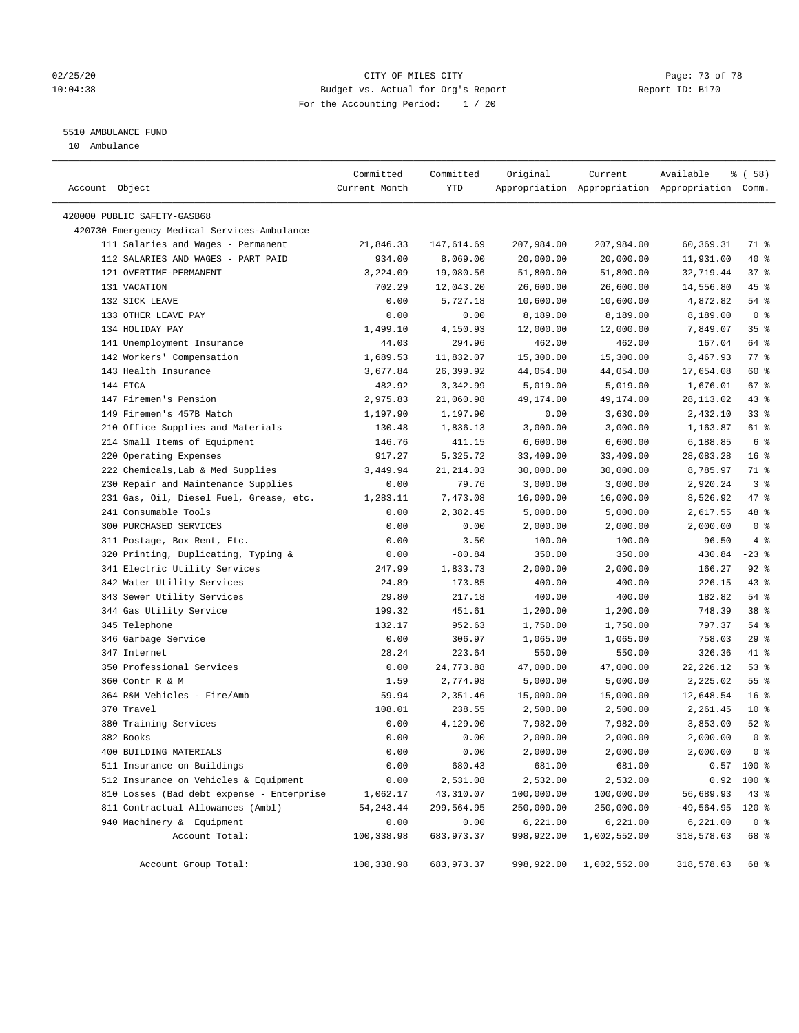## 02/25/20 Page: 73 of 78 10:04:38 Budget vs. Actual for Org's Report Report ID: B170 For the Accounting Period: 1 / 20

————————————————————————————————————————————————————————————————————————————————————————————————————————————————————————————————————

# 5510 AMBULANCE FUND

10 Ambulance

|                                             | Committed     | Committed  | Original   | Current      | Available                                       | <sub>ර</sub> ි (58) |
|---------------------------------------------|---------------|------------|------------|--------------|-------------------------------------------------|---------------------|
| Account Object                              | Current Month | YTD        |            |              | Appropriation Appropriation Appropriation Comm. |                     |
| 420000 PUBLIC SAFETY-GASB68                 |               |            |            |              |                                                 |                     |
| 420730 Emergency Medical Services-Ambulance |               |            |            |              |                                                 |                     |
| 111 Salaries and Wages - Permanent          | 21,846.33     | 147,614.69 | 207,984.00 | 207,984.00   | 60,369.31                                       | 71 %                |
| 112 SALARIES AND WAGES - PART PAID          | 934.00        | 8,069.00   | 20,000.00  | 20,000.00    | 11,931.00                                       | 40 %                |
| 121 OVERTIME-PERMANENT                      | 3,224.09      | 19,080.56  | 51,800.00  | 51,800.00    | 32,719.44                                       | 37%                 |
| 131 VACATION                                | 702.29        | 12,043.20  | 26,600.00  | 26,600.00    | 14,556.80                                       | 45 %                |
| 132 SICK LEAVE                              | 0.00          | 5,727.18   | 10,600.00  | 10,600.00    | 4,872.82                                        | $54$ %              |
| 133 OTHER LEAVE PAY                         | 0.00          | 0.00       | 8,189.00   | 8,189.00     | 8,189.00                                        | 0 <sup>8</sup>      |
| 134 HOLIDAY PAY                             | 1,499.10      | 4,150.93   | 12,000.00  | 12,000.00    | 7,849.07                                        | 35%                 |
| 141 Unemployment Insurance                  | 44.03         | 294.96     | 462.00     | 462.00       | 167.04                                          | 64 %                |
| 142 Workers' Compensation                   | 1,689.53      | 11,832.07  | 15,300.00  | 15,300.00    | 3,467.93                                        | 77 %                |
| 143 Health Insurance                        | 3,677.84      | 26,399.92  | 44,054.00  | 44,054.00    | 17,654.08                                       | 60 %                |
| 144 FICA                                    | 482.92        | 3,342.99   | 5,019.00   | 5,019.00     | 1,676.01                                        | 67%                 |
| 147 Firemen's Pension                       | 2,975.83      | 21,060.98  | 49,174.00  | 49,174.00    | 28,113.02                                       | 43 %                |
| 149 Firemen's 457B Match                    | 1,197.90      | 1,197.90   | 0.00       | 3,630.00     | 2,432.10                                        | 33%                 |
| 210 Office Supplies and Materials           | 130.48        | 1,836.13   | 3,000.00   | 3,000.00     | 1,163.87                                        | 61 %                |
| 214 Small Items of Equipment                | 146.76        | 411.15     | 6,600.00   | 6,600.00     | 6,188.85                                        | 6 %                 |
| 220 Operating Expenses                      | 917.27        | 5,325.72   | 33,409.00  | 33,409.00    | 28,083.28                                       | 16 <sup>°</sup>     |
| 222 Chemicals, Lab & Med Supplies           | 3,449.94      | 21, 214.03 | 30,000.00  | 30,000.00    | 8,785.97                                        | 71 %                |
| 230 Repair and Maintenance Supplies         | 0.00          | 79.76      | 3,000.00   | 3,000.00     | 2,920.24                                        | 3 <sup>8</sup>      |
| 231 Gas, Oil, Diesel Fuel, Grease, etc.     | 1,283.11      | 7,473.08   | 16,000.00  | 16,000.00    | 8,526.92                                        | 47 %                |
| 241 Consumable Tools                        | 0.00          | 2,382.45   | 5,000.00   | 5,000.00     | 2,617.55                                        | 48 %                |
| 300 PURCHASED SERVICES                      | 0.00          | 0.00       | 2,000.00   | 2,000.00     | 2,000.00                                        | 0 <sup>8</sup>      |
| 311 Postage, Box Rent, Etc.                 | 0.00          | 3.50       | 100.00     | 100.00       | 96.50                                           | 4%                  |
| 320 Printing, Duplicating, Typing &         | 0.00          | $-80.84$   | 350.00     | 350.00       | 430.84                                          | $-23$ %             |
| 341 Electric Utility Services               | 247.99        | 1,833.73   | 2,000.00   | 2,000.00     | 166.27                                          | $92$ %              |
| 342 Water Utility Services                  | 24.89         | 173.85     | 400.00     | 400.00       | 226.15                                          | 43 %                |
| 343 Sewer Utility Services                  | 29.80         | 217.18     | 400.00     | 400.00       | 182.82                                          | 54 %                |
| 344 Gas Utility Service                     | 199.32        | 451.61     | 1,200.00   | 1,200.00     | 748.39                                          | 38 <sup>8</sup>     |
| 345 Telephone                               | 132.17        | 952.63     | 1,750.00   | 1,750.00     | 797.37                                          | $54$ %              |
| 346 Garbage Service                         | 0.00          | 306.97     | 1,065.00   | 1,065.00     | 758.03                                          | 29%                 |
| 347 Internet                                | 28.24         | 223.64     | 550.00     | 550.00       | 326.36                                          | 41 %                |
| 350 Professional Services                   | 0.00          | 24,773.88  | 47,000.00  | 47,000.00    | 22, 226.12                                      | 53%                 |
| 360 Contr R & M                             | 1.59          | 2,774.98   | 5,000.00   | 5,000.00     | 2,225.02                                        | $55$ $%$            |
| 364 R&M Vehicles - Fire/Amb                 | 59.94         | 2,351.46   | 15,000.00  | 15,000.00    | 12,648.54                                       | 16 <sup>8</sup>     |
| 370 Travel                                  | 108.01        | 238.55     | 2,500.00   | 2,500.00     | 2,261.45                                        | $10*$               |
| 380 Training Services                       | 0.00          | 4,129.00   | 7,982.00   | 7,982.00     | 3,853.00                                        | $52$ $%$            |
| 382 Books                                   | 0.00          | 0.00       | 2,000.00   | 2,000.00     | 2,000.00                                        | 0 <sup>8</sup>      |
| 400 BUILDING MATERIALS                      | 0.00          | 0.00       | 2,000.00   | 2,000.00     | 2,000.00                                        | 0 <sup>8</sup>      |
| 511 Insurance on Buildings                  | 0.00          | 680.43     | 681.00     | 681.00       |                                                 | $0.57$ 100 %        |
| 512 Insurance on Vehicles & Equipment       | 0.00          | 2,531.08   | 2,532.00   | 2,532.00     |                                                 | $0.92$ 100 %        |
| 810 Losses (Bad debt expense - Enterprise   | 1,062.17      | 43,310.07  | 100,000.00 | 100,000.00   | 56,689.93                                       | 43%                 |
| 811 Contractual Allowances (Ambl)           | 54, 243.44    | 299,564.95 | 250,000.00 | 250,000.00   | $-49,564.95$ 120 %                              |                     |
| 940 Machinery & Equipment                   | 0.00          | 0.00       | 6,221.00   | 6,221.00     | 6, 221.00                                       | 0 <sup>8</sup>      |
| Account Total:                              | 100,338.98    | 683,973.37 | 998,922.00 | 1,002,552.00 | 318,578.63                                      | 68 %                |
|                                             |               |            |            |              |                                                 |                     |
| Account Group Total:                        | 100,338.98    | 683,973.37 | 998,922.00 | 1,002,552.00 | 318,578.63                                      | 68 %                |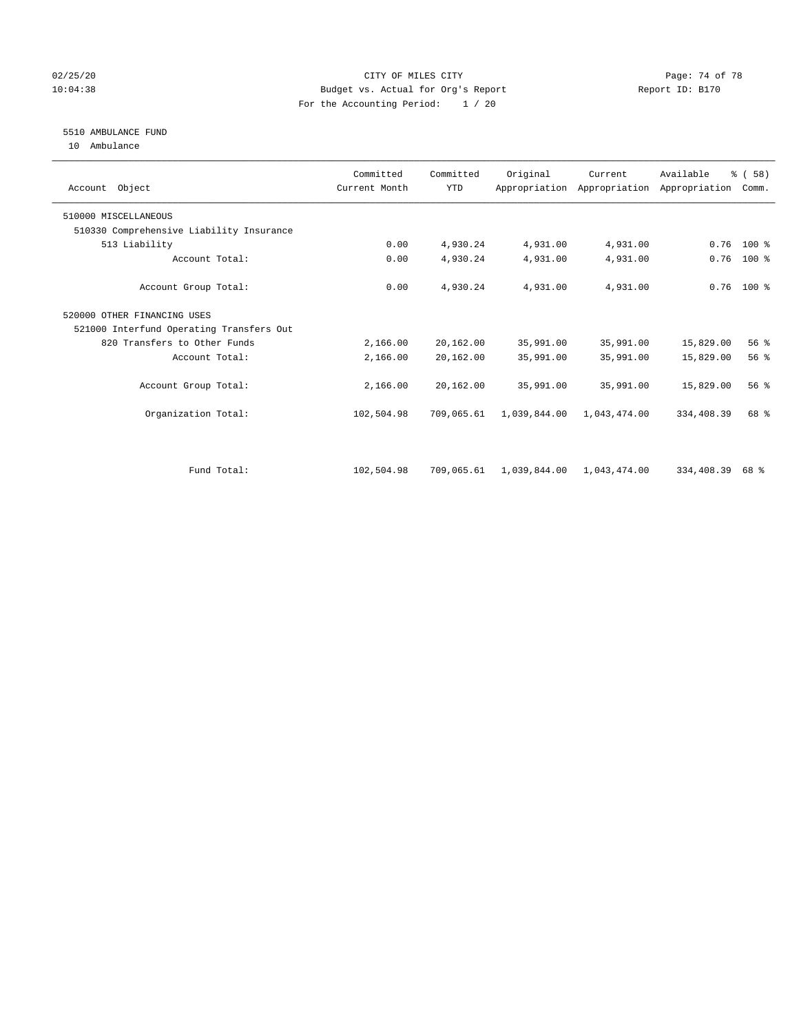## 02/25/20 Page: 74 of 78 10:04:38 Budget vs. Actual for Org's Report Report ID: B170 For the Accounting Period: 1 / 20

# 5510 AMBULANCE FUND

10 Ambulance

| Account Object                           | Committed<br>Current Month | Committed<br><b>YTD</b> | Original     | Current      | Available<br>Appropriation Appropriation Appropriation | % (58)<br>Comm. |  |
|------------------------------------------|----------------------------|-------------------------|--------------|--------------|--------------------------------------------------------|-----------------|--|
| 510000 MISCELLANEOUS                     |                            |                         |              |              |                                                        |                 |  |
| 510330 Comprehensive Liability Insurance |                            |                         |              |              |                                                        |                 |  |
| 513 Liability                            | 0.00                       | 4,930.24                | 4,931.00     | 4,931.00     | 0.76                                                   | $100*$          |  |
| Account Total:                           | 0.00                       | 4,930.24                | 4,931.00     | 4,931.00     | 0.76                                                   | 100 %           |  |
| Account Group Total:                     | 0.00                       | 4,930.24                | 4,931.00     | 4,931.00     |                                                        | $0.76$ 100 %    |  |
| 520000 OTHER FINANCING USES              |                            |                         |              |              |                                                        |                 |  |
| 521000 Interfund Operating Transfers Out |                            |                         |              |              |                                                        |                 |  |
| 820 Transfers to Other Funds             | 2,166.00                   | 20,162.00               | 35,991.00    | 35,991.00    | 15,829.00                                              | 56%             |  |
| Account Total:                           | 2,166.00                   | 20,162.00               | 35,991.00    | 35,991.00    | 15,829.00                                              | 56%             |  |
| Account Group Total:                     | 2,166.00                   | 20,162.00               | 35,991.00    | 35,991.00    | 15,829.00                                              | 56%             |  |
| Organization Total:                      | 102,504.98                 | 709,065.61              | 1,039,844.00 | 1,043,474.00 | 334,408.39                                             | 68 %            |  |
|                                          |                            |                         |              |              |                                                        |                 |  |
| Fund Total:                              | 102,504.98                 | 709,065.61              | 1,039,844.00 | 1,043,474.00 | 334,408.39                                             | 68 %            |  |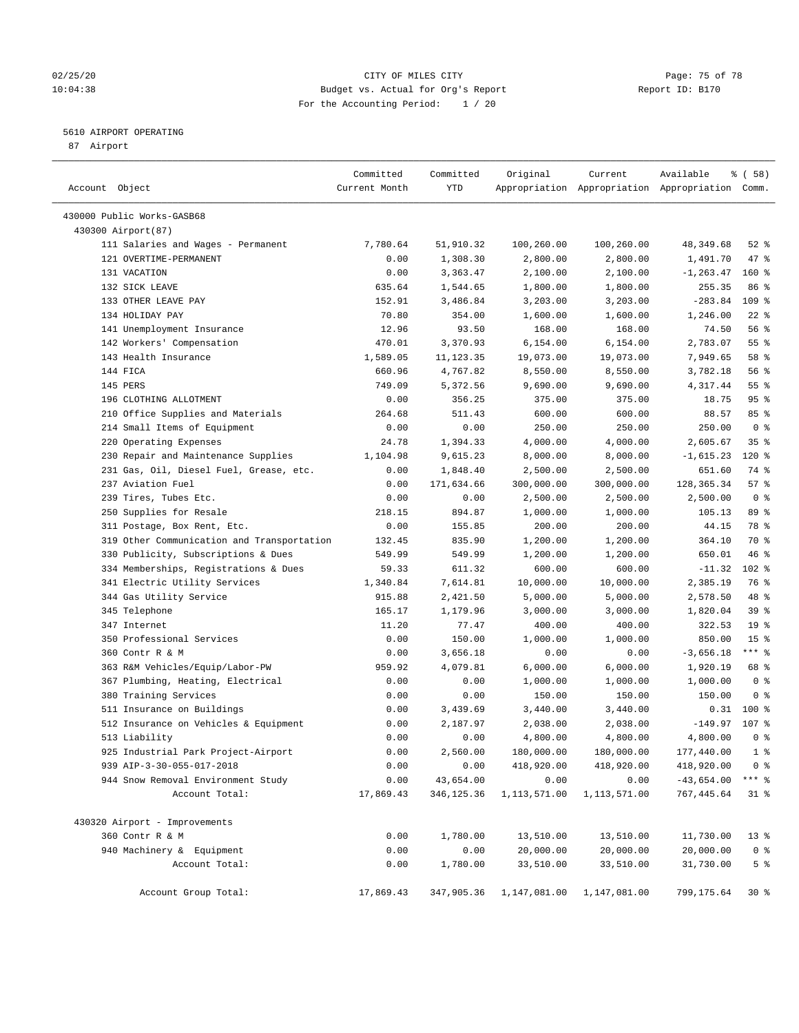## 02/25/20 Page: 75 of 78 10:04:38 Budget vs. Actual for Org's Report Changer Report ID: B170 For the Accounting Period: 1 / 20

————————————————————————————————————————————————————————————————————————————————————————————————————————————————————————————————————

## 5610 AIRPORT OPERATING

87 Airport

| Committed<br>Original<br>Committed<br>Current                                             | Available    | 8 ( 58 )         |
|-------------------------------------------------------------------------------------------|--------------|------------------|
| Account Object<br>Current Month<br>YTD<br>Appropriation Appropriation Appropriation Comm. |              |                  |
| 430000 Public Works-GASB68                                                                |              |                  |
| 430300 Airport (87)                                                                       |              |                  |
| 111 Salaries and Wages - Permanent<br>7,780.64<br>51,910.32<br>100,260.00<br>100,260.00   | 48,349.68    | $52$ %           |
| 121 OVERTIME-PERMANENT<br>0.00<br>1,308.30<br>2,800.00<br>2,800.00                        | 1,491.70     | 47 %             |
| 131 VACATION<br>0.00<br>3,363.47<br>2,100.00<br>2,100.00                                  | $-1, 263.47$ | 160%             |
| 132 SICK LEAVE<br>635.64<br>1,544.65<br>1,800.00<br>1,800.00                              | 255.35       | 86 %             |
| 133 OTHER LEAVE PAY<br>152.91<br>3,486.84<br>3,203.00<br>3,203.00                         | $-283.84$    | 109 <sub>8</sub> |
| 134 HOLIDAY PAY<br>70.80<br>354.00<br>1,600.00<br>1,600.00                                | 1,246.00     | $22$ %           |
| 141 Unemployment Insurance<br>12.96<br>93.50<br>168.00<br>168.00                          | 74.50        | 56%              |
| 142 Workers' Compensation<br>3,370.93<br>470.01<br>6,154.00<br>6,154.00                   | 2,783.07     | $55$ $%$         |
| 143 Health Insurance<br>1,589.05<br>11, 123.35<br>19,073.00<br>19,073.00                  | 7,949.65     | 58 %             |
| 144 FICA<br>660.96<br>4,767.82<br>8,550.00<br>8,550.00                                    | 3,782.18     | 56%              |
| 145 PERS<br>749.09<br>5,372.56<br>9,690.00<br>9,690.00                                    | 4,317.44     | 55 <sup>8</sup>  |
| 196 CLOTHING ALLOTMENT<br>0.00<br>356.25<br>375.00<br>375.00                              | 18.75        | 95%              |
| 210 Office Supplies and Materials<br>264.68<br>511.43<br>600.00<br>600.00                 | 88.57        | 85%              |
| 214 Small Items of Equipment<br>250.00<br>0.00<br>0.00<br>250.00                          | 250.00       | 0 <sup>8</sup>   |
| 220 Operating Expenses<br>24.78<br>1,394.33<br>4,000.00<br>4,000.00                       | 2,605.67     | 35 <sup>8</sup>  |
| 230 Repair and Maintenance Supplies<br>8,000.00<br>1,104.98<br>9,615.23<br>8,000.00       | $-1,615.23$  | $120*$           |
| 231 Gas, Oil, Diesel Fuel, Grease, etc.<br>0.00<br>1,848.40<br>2,500.00<br>2,500.00       | 651.60       | 74 %             |
| 237 Aviation Fuel<br>0.00<br>171,634.66<br>300,000.00<br>300,000.00                       | 128, 365. 34 | 57%              |
| 239 Tires, Tubes Etc.<br>0.00<br>0.00<br>2,500.00<br>2,500.00                             | 2,500.00     | 0 <sup>8</sup>   |
| 250 Supplies for Resale<br>218.15<br>894.87<br>1,000.00<br>1,000.00                       | 105.13       | 89 %             |
| 311 Postage, Box Rent, Etc.<br>0.00<br>155.85<br>200.00<br>200.00                         | 44.15        | 78 %             |
| 319 Other Communication and Transportation<br>132.45<br>835.90<br>1,200.00<br>1,200.00    | 364.10       | 70 %             |
| 330 Publicity, Subscriptions & Dues<br>549.99<br>549.99<br>1,200.00<br>1,200.00           | 650.01       | 46 %             |
| 334 Memberships, Registrations & Dues<br>59.33<br>611.32<br>600.00<br>600.00              | $-11.32$     | 102 %            |
| 341 Electric Utility Services<br>1,340.84<br>7,614.81<br>10,000.00<br>10,000.00           | 2,385.19     | 76 %             |
| 344 Gas Utility Service<br>915.88<br>2,421.50<br>5,000.00<br>5,000.00                     | 2,578.50     | 48 %             |
| 345 Telephone<br>165.17<br>1,179.96<br>3,000.00<br>3,000.00                               | 1,820.04     | 39%              |
| 347 Internet<br>11.20<br>77.47<br>400.00<br>400.00                                        | 322.53       | 19 <sup>°</sup>  |
| 350 Professional Services<br>0.00<br>150.00<br>1,000.00<br>1,000.00                       | 850.00       | 15 <sup>°</sup>  |
| 360 Contr R & M<br>0.00<br>3,656.18<br>0.00<br>0.00                                       | $-3,656.18$  | $***$ $-$        |
| 363 R&M Vehicles/Equip/Labor-PW<br>6,000.00<br>959.92<br>4,079.81<br>6,000.00             | 1,920.19     | 68 %             |
| 367 Plumbing, Heating, Electrical<br>0.00<br>0.00<br>1,000.00<br>1,000.00                 | 1,000.00     | 0 <sup>8</sup>   |
| 380 Training Services<br>0.00<br>0.00<br>150.00<br>150.00                                 | 150.00       | 0 <sup>8</sup>   |
| 511 Insurance on Buildings<br>0.00<br>3,439.69<br>3,440.00<br>3,440.00                    | 0.31         | 100 %            |
| 512 Insurance on Vehicles & Equipment<br>0.00<br>2,187.97<br>2,038.00<br>2,038.00         | $-149.97$    | 107 %            |
| 513 Liability<br>4,800.00<br>0.00<br>0.00<br>4,800.00                                     | 4,800.00     | 0 <sup>8</sup>   |
| 0.00<br>2,560.00<br>925 Industrial Park Project-Airport<br>180,000.00<br>180,000.00       | 177,440.00   | $1 \circ$        |
| 939 AIP-3-30-055-017-2018<br>0.00<br>418,920.00<br>418,920.00<br>0.00                     | 418,920.00   | 0 <sup>8</sup>   |
| 43,654.00<br>944 Snow Removal Environment Study<br>0.00<br>0.00<br>0.00                   | $-43,654.00$ | $***$ $_{8}$     |
| Account Total:<br>17,869.43<br>346,125.36<br>1,113,571.00<br>1,113,571.00                 | 767, 445.64  | $31$ %           |
| 430320 Airport - Improvements                                                             |              |                  |
| 360 Contr R & M<br>0.00<br>1,780.00<br>13,510.00<br>13,510.00                             | 11,730.00    | $13*$            |
| 940 Machinery & Equipment<br>0.00<br>0.00<br>20,000.00<br>20,000.00                       | 20,000.00    | 0 <sup>8</sup>   |
| Account Total:<br>0.00<br>1,780.00<br>33,510.00<br>33,510.00                              | 31,730.00    | 5 <sup>°</sup>   |
|                                                                                           |              |                  |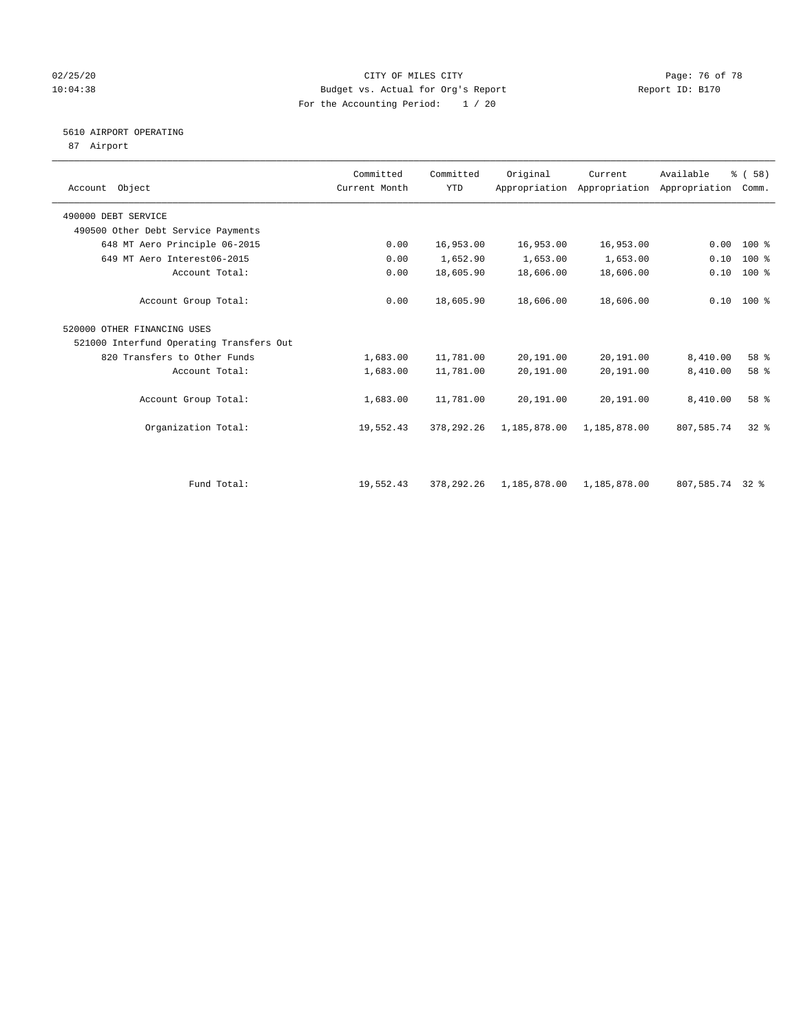## 02/25/20 Page: 76 of 78 10:04:38 Budget vs. Actual for Org's Report Report ID: B170 For the Accounting Period: 1 / 20

# 5610 AIRPORT OPERATING

87 Airport

| Account Object                           | Committed<br>Current Month | Committed<br><b>YTD</b> | Original     | Current      | Available<br>Appropriation Appropriation Appropriation | % (58)<br>Comm. |  |
|------------------------------------------|----------------------------|-------------------------|--------------|--------------|--------------------------------------------------------|-----------------|--|
| 490000 DEBT SERVICE                      |                            |                         |              |              |                                                        |                 |  |
| 490500 Other Debt Service Payments       |                            |                         |              |              |                                                        |                 |  |
| 648 MT Aero Principle 06-2015            | 0.00                       | 16,953.00               | 16,953.00    | 16,953.00    | 0.00                                                   | $100*$          |  |
| 649 MT Aero Interest06-2015              | 0.00                       | 1,652.90                | 1,653.00     | 1,653.00     | 0.10                                                   | $100$ %         |  |
| Account Total:                           | 0.00                       | 18,605.90               | 18,606.00    | 18,606.00    | 0.10                                                   | 100 %           |  |
| Account Group Total:                     | 0.00                       | 18,605.90               | 18,606.00    | 18,606.00    |                                                        | $0.10$ 100 %    |  |
| 520000 OTHER FINANCING USES              |                            |                         |              |              |                                                        |                 |  |
| 521000 Interfund Operating Transfers Out |                            |                         |              |              |                                                        |                 |  |
| 820 Transfers to Other Funds             | 1,683.00                   | 11,781.00               | 20,191.00    | 20,191.00    | 8,410.00                                               | 58 %            |  |
| Account Total:                           | 1,683.00                   | 11,781.00               | 20,191.00    | 20,191.00    | 8,410.00                                               | 58 %            |  |
| Account Group Total:                     | 1,683.00                   | 11,781.00               | 20,191.00    | 20,191.00    | 8,410.00                                               | 58 %            |  |
| Organization Total:                      | 19,552.43                  | 378, 292.26             | 1,185,878.00 | 1,185,878.00 | 807,585.74                                             | $32*$           |  |
|                                          |                            |                         |              |              |                                                        |                 |  |
| Fund Total:                              | 19,552.43                  | 378, 292. 26            | 1,185,878.00 | 1,185,878.00 | 807,585.74 32 %                                        |                 |  |